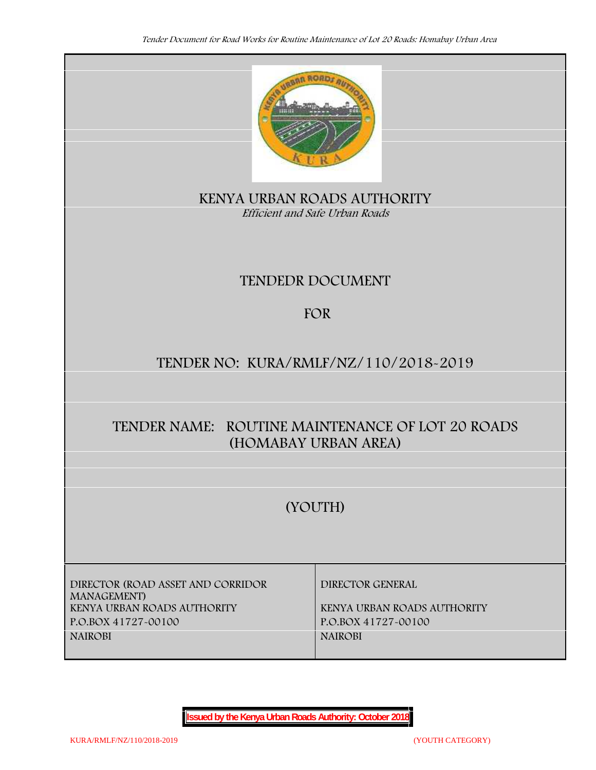

**KENYA URBAN ROADS AUTHORITY** *Efficient and Safe Urban Roads*

# **TENDEDR DOCUMENT**

# **FOR**

# **TENDER NO: KURA/RMLF/NZ/110/2018-2019**

# **TENDER NAME: ROUTINE MAINTENANCE OF LOT 20 ROADS (HOMABAY URBAN AREA)**

# **(YOUTH)**

**DIRECTOR (ROAD ASSET AND CORRIDOR MANAGEMENT) KENYA URBAN ROADS AUTHORITY KENYA URBAN ROADS AUTHORITY P.O.BOX 41727-00100 P.O.BOX 41727-00100 NAIROBI NAIROBI**

**DIRECTOR GENERAL**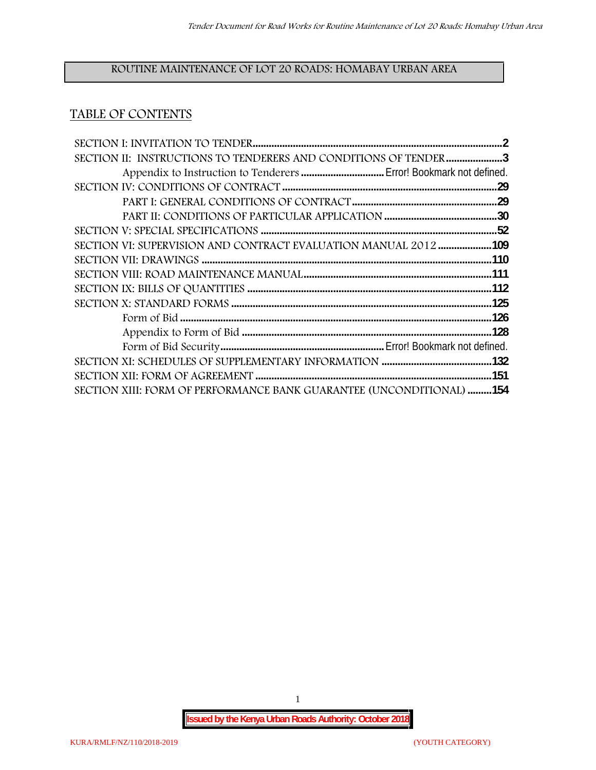# **ROUTINE MAINTENANCE OF LOT 20 ROADS: HOMABAY URBAN AREA**

# **TABLE OF CONTENTS**

| SECTION II: INSTRUCTIONS TO TENDERERS AND CONDITIONS OF TENDER 3     |  |
|----------------------------------------------------------------------|--|
|                                                                      |  |
|                                                                      |  |
|                                                                      |  |
|                                                                      |  |
|                                                                      |  |
| SECTION VI: SUPERVISION AND CONTRACT EVALUATION MANUAL 2012109       |  |
|                                                                      |  |
|                                                                      |  |
|                                                                      |  |
|                                                                      |  |
|                                                                      |  |
|                                                                      |  |
|                                                                      |  |
|                                                                      |  |
|                                                                      |  |
| SECTION XIII: FORM OF PERFORMANCE BANK GUARANTEE (UNCONDITIONAL) 154 |  |

1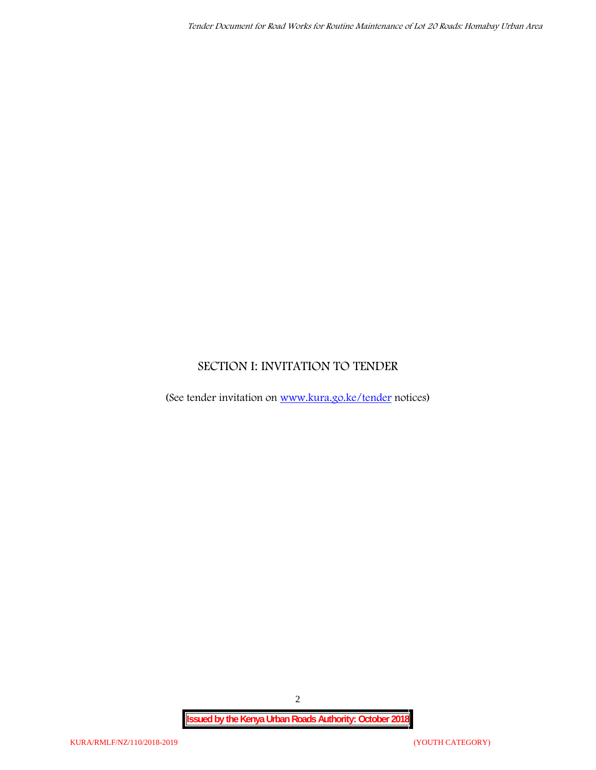# **SECTION I: INVITATION TO TENDER**

(See tender invitation on www.kura.go.ke/tender notices)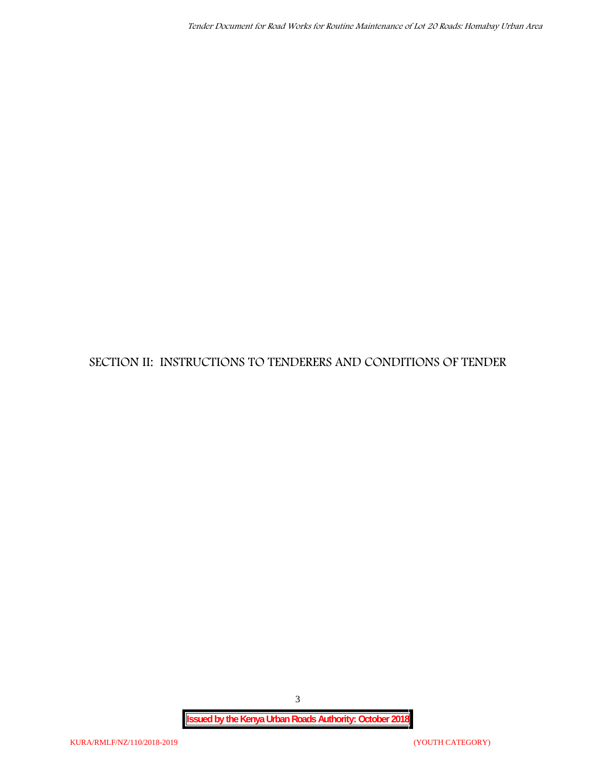**SECTION II: INSTRUCTIONS TO TENDERERS AND CONDITIONS OF TENDER**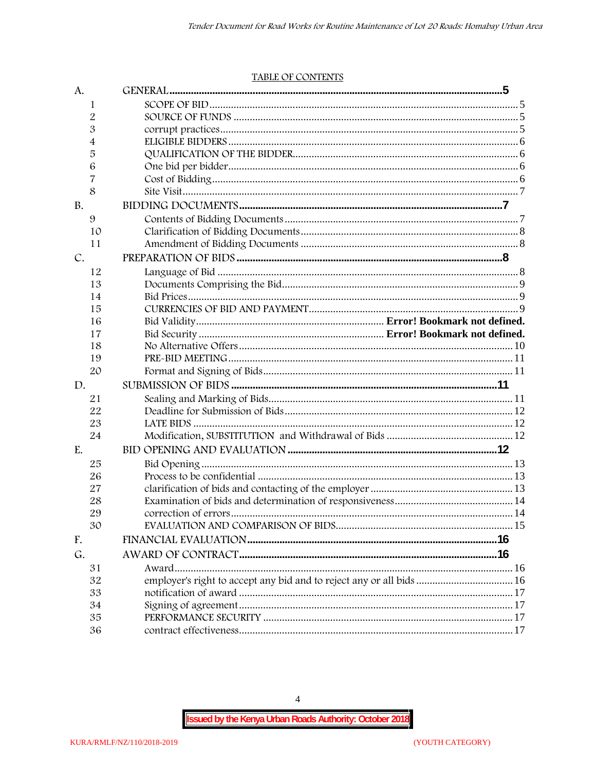#### TABLE OF CONTENTS

| A.        |                                                                      |  |
|-----------|----------------------------------------------------------------------|--|
| 1         |                                                                      |  |
| 2         |                                                                      |  |
| 3         |                                                                      |  |
| 4         |                                                                      |  |
| 5         |                                                                      |  |
| 6         |                                                                      |  |
| 7         |                                                                      |  |
| 8         |                                                                      |  |
| <b>B.</b> |                                                                      |  |
| 9         |                                                                      |  |
| 10        |                                                                      |  |
| 11        |                                                                      |  |
| C.        |                                                                      |  |
| 12        |                                                                      |  |
| 13        |                                                                      |  |
| 14        |                                                                      |  |
| 15        |                                                                      |  |
| 16        |                                                                      |  |
| 17        |                                                                      |  |
| 18        |                                                                      |  |
| 19        |                                                                      |  |
| 20        |                                                                      |  |
| D.        |                                                                      |  |
| 21        |                                                                      |  |
| 22        |                                                                      |  |
| 23        |                                                                      |  |
| 24        |                                                                      |  |
| E.        |                                                                      |  |
| 25        |                                                                      |  |
| 26        |                                                                      |  |
| 27        |                                                                      |  |
| 28        |                                                                      |  |
| 29        |                                                                      |  |
| 30        |                                                                      |  |
| F.        |                                                                      |  |
| G.        |                                                                      |  |
| 31        |                                                                      |  |
| 32        | employer's right to accept any bid and to reject any or all bids  16 |  |
| 33        |                                                                      |  |
| 34        |                                                                      |  |
| 35        |                                                                      |  |
| 36        |                                                                      |  |

 $\overline{4}$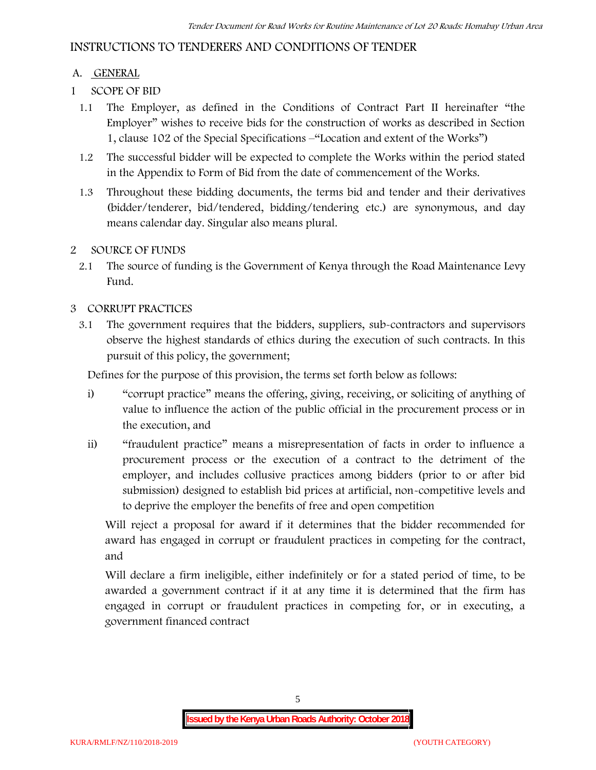# **INSTRUCTIONS TO TENDERERS AND CONDITIONS OF TENDER**

## **A. GENERAL**

- **1 SCOPE OF BID**
	- 1.1 The Employer, as defined in the Conditions of Contract Part II hereinafter "the Employer" wishes to receive bids for the construction of works as described in Section 1, clause 102 of the Special Specifications –"Location and extent of the Works")
	- 1.2 The successful bidder will be expected to complete the Works within the period stated in the Appendix to Form of Bid from the date of commencement of the Works.
	- 1.3 Throughout these bidding documents, the terms bid and tender and their derivatives (bidder/tenderer, bid/tendered, bidding/tendering etc.) are synonymous, and day means calendar day. Singular also means plural.

### **2 SOURCE OF FUNDS**

2.1 The source of funding is the Government of Kenya through the Road Maintenance Levy Fund.

### **3 CORRUPT PRACTICES**

3.1 The government requires that the bidders, suppliers, sub-contractors and supervisors observe the highest standards of ethics during the execution of such contracts. In this pursuit of this policy, the government;

Defines for the purpose of this provision, the terms set forth below as follows:

- i) "corrupt practice" means the offering, giving, receiving, or soliciting of anything of value to influence the action of the public official in the procurement process or in the execution, and
- ii) "fraudulent practice" means a misrepresentation of facts in order to influence a procurement process or the execution of a contract to the detriment of the employer, and includes collusive practices among bidders (prior to or after bid submission) designed to establish bid prices at artificial, non-competitive levels and to deprive the employer the benefits of free and open competition

Will reject a proposal for award if it determines that the bidder recommended for award has engaged in corrupt or fraudulent practices in competing for the contract, and

Will declare a firm ineligible, either indefinitely or for a stated period of time, to be awarded a government contract if it at any time it is determined that the firm has engaged in corrupt or fraudulent practices in competing for, or in executing, a government financed contract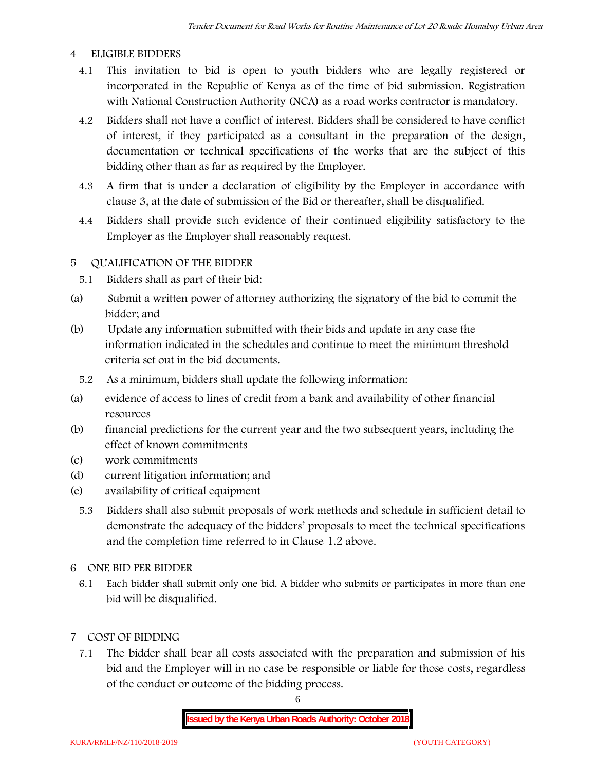### **4 ELIGIBLE BIDDERS**

- 4.1 This invitation to bid is open to youth bidders who are legally registered or incorporated in the Republic of Kenya as of the time of bid submission. Registration with National Construction Authority (NCA) as a road works contractor is mandatory.
- 4.2 Bidders shall not have a conflict of interest. Bidders shall be considered to have conflict of interest, if they participated as a consultant in the preparation of the design, documentation or technical specifications of the works that are the subject of this bidding other than as far as required by the Employer.
- 4.3 A firm that is under a declaration of eligibility by the Employer in accordance with clause 3, at the date of submission of the Bid or thereafter, shall be disqualified.
- 4.4 Bidders shall provide such evidence of their continued eligibility satisfactory to the Employer as the Employer shall reasonably request.

# **5 QUALIFICATION OF THE BIDDER**

- 5.1 Bidders shall as part of their bid:
- (a) Submit a written power of attorney authorizing the signatory of the bid to commit the bidder; and
- (b) Update any information submitted with their bids and update in any case the information indicated in the schedules and continue to meet the minimum threshold criteria set out in the bid documents.
	- 5.2 As a minimum, bidders shall update the following information:
- (a) evidence of access to lines of credit from a bank and availability of other financial resources
- (b) financial predictions for the current year and the two subsequent years, including the effect of known commitments
- (c) work commitments
- (d) current litigation information; and
- (e) availability of critical equipment
	- 5.3 Bidders shall also submit proposals of work methods and schedule in sufficient detail to demonstrate the adequacy of the bidders' proposals to meet the technical specifications and the completion time referred to in Clause 1.2 above.
- **6 ONE BID PER BIDDER**
	- 6.1 Each bidder shall submit only one bid. A bidder who submits or participates in more than one bid will be disqualified.
- **7 COST OF BIDDING**
	- 7.1 The bidder shall bear all costs associated with the preparation and submission of his bid and the Employer will in no case be responsible or liable for those costs, regardless of the conduct or outcome of the bidding process.

6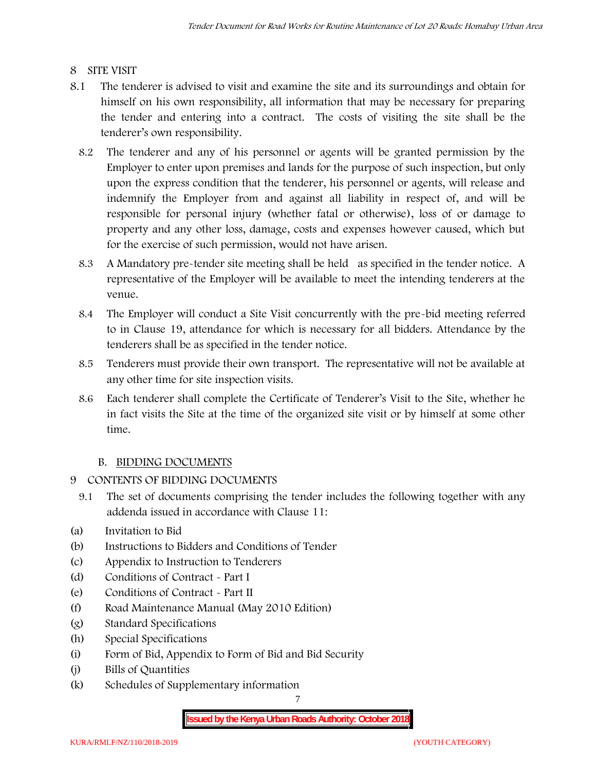## **8 SITE VISIT**

- 8.1 The tenderer is advised to visit and examine the site and its surroundings and obtain for himself on his own responsibility, all information that may be necessary for preparing the tender and entering into a contract. The costs of visiting the site shall be the tenderer's own responsibility.
	- 8.2 The tenderer and any of his personnel or agents will be granted permission by the Employer to enter upon premises and lands for the purpose of such inspection, but only upon the express condition that the tenderer, his personnel or agents, will release and indemnify the Employer from and against all liability in respect of, and will be responsible for personal injury (whether fatal or otherwise), loss of or damage to property and any other loss, damage, costs and expenses however caused, which but for the exercise of such permission, would not have arisen.
	- 8.3 A Mandatory pre-tender site meeting shall be held as specified in the tender notice. A representative of the Employer will be available to meet the intending tenderers at the venue.
	- 8.4 The Employer will conduct a Site Visit concurrently with the pre-bid meeting referred to in Clause 19, attendance for which is necessary for all bidders. Attendance by the tenderers shall be as specified in the tender notice.
	- 8.5 Tenderers must provide their own transport. The representative will not be available at any other time for site inspection visits.
	- 8.6 Each tenderer shall complete the Certificate of Tenderer's Visit to the Site, whether he in fact visits the Site at the time of the organized site visit or by himself at some other time.

# **B. BIDDING DOCUMENTS**

- **9 CONTENTS OF BIDDING DOCUMENTS**
	- 9.1 The set of documents comprising the tender includes the following together with any addenda issued in accordance with Clause 11:
- (a) Invitation to Bid
- (b) Instructions to Bidders and Conditions of Tender
- (c) Appendix to Instruction to Tenderers
- (d) Conditions of Contract Part I
- (e) Conditions of Contract Part II
- (f) Road Maintenance Manual (May 2010 Edition)
- (g) Standard Specifications
- (h) Special Specifications
- (i) Form of Bid, Appendix to Form of Bid and Bid Security
- (j) Bills of Quantities
- (k) Schedules of Supplementary information

7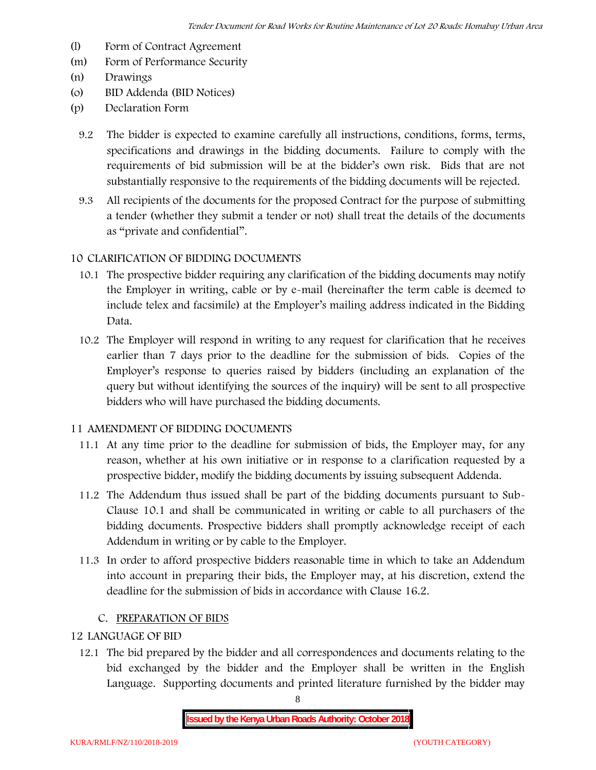- (l) Form of Contract Agreement
- (m) Form of Performance Security
- (n) Drawings
- (o) BID Addenda (BID Notices)
- (p) Declaration Form
	- 9.2 The bidder is expected to examine carefully all instructions, conditions, forms, terms, specifications and drawings in the bidding documents. Failure to comply with the requirements of bid submission will be at the bidder's own risk. Bids that are not substantially responsive to the requirements of the bidding documents will be rejected.
	- 9.3 All recipients of the documents for the proposed Contract for the purpose of submitting a tender (whether they submit a tender or not) shall treat the details of the documents as "private and confidential".

# **10 CLARIFICATION OF BIDDING DOCUMENTS**

- 10.1 The prospective bidder requiring any clarification of the bidding documents may notify the Employer in writing, cable or by e-mail (hereinafter the term cable is deemed to include telex and facsimile) at the Employer's mailing address indicated in the Bidding Data.
- 10.2 The Employer will respond in writing to any request for clarification that he receives earlier than 7 days prior to the deadline for the submission of bids. Copies of the Employer's response to queries raised by bidders (including an explanation of the query but without identifying the sources of the inquiry) will be sent to all prospective bidders who will have purchased the bidding documents.

#### **11 AMENDMENT OF BIDDING DOCUMENTS**

- 11.1 At any time prior to the deadline for submission of bids, the Employer may, for any reason, whether at his own initiative or in response to a clarification requested by a prospective bidder, modify the bidding documents by issuing subsequent Addenda.
- 11.2 The Addendum thus issued shall be part of the bidding documents pursuant to Sub- Clause 10.1 and shall be communicated in writing or cable to all purchasers of the bidding documents. Prospective bidders shall promptly acknowledge receipt of each Addendum in writing or by cable to the Employer.
- 11.3 In order to afford prospective bidders reasonable time in which to take an Addendum into account in preparing their bids, the Employer may, at his discretion, extend the deadline for the submission of bids in accordance with Clause 16.2.

# **C. PREPARATION OF BIDS**

## **12 LANGUAGE OF BID**

12.1 The bid prepared by the bidder and all correspondences and documents relating to the bid exchanged by the bidder and the Employer shall be written in the English Language. Supporting documents and printed literature furnished by the bidder may

8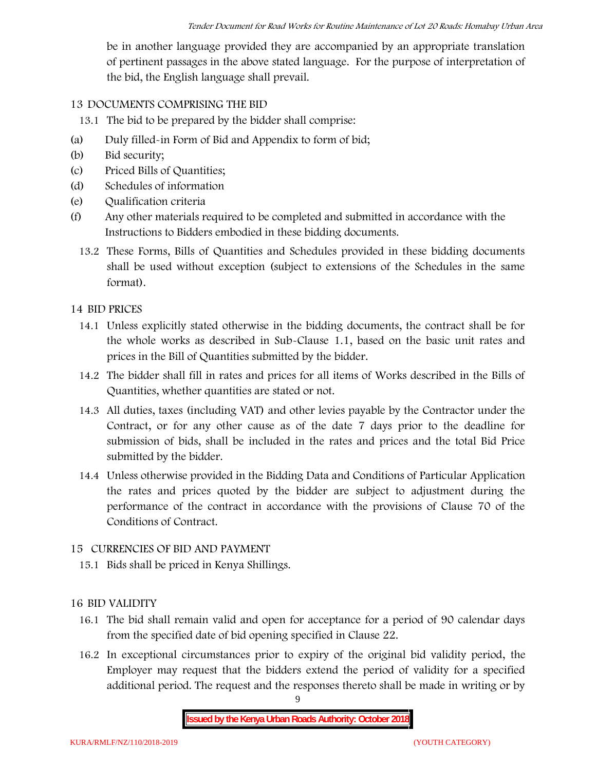be in another language provided they are accompanied by an appropriate translation of pertinent passages in the above stated language. For the purpose of interpretation of the bid, the English language shall prevail.

### **13 DOCUMENTS COMPRISING THE BID**

13.1 The bid to be prepared by the bidder shall comprise:

- (a) Duly filled-in Form of Bid and Appendix to form of bid;
- (b) Bid security;
- (c) Priced Bills of Quantities;
- (d) Schedules of information
- (e) Qualification criteria
- (f) Any other materials required to be completed and submitted in accordance with the Instructions to Bidders embodied in these bidding documents.
	- 13.2 These Forms, Bills of Quantities and Schedules provided in these bidding documents shall be used without exception (subject to extensions of the Schedules in the same format).

### **14 BID PRICES**

- 14.1 Unless explicitly stated otherwise in the bidding documents, the contract shall be for the whole works as described in Sub-Clause 1.1, based on the basic unit rates and prices in the Bill of Quantities submitted by the bidder.
- 14.2 The bidder shall fill in rates and prices for all items of Works described in the Bills of Quantities, whether quantities are stated or not.
- 14.3 All duties, taxes (including VAT) and other levies payable by the Contractor under the Contract, or for any other cause as of the date 7 days prior to the deadline for submission of bids, shall be included in the rates and prices and the total Bid Price submitted by the bidder.
- 14.4 Unless otherwise provided in the Bidding Data and Conditions of Particular Application the rates and prices quoted by the bidder are subject to adjustment during the performance of the contract in accordance with the provisions of Clause 70 of the Conditions of Contract.

#### **15 CURRENCIES OF BID AND PAYMENT**

15.1 Bids shall be priced in Kenya Shillings.

# **16 BID VALIDITY**

- 16.1 The bid shall remain valid and open for acceptance for a period of 90 calendar days from the specified date of bid opening specified in Clause 22.
- 16.2 In exceptional circumstances prior to expiry of the original bid validity period, the Employer may request that the bidders extend the period of validity for a specified additional period. The request and the responses thereto shall be made in writing or by

9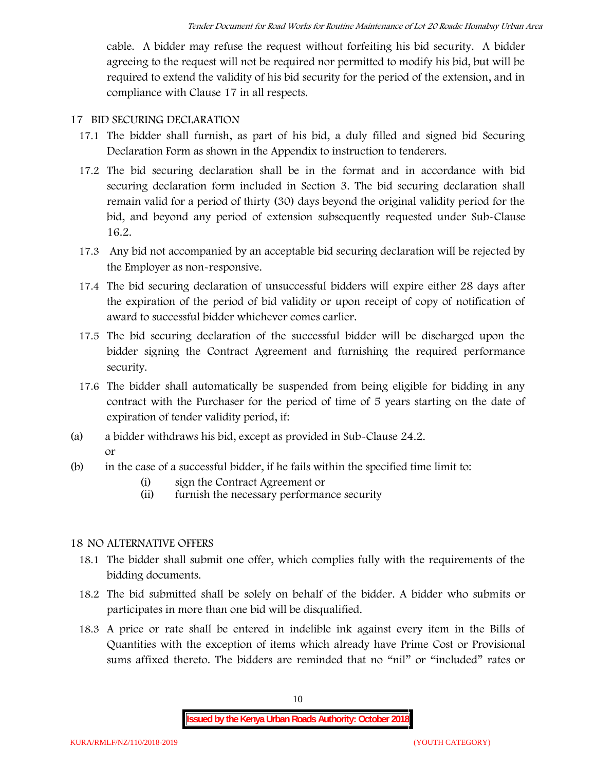cable. A bidder may refuse the request without forfeiting his bid security. A bidder agreeing to the request will not be required nor permitted to modify his bid, but will be required to extend the validity of his bid security for the period of the extension, and in compliance with Clause 17 in all respects.

#### **17 BID SECURING DECLARATION**

- 17.1 The bidder shall furnish, as part of his bid, a duly filled and signed bid Securing Declaration Form as shown in the Appendix to instruction to tenderers.
- 17.2 The bid securing declaration shall be in the format and in accordance with bid securing declaration form included in Section 3. The bid securing declaration shall remain valid for a period of thirty (30) days beyond the original validity period for the bid, and beyond any period of extension subsequently requested under Sub-Clause 16.2.
- 17.3 Any bid not accompanied by an acceptable bid securing declaration will be rejected by the Employer as non-responsive.
- 17.4 The bid securing declaration of unsuccessful bidders will expire either 28 days after the expiration of the period of bid validity or upon receipt of copy of notification of award to successful bidder whichever comes earlier.
- 17.5 The bid securing declaration of the successful bidder will be discharged upon the bidder signing the Contract Agreement and furnishing the required performance security.
- 17.6 The bidder shall automatically be suspended from being eligible for bidding in any contract with the Purchaser for the period of time of 5 years starting on the date of expiration of tender validity period, if:
- (a) a bidder withdraws his bid, except as provided in Sub-Clause 24.2. or
- (b) in the case of a successful bidder, if he fails within the specified time limit to:
	- (i) sign the Contract Agreement or
	- (ii) furnish the necessary performance security

# **18 NO ALTERNATIVE OFFERS**

- 18.1 The bidder shall submit one offer, which complies fully with the requirements of the bidding documents.
- 18.2 The bid submitted shall be solely on behalf of the bidder. A bidder who submits or participates in more than one bid will be disqualified.
- 18.3 A price or rate shall be entered in indelible ink against every item in the Bills of Quantities with the exception of items which already have Prime Cost or Provisional sums affixed thereto. The bidders are reminded that no "nil" or "included" rates or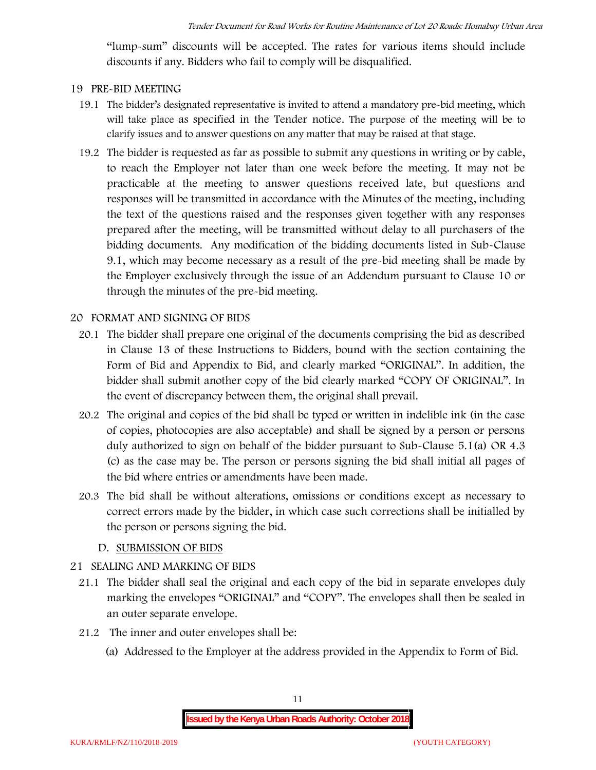"lump-sum" discounts will be accepted. The rates for various items should include discounts if any. Bidders who fail to comply will be disqualified.

#### **19 PRE-BID MEETING**

- 19.1 The bidder's designated representative is invited to attend a mandatory pre-bid meeting, which will take place as specified in the Tender notice. The purpose of the meeting will be to clarify issues and to answer questions on any matter that may be raised at that stage.
- 19.2 The bidder is requested as far as possible to submit any questions in writing or by cable, to reach the Employer not later than one week before the meeting. It may not be practicable at the meeting to answer questions received late, but questions and responses will be transmitted in accordance with the Minutes of the meeting, including the text of the questions raised and the responses given together with any responses prepared after the meeting, will be transmitted without delay to all purchasers of the bidding documents. Any modification of the bidding documents listed in Sub-Clause 9.1, which may become necessary as a result of the pre-bid meeting shall be made by the Employer exclusively through the issue of an Addendum pursuant to Clause 10 or through the minutes of the pre-bid meeting.

#### **20 FORMAT AND SIGNING OF BIDS**

- 20.1 The bidder shall prepare one original of the documents comprising the bid as described in Clause 13 of these Instructions to Bidders, bound with the section containing the Form of Bid and Appendix to Bid, and clearly marked "ORIGINAL". In addition, the bidder shall submit another copy of the bid clearly marked "COPY OF ORIGINAL". In the event of discrepancy between them, the original shall prevail.
- 20.2 The original and copies of the bid shall be typed or written in indelible ink (in the case of copies, photocopies are also acceptable) and shall be signed by a person or persons duly authorized to sign on behalf of the bidder pursuant to Sub-Clause 5.1(a) OR 4.3 (c) as the case may be. The person or persons signing the bid shall initial all pages of the bid where entries or amendments have been made.
- 20.3 The bid shall be without alterations, omissions or conditions except as necessary to correct errors made by the bidder, in which case such corrections shall be initialled by the person or persons signing the bid.

#### **D. SUBMISSION OF BIDS**

#### **21 SEALING AND MARKING OF BIDS**

- 21.1 The bidder shall seal the original and each copy of the bid in separate envelopes duly marking the envelopes "ORIGINAL" and "COPY". The envelopes shall then be sealed in an outer separate envelope.
- 21.2 The inner and outer envelopes shall be:
	- (a) Addressed to the Employer at the address provided in the Appendix to Form of Bid.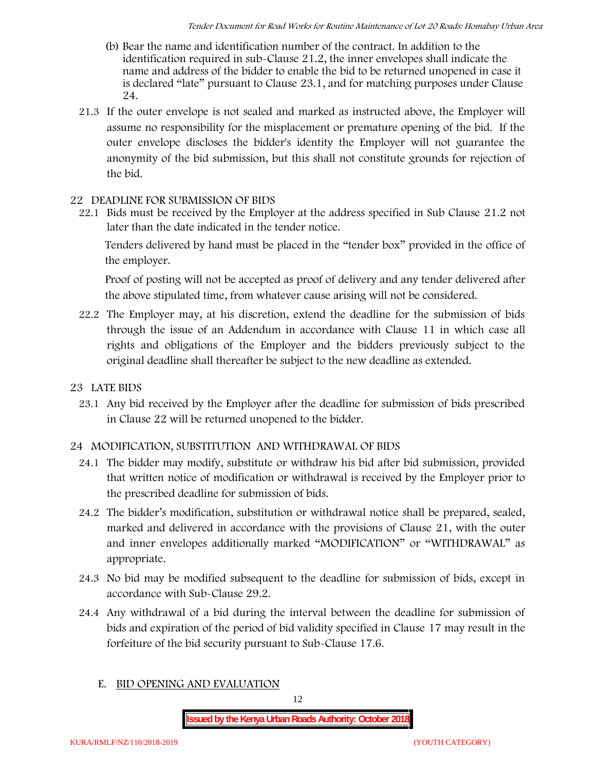- (b) Bear the name and identification number of the contract. In addition to the identification required in sub-Clause 21.2, the inner envelopes shall indicate the name and address of the bidder to enable the bid to be returned unopened in case it is declared "late" pursuant to Clause 23.1, and for matching purposes under Clause 24.
- 21.3 If the outer envelope is not sealed and marked as instructed above, the Employer will assume no responsibility for the misplacement or premature opening of the bid. If the outer envelope discloses the bidder's identity the Employer will not guarantee the anonymity of the bid submission, but this shall not constitute grounds for rejection of the bid.

#### **22 DEADLINE FOR SUBMISSION OF BIDS**

22.1 Bids must be received by the Employer at the address specified in Sub Clause 21.2 not later than **the date indicated in the tender notice.**

Tenders delivered by hand must be placed in the "tender box" provided in the office of the employer.

Proof of posting will not be accepted as proof of delivery and any tender delivered after the above stipulated time, from whatever cause arising will not be considered.

- 22.2 The Employer may, at his discretion, extend the deadline for the submission of bids through the issue of an Addendum in accordance with Clause 11 in which case all rights and obligations of the Employer and the bidders previously subject to the original deadline shall thereafter be subject to the new deadline as extended.
- **23 LATE BIDS**
	- 23.1 Any bid received by the Employer after the deadline for submission of bids prescribed in Clause 22 will be returned unopened to the bidder.

#### **24 MODIFICATION, SUBSTITUTION AND WITHDRAWAL OF BIDS**

- 24.1 The bidder may modify, substitute or withdraw his bid after bid submission, provided that written notice of modification or withdrawal is received by the Employer prior to the prescribed deadline for submission of bids.
- 24.2 The bidder's modification, substitution or withdrawal notice shall be prepared, sealed, marked and delivered in accordance with the provisions of Clause 21, with the outer and inner envelopes additionally marked "MODIFICATION" or "WITHDRAWAL" as appropriate.
- 24.3 No bid may be modified subsequent to the deadline for submission of bids, except in accordance with Sub-Clause 29.2.
- 24.4 Any withdrawal of a bid during the interval between the deadline for submission of bids and expiration of the period of bid validity specified in Clause 17 may result in the forfeiture of the bid security pursuant to Sub-Clause 17.6.
	- **E. BID OPENING AND EVALUATION**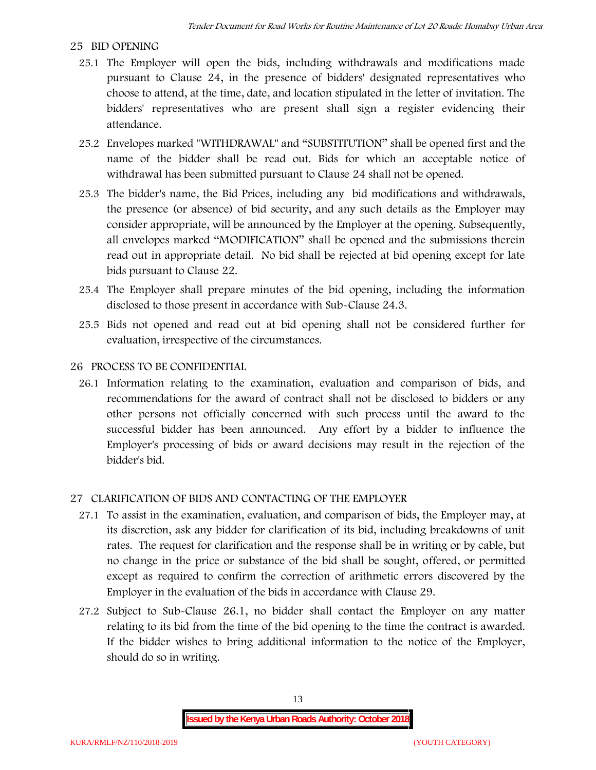#### **25 BID OPENING**

- 25.1 The Employer will open the bids, including withdrawals and modifications made pursuant to Clause 24, in the presence of bidders' designated representatives who choose to attend, at the time, date, and location stipulated in the letter of invitation. The bidders' representatives who are present shall sign a register evidencing their attendance.
- 25.2 Envelopes marked "WITHDRAWAL" and "SUBSTITUTION" shall be opened first and the name of the bidder shall be read out. Bids for which an acceptable notice of withdrawal has been submitted pursuant to Clause 24 shall not be opened.
- 25.3 The bidder's name, the Bid Prices, including any bid modifications and withdrawals, the presence (or absence) of bid security, and any such details as the Employer may consider appropriate, will be announced by the Employer at the opening. Subsequently, all envelopes marked "MODIFICATION" shall be opened and the submissions therein read out in appropriate detail. No bid shall be rejected at bid opening except for late bids pursuant to Clause 22.
- 25.4 The Employer shall prepare minutes of the bid opening, including the information disclosed to those present in accordance with Sub-Clause 24.3.
- 25.5 Bids not opened and read out at bid opening shall not be considered further for evaluation, irrespective of the circumstances.

#### **26 PROCESS TO BE CONFIDENTIAL**

26.1 Information relating to the examination, evaluation and comparison of bids, and recommendations for the award of contract shall not be disclosed to bidders or any other persons not officially concerned with such process until the award to the successful bidder has been announced. Any effort by a bidder to influence the Employer's processing of bids or award decisions may result in the rejection of the bidder's bid.

#### **27 CLARIFICATION OF BIDS AND CONTACTING OF THE EMPLOYER**

- 27.1 To assist in the examination, evaluation, and comparison of bids, the Employer may, at its discretion, ask any bidder for clarification of its bid, including breakdowns of unit rates. The request for clarification and the response shall be in writing or by cable, but no change in the price or substance of the bid shall be sought, offered, or permitted except as required to confirm the correction of arithmetic errors discovered by the Employer in the evaluation of the bids in accordance with Clause 29.
- 27.2 Subject to Sub-Clause 26.1, no bidder shall contact the Employer on any matter relating to its bid from the time of the bid opening to the time the contract is awarded. If the bidder wishes to bring additional information to the notice of the Employer, should do so in writing.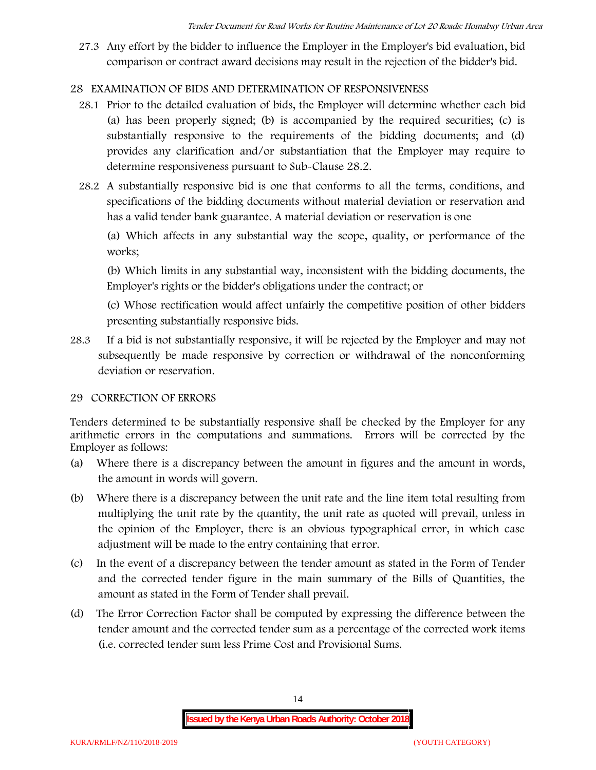27.3 Any effort by the bidder to influence the Employer in the Employer's bid evaluation, bid comparison or contract award decisions may result in the rejection of the bidder's bid.

# **28 EXAMINATION OF BIDS AND DETERMINATION OF RESPONSIVENESS**

- 28.1 Prior to the detailed evaluation of bids, the Employer will determine whether each bid (a) has been properly signed; (b) is accompanied by the required securities; (c) is substantially responsive to the requirements of the bidding documents; and (d) provides any clarification and/or substantiation that the Employer may require to determine responsiveness pursuant to Sub-Clause 28.2.
- 28.2 A substantially responsive bid is one that conforms to all the terms, conditions, and specifications of the bidding documents without material deviation or reservation and has a valid tender bank guarantee. A material deviation or reservation is one

(a) Which affects in any substantial way the scope, quality, or performance of the works;

(b) Which limits in any substantial way, inconsistent with the bidding documents, the Employer's rights or the bidder's obligations under the contract; or

(c) Whose rectification would affect unfairly the competitive position of other bidders presenting substantially responsive bids.

28.3 If a bid is not substantially responsive, it will be rejected by the Employer and may not subsequently be made responsive by correction or withdrawal of the nonconforming deviation or reservation.

# **29 CORRECTION OF ERRORS**

Tenders determined to be substantially responsive shall be checked by the Employer for any arithmetic errors in the computations and summations. Errors will be corrected by the Employer as follows:

- (a) Where there is a discrepancy between the amount in figures and the amount in words, the amount in words will govern.
- (b) Where there is a discrepancy between the unit rate and the line item total resulting from multiplying the unit rate by the quantity, the unit rate as quoted will prevail, unless in the opinion of the Employer, there is an obvious typographical error, in which case adjustment will be made to the entry containing that error.
- (c) In the event of a discrepancy between the tender amount as stated in the Form of Tender and the corrected tender figure in the main summary of the Bills of Quantities, the amount as stated in the Form of Tender shall prevail.
- (d) The Error Correction Factor shall be computed by expressing the difference between the tender amount and the corrected tender sum as a percentage of the corrected work items (i.e. corrected tender sum less Prime Cost and Provisional Sums.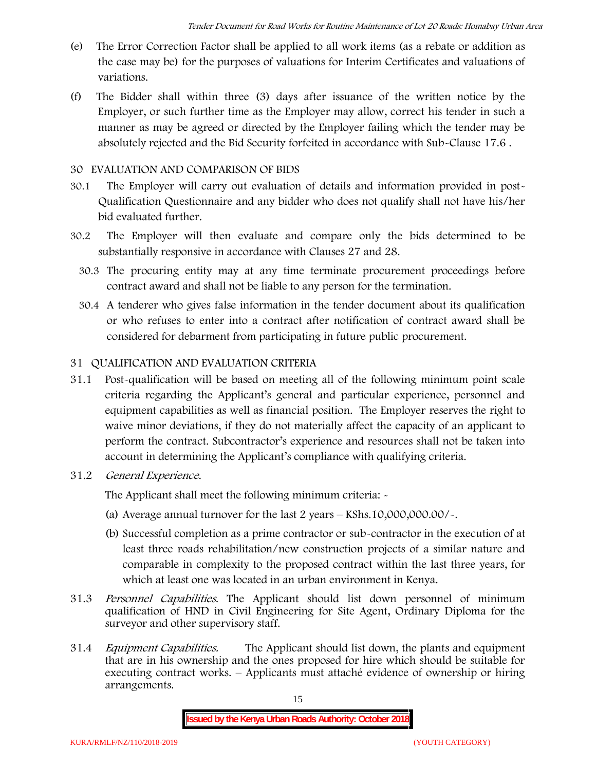- (e) The Error Correction Factor shall be applied to all work items (as a rebate or addition as the case may be) for the purposes of valuations for Interim Certificates and valuations of variations.
- (f) The Bidder shall within three (3) days after issuance of the written notice by the Employer, or such further time as the Employer may allow, correct his tender in such a manner as may be agreed or directed by the Employer failing which the tender may be absolutely rejected and the Bid Security forfeited in accordance with Sub-Clause 17.6 .

#### **30 EVALUATION AND COMPARISON OF BIDS**

- 30.1 The Employer will carry out evaluation of details and information provided in post- Qualification Questionnaire and any bidder who does not qualify shall not have his/her bid evaluated further.
- 30.2 The Employer will then evaluate and compare only the bids determined to be substantially responsive in accordance with Clauses 27 and 28.
	- 30.3 The procuring entity may at any time terminate procurement proceedings before contract award and shall not be liable to any person for the termination.
	- 30.4 A tenderer who gives false information in the tender document about its qualification or who refuses to enter into a contract after notification of contract award shall be considered for debarment from participating in future public procurement.

# **31 QUALIFICATION AND EVALUATION CRITERIA**

- 31.1 Post-qualification will be based on meeting all of the following minimum point scale criteria regarding the Applicant's general and particular experience, personnel and equipment capabilities as well as financial position. The Employer reserves the right to waive minor deviations, if they do not materially affect the capacity of an applicant to perform the contract. Subcontractor's experience and resources shall not be taken into account in determining the Applicant's compliance with qualifying criteria.
- **31.2** *General Experience***.**

The Applicant shall meet the following minimum criteria: -

- (a) Average annual turnover for the last 2 years **KShs.10,000,000.00/-.**
- (b) Successful completion as a prime contractor or sub-contractor in the execution of at least three roads rehabilitation/new construction projects of a similar nature and comparable in complexity to the proposed contract within the last three years, for which at least one was located in an urban environment in Kenya.
- 31.3 *Personnel Capabilities***.** The Applicant should list down personnel of minimum qualification of HND in Civil Engineering for Site Agent, Ordinary Diploma for the surveyor and other supervisory staff.
- 31.4 *Equipment Capabilities.* The Applicant should list down, the plants and equipment that are in his ownership and the ones proposed for hire which should be suitable for executing contract works. – Applicants must attaché evidence of ownership or hiring arrangements.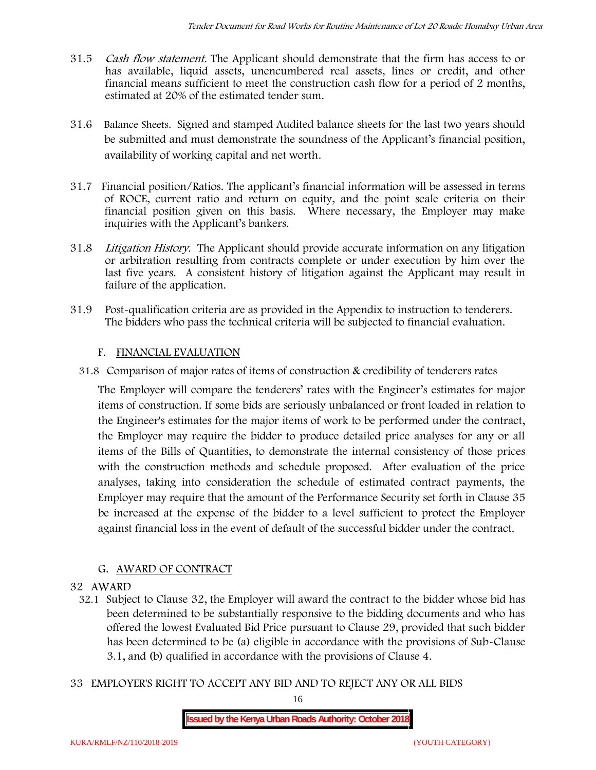- 31.5 *Cash flow statement.* The Applicant should demonstrate that the firm has access to or has available, liquid assets, unencumbered real assets, lines or credit, and other financial means sufficient to meet the construction cash flow for a period of 2 months, estimated at 20% of the estimated tender sum.
- 31.6 **Balance Sheets***.* Signed and stamped Audited balance sheets for the last two years should be submitted and must demonstrate the soundness of the Applicant's financial position, availability of working capital and net worth.
- 31.7 **Financial position/Ratios.** The applicant's financial information will be assessed in terms of ROCE, current ratio and return on equity, and the point scale criteria on their financial position given on this basis. Where necessary, the Employer may make inquiries with the Applicant's bankers.
- 31.8 *Litigation History.* The Applicant should provide accurate information on any litigation or arbitration resulting from contracts complete or under execution by him over the last five years. A consistent history of litigation against the Applicant may result in failure of the application.
- 31.9 Post-qualification criteria are as provided in the Appendix to instruction to tenderers. The bidders who pass the technical criteria will be subjected to financial evaluation.

# **F. FINANCIAL EVALUATION**

31.8 Comparison of major rates of items of construction & credibility of tenderers rates

The Employer will compare the tenderers' rates with the Engineer's estimates for major items of construction. If some bids are seriously unbalanced or front loaded in relation to the Engineer's estimates for the major items of work to be performed under the contract, the Employer may require the bidder to produce detailed price analyses for any or all items of the Bills of Quantities, to demonstrate the internal consistency of those prices with the construction methods and schedule proposed. After evaluation of the price analyses, taking into consideration the schedule of estimated contract payments, the Employer may require that the amount of the Performance Security set forth in Clause 35 be increased at the expense of the bidder to a level sufficient to protect the Employer against financial loss in the event of default of the successful bidder under the contract.

# **G. AWARD OF CONTRACT**

#### **32 AWARD**

- 32.1 Subject to Clause 32, the Employer will award the contract to the bidder whose bid has been determined to be substantially responsive to the bidding documents and who has offered the lowest Evaluated Bid Price pursuant to Clause 29, provided that such bidder has been determined to be (a) eligible in accordance with the provisions of Sub-Clause 3.1, and (b) qualified in accordance with the provisions of Clause 4.
- **33 EMPLOYER'S RIGHT TO ACCEPT ANY BID AND TO REJECT ANY OR ALL BIDS**

16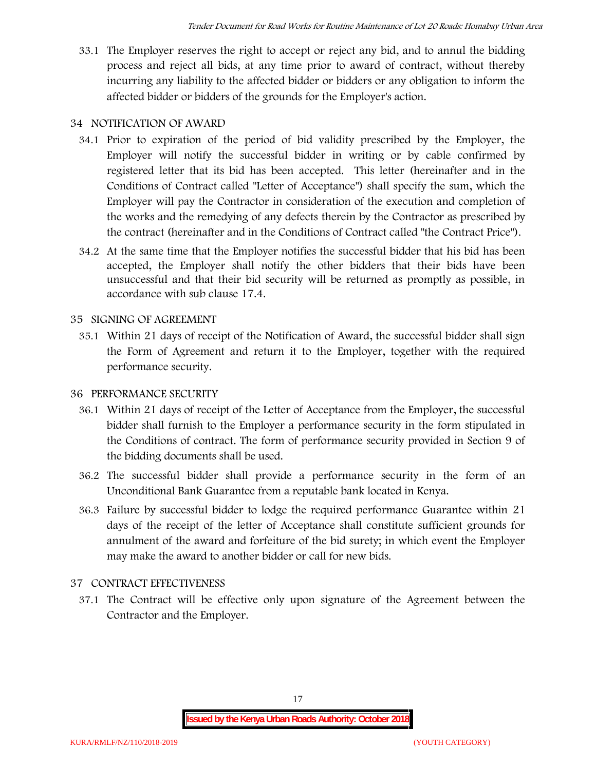33.1 The Employer reserves the right to accept or reject any bid, and to annul the bidding process and reject all bids, at any time prior to award of contract, without thereby incurring any liability to the affected bidder or bidders or any obligation to inform the affected bidder or bidders of the grounds for the Employer's action.

# **34 NOTIFICATION OF AWARD**

- 34.1 Prior to expiration of the period of bid validity prescribed by the Employer, the Employer will notify the successful bidder in writing or by cable confirmed by registered letter that its bid has been accepted. This letter (hereinafter and in the Conditions of Contract called "Letter of Acceptance") shall specify the sum, which the Employer will pay the Contractor in consideration of the execution and completion of the works and the remedying of any defects therein by the Contractor as prescribed by the contract (hereinafter and in the Conditions of Contract called "the Contract Price").
- 34.2 At the same time that the Employer notifies the successful bidder that his bid has been accepted, the Employer shall notify the other bidders that their bids have been unsuccessful and that their bid security will be returned as promptly as possible, in accordance with sub clause 17.4.

# **35 SIGNING OF AGREEMENT**

35.1 Within 21 days of receipt of the Notification of Award, the successful bidder shall sign the Form of Agreement and return it to the Employer, together with the required performance security.

# **36 PERFORMANCE SECURITY**

- 36.1 Within 21 days of receipt of the Letter of Acceptance from the Employer, the successful bidder shall furnish to the Employer a performance security in the form stipulated in the Conditions of contract. The form of performance security provided in Section 9 of the bidding documents shall be used.
- 36.2 The successful bidder shall provide a performance security in the form of an Unconditional Bank Guarantee from a reputable bank located in Kenya.
- 36.3 Failure by successful bidder to lodge the required performance Guarantee within 21 days of the receipt of the letter of Acceptance shall constitute sufficient grounds for annulment of the award and forfeiture of the bid surety; in which event the Employer may make the award to another bidder or call for new bids.

# **37 CONTRACT EFFECTIVENESS**

37.1 The Contract will be effective only upon signature of the Agreement between the Contractor and the Employer.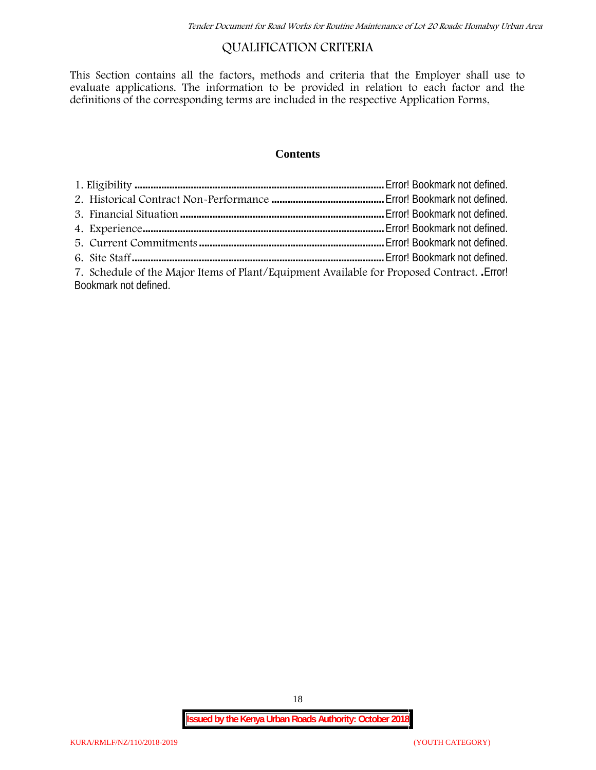# **QUALIFICATION CRITERIA**

This Section contains all the factors, methods and criteria that the Employer shall use to evaluate applications. The information to be provided in relation to each factor and the definitions of the corresponding terms are included in the respective Application Forms.

#### **Contents**

| 7. Schedule of the Major Items of Plant/Equipment Available for Proposed Contract. Error! |  |
|-------------------------------------------------------------------------------------------|--|
| Bookmark not defined.                                                                     |  |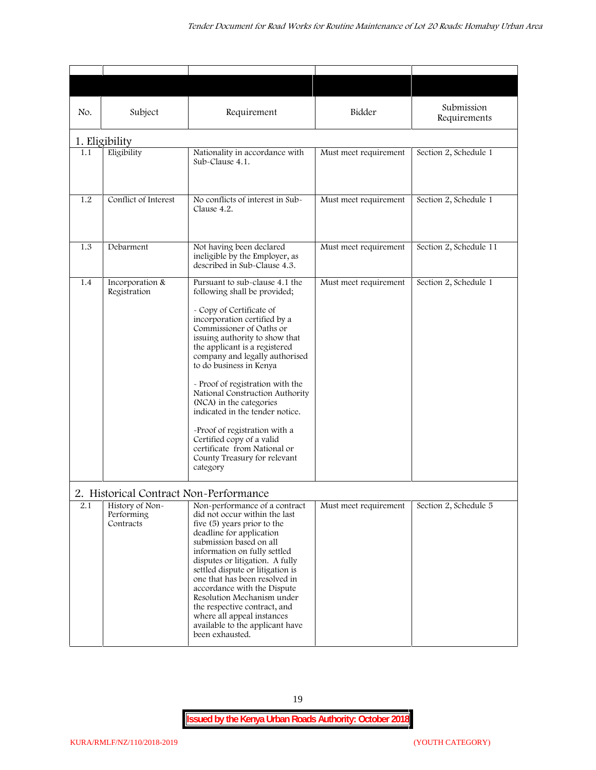| No. | Subject                                                                              | Requirement                                                                                                                                                                                                                                                                                                                                                                                                                                                                                                                                                           | Bidder                | Submission<br>Requirements |
|-----|--------------------------------------------------------------------------------------|-----------------------------------------------------------------------------------------------------------------------------------------------------------------------------------------------------------------------------------------------------------------------------------------------------------------------------------------------------------------------------------------------------------------------------------------------------------------------------------------------------------------------------------------------------------------------|-----------------------|----------------------------|
|     | 1. Eligibility                                                                       |                                                                                                                                                                                                                                                                                                                                                                                                                                                                                                                                                                       |                       |                            |
| 1.1 | Eligibility                                                                          | Nationality in accordance with<br>Sub-Clause 4.1.                                                                                                                                                                                                                                                                                                                                                                                                                                                                                                                     | Must meet requirement | Section 2, Schedule 1      |
| 1.2 | Conflict of Interest                                                                 | No conflicts of interest in Sub-<br>Clause 4.2.                                                                                                                                                                                                                                                                                                                                                                                                                                                                                                                       | Must meet requirement | Section 2, Schedule 1      |
| 1.3 | Debarment                                                                            | Not having been declared<br>ineligible by the Employer, as<br>described in Sub-Clause 4.3.                                                                                                                                                                                                                                                                                                                                                                                                                                                                            | Must meet requirement | Section 2, Schedule 11     |
| 1.4 | Incorporation &<br>Registration                                                      | Pursuant to sub-clause 4.1 the<br>following shall be provided;<br>- Copy of Certificate of<br>incorporation certified by a<br>Commissioner of Oaths or<br>issuing authority to show that<br>the applicant is a registered<br>company and legally authorised<br>to do business in Kenya<br>- Proof of registration with the<br>National Construction Authority<br>(NCA) in the categories<br>indicated in the tender notice.<br>-Proof of registration with a<br>Certified copy of a valid<br>certificate from National or<br>County Treasury for relevant<br>category | Must meet requirement | Section 2, Schedule 1      |
| 2.1 | 2. Historical Contract Non-Performance<br>History of Non-<br>Performing<br>Contracts | Non-performance of a contract<br>did not occur within the last<br>five (5) years prior to the<br>deadline for application<br>submission based on all<br>information on fully settled<br>disputes or litigation. A fully<br>settled dispute or litigation is<br>one that has been resolved in<br>accordance with the Dispute<br>Resolution Mechanism under<br>the respective contract, and<br>where all appeal instances<br>available to the applicant have<br>been exhausted.                                                                                         | Must meet requirement | Section 2, Schedule 5      |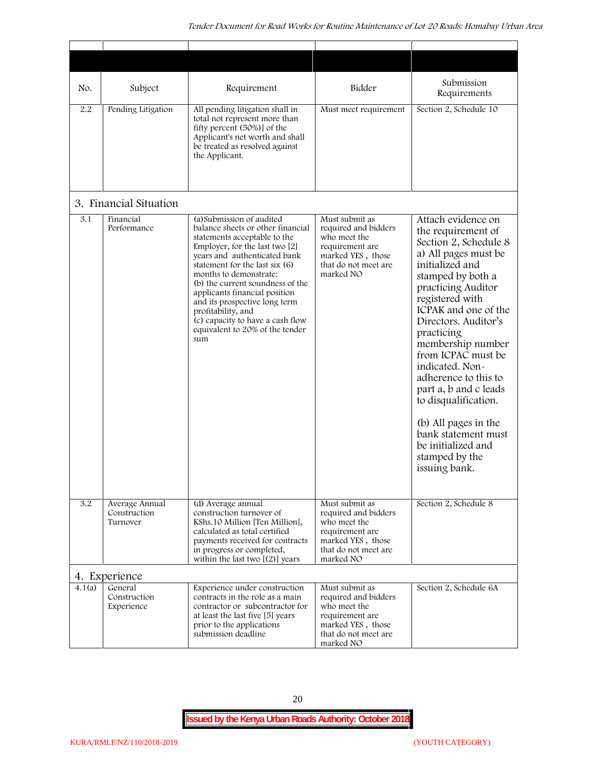| No.    | Subject                                    | Requirement                                                                                                                                                                                                                                                                                                                                                                                                                            | Bidder                                                                                                                              | Submission<br>Requirements                                                                                                                                                                                                                                                                                                                                                                                                                                                              |
|--------|--------------------------------------------|----------------------------------------------------------------------------------------------------------------------------------------------------------------------------------------------------------------------------------------------------------------------------------------------------------------------------------------------------------------------------------------------------------------------------------------|-------------------------------------------------------------------------------------------------------------------------------------|-----------------------------------------------------------------------------------------------------------------------------------------------------------------------------------------------------------------------------------------------------------------------------------------------------------------------------------------------------------------------------------------------------------------------------------------------------------------------------------------|
| 2.2    | Pending Litigation                         | All pending litigation shall in<br>total not represent more than<br>fifty percent (50%)] of the<br>Applicant's net worth and shall<br>be treated as resolved against<br>the Applicant.                                                                                                                                                                                                                                                 | Must meet requirement                                                                                                               | Section 2, Schedule 10                                                                                                                                                                                                                                                                                                                                                                                                                                                                  |
|        | 3. Financial Situation                     |                                                                                                                                                                                                                                                                                                                                                                                                                                        |                                                                                                                                     |                                                                                                                                                                                                                                                                                                                                                                                                                                                                                         |
| 3.1    | Financial<br>Performance                   | (a) Submission of audited<br>balance sheets or other financial<br>statements acceptable to the<br>Employer, for the last two [2]<br>years and authenticated bank<br>statement for the last six (6)<br>months to demonstrate:<br>(b) the current soundness of the<br>applicants financial position<br>and its prospective long term<br>profitability, and<br>(c) capacity to have a cash flow<br>equivalent to 20% of the tender<br>sum | Must submit as<br>required and bidders<br>who meet the<br>requirement are<br>marked YES, those<br>that do not meet are<br>marked NO | Attach evidence on<br>the requirement of<br>Section 2, Schedule 8<br>a) All pages must be<br>initialized and<br>stamped by both a<br>practicing Auditor<br>registered with<br>ICPAK and one of the<br>Directors. Auditor's<br>practicing<br>membership number<br>from ICPAC must be<br>indicated. Non-<br>adherence to this to<br>part a, b and c leads<br>to disqualification.<br>(b) All pages in the<br>bank statement must<br>be initialized and<br>stamped by the<br>issuing bank. |
| 3.2    | Average Annual<br>Construction<br>Turnover | (d) Average annual<br>construction turnover of<br>KShs.10 Million [Ten Million],<br>calculated as total certified<br>payments received for contracts<br>in progress or completed,<br>within the last two $[(2)]$ years                                                                                                                                                                                                                 | Must submit as<br>required and bidders<br>who meet the<br>requirement are<br>marked YES, those<br>that do not meet are<br>marked NO | Section 2, Schedule 8                                                                                                                                                                                                                                                                                                                                                                                                                                                                   |
|        | 4. Experience                              |                                                                                                                                                                                                                                                                                                                                                                                                                                        |                                                                                                                                     |                                                                                                                                                                                                                                                                                                                                                                                                                                                                                         |
| 4.1(a) | General<br>Construction<br>Experience      | Experience under construction<br>contracts in the role as a main<br>contractor or subcontractor for<br>at least the last five [5] years<br>prior to the applications<br>submission deadline                                                                                                                                                                                                                                            | Must submit as<br>required and bidders<br>who meet the<br>requirement are<br>marked YES, those<br>that do not meet are<br>marked NO | Section 2, Schedule 6A                                                                                                                                                                                                                                                                                                                                                                                                                                                                  |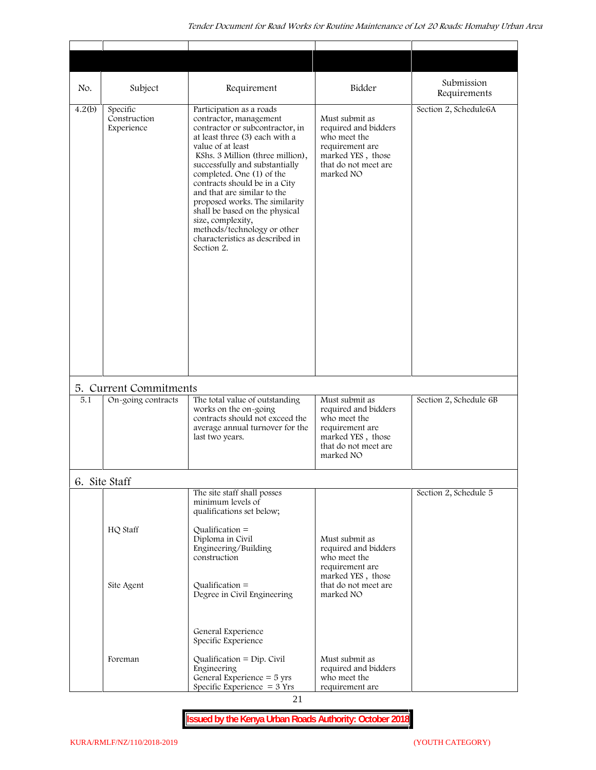| No.    | Subject                                | Requirement                                                                                                                                                                                                                                                                                                                                                                                                                                                                              | Bidder                                                                                                                              | Submission<br>Requirements |
|--------|----------------------------------------|------------------------------------------------------------------------------------------------------------------------------------------------------------------------------------------------------------------------------------------------------------------------------------------------------------------------------------------------------------------------------------------------------------------------------------------------------------------------------------------|-------------------------------------------------------------------------------------------------------------------------------------|----------------------------|
| 4.2(b) | Specific<br>Construction<br>Experience | Participation as a roads<br>contractor, management<br>contractor or subcontractor, in<br>at least three (3) each with a<br>value of at least<br>KShs. 3 Million (three million),<br>successfully and substantially<br>completed. One (1) of the<br>contracts should be in a City<br>and that are similar to the<br>proposed works. The similarity<br>shall be based on the physical<br>size, complexity,<br>methods/technology or other<br>characteristics as described in<br>Section 2. | Must submit as<br>required and bidders<br>who meet the<br>requirement are<br>marked YES, those<br>that do not meet are<br>marked NO | Section 2, Schedule6A      |
|        | 5. Current Commitments                 |                                                                                                                                                                                                                                                                                                                                                                                                                                                                                          |                                                                                                                                     |                            |
| 5.1    | On-going contracts                     | The total value of outstanding<br>works on the on-going<br>contracts should not exceed the<br>average annual turnover for the<br>last two years.                                                                                                                                                                                                                                                                                                                                         | Must submit as<br>required and bidders<br>who meet the<br>requirement are<br>marked YES, those<br>that do not meet are<br>marked NO | Section 2, Schedule 6B     |
|        | 6. Site Staff                          |                                                                                                                                                                                                                                                                                                                                                                                                                                                                                          |                                                                                                                                     |                            |
|        |                                        | The site staff shall posses<br>minimum levels of<br>qualifications set below;                                                                                                                                                                                                                                                                                                                                                                                                            |                                                                                                                                     | Section 2, Schedule 5      |
|        | HQ Staff                               | Qualification $=$<br>Diploma in Civil<br>Engineering/Building<br>construction                                                                                                                                                                                                                                                                                                                                                                                                            | Must submit as<br>required and bidders<br>who meet the<br>requirement are<br>marked YES, those                                      |                            |
|        | Site Agent                             | Qualification $=$<br>Degree in Civil Engineering                                                                                                                                                                                                                                                                                                                                                                                                                                         | that do not meet are<br>marked NO                                                                                                   |                            |
|        |                                        | General Experience<br>Specific Experience                                                                                                                                                                                                                                                                                                                                                                                                                                                |                                                                                                                                     |                            |
|        | Foreman                                | Qualification = $Dip$ . Civil<br>Engineering<br>General Experience $=$ 5 yrs<br>Specific Experience $= 3$ Yrs                                                                                                                                                                                                                                                                                                                                                                            | Must submit as<br>required and bidders<br>who meet the<br>requirement are                                                           |                            |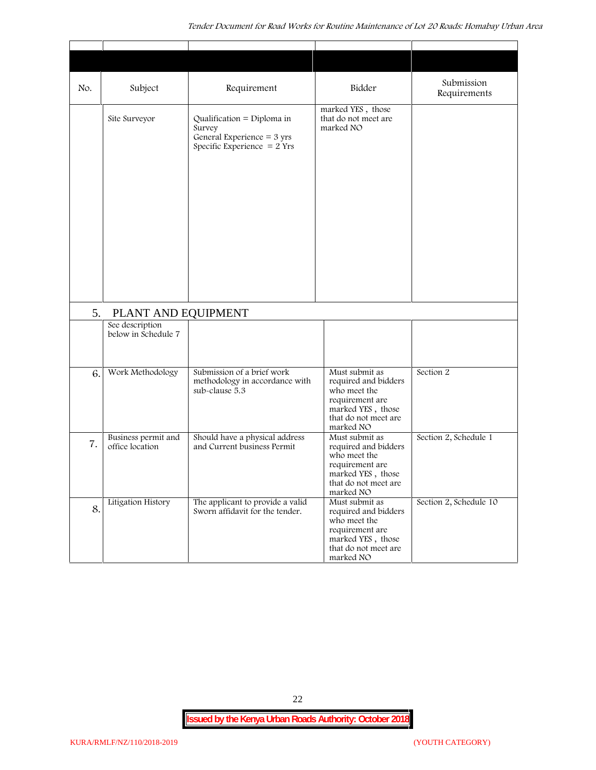| No. | Subject                                | Requirement                                                                                                   | Bidder                                                                                                                              | Submission<br>Requirements |
|-----|----------------------------------------|---------------------------------------------------------------------------------------------------------------|-------------------------------------------------------------------------------------------------------------------------------------|----------------------------|
|     | Site Surveyor                          | Qualification = Diploma in<br>Survey<br>General Experience = $3 \text{ yrs}$<br>Specific Experience $= 2$ Yrs | marked YES, those<br>that do not meet are<br>marked NO                                                                              |                            |
| 5.  | PLANT AND EQUIPMENT                    |                                                                                                               |                                                                                                                                     |                            |
|     | See description                        |                                                                                                               |                                                                                                                                     |                            |
|     | below in Schedule 7                    |                                                                                                               |                                                                                                                                     |                            |
| 6.  | Work Methodology                       | Submission of a brief work<br>methodology in accordance with<br>sub-clause 5.3                                | Must submit as<br>required and bidders<br>who meet the<br>requirement are<br>marked YES, those<br>that do not meet are<br>marked NO | Section 2                  |
| 7.  | Business permit and<br>office location | Should have a physical address<br>and Current business Permit                                                 | Must submit as<br>required and bidders<br>who meet the<br>requirement are<br>marked YES, those<br>that do not meet are<br>marked NO | Section 2, Schedule 1      |
| 8.  | Litigation History                     | The applicant to provide a valid<br>Sworn affidavit for the tender.                                           | Must submit as<br>required and bidders<br>who meet the<br>requirement are<br>marked YES, those<br>that do not meet are<br>marked NO | Section 2, Schedule 10     |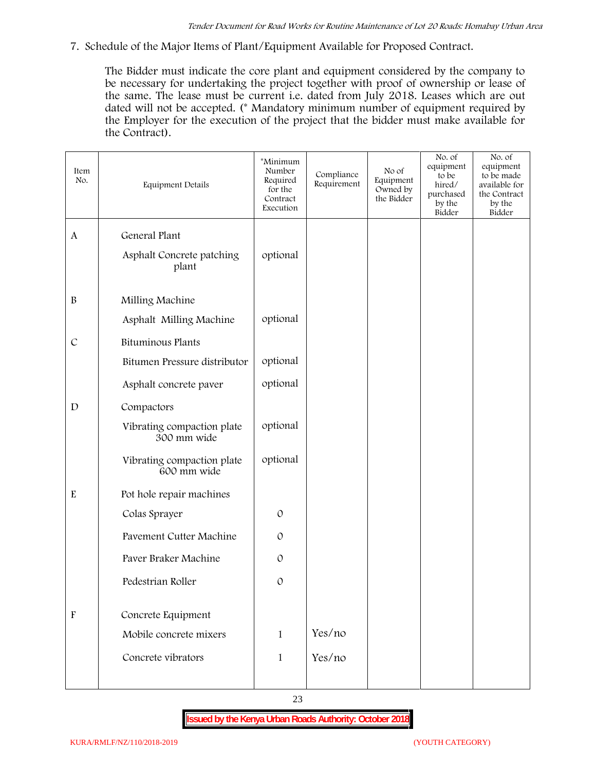**7. Schedule of the Major Items of Plant/Equipment Available for Proposed Contract.**

The Bidder must indicate the core plant and equipment considered by the company to be necessary for undertaking the project together with proof of ownership or lease of the same. The lease must be current i.e. dated from July 2018. Leases which are out dated will not be accepted. (\* Mandatory minimum number of equipment required by the Employer for the execution of the project that the bidder must make available for the Contract).

| Item<br>No.               | <b>Equipment Details</b>                  | *Minimum<br>Number<br>Required<br>for the<br>Contract<br>Execution | Compliance<br>Requirement | No of<br>Equipment<br>Owned by<br>the Bidder | No. of<br>equipment<br>to be<br>hired/<br>purchased<br>by the<br>Bidder | No. of<br>equipment<br>to be made<br>available for<br>the Contract<br>by the<br>Bidder |
|---------------------------|-------------------------------------------|--------------------------------------------------------------------|---------------------------|----------------------------------------------|-------------------------------------------------------------------------|----------------------------------------------------------------------------------------|
| $\mathbf{A}$              | General Plant                             |                                                                    |                           |                                              |                                                                         |                                                                                        |
|                           | Asphalt Concrete patching<br>plant        | optional                                                           |                           |                                              |                                                                         |                                                                                        |
| $\, {\bf B}$              | Milling Machine                           |                                                                    |                           |                                              |                                                                         |                                                                                        |
|                           | Asphalt Milling Machine                   | optional                                                           |                           |                                              |                                                                         |                                                                                        |
| $\mathcal{C}$             | Bituminous Plants                         |                                                                    |                           |                                              |                                                                         |                                                                                        |
|                           | Bitumen Pressure distributor              | optional                                                           |                           |                                              |                                                                         |                                                                                        |
|                           | Asphalt concrete paver                    | optional                                                           |                           |                                              |                                                                         |                                                                                        |
| $\mathbf D$               | Compactors                                |                                                                    |                           |                                              |                                                                         |                                                                                        |
|                           | Vibrating compaction plate<br>300 mm wide | optional                                                           |                           |                                              |                                                                         |                                                                                        |
|                           | Vibrating compaction plate<br>600 mm wide | optional                                                           |                           |                                              |                                                                         |                                                                                        |
| ${\bf E}$                 | Pot hole repair machines                  |                                                                    |                           |                                              |                                                                         |                                                                                        |
|                           | Colas Sprayer                             | $\mathcal{O}$                                                      |                           |                                              |                                                                         |                                                                                        |
|                           | Pavement Cutter Machine                   | $\mathcal{O}$                                                      |                           |                                              |                                                                         |                                                                                        |
|                           | Paver Braker Machine                      | $\mathcal{O}$                                                      |                           |                                              |                                                                         |                                                                                        |
|                           | Pedestrian Roller                         | $\mathcal{O}$                                                      |                           |                                              |                                                                         |                                                                                        |
| $\boldsymbol{\mathrm{F}}$ | Concrete Equipment                        |                                                                    |                           |                                              |                                                                         |                                                                                        |
|                           | Mobile concrete mixers                    | $\mathbf{1}$                                                       | Yes/no                    |                                              |                                                                         |                                                                                        |
|                           | Concrete vibrators                        | $\mathbf{1}$                                                       | Yes/no                    |                                              |                                                                         |                                                                                        |
|                           |                                           |                                                                    |                           |                                              |                                                                         |                                                                                        |

23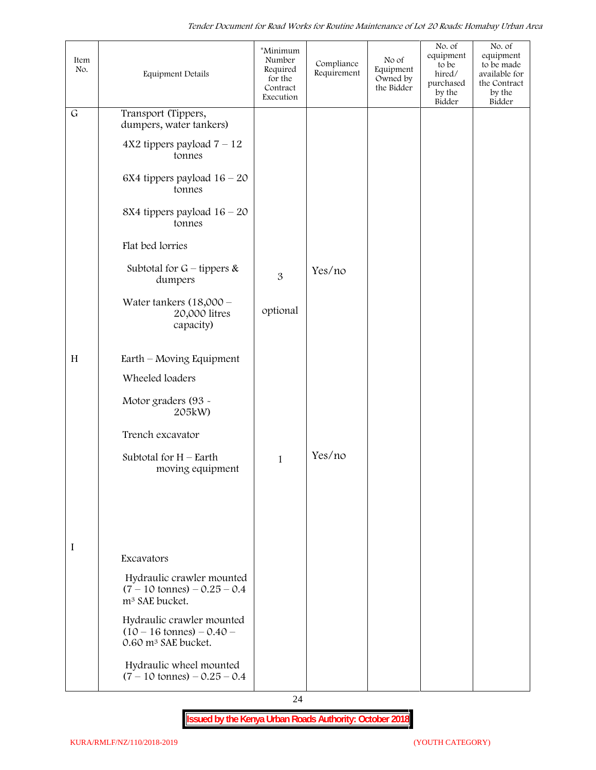| Item<br>No. | Equipment Details                                                                                   | *Minimum<br>Number<br>Required<br>for the<br>Contract<br>Execution | Compliance<br>Requirement | No of<br>Equipment<br>Owned by<br>the Bidder | No. of<br>equipment<br>to be<br>hired/<br>purchased<br>by the<br>Bidder | No. of<br>equipment<br>to be made<br>available for<br>the Contract<br>by the<br>Bidder |
|-------------|-----------------------------------------------------------------------------------------------------|--------------------------------------------------------------------|---------------------------|----------------------------------------------|-------------------------------------------------------------------------|----------------------------------------------------------------------------------------|
| $\mathsf G$ | Transport (Tippers,<br>dumpers, water tankers)                                                      |                                                                    |                           |                                              |                                                                         |                                                                                        |
|             | $4X2$ tippers payload $7 - 12$<br>tonnes                                                            |                                                                    |                           |                                              |                                                                         |                                                                                        |
|             | 6X4 tippers payload $16 - 20$<br>tonnes                                                             |                                                                    |                           |                                              |                                                                         |                                                                                        |
|             | 8X4 tippers payload $16 - 20$<br>tonnes                                                             |                                                                    |                           |                                              |                                                                         |                                                                                        |
|             | Flat bed lorries                                                                                    |                                                                    |                           |                                              |                                                                         |                                                                                        |
|             | Subtotal for $G$ – tippers &<br>dumpers                                                             | 3                                                                  | Yes/no                    |                                              |                                                                         |                                                                                        |
|             | Water tankers $(18,000 -$<br>20,000 litres<br>capacity)                                             | optional                                                           |                           |                                              |                                                                         |                                                                                        |
| H           | Earth – Moving Equipment                                                                            |                                                                    |                           |                                              |                                                                         |                                                                                        |
|             | Wheeled loaders                                                                                     |                                                                    |                           |                                              |                                                                         |                                                                                        |
|             | Motor graders (93 -<br>205kW)                                                                       |                                                                    |                           |                                              |                                                                         |                                                                                        |
|             | Trench excavator                                                                                    |                                                                    |                           |                                              |                                                                         |                                                                                        |
|             | Subtotal for $H$ – Earth<br>moving equipment                                                        | $\mathbf{1}$                                                       | Yes/no                    |                                              |                                                                         |                                                                                        |
|             |                                                                                                     |                                                                    |                           |                                              |                                                                         |                                                                                        |
|             |                                                                                                     |                                                                    |                           |                                              |                                                                         |                                                                                        |
| I           | Excavators                                                                                          |                                                                    |                           |                                              |                                                                         |                                                                                        |
|             | Hydraulic crawler mounted<br>$(7 - 10 \text{ tonnes}) - 0.25 - 0.4$<br>m <sup>3</sup> SAE bucket.   |                                                                    |                           |                                              |                                                                         |                                                                                        |
|             | Hydraulic crawler mounted<br>$(10 - 16 \text{ tonnes}) - 0.40 -$<br>0.60 m <sup>3</sup> SAE bucket. |                                                                    |                           |                                              |                                                                         |                                                                                        |
|             | Hydraulic wheel mounted<br>$(7 - 10 \text{ tonnes}) - 0.25 - 0.4$                                   |                                                                    |                           |                                              |                                                                         |                                                                                        |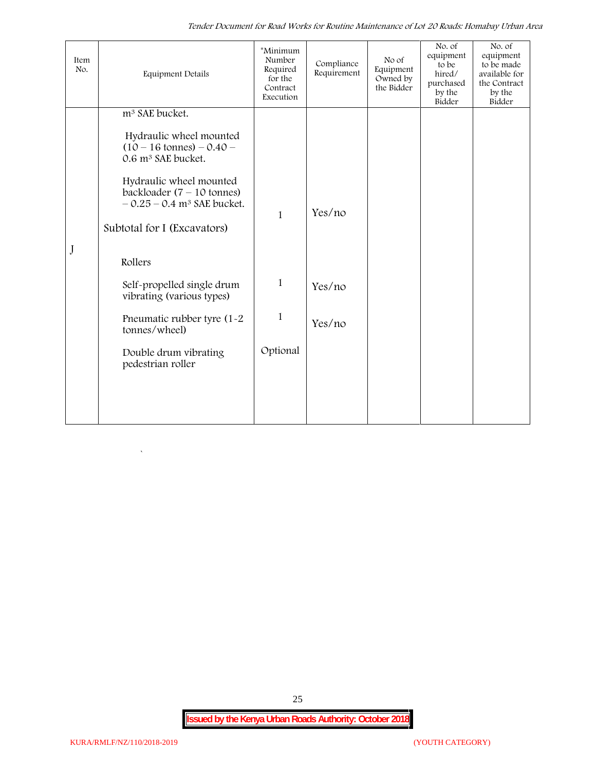*Tender Document for Road Works for Routine Maintenance of Lot 20 Roads: Homabay Urban Area*

25

 $\overline{\phantom{a}}$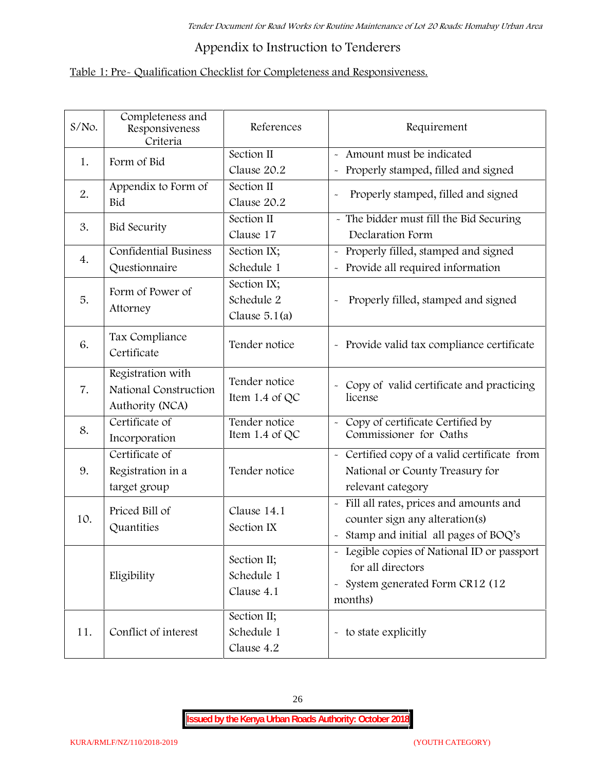# **Appendix to Instruction to Tenderers**

# **Table 1: Pre- Qualification Checklist for Completeness and Responsiveness.**

| $S/N$ o. | Completeness and<br>Responsiveness<br>Criteria                | References                                   | Requirement                                                                                                                               |
|----------|---------------------------------------------------------------|----------------------------------------------|-------------------------------------------------------------------------------------------------------------------------------------------|
| 1.       | Form of Bid                                                   | Section II<br>Clause 20.2                    | Amount must be indicated<br>Properly stamped, filled and signed<br>$\tilde{\phantom{a}}$                                                  |
| 2.       | Appendix to Form of<br>Bid                                    | Section II<br>Clause 20.2                    | Properly stamped, filled and signed<br>$\sim$                                                                                             |
| 3.       | <b>Bid Security</b>                                           | Section II<br>Clause 17                      | - The bidder must fill the Bid Securing<br>Declaration Form                                                                               |
| 4.       | <b>Confidential Business</b><br>Questionnaire                 | Section IX;<br>Schedule 1                    | Properly filled, stamped and signed<br>Provide all required information                                                                   |
| 5.       | Form of Power of<br>Attorney                                  | Section IX;<br>Schedule 2<br>Clause $5.1(a)$ | Properly filled, stamped and signed                                                                                                       |
| 6.       | Tax Compliance<br>Certificate                                 | Tender notice                                | - Provide valid tax compliance certificate                                                                                                |
| 7.       | Registration with<br>National Construction<br>Authority (NCA) | Tender notice<br>Item 1.4 of QC              | - Copy of valid certificate and practicing<br>license                                                                                     |
| 8.       | Certificate of<br>Incorporation                               | Tender notice<br>Item 1.4 of QC              | Copy of certificate Certified by<br>Commissioner for Oaths                                                                                |
| 9.       | Certificate of<br>Registration in a<br>target group           | Tender notice                                | - Certified copy of a valid certificate from<br>National or County Treasury for<br>relevant category                                      |
| 10.      | Priced Bill of<br>Quantities                                  | Clause 14.1<br>Section IX                    | Fill all rates, prices and amounts and<br>$\tilde{\phantom{a}}$<br>counter sign any alteration(s)<br>Stamp and initial all pages of BOQ's |
|          | Eligibility                                                   | Section II;<br>Schedule 1<br>Clause 4.1      | Legible copies of National ID or passport<br>for all directors<br>System generated Form CR12 (12<br>$\tilde{}$<br>months)                 |
| 11.      | Conflict of interest                                          | Section II;<br>Schedule 1<br>Clause 4.2      | - to state explicitly                                                                                                                     |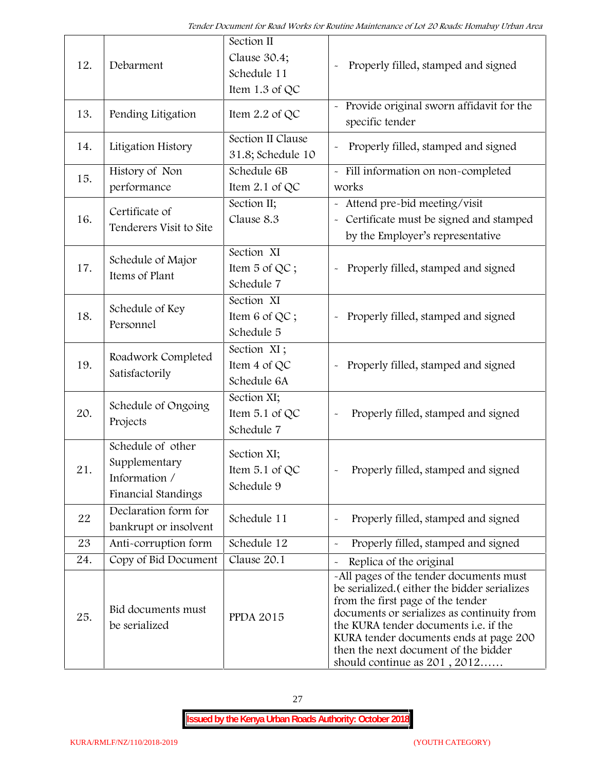| 12. | Debarment                                                                  | Section II<br>Clause 30.4;<br>Schedule 11<br>Item 1.3 of QC | Properly filled, stamped and signed                                                                                                                                                                                                                                                                                                     |  |
|-----|----------------------------------------------------------------------------|-------------------------------------------------------------|-----------------------------------------------------------------------------------------------------------------------------------------------------------------------------------------------------------------------------------------------------------------------------------------------------------------------------------------|--|
| 13. | Pending Litigation                                                         | Item 2.2 of QC                                              | Provide original sworn affidavit for the<br>specific tender                                                                                                                                                                                                                                                                             |  |
| 14. | Litigation History                                                         | Section II Clause<br>31.8; Schedule 10                      | Properly filled, stamped and signed                                                                                                                                                                                                                                                                                                     |  |
| 15. | History of Non<br>performance                                              | Schedule 6B<br>Item 2.1 of QC                               | - Fill information on non-completed<br>works                                                                                                                                                                                                                                                                                            |  |
| 16. | Certificate of<br>Tenderers Visit to Site                                  | Section II;<br>Clause 8.3                                   | Attend pre-bid meeting/visit<br>Certificate must be signed and stamped<br>$\widetilde{\phantom{m}}$<br>by the Employer's representative                                                                                                                                                                                                 |  |
| 17. | Schedule of Major<br>Items of Plant                                        | Section XI<br>Item 5 of QC;<br>Schedule 7                   | Properly filled, stamped and signed                                                                                                                                                                                                                                                                                                     |  |
| 18. | Schedule of Key<br>Personnel                                               | Section XI<br>Item 6 of QC;<br>Schedule 5                   | Properly filled, stamped and signed                                                                                                                                                                                                                                                                                                     |  |
| 19. | Roadwork Completed<br>Satisfactorily                                       | Section XI;<br>Item 4 of QC<br>Schedule 6A                  | Properly filled, stamped and signed<br>$\tilde{}$                                                                                                                                                                                                                                                                                       |  |
| 20. | Schedule of Ongoing<br>Projects                                            | Section XI;<br>Item 5.1 of QC<br>Schedule 7                 | Properly filled, stamped and signed                                                                                                                                                                                                                                                                                                     |  |
| 21  | Schedule of other<br>Supplementary<br>Information /<br>Financial Standings | Section XI;<br>Item 5.1 of QC<br>Schedule 9                 | Properly filled, stamped and signed                                                                                                                                                                                                                                                                                                     |  |
| 22  | Declaration form for<br>bankrupt or insolvent                              | Schedule 11                                                 | Properly filled, stamped and signed                                                                                                                                                                                                                                                                                                     |  |
| 23  | Anti-corruption form                                                       | Schedule 12                                                 | Properly filled, stamped and signed                                                                                                                                                                                                                                                                                                     |  |
| 24. | Copy of Bid Document                                                       | Clause 20.1                                                 | Replica of the original                                                                                                                                                                                                                                                                                                                 |  |
| 25. | Bid documents must<br>be serialized                                        | <b>PPDA 2015</b>                                            | -All pages of the tender documents must<br>be serialized. (either the bidder serializes<br>from the first page of the tender<br>documents or serializes as continuity from<br>the KURA tender documents i.e. if the<br>KURA tender documents ends at page 200<br>then the next document of the bidder<br>should continue as $201, 2012$ |  |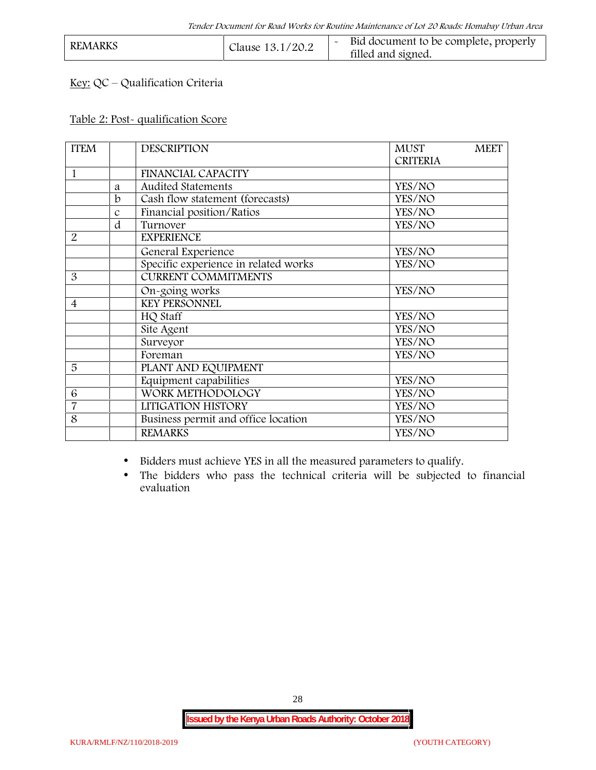| <b>REMARKS</b> | Clause 13.1/20.2 | Bid document to be complete, properly<br>filled and signed. |  |
|----------------|------------------|-------------------------------------------------------------|--|
|----------------|------------------|-------------------------------------------------------------|--|

# **Key:** QC – Qualification Criteria

#### **Table 2: Post- qualification Score**

| <b>ITEM</b>    |               | <b>DESCRIPTION</b>                   | <b>MUST</b><br><b>MEET</b> |
|----------------|---------------|--------------------------------------|----------------------------|
|                |               |                                      | <b>CRITERIA</b>            |
| 1              |               | <b>FINANCIAL CAPACITY</b>            |                            |
|                | a             | Audited Statements                   | YES/NO                     |
|                | b             | Cash flow statement (forecasts)      | YES/NO                     |
|                | $\mathcal{C}$ | Financial position/Ratios            | YES/NO                     |
|                | d             | Turnover                             | YES/NO                     |
| $\overline{2}$ |               | <b>EXPERIENCE</b>                    |                            |
|                |               | General Experience                   | YES/NO                     |
|                |               | Specific experience in related works | YES/NO                     |
| 3              |               | <b>CURRENT COMMITMENTS</b>           |                            |
|                |               | On-going works                       | YES/NO                     |
| $\overline{4}$ |               | <b>KEY PERSONNEL</b>                 |                            |
|                |               | HQ Staff                             | YES/NO                     |
|                |               | Site Agent                           | YES/NO                     |
|                |               | Surveyor                             | YES/NO                     |
|                |               | Foreman                              | YES/NO                     |
| 5              |               | PLANT AND EQUIPMENT                  |                            |
|                |               | Equipment capabilities               | YES/NO                     |
| 6              |               | WORK METHODOLOGY                     | YES/NO                     |
| $\overline{7}$ |               | LITIGATION HISTORY                   | YES/NO                     |
| 8              |               | Business permit and office location  | YES/NO                     |
|                |               | <b>REMARKS</b>                       | YES/NO                     |
|                |               |                                      |                            |

Bidders must achieve YES in all the measured parameters to qualify.

 The bidders who pass the technical criteria will be subjected to financial evaluation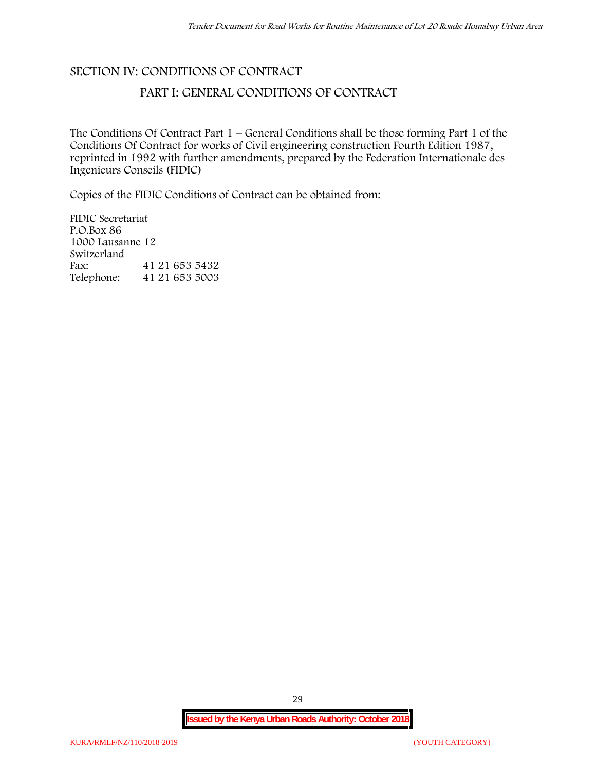# **SECTION IV: CONDITIONS OF CONTRACT**

# **PART I: GENERAL CONDITIONS OF CONTRACT**

The Conditions Of Contract Part 1 – General Conditions shall be those forming Part 1 of the Conditions Of Contract for works of Civil engineering construction Fourth Edition 1987, reprinted in 1992 with further amendments, prepared by the Federation Internationale des Ingenieurs Conseils (FIDIC)

Copies of the FIDIC Conditions of Contract can be obtained from:

FIDIC Secretariat P.O.Box 86 1000 Lausanne 12 **Switzerland** Fax: 41 21 653 5432 Telephone: 41 21 653 5003

29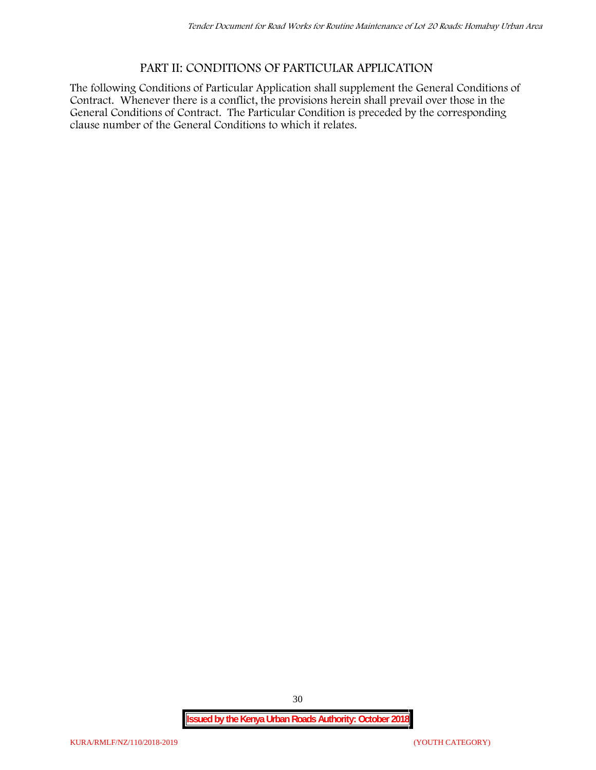# **PART II: CONDITIONS OF PARTICULAR APPLICATION**

The following Conditions of Particular Application shall supplement the General Conditions of Contract. Whenever there is a conflict, the provisions herein shall prevail over those in the General Conditions of Contract. The Particular Condition is preceded by the corresponding clause number of the General Conditions to which it relates.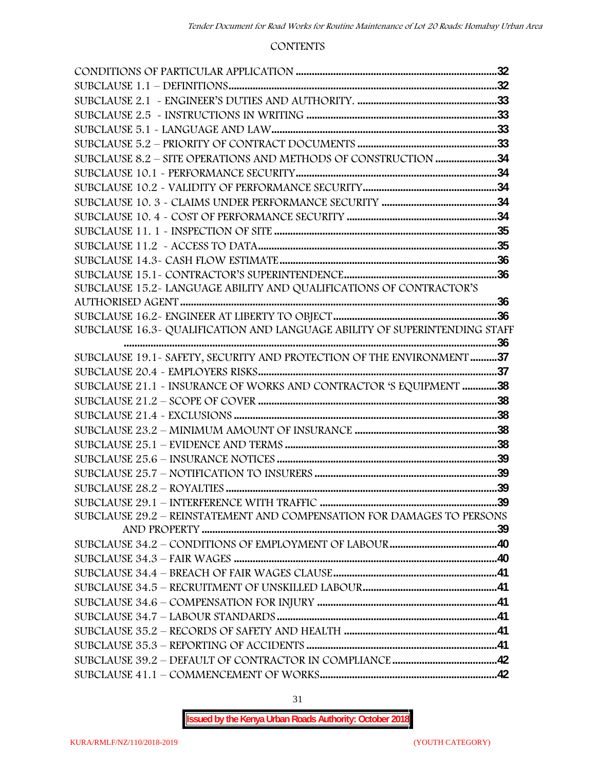#### **CONTENTS**

| SUBCLAUSE 8.2 - SITE OPERATIONS AND METHODS OF CONSTRUCTION 34             |  |
|----------------------------------------------------------------------------|--|
|                                                                            |  |
|                                                                            |  |
|                                                                            |  |
|                                                                            |  |
|                                                                            |  |
|                                                                            |  |
|                                                                            |  |
|                                                                            |  |
| SUBCLAUSE 15.2-LANGUAGE ABILITY AND QUALIFICATIONS OF CONTRACTOR'S         |  |
|                                                                            |  |
|                                                                            |  |
| SUBCLAUSE 16.3- QUALIFICATION AND LANGUAGE ABILITY OF SUPERINTENDING STAFF |  |
|                                                                            |  |
| SUBCLAUSE 19.1 - SAFETY, SECURITY AND PROTECTION OF THE ENVIRONMENT 37     |  |
|                                                                            |  |
| SUBCLAUSE 21.1 - INSURANCE OF WORKS AND CONTRACTOR 'S EQUIPMENT 38         |  |
|                                                                            |  |
|                                                                            |  |
|                                                                            |  |
|                                                                            |  |
|                                                                            |  |
|                                                                            |  |
|                                                                            |  |
|                                                                            |  |
| SUBCLAUSE 29.2 - REINSTATEMENT AND COMPENSATION FOR DAMAGES TO PERSONS     |  |
|                                                                            |  |
|                                                                            |  |
|                                                                            |  |
|                                                                            |  |
|                                                                            |  |
|                                                                            |  |
|                                                                            |  |
|                                                                            |  |
|                                                                            |  |
|                                                                            |  |
|                                                                            |  |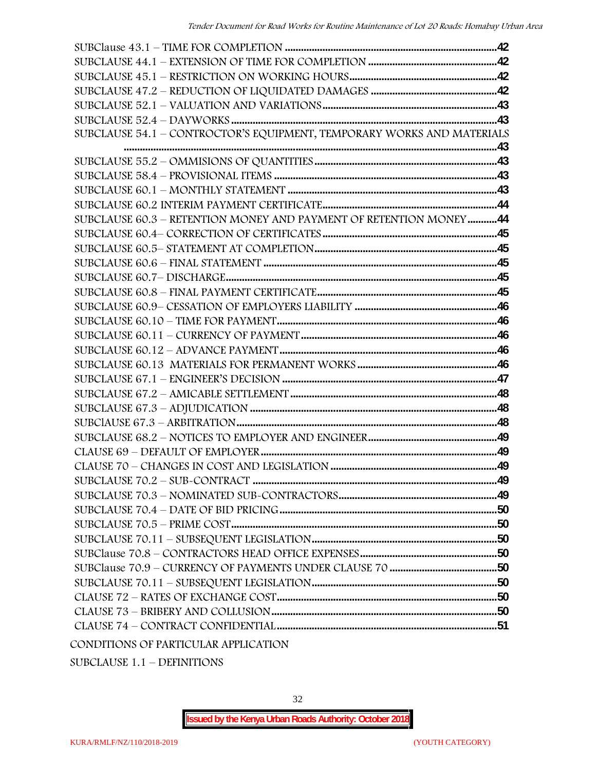| SUBCLAUSE 54.1 - CONTROCTOR'S EQUIPMENT, TEMPORARY WORKS AND MATERIALS |  |
|------------------------------------------------------------------------|--|
|                                                                        |  |
|                                                                        |  |
|                                                                        |  |
|                                                                        |  |
|                                                                        |  |
| SUBCLAUSE 60.3 - RETENTION MONEY AND PAYMENT OF RETENTION MONEY44      |  |
|                                                                        |  |
|                                                                        |  |
|                                                                        |  |
|                                                                        |  |
|                                                                        |  |
|                                                                        |  |
|                                                                        |  |
|                                                                        |  |
|                                                                        |  |
|                                                                        |  |
|                                                                        |  |
|                                                                        |  |
|                                                                        |  |
|                                                                        |  |
|                                                                        |  |
|                                                                        |  |
|                                                                        |  |
|                                                                        |  |
|                                                                        |  |
|                                                                        |  |
|                                                                        |  |
|                                                                        |  |
|                                                                        |  |
|                                                                        |  |
|                                                                        |  |
|                                                                        |  |
|                                                                        |  |
|                                                                        |  |

SUBCLAUSE 1.1 – DEFINITIONS

32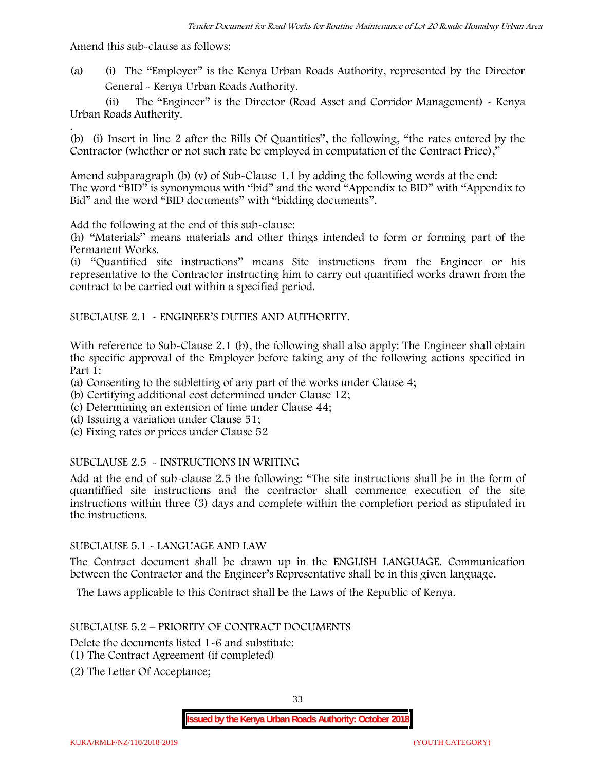Amend this sub-clause as follows:

(a) (i) The "Employer" is the Kenya Urban Roads Authority, represented by the Director General - Kenya Urban Roads Authority.

(ii) The "Engineer" is the Director (Road Asset and Corridor Management) - Kenya Urban Roads Authority.

.(b) (i) Insert in line 2 after the Bills Of Quantities", the following, "the rates entered by the Contractor (whether or not such rate be employed in computation of the Contract Price),"

Amend subparagraph (b) (v) of Sub-Clause 1.1 by adding the following words at the end: The word "BID" is synonymous with "bid" and the word "Appendix to BID" with "Appendix to Bid" and the word "BID documents" with "bidding documents".

Add the following at the end of this sub-clause:

(h) "Materials" means materials and other things intended to form or forming part of the Permanent Works.

(i) "Quantified site instructions" means Site instructions from the Engineer or his representative to the Contractor instructing him to carry out quantified works drawn from the contract to be carried out within a specified period.

SUBCLAUSE 2.1 - ENGINEER'S DUTIES AND AUTHORITY.

With reference to Sub-Clause 2.1 (b), the following shall also apply: The Engineer shall obtain the specific approval of the Employer before taking any of the following actions specified in Part 1:

(a) Consenting to the subletting of any part of the works under Clause 4;

- (b) Certifying additional cost determined under Clause 12;
- (c) Determining an extension of time under Clause 44;
- (d) Issuing a variation under Clause 51;
- (e) Fixing rates or prices under Clause 52

#### SUBCLAUSE 2.5 - INSTRUCTIONS IN WRITING

Add at the end of sub-clause 2.5 the following: "The site instructions shall be in the form of quantiffied site instructions and the contractor shall commence execution of the site instructions within three (3) days and complete within the completion period as stipulated in the instructions.

#### SUBCLAUSE 5.1 - LANGUAGE AND LAW

The Contract document shall be drawn up in the ENGLISH LANGUAGE. Communication between the Contractor and the Engineer's Representative shall be in this given language.

The Laws applicable to this Contract shall be the Laws of the Republic of Kenya.

#### SUBCLAUSE 5.2 – PRIORITY OF CONTRACT DOCUMENTS

Delete the documents listed 1-6 and substitute:

- (1) The Contract Agreement (if completed)
- (2) The Letter Of Acceptance;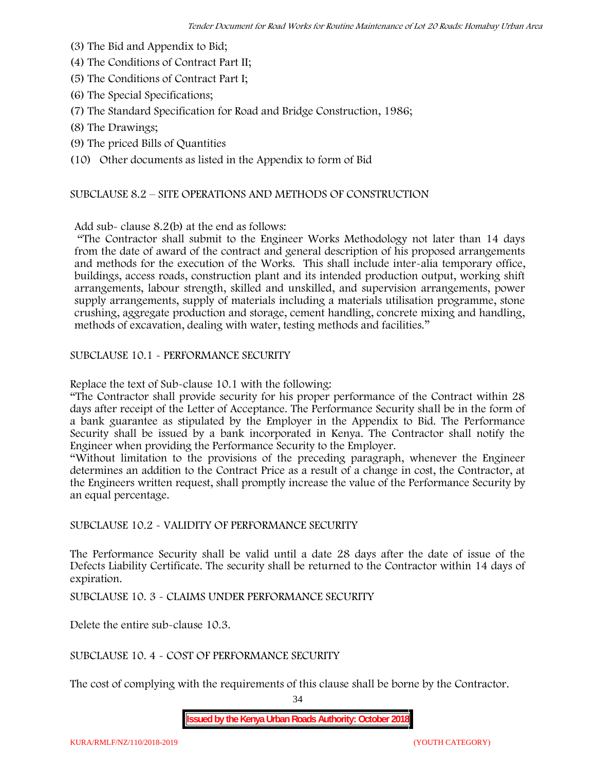- (3) The Bid and Appendix to Bid;
- (4) The Conditions of Contract Part II;
- (5) The Conditions of Contract Part I;
- (6) The Special Specifications;
- (7) The Standard Specification for Road and Bridge Construction, 1986;
- (8) The Drawings;
- (9) The priced Bills of Quantities

(10) Other documents as listed in the Appendix to form of Bid

#### SUBCLAUSE 8.2 – SITE OPERATIONS AND METHODS OF CONSTRUCTION

Add sub- clause 8.2(b) at the end as follows:

"The Contractor shall submit to the Engineer Works Methodology not later than 14 days from the date of award of the contract and general description of his proposed arrangements and methods for the execution of the Works. This shall include inter-alia temporary office, buildings, access roads, construction plant and its intended production output, working shift arrangements, labour strength, skilled and unskilled, and supervision arrangements, power supply arrangements, supply of materials including a materials utilisation programme, stone crushing, aggregate production and storage, cement handling, concrete mixing and handling, methods of excavation, dealing with water, testing methods and facilities."

SUBCLAUSE 10.1 - PERFORMANCE SECURITY

Replace the text of Sub-clause 10.1 with the following:

"The Contractor shall provide security for his proper performance of the Contract within 28 days after receipt of the Letter of Acceptance. The Performance Security shall be in the form of a bank guarantee as stipulated by the Employer in the Appendix to Bid. The Performance Security shall be issued by a bank incorporated in Kenya. The Contractor shall notify the Engineer when providing the Performance Security to the Employer.

"Without limitation to the provisions of the preceding paragraph, whenever the Engineer determines an addition to the Contract Price as a result of a change in cost, the Contractor, at the Engineers written request, shall promptly increase the value of the Performance Security by an equal percentage.

SUBCLAUSE 10.2 - VALIDITY OF PERFORMANCE SECURITY

The Performance Security shall be valid until a date 28 days after the date of issue of the Defects Liability Certificate. The security shall be returned to the Contractor within 14 days of expiration.

SUBCLAUSE 10. 3 - CLAIMS UNDER PERFORMANCE SECURITY

Delete the entire sub-clause 10.3.

SUBCLAUSE 10. 4 - COST OF PERFORMANCE SECURITY

The cost of complying with the requirements of this clause shall be borne by the Contractor.

34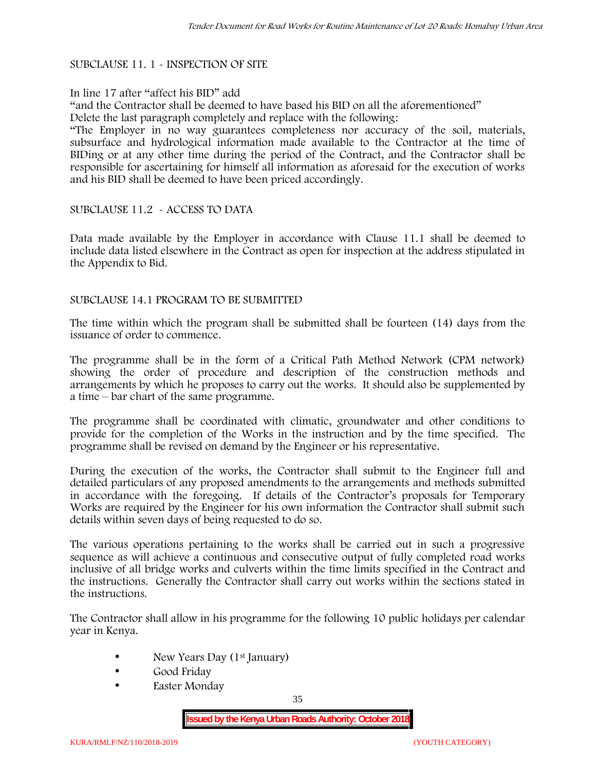#### SUBCLAUSE 11. 1 - INSPECTION OF SITE

#### In line 17 after "affect his BID" add

"and the Contractor shall be deemed to have based his BID on all the aforementioned" Delete the last paragraph completely and replace with the following:

"The Employer in no way guarantees completeness nor accuracy of the soil, materials, subsurface and hydrological information made available to the Contractor at the time of BIDing or at any other time during the period of the Contract, and the Contractor shall be responsible for ascertaining for himself all information as aforesaid for the execution of works and his BID shall be deemed to have been priced accordingly.

#### SUBCLAUSE 11.2 - ACCESS TO DATA

Data made available by the Employer in accordance with Clause 11.1 shall be deemed to include data listed elsewhere in the Contract as open for inspection at the address stipulated in the Appendix to Bid.

#### SUBCLAUSE 14.1 PROGRAM TO BE SUBMITTED

The time within which the program shall be submitted shall be fourteen (14) days from the issuance of order to commence**.**

The programme shall be in the form of a Critical Path Method Network (CPM network) showing the order of procedure and description of the construction methods and arrangements by which he proposes to carry out the works. It should also be supplemented by a time – bar chart of the same programme.

The programme shall be coordinated with climatic, groundwater and other conditions to provide for the completion of the Works in the instruction and by the time specified. The programme shall be revised on demand by the Engineer or his representative.

During the execution of the works, the Contractor shall submit to the Engineer full and detailed particulars of any proposed amendments to the arrangements and methods submitted in accordance with the foregoing. If details of the Contractor's proposals for Temporary Works are required by the Engineer for his own information the Contractor shall submit such details within seven days of being requested to do so.

The various operations pertaining to the works shall be carried out in such a progressive sequence as will achieve a continuous and consecutive output of fully completed road works inclusive of all bridge works and culverts within the time limits specified in the Contract and the instructions. Generally the Contractor shall carry out works within the sections stated in the instructions.

The Contractor shall allow in his programme for the following 10 public holidays per calendar year in Kenya.

- New Years Day (1<sup>st</sup> January)
- Good Friday
- Easter Monday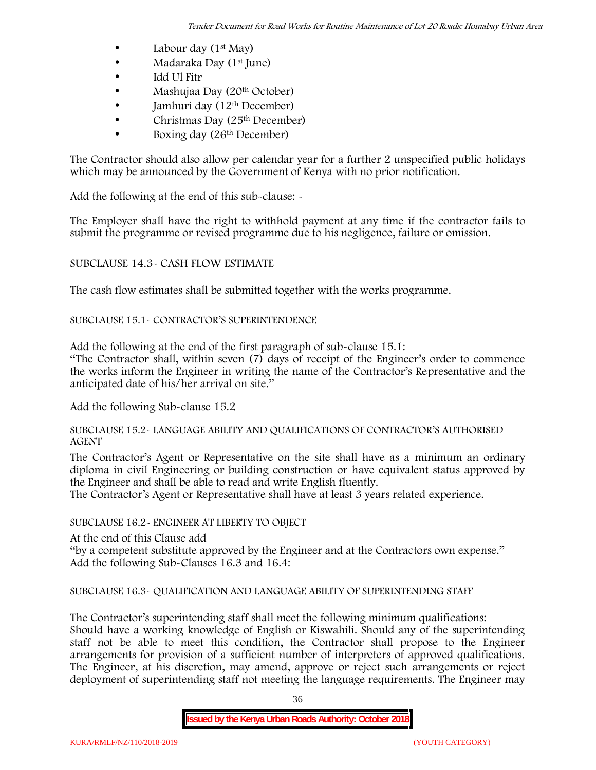- Labour day  $(1<sup>st</sup>$  May)
- Madaraka Day (1<sup>st</sup> June)
- Idd Ul Fitr
- Mashujaa Day (20<sup>th</sup> October)
- $\bullet$  Jamhuri day (12<sup>th</sup> December)
- $\bullet$  Christmas Day (25<sup>th</sup> December)
- Boxing day (26th December)

The Contractor should also allow per calendar year for a further 2 unspecified public holidays which may be announced by the Government of Kenya with no prior notification.

Add the following at the end of this sub-clause: -

The Employer shall have the right to withhold payment at any time if the contractor fails to submit the programme or revised programme due to his negligence, failure or omission.

# SUBCLAUSE 14.3- CASH FLOW ESTIMATE

The cash flow estimates shall be submitted together with the works programme.

## SUBCLAUSE 15.1- CONTRACTOR'S SUPERINTENDENCE

Add the following at the end of the first paragraph of sub-clause 15.1:

"The Contractor shall, within seven (7) days of receipt of the Engineer's order to commence the works inform the Engineer in writing the name of the Contractor's Representative and the anticipated date of his/her arrival on site."

Add the following Sub-clause 15.2

#### SUBCLAUSE 15.2- LANGUAGE ABILITY AND QUALIFICATIONS OF CONTRACTOR'S AUTHORISED AGENT

The Contractor's Agent or Representative on the site shall have as a minimum an ordinary diploma in civil Engineering or building construction or have equivalent status approved by the Engineer and shall be able to read and write English fluently.

The Contractor's Agent or Representative shall have at least 3 years related experience.

## SUBCLAUSE 16.2- ENGINEER AT LIBERTY TO OBJECT

At the end of this Clause add

"by a competent substitute approved by the Engineer and at the Contractors own expense." Add the following Sub-Clauses 16.3 and 16.4:

# SUBCLAUSE 16.3- QUALIFICATION AND LANGUAGE ABILITY OF SUPERINTENDING STAFF

The Contractor's superintending staff shall meet the following minimum qualifications: Should have a working knowledge of English or Kiswahili. Should any of the superintending staff not be able to meet this condition, the Contractor shall propose to the Engineer arrangements for provision of a sufficient number of interpreters of approved qualifications. The Engineer, at his discretion, may amend, approve or reject such arrangements or reject deployment of superintending staff not meeting the language requirements. The Engineer may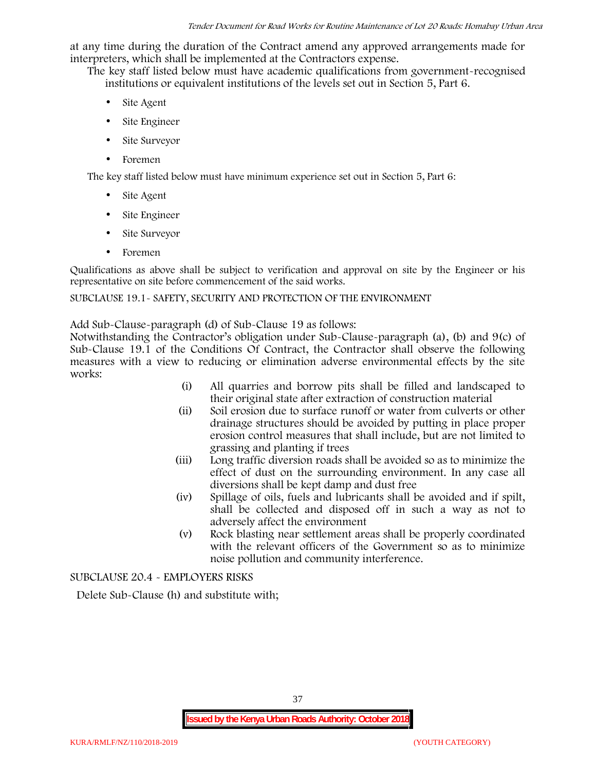at any time during the duration of the Contract amend any approved arrangements made for interpreters, which shall be implemented at the Contractors expense.

The key staff listed below must have academic qualifications from government-recognised institutions or equivalent institutions of the levels set out in Section 5, Part 6.

- Site Agent
- Site Engineer
- Site Surveyor
- Foremen

The key staff listed below must have minimum experience set out in Section 5, Part 6:

- Site Agent
- Site Engineer
- Site Surveyor
- Foremen

Qualifications as above shall be subject to verification and approval on site by the Engineer or his representative on site before commencement of the said works.

## SUBCLAUSE 19.1- SAFETY, SECURITY AND PROTECTION OF THE ENVIRONMENT

Add Sub-Clause-paragraph (d) of Sub-Clause 19 as follows:

Notwithstanding the Contractor's obligation under Sub-Clause-paragraph (a), (b) and 9(c) of Sub-Clause 19.1 of the Conditions Of Contract, the Contractor shall observe the following measures with a view to reducing or elimination adverse environmental effects by the site works:

- (i) All quarries and borrow pits shall be filled and landscaped to their original state after extraction of construction material
- (ii) Soil erosion due to surface runoff or water from culverts or other drainage structures should be avoided by putting in place proper erosion control measures that shall include, but are not limited to grassing and planting if trees
- (iii) Long traffic diversion roads shall be avoided so as to minimize the effect of dust on the surrounding environment. In any case all diversions shall be kept damp and dust free
- (iv) Spillage of oils, fuels and lubricants shall be avoided and if spilt, shall be collected and disposed off in such a way as not to adversely affect the environment
- (v) Rock blasting near settlement areas shall be properly coordinated with the relevant officers of the Government so as to minimize noise pollution and community interference.

SUBCLAUSE 20.4 - EMPLOYERS RISKS

Delete Sub-Clause (h) and substitute with;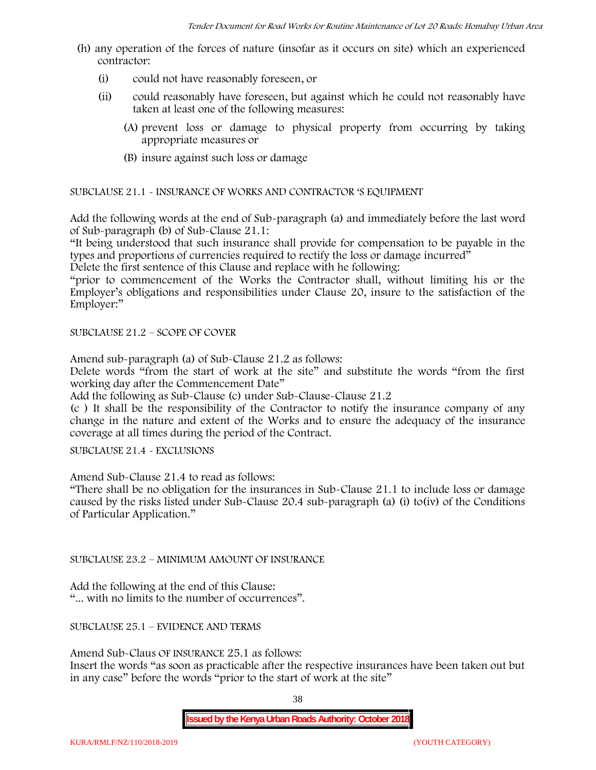- (h) any operation of the forces of nature (insofar as it occurs on site) which an experienced contractor:
	- (i) could not have reasonably foreseen, or
	- (ii) could reasonably have foreseen, but against which he could not reasonably have taken at least one of the following measures:
		- (A) prevent loss or damage to physical property from occurring by taking appropriate measures or
		- (B) insure against such loss or damage

SUBCLAUSE 21.1 - INSURANCE OF WORKS AND CONTRACTOR 'S EQUIPMENT

Add the following words at the end of Sub-paragraph (a) and immediately before the last word of Sub-paragraph (b) of Sub-Clause 21.1:

"It being understood that such insurance shall provide for compensation to be payable in the types and proportions of currencies required to rectify the loss or damage incurred"

Delete the first sentence of this Clause and replace with he following:

"prior to commencement of the Works the Contractor shall, without limiting his or the Employer's obligations and responsibilities under Clause 20, insure to the satisfaction of the Employer:"

SUBCLAUSE 21.2 – SCOPE OF COVER

Amend sub-paragraph (a) of Sub-Clause 21.2 as follows:

Delete words "from the start of work at the site" and substitute the words "from the first working day after the Commencement Date"

Add the following as Sub-Clause (c) under Sub-Clause-Clause 21.2

(c ) It shall be the responsibility of the Contractor to notify the insurance company of any change in the nature and extent of the Works and to ensure the adequacy of the insurance coverage at all times during the period of the Contract.

SUBCLAUSE 21.4 - EXCLUSIONS

Amend Sub-Clause 21.4 to read as follows:

"There shall be no obligation for the insurances in Sub-Clause 21.1 to include loss or damage caused by the risks listed under Sub-Clause 20.4 sub-paragraph (a) (i) to(iv) of the Conditions of Particular Application."

SUBCLAUSE 23.2 – MINIMUM AMOUNT OF INSURANCE

Add the following at the end of this Clause: "... with no limits to the number of occurrences".

SUBCLAUSE 25.1 – EVIDENCE AND TERMS

Amend Sub-Claus OF INSURANCE 25.1 as follows:

Insert the words "as soon as practicable after the respective insurances have been taken out but in any case" before the words "prior to the start of work at the site"

38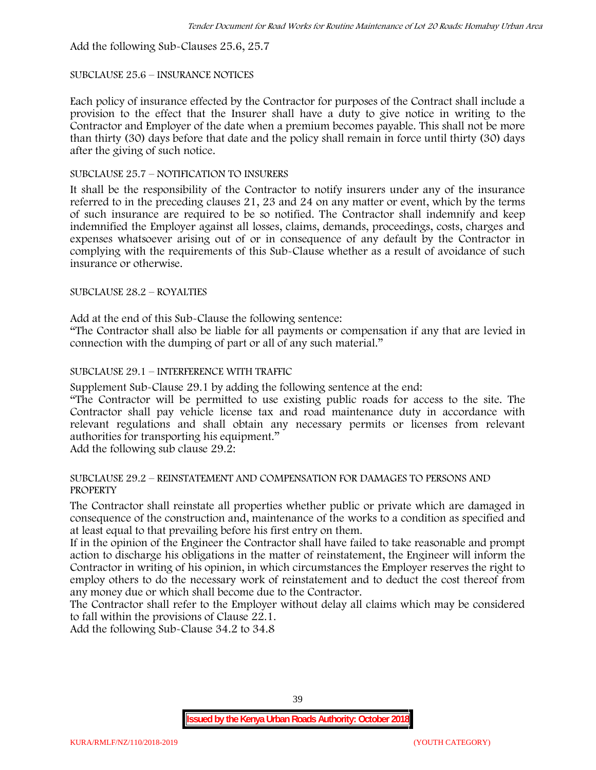Add the following Sub-Clauses 25.6, 25.7

#### SUBCLAUSE 25.6 – INSURANCE NOTICES

Each policy of insurance effected by the Contractor for purposes of the Contract shall include a provision to the effect that the Insurer shall have a duty to give notice in writing to the Contractor and Employer of the date when a premium becomes payable. This shall not be more than thirty (30) days before that date and the policy shall remain in force until thirty (30) days after the giving of such notice.

## SUBCLAUSE 25.7 – NOTIFICATION TO INSURERS

It shall be the responsibility of the Contractor to notify insurers under any of the insurance referred to in the preceding clauses 21, 23 and 24 on any matter or event, which by the terms of such insurance are required to be so notified. The Contractor shall indemnify and keep indemnified the Employer against all losses, claims, demands, proceedings, costs, charges and expenses whatsoever arising out of or in consequence of any default by the Contractor in complying with the requirements of this Sub-Clause whether as a result of avoidance of such insurance or otherwise.

#### SUBCLAUSE 28.2 – ROYALTIES

Add at the end of this Sub-Clause the following sentence:

"The Contractor shall also be liable for all payments or compensation if any that are levied in connection with the dumping of part or all of any such material."

## SUBCLAUSE 29.1 – INTERFERENCE WITH TRAFFIC

Supplement Sub-Clause 29.1 by adding the following sentence at the end:

"The Contractor will be permitted to use existing public roads for access to the site. The Contractor shall pay vehicle license tax and road maintenance duty in accordance with relevant regulations and shall obtain any necessary permits or licenses from relevant authorities for transporting his equipment."

Add the following sub clause 29.2:

#### SUBCLAUSE 29.2 – REINSTATEMENT AND COMPENSATION FOR DAMAGES TO PERSONS AND PROPERTY

The Contractor shall reinstate all properties whether public or private which are damaged in consequence of the construction and, maintenance of the works to a condition as specified and at least equal to that prevailing before his first entry on them.

If in the opinion of the Engineer the Contractor shall have failed to take reasonable and prompt action to discharge his obligations in the matter of reinstatement, the Engineer will inform the Contractor in writing of his opinion, in which circumstances the Employer reserves the right to employ others to do the necessary work of reinstatement and to deduct the cost thereof from any money due or which shall become due to the Contractor.

The Contractor shall refer to the Employer without delay all claims which may be considered to fall within the provisions of Clause 22.1.

Add the following Sub-Clause 34.2 to 34.8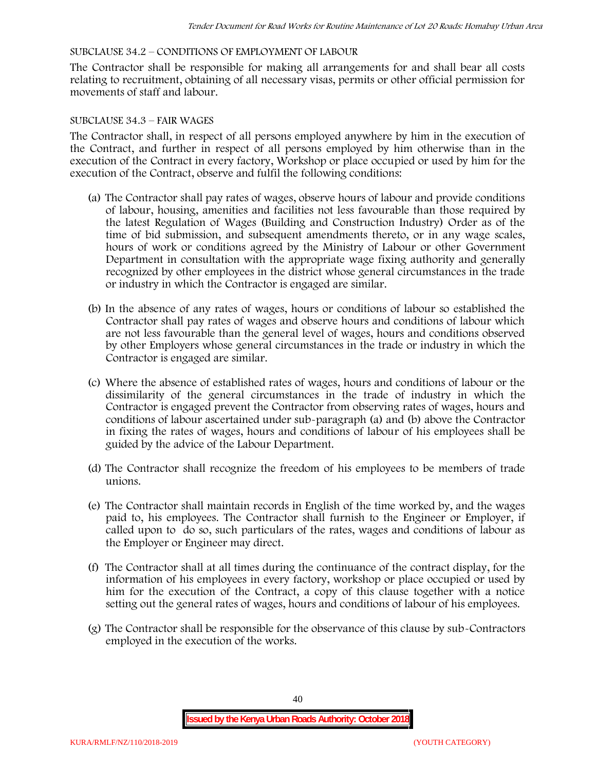## SUBCLAUSE 34.2 – CONDITIONS OF EMPLOYMENT OF LABOUR

The Contractor shall be responsible for making all arrangements for and shall bear all costs relating to recruitment, obtaining of all necessary visas, permits or other official permission for movements of staff and labour.

#### SUBCLAUSE 34.3 – FAIR WAGES

The Contractor shall, in respect of all persons employed anywhere by him in the execution of the Contract, and further in respect of all persons employed by him otherwise than in the execution of the Contract in every factory, Workshop or place occupied or used by him for the execution of the Contract, observe and fulfil the following conditions:

- (a) The Contractor shall pay rates of wages, observe hours of labour and provide conditions of labour, housing, amenities and facilities not less favourable than those required by the latest Regulation of Wages (Building and Construction Industry) Order as of the time of bid submission, and subsequent amendments thereto, or in any wage scales, hours of work or conditions agreed by the Ministry of Labour or other Government Department in consultation with the appropriate wage fixing authority and generally recognized by other employees in the district whose general circumstances in the trade or industry in which the Contractor is engaged are similar.
- (b) In the absence of any rates of wages, hours or conditions of labour so established the Contractor shall pay rates of wages and observe hours and conditions of labour which are not less favourable than the general level of wages, hours and conditions observed by other Employers whose general circumstances in the trade or industry in which the Contractor is engaged are similar.
- (c) Where the absence of established rates of wages, hours and conditions of labour or the dissimilarity of the general circumstances in the trade of industry in which the Contractor is engaged prevent the Contractor from observing rates of wages, hours and conditions of labour ascertained under sub-paragraph (a) and (b) above the Contractor in fixing the rates of wages, hours and conditions of labour of his employees shall be guided by the advice of the Labour Department.
- (d) The Contractor shall recognize the freedom of his employees to be members of trade unions.
- (e) The Contractor shall maintain records in English of the time worked by, and the wages paid to, his employees. The Contractor shall furnish to the Engineer or Employer, if called upon to do so, such particulars of the rates, wages and conditions of labour as the Employer or Engineer may direct.
- (f) The Contractor shall at all times during the continuance of the contract display, for the information of his employees in every factory, workshop or place occupied or used by him for the execution of the Contract, a copy of this clause together with a notice setting out the general rates of wages, hours and conditions of labour of his employees.
- (g) The Contractor shall be responsible for the observance of this clause by sub-Contractors employed in the execution of the works.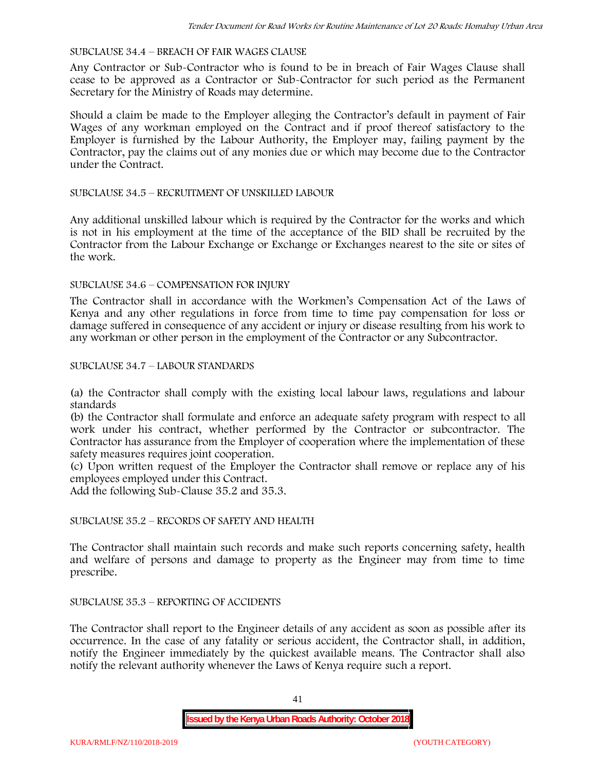#### SUBCLAUSE 34.4 – BREACH OF FAIR WAGES CLAUSE

Any Contractor or Sub-Contractor who is found to be in breach of Fair Wages Clause shall cease to be approved as a Contractor or Sub-Contractor for such period as the Permanent Secretary for the Ministry of Roads may determine.

Should a claim be made to the Employer alleging the Contractor's default in payment of Fair Wages of any workman employed on the Contract and if proof thereof satisfactory to the Employer is furnished by the Labour Authority, the Employer may, failing payment by the Contractor, pay the claims out of any monies due or which may become due to the Contractor under the Contract.

#### SUBCLAUSE 34.5 – RECRUITMENT OF UNSKILLED LABOUR

Any additional unskilled labour which is required by the Contractor for the works and which is not in his employment at the time of the acceptance of the BID shall be recruited by the Contractor from the Labour Exchange or Exchange or Exchanges nearest to the site or sites of the work.

#### SUBCLAUSE 34.6 – COMPENSATION FOR INJURY

The Contractor shall in accordance with the Workmen's Compensation Act of the Laws of Kenya and any other regulations in force from time to time pay compensation for loss or damage suffered in consequence of any accident or injury or disease resulting from his work to any workman or other person in the employment of the Contractor or any Subcontractor.

#### SUBCLAUSE 34.7 – LABOUR STANDARDS

(a) the Contractor shall comply with the existing local labour laws, regulations and labour standards

(b) the Contractor shall formulate and enforce an adequate safety program with respect to all work under his contract, whether performed by the Contractor or subcontractor. The Contractor has assurance from the Employer of cooperation where the implementation of these safety measures requires joint cooperation.

(c) Upon written request of the Employer the Contractor shall remove or replace any of his employees employed under this Contract.

Add the following Sub-Clause 35.2 and 35.3.

# SUBCLAUSE 35.2 – RECORDS OF SAFETY AND HEALTH

The Contractor shall maintain such records and make such reports concerning safety, health and welfare of persons and damage to property as the Engineer may from time to time prescribe.

## SUBCLAUSE 35.3 – REPORTING OF ACCIDENTS

The Contractor shall report to the Engineer details of any accident as soon as possible after its occurrence. In the case of any fatality or serious accident, the Contractor shall, in addition, notify the Engineer immediately by the quickest available means. The Contractor shall also notify the relevant authority whenever the Laws of Kenya require such a report.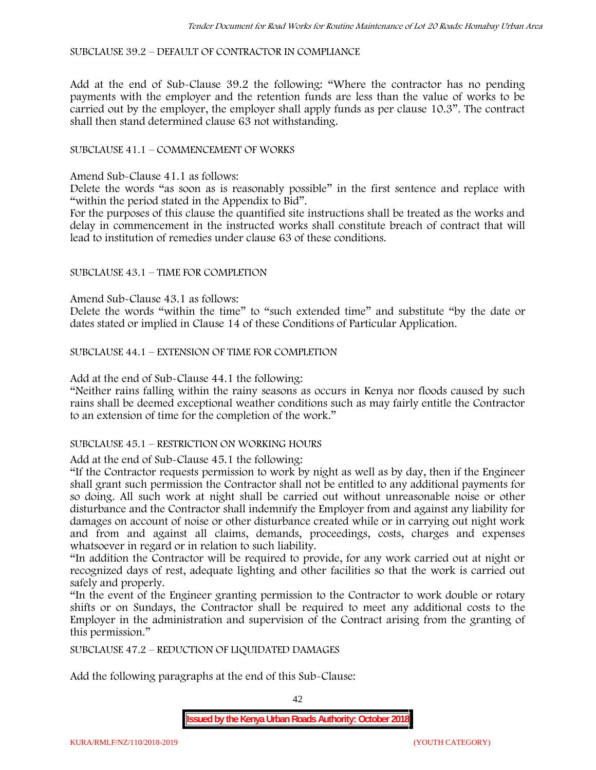SUBCLAUSE 39.2 – DEFAULT OF CONTRACTOR IN COMPLIANCE

Add at the end of Sub-Clause 39.2 the following: "Where the contractor has no pending payments with the employer and the retention funds are less than the value of works to be carried out by the employer, the employer shall apply funds as per clause 10.3". The contract shall then stand determined clause 63 not withstanding.

## SUBCLAUSE 41.1 – COMMENCEMENT OF WORKS

Amend Sub-Clause 41.1 as follows:

Delete the words "as soon as is reasonably possible" in the first sentence and replace with "within the period stated in the Appendix to Bid".

For the purposes of this clause the quantified site instructions shall be treated as the works and delay in commencement in the instructed works shall constitute breach of contract that will lead to institution of remedies under clause 63 of these conditions.

## SUBCLAUSE 43.1 – TIME FOR COMPLETION

Amend Sub-Clause 43.1 as follows:

Delete the words "within the time" to "such extended time" and substitute "by the date or dates stated or implied in Clause 14 of these Conditions of Particular Application.

SUBCLAUSE 44.1 – EXTENSION OF TIME FOR COMPLETION

Add at the end of Sub-Clause 44.1 the following:

"Neither rains falling within the rainy seasons as occurs in Kenya nor floods caused by such rains shall be deemed exceptional weather conditions such as may fairly entitle the Contractor to an extension of time for the completion of the work."

#### SUBCLAUSE 45.1 – RESTRICTION ON WORKING HOURS

Add at the end of Sub-Clause 45.1 the following:

"If the Contractor requests permission to work by night as well as by day, then if the Engineer shall grant such permission the Contractor shall not be entitled to any additional payments for so doing. All such work at night shall be carried out without unreasonable noise or other disturbance and the Contractor shall indemnify the Employer from and against any liability for damages on account of noise or other disturbance created while or in carrying out night work and from and against all claims, demands, proceedings, costs, charges and expenses whatsoever in regard or in relation to such liability.

"In addition the Contractor will be required to provide, for any work carried out at night or recognized days of rest, adequate lighting and other facilities so that the work is carried out safely and properly.

"In the event of the Engineer granting permission to the Contractor to work double or rotary shifts or on Sundays, the Contractor shall be required to meet any additional costs to the Employer in the administration and supervision of the Contract arising from the granting of this permission."

SUBCLAUSE 47.2 – REDUCTION OF LIQUIDATED DAMAGES

Add the following paragraphs at the end of this Sub-Clause: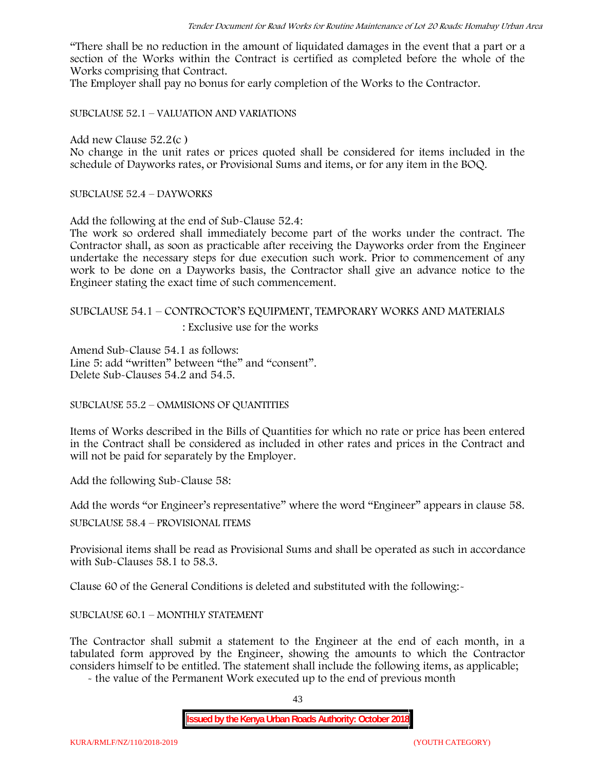"There shall be no reduction in the amount of liquidated damages in the event that a part or a section of the Works within the Contract is certified as completed before the whole of the Works comprising that Contract.

The Employer shall pay no bonus for early completion of the Works to the Contractor.

SUBCLAUSE 52.1 – VALUATION AND VARIATIONS

Add new Clause 52.2(c )

No change in the unit rates or prices quoted shall be considered for items included in the schedule of Dayworks rates, or Provisional Sums and items, or for any item in the BOQ.

SUBCLAUSE 52.4 – DAYWORKS

Add the following at the end of Sub-Clause 52.4:

The work so ordered shall immediately become part of the works under the contract. The Contractor shall, as soon as practicable after receiving the Dayworks order from the Engineer undertake the necessary steps for due execution such work. Prior to commencement of any work to be done on a Dayworks basis, the Contractor shall give an advance notice to the Engineer stating the exact time of such commencement.

# SUBCLAUSE 54.1 – CONTROCTOR'S EQUIPMENT, TEMPORARY WORKS AND MATERIALS

: Exclusive use for the works

Amend Sub-Clause 54.1 as follows: Line 5: add "written" between "the" and "consent". Delete Sub-Clauses 54.2 and 54.5.

SUBCLAUSE 55.2 – OMMISIONS OF QUANTITIES

Items of Works described in the Bills of Quantities for which no rate or price has been entered in the Contract shall be considered as included in other rates and prices in the Contract and will not be paid for separately by the Employer.

Add the following Sub-Clause 58:

Add the words "or Engineer's representative" where the word "Engineer" appears in clause 58.

SUBCLAUSE 58.4 – PROVISIONAL ITEMS

Provisional items shall be read as Provisional Sums and shall be operated as such in accordance with Sub-Clauses 58.1 to 58.3.

Clause 60 of the General Conditions is deleted and substituted with the following:-

#### SUBCLAUSE 60.1 – MONTHLY STATEMENT

The Contractor shall submit a statement to the Engineer at the end of each month, in a tabulated form approved by the Engineer, showing the amounts to which the Contractor considers himself to be entitled. The statement shall include the following items, as applicable;

- the value of the Permanent Work executed up to the end of previous month

43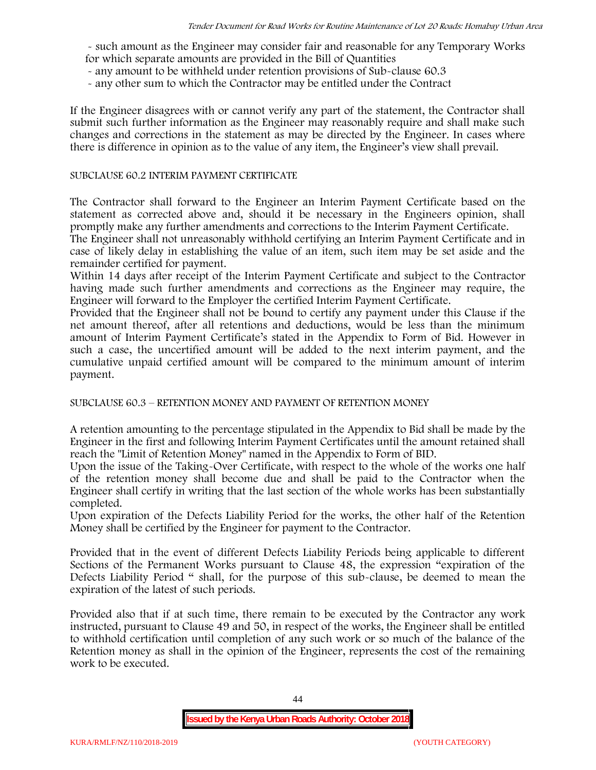- such amount as the Engineer may consider fair and reasonable for any Temporary Works for which separate amounts are provided in the Bill of Quantities

- any amount to be withheld under retention provisions of Sub-clause 60.3
- any other sum to which the Contractor may be entitled under the Contract

If the Engineer disagrees with or cannot verify any part of the statement, the Contractor shall submit such further information as the Engineer may reasonably require and shall make such changes and corrections in the statement as may be directed by the Engineer. In cases where there is difference in opinion as to the value of any item, the Engineer's view shall prevail.

#### SUBCLAUSE 60.2 INTERIM PAYMENT CERTIFICATE

The Contractor shall forward to the Engineer an Interim Payment Certificate based on the statement as corrected above and, should it be necessary in the Engineers opinion, shall promptly make any further amendments and corrections to the Interim Payment Certificate.

The Engineer shall not unreasonably withhold certifying an Interim Payment Certificate and in case of likely delay in establishing the value of an item, such item may be set aside and the remainder certified for payment.

Within 14 days after receipt of the Interim Payment Certificate and subject to the Contractor having made such further amendments and corrections as the Engineer may require, the Engineer will forward to the Employer the certified Interim Payment Certificate.

Provided that the Engineer shall not be bound to certify any payment under this Clause if the net amount thereof, after all retentions and deductions, would be less than the minimum amount of Interim Payment Certificate's stated in the Appendix to Form of Bid. However in such a case, the uncertified amount will be added to the next interim payment, and the cumulative unpaid certified amount will be compared to the minimum amount of interim payment.

SUBCLAUSE 60.3 – RETENTION MONEY AND PAYMENT OF RETENTION MONEY

A retention amounting to the percentage stipulated in the Appendix to Bid shall be made by the Engineer in the first and following Interim Payment Certificates until the amount retained shall reach the "Limit of Retention Money" named in the Appendix to Form of BID.

Upon the issue of the Taking-Over Certificate, with respect to the whole of the works one half of the retention money shall become due and shall be paid to the Contractor when the Engineer shall certify in writing that the last section of the whole works has been substantially completed.

Upon expiration of the Defects Liability Period for the works, the other half of the Retention Money shall be certified by the Engineer for payment to the Contractor.

Provided that in the event of different Defects Liability Periods being applicable to different Sections of the Permanent Works pursuant to Clause 48, the expression "expiration of the Defects Liability Period " shall, for the purpose of this sub-clause, be deemed to mean the expiration of the latest of such periods.

Provided also that if at such time, there remain to be executed by the Contractor any work instructed, pursuant to Clause 49 and 50, in respect of the works, the Engineer shall be entitled to withhold certification until completion of any such work or so much of the balance of the Retention money as shall in the opinion of the Engineer, represents the cost of the remaining work to be executed.

44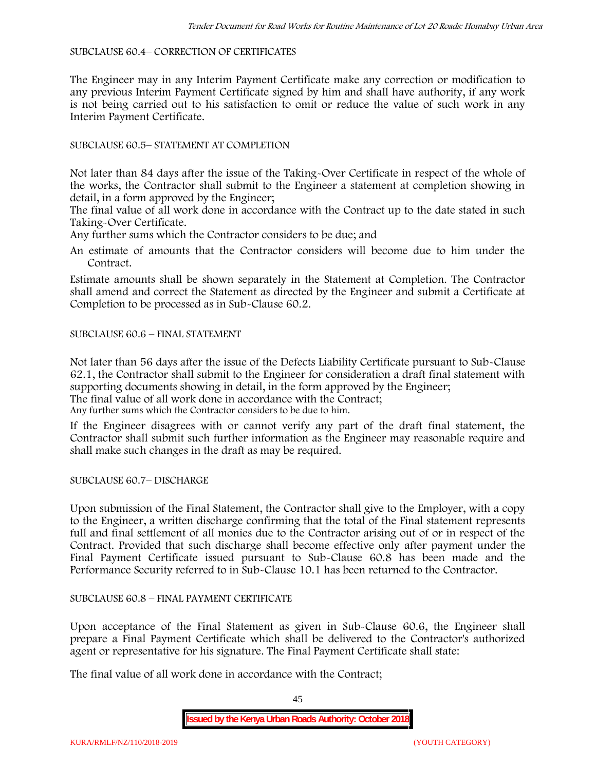#### SUBCLAUSE 60.4– CORRECTION OF CERTIFICATES

The Engineer may in any Interim Payment Certificate make any correction or modification to any previous Interim Payment Certificate signed by him and shall have authority, if any work is not being carried out to his satisfaction to omit or reduce the value of such work in any Interim Payment Certificate.

## SUBCLAUSE 60.5– STATEMENT AT COMPLETION

Not later than 84 days after the issue of the Taking-Over Certificate in respect of the whole of the works, the Contractor shall submit to the Engineer a statement at completion showing in detail, in a form approved by the Engineer;

The final value of all work done in accordance with the Contract up to the date stated in such Taking-Over Certificate.

Any further sums which the Contractor considers to be due; and

An estimate of amounts that the Contractor considers will become due to him under the Contract.

Estimate amounts shall be shown separately in the Statement at Completion. The Contractor shall amend and correct the Statement as directed by the Engineer and submit a Certificate at Completion to be processed as in Sub-Clause 60.2.

## SUBCLAUSE 60.6 – FINAL STATEMENT

Not later than 56 days after the issue of the Defects Liability Certificate pursuant to Sub-Clause 62.1, the Contractor shall submit to the Engineer for consideration a draft final statement with supporting documents showing in detail, in the form approved by the Engineer; The final value of all work done in accordance with the Contract;

Any further sums which the Contractor considers to be due to him.

If the Engineer disagrees with or cannot verify any part of the draft final statement, the Contractor shall submit such further information as the Engineer may reasonable require and shall make such changes in the draft as may be required.

SUBCLAUSE 60.7– DISCHARGE

Upon submission of the Final Statement, the Contractor shall give to the Employer, with a copy to the Engineer, a written discharge confirming that the total of the Final statement represents full and final settlement of all monies due to the Contractor arising out of or in respect of the Contract. Provided that such discharge shall become effective only after payment under the Final Payment Certificate issued pursuant to Sub-Clause 60.8 has been made and the Performance Security referred to in Sub-Clause 10.1 has been returned to the Contractor.

## SUBCLAUSE 60.8 – FINAL PAYMENT CERTIFICATE

Upon acceptance of the Final Statement as given in Sub-Clause 60.6, the Engineer shall prepare a Final Payment Certificate which shall be delivered to the Contractor's authorized agent or representative for his signature. The Final Payment Certificate shall state:

The final value of all work done in accordance with the Contract;

45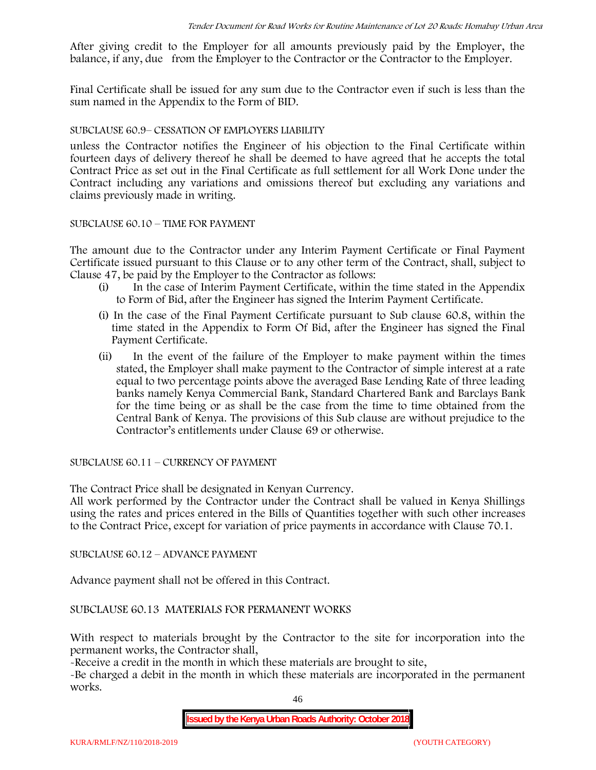After giving credit to the Employer for all amounts previously paid by the Employer, the balance, if any, due from the Employer to the Contractor or the Contractor to the Employer.

Final Certificate shall be issued for any sum due to the Contractor even if such is less than the sum named in the Appendix to the Form of BID.

#### SUBCLAUSE 60.9– CESSATION OF EMPLOYERS LIABILITY

unless the Contractor notifies the Engineer of his objection to the Final Certificate within fourteen days of delivery thereof he shall be deemed to have agreed that he accepts the total Contract Price as set out in the Final Certificate as full settlement for all Work Done under the Contract including any variations and omissions thereof but excluding any variations and claims previously made in writing.

#### SUBCLAUSE 60.10 – TIME FOR PAYMENT

The amount due to the Contractor under any Interim Payment Certificate or Final Payment Certificate issued pursuant to this Clause or to any other term of the Contract, shall, subject to Clause 47, be paid by the Employer to the Contractor as follows:

- (i) In the case of Interim Payment Certificate, within the time stated in the Appendix to Form of Bid, after the Engineer has signed the Interim Payment Certificate.
- (i) In the case of the Final Payment Certificate pursuant to Sub clause 60.8, within the time stated in the Appendix to Form Of Bid, after the Engineer has signed the Final Payment Certificate.
- (ii) In the event of the failure of the Employer to make payment within the times stated, the Employer shall make payment to the Contractor of simple interest at a rate equal to two percentage points above the averaged Base Lending Rate of three leading banks namely Kenya Commercial Bank, Standard Chartered Bank and Barclays Bank for the time being or as shall be the case from the time to time obtained from the Central Bank of Kenya. The provisions of this Sub clause are without prejudice to the Contractor's entitlements under Clause 69 or otherwise.

SUBCLAUSE 60.11 – CURRENCY OF PAYMENT

The Contract Price shall be designated in Kenyan Currency.

All work performed by the Contractor under the Contract shall be valued in Kenya Shillings using the rates and prices entered in the Bills of Quantities together with such other increases to the Contract Price, except for variation of price payments in accordance with Clause 70.1.

SUBCLAUSE 60.12 – ADVANCE PAYMENT

Advance payment shall not be offered in this Contract.

SUBCLAUSE 60.13 MATERIALS FOR PERMANENT WORKS

With respect to materials brought by the Contractor to the site for incorporation into the permanent works, the Contractor shall,

-Receive a credit in the month in which these materials are brought to site,

-Be charged a debit in the month in which these materials are incorporated in the permanent works.

46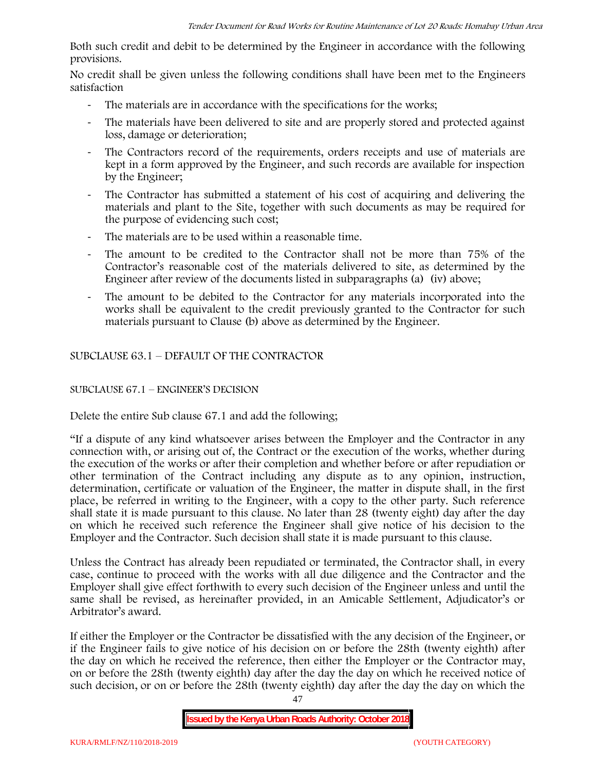Both such credit and debit to be determined by the Engineer in accordance with the following provisions.

No credit shall be given unless the following conditions shall have been met to the Engineers satisfaction

- The materials are in accordance with the specifications for the works;
- The materials have been delivered to site and are properly stored and protected against loss, damage or deterioration;
- The Contractors record of the requirements, orders receipts and use of materials are kept in a form approved by the Engineer, and such records are available for inspection by the Engineer;
- The Contractor has submitted a statement of his cost of acquiring and delivering the materials and plant to the Site, together with such documents as may be required for the purpose of evidencing such cost;
- The materials are to be used within a reasonable time.
- The amount to be credited to the Contractor shall not be more than 75% of the Contractor's reasonable cost of the materials delivered to site, as determined by the Engineer after review of the documents listed in subparagraphs (a) (iv) above;
- The amount to be debited to the Contractor for any materials incorporated into the works shall be equivalent to the credit previously granted to the Contractor for such materials pursuant to Clause (b) above as determined by the Engineer.

SUBCLAUSE 63.1 – DEFAULT OF THE CONTRACTOR

# SUBCLAUSE 67.1 – ENGINEER'S DECISION

Delete the entire Sub clause 67.1 and add the following;

"If a dispute of any kind whatsoever arises between the Employer and the Contractor in any connection with, or arising out of, the Contract or the execution of the works, whether during the execution of the works or after their completion and whether before or after repudiation or other termination of the Contract including any dispute as to any opinion, instruction, determination, certificate or valuation of the Engineer, the matter in dispute shall, in the first place, be referred in writing to the Engineer, with a copy to the other party. Such reference shall state it is made pursuant to this clause. No later than 28 (twenty eight) day after the day on which he received such reference the Engineer shall give notice of his decision to the Employer and the Contractor. Such decision shall state it is made pursuant to this clause.

Unless the Contract has already been repudiated or terminated, the Contractor shall, in every case, continue to proceed with the works with all due diligence and the Contractor and the Employer shall give effect forthwith to every such decision of the Engineer unless and until the same shall be revised, as hereinafter provided, in an Amicable Settlement, Adjudicator's or Arbitrator's award.

If either the Employer or the Contractor be dissatisfied with the any decision of the Engineer, or if the Engineer fails to give notice of his decision on or before the 28th (twenty eighth) after the day on which he received the reference, then either the Employer or the Contractor may, on or before the 28th (twenty eighth) day after the day the day on which he received notice of such decision, or on or before the 28th (twenty eighth) day after the day the day on which the

**Issued by the Kenya Urban Roads Authority: October 2018**

47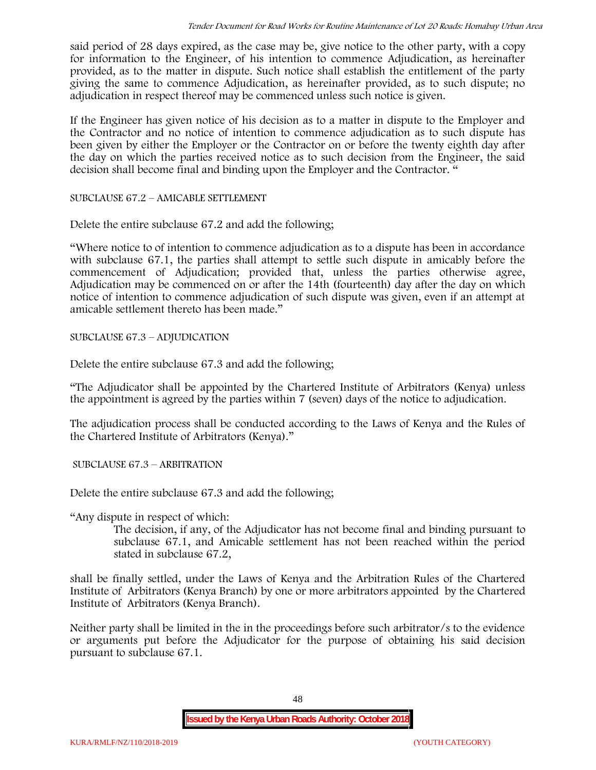said period of 28 days expired, as the case may be, give notice to the other party, with a copy for information to the Engineer, of his intention to commence Adjudication, as hereinafter provided, as to the matter in dispute. Such notice shall establish the entitlement of the party giving the same to commence Adjudication, as hereinafter provided, as to such dispute; no adjudication in respect thereof may be commenced unless such notice is given.

If the Engineer has given notice of his decision as to a matter in dispute to the Employer and the Contractor and no notice of intention to commence adjudication as to such dispute has been given by either the Employer or the Contractor on or before the twenty eighth day after the day on which the parties received notice as to such decision from the Engineer, the said decision shall become final and binding upon the Employer and the Contractor. "

SUBCLAUSE 67.2 – AMICABLE SETTLEMENT

Delete the entire subclause 67.2 and add the following;

"Where notice to of intention to commence adjudication as to a dispute has been in accordance with subclause 67.1, the parties shall attempt to settle such dispute in amicably before the commencement of Adjudication; provided that, unless the parties otherwise agree, Adjudication may be commenced on or after the 14th (fourteenth) day after the day on which notice of intention to commence adjudication of such dispute was given, even if an attempt at amicable settlement thereto has been made."

SUBCLAUSE 67.3 – ADJUDICATION

Delete the entire subclause 67.3 and add the following;

"The Adjudicator shall be appointed by the Chartered Institute of Arbitrators (Kenya) unless the appointment is agreed by the parties within 7 (seven) days of the notice to adjudication.

The adjudication process shall be conducted according to the Laws of Kenya and the Rules of the Chartered Institute of Arbitrators (Kenya)."

SUBCLAUSE 67.3 – ARBITRATION

Delete the entire subclause 67.3 and add the following;

"Any dispute in respect of which:

The decision, if any, of the Adjudicator has not become final and binding pursuant to subclause 67.1, and Amicable settlement has not been reached within the period stated in subclause 67.2,

shall be finally settled, under the Laws of Kenya and the Arbitration Rules of the Chartered Institute of Arbitrators (Kenya Branch) by one or more arbitrators appointed by the Chartered Institute of Arbitrators (Kenya Branch).

Neither party shall be limited in the in the proceedings before such arbitrator/s to the evidence or arguments put before the Adjudicator for the purpose of obtaining his said decision pursuant to subclause 67.1.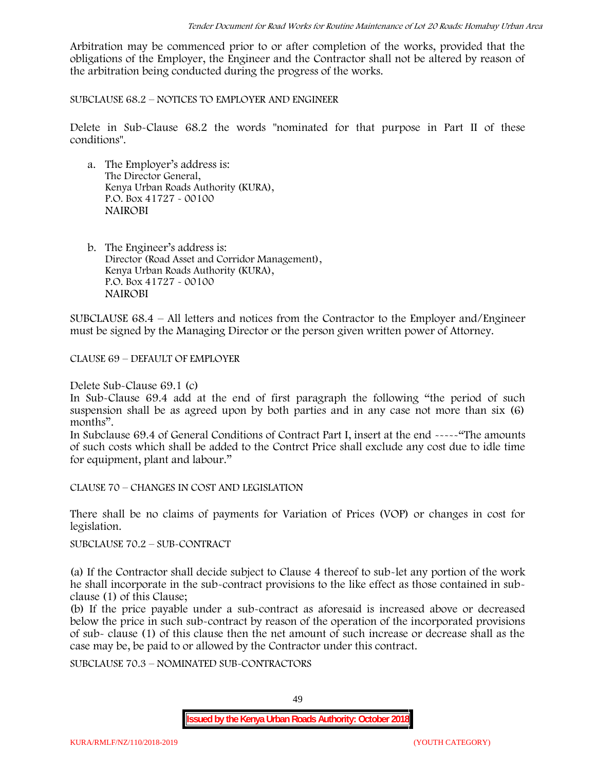Arbitration may be commenced prior to or after completion of the works, provided that the obligations of the Employer, the Engineer and the Contractor shall not be altered by reason of the arbitration being conducted during the progress of the works.

SUBCLAUSE 68.2 – NOTICES TO EMPLOYER AND ENGINEER

Delete in Sub-Clause 68.2 the words "nominated for that purpose in Part II of these conditions".

- a. The Employer's address is: The Director General, Kenya Urban Roads Authority (KURA), P.O. Box 41727 - 00100 **NAIROBI**
- b. The Engineer's address is: Director (Road Asset and Corridor Management), Kenya Urban Roads Authority (KURA), P.O. Box 41727 - 00100 **NAIROBI**

SUBCLAUSE 68.4 – All letters and notices from the Contractor to the Employer and/Engineer must be signed by the Managing Director or the person given written power of Attorney.

CLAUSE 69 – DEFAULT OF EMPLOYER

Delete Sub-Clause 69.1 (c)

In Sub-Clause 69.4 add at the end of first paragraph the following "the period of such suspension shall be as agreed upon by both parties and in any case not more than six (6) months".

In Subclause 69.4 of General Conditions of Contract Part I, insert at the end -----"The amounts of such costs which shall be added to the Contrct Price shall exclude any cost due to idle time for equipment, plant and labour."

CLAUSE 70 – CHANGES IN COST AND LEGISLATION

There shall be no claims of payments for Variation of Prices (VOP) or changes in cost for legislation.

SUBCLAUSE 70.2 – SUB-CONTRACT

(a) If the Contractor shall decide subject to Clause 4 thereof to sub-let any portion of the work he shall incorporate in the sub-contract provisions to the like effect as those contained in sub clause (1) of this Clause;

(b) If the price payable under a sub-contract as aforesaid is increased above or decreased below the price in such sub-contract by reason of the operation of the incorporated provisions of sub- clause (1) of this clause then the net amount of such increase or decrease shall as the case may be, be paid to or allowed by the Contractor under this contract.

SUBCLAUSE 70.3 – NOMINATED SUB-CONTRACTORS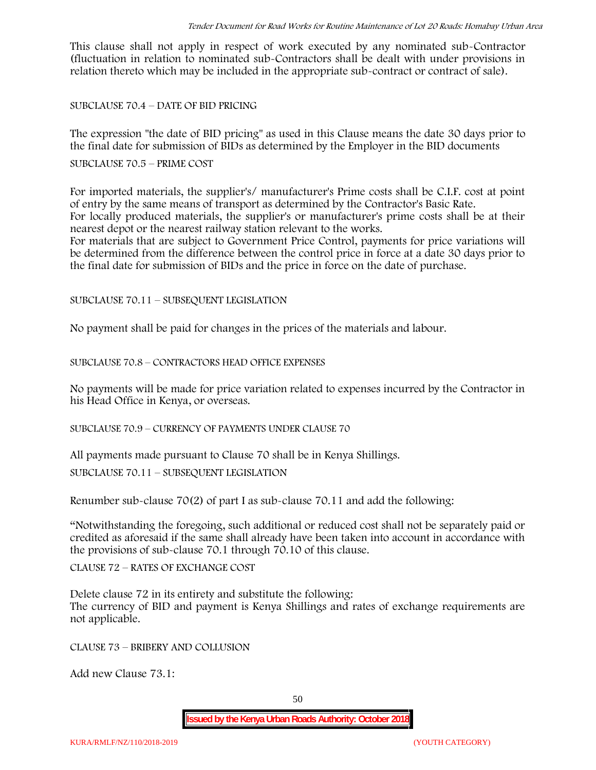This clause shall not apply in respect of work executed by any nominated sub-Contractor (fluctuation in relation to nominated sub-Contractors shall be dealt with under provisions in relation thereto which may be included in the appropriate sub-contract or contract of sale).

SUBCLAUSE 70.4 – DATE OF BID PRICING

The expression "the date of BID pricing" as used in this Clause means the date 30 days prior to the final date for submission of BIDs as determined by the Employer in the BID documents

SUBCLAUSE 70.5 – PRIME COST

For imported materials, the supplier's/ manufacturer's Prime costs shall be C.I.F. cost at point of entry by the same means of transport as determined by the Contractor's Basic Rate. For locally produced materials, the supplier's or manufacturer's prime costs shall be at their nearest depot or the nearest railway station relevant to the works.

For materials that are subject to Government Price Control, payments for price variations will be determined from the difference between the control price in force at a date 30 days prior to the final date for submission of BIDs and the price in force on the date of purchase.

SUBCLAUSE 70.11 – SUBSEQUENT LEGISLATION

No payment shall be paid for changes in the prices of the materials and labour.

SUBCLAUSE 70.8 – CONTRACTORS HEAD OFFICE EXPENSES

No payments will be made for price variation related to expenses incurred by the Contractor in his Head Office in Kenya, or overseas.

SUBCLAUSE 70.9 – CURRENCY OF PAYMENTS UNDER CLAUSE 70

All payments made pursuant to Clause 70 shall be in Kenya Shillings.

SUBCLAUSE 70.11 – SUBSEQUENT LEGISLATION

Renumber sub-clause 70(2) of part I as sub-clause 70.11 and add the following:

"Notwithstanding the foregoing, such additional or reduced cost shall not be separately paid or credited as aforesaid if the same shall already have been taken into account in accordance with the provisions of sub-clause 70.1 through 70.10 of this clause.

CLAUSE 72 – RATES OF EXCHANGE COST

Delete clause 72 in its entirety and substitute the following: The currency of BID and payment is Kenya Shillings and rates of exchange requirements are not applicable.

CLAUSE 73 – BRIBERY AND COLLUSION

Add new Clause 73.1: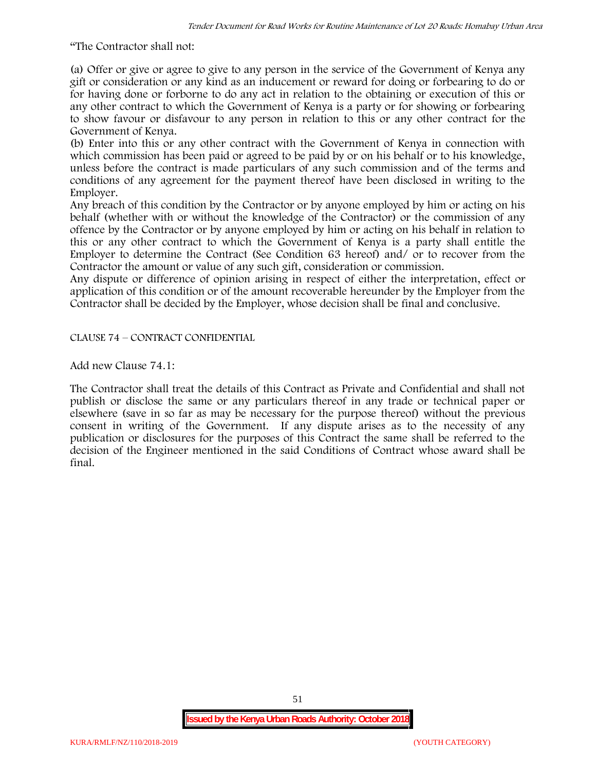"The Contractor shall not:

(a) Offer or give or agree to give to any person in the service of the Government of Kenya any gift or consideration or any kind as an inducement or reward for doing or forbearing to do or for having done or forborne to do any act in relation to the obtaining or execution of this or any other contract to which the Government of Kenya is a party or for showing or forbearing to show favour or disfavour to any person in relation to this or any other contract for the Government of Kenya.

(b) Enter into this or any other contract with the Government of Kenya in connection with which commission has been paid or agreed to be paid by or on his behalf or to his knowledge, unless before the contract is made particulars of any such commission and of the terms and conditions of any agreement for the payment thereof have been disclosed in writing to the Employer.

Any breach of this condition by the Contractor or by anyone employed by him or acting on his behalf (whether with or without the knowledge of the Contractor) or the commission of any offence by the Contractor or by anyone employed by him or acting on his behalf in relation to this or any other contract to which the Government of Kenya is a party shall entitle the Employer to determine the Contract (See Condition 63 hereof) and/ or to recover from the Contractor the amount or value of any such gift, consideration or commission.

Any dispute or difference of opinion arising in respect of either the interpretation, effect or application of this condition or of the amount recoverable hereunder by the Employer from the Contractor shall be decided by the Employer, whose decision shall be final and conclusive.

CLAUSE 74 – CONTRACT CONFIDENTIAL

Add new Clause 74.1:

The Contractor shall treat the details of this Contract as Private and Confidential and shall not publish or disclose the same or any particulars thereof in any trade or technical paper or elsewhere (save in so far as may be necessary for the purpose thereof) without the previous consent in writing of the Government. If any dispute arises as to the necessity of any publication or disclosures for the purposes of this Contract the same shall be referred to the decision of the Engineer mentioned in the said Conditions of Contract whose award shall be final.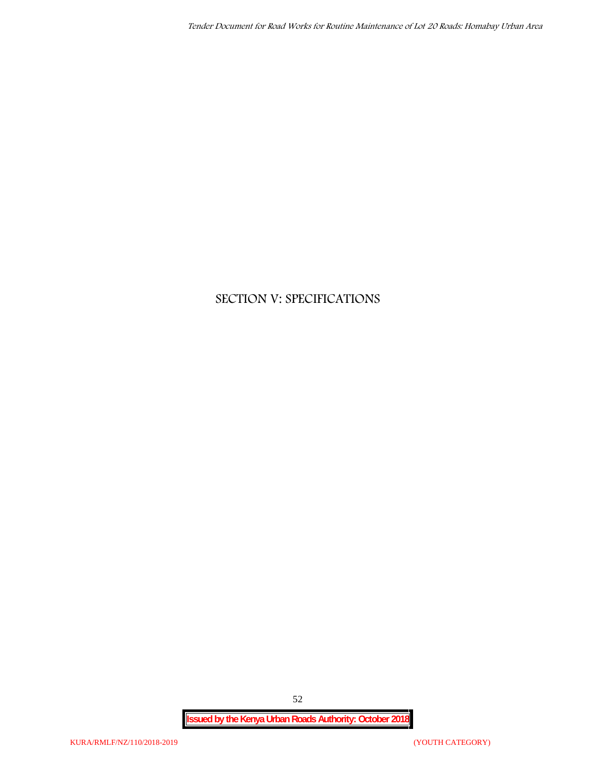# **SECTION V: SPECIFICATIONS**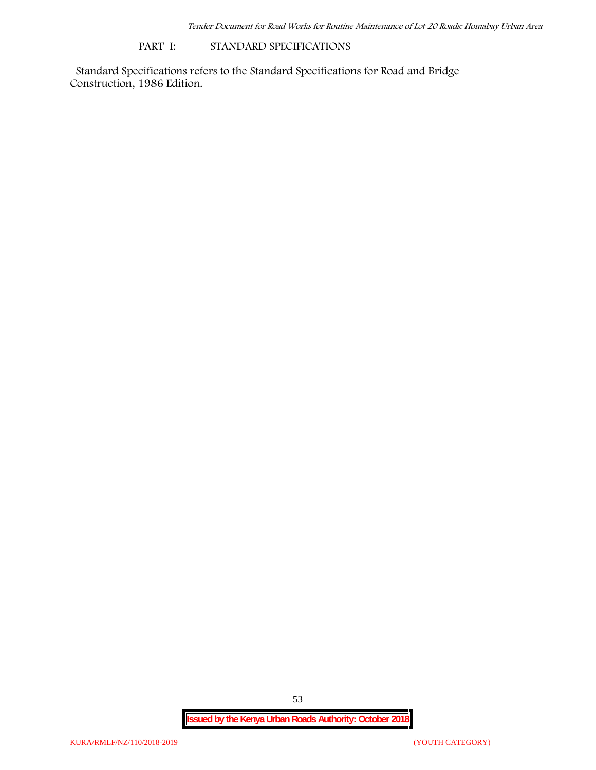#### **PART I: STANDARD SPECIFICATIONS**

Standard Specifications refers to the Standard Specifications for Road and Bridge Construction, 1986 Edition.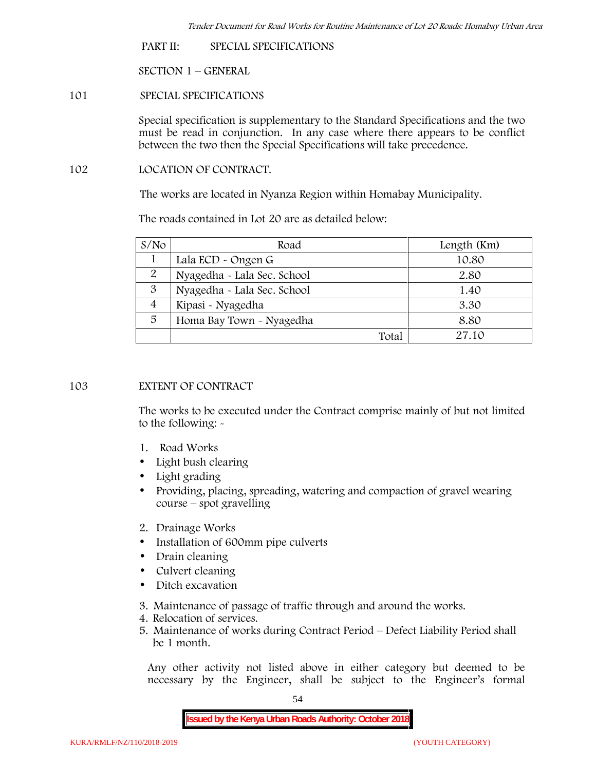**PART II: SPECIAL SPECIFICATIONS**

**SECTION 1 – GENERAL**

**101 SPECIAL SPECIFICATIONS**

Special specification is supplementary to the Standard Specifications and the two must be read in conjunction. In any case where there appears to be conflict between the two then the Special Specifications will take precedence.

**102 LOCATION OF CONTRACT.**

The works are located in Nyanza Region within Homabay Municipality.

The roads contained in Lot 20 are as detailed below:

| S/N <sub>O</sub> | Road                        | Length (Km) |
|------------------|-----------------------------|-------------|
|                  | Lala ECD - Ongen G          | 10.80       |
| 2                | Nyagedha - Lala Sec. School | 2.80        |
| 3                | Nyagedha - Lala Sec. School | 1.40        |
| 4                | Kipasi - Nyagedha           | 3.30        |
| 5                | Homa Bay Town - Nyagedha    | 8.80        |
|                  | Total                       | 27.10       |

## **103 EXTENT OF CONTRACT**

The works to be executed under the Contract comprise mainly of but not limited to the following: -

- **1. Road Works**
- Light bush clearing
- Light grading
- Providing, placing, spreading, watering and compaction of gravel wearing course – spot gravelling
- **2. Drainage Works**
- Installation of 600mm pipe culverts
- Drain cleaning
- Culvert cleaning
- Ditch excavation
- **3. Maintenance of passage of traffic through and around the works.**
- **4. Relocation of services.**
- **5. Maintenance of works during Contract Period – Defect Liability Period shall be 1 month.**

Any other activity not listed above in either category but deemed to be necessary by the Engineer, shall be subject to the Engineer's formal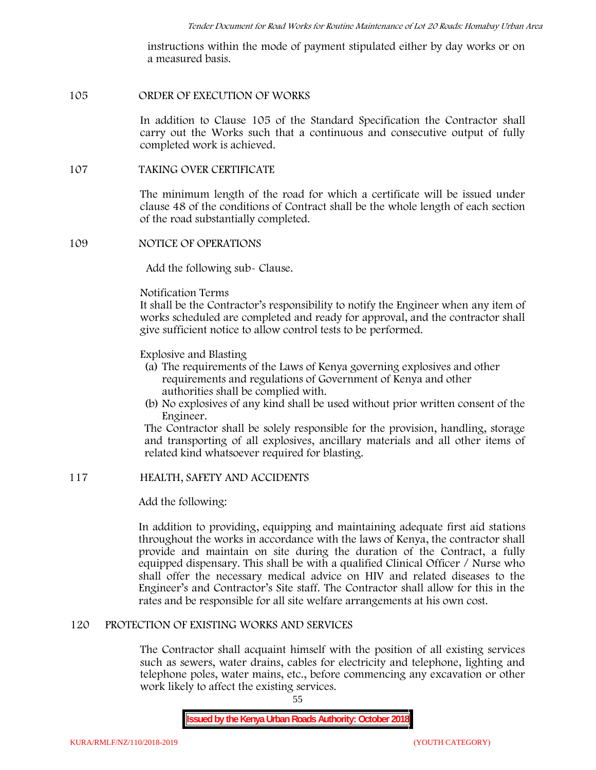instructions within the mode of payment stipulated either by day works or on a measured basis.

#### **105 ORDER OF EXECUTION OF WORKS**

In addition to Clause 105 of the Standard Specification the Contractor shall carry out the Works such that a continuous and consecutive output of fully completed work is achieved.

#### **107 TAKING OVER CERTIFICATE**

The minimum length of the road for which a certificate will be issued under clause 48 of the conditions of Contract shall be the whole length of each section of the road substantially completed.

#### **109 NOTICE OF OPERATIONS**

Add the following sub- Clause.

#### Notification Terms

It shall be the Contractor's responsibility to notify the Engineer when any item of works scheduled are completed and ready for approval, and the contractor shall give sufficient notice to allow control tests to be performed.

#### Explosive and Blasting

- (a) The requirements of the Laws of Kenya governing explosives and other requirements and regulations of Government of Kenya and other authorities shall be complied with.
- (b) No explosives of any kind shall be used without prior written consent of the Engineer.

The Contractor shall be solely responsible for the provision, handling, storage and transporting of all explosives, ancillary materials and all other items of related kind whatsoever required for blasting.

## **117 HEALTH, SAFETY AND ACCIDENTS**

## Add the following:

In addition to providing, equipping and maintaining adequate first aid stations throughout the works in accordance with the laws of Kenya, the contractor shall provide and maintain on site during the duration of the Contract, a fully equipped dispensary. This shall be with a qualified Clinical Officer / Nurse who shall offer the necessary medical advice on HIV and related diseases to the Engineer's and Contractor's Site staff. The Contractor shall allow for this in the rates and be responsible for all site welfare arrangements at his own cost.

#### **120 PROTECTION OF EXISTING WORKS AND SERVICES**

The Contractor shall acquaint himself with the position of all existing services such as sewers, water drains, cables for electricity and telephone, lighting and telephone poles, water mains, etc., before commencing any excavation or other work likely to affect the existing services.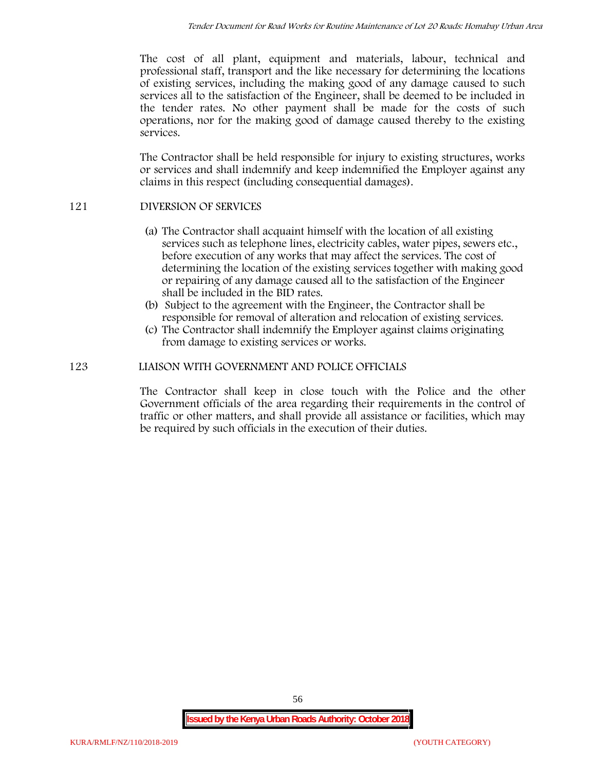The cost of all plant, equipment and materials, labour, technical and professional staff, transport and the like necessary for determining the locations of existing services, including the making good of any damage caused to such services all to the satisfaction of the Engineer, shall be deemed to be included in the tender rates. No other payment shall be made for the costs of such operations, nor for the making good of damage caused thereby to the existing services.

The Contractor shall be held responsible for injury to existing structures, works or services and shall indemnify and keep indemnified the Employer against any claims in this respect (including consequential damages).

## **121 DIVERSION OF SERVICES**

- (a) The Contractor shall acquaint himself with the location of all existing services such as telephone lines, electricity cables, water pipes, sewers etc., before execution of any works that may affect the services. The cost of determining the location of the existing services together with making good or repairing of any damage caused all to the satisfaction of the Engineer shall be included in the BID rates.
- (b) Subject to the agreement with the Engineer, the Contractor shall be responsible for removal of alteration and relocation of existing services.
- (c) The Contractor shall indemnify the Employer against claims originating from damage to existing services or works.

## **123 LIAISON WITH GOVERNMENT AND POLICE OFFICIALS**

The Contractor shall keep in close touch with the Police and the other Government officials of the area regarding their requirements in the control of traffic or other matters, and shall provide all assistance or facilities, which may be required by such officials in the execution of their duties.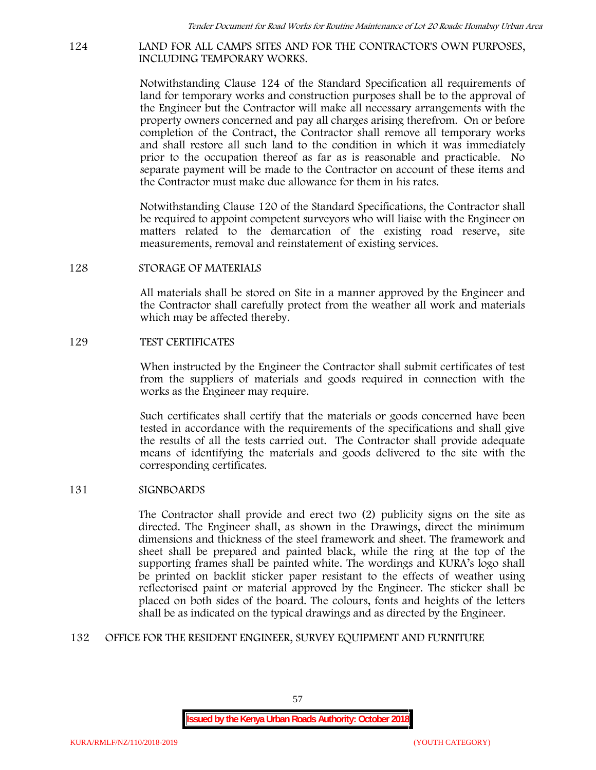#### **124 LAND FOR ALL CAMPS SITES AND FOR THE CONTRACTOR'S OWN PURPOSES, INCLUDING TEMPORARY WORKS.**

Notwithstanding Clause 124 of the Standard Specification all requirements of land for temporary works and construction purposes shall be to the approval of the Engineer but the Contractor will make all necessary arrangements with the property owners concerned and pay all charges arising therefrom. On or before completion of the Contract, the Contractor shall remove all temporary works and shall restore all such land to the condition in which it was immediately prior to the occupation thereof as far as is reasonable and practicable. No separate payment will be made to the Contractor on account of these items and the Contractor must make due allowance for them in his rates.

Notwithstanding Clause 120 of the Standard Specifications, the Contractor shall be required to appoint competent surveyors who will liaise with the Engineer on matters related to the demarcation of the existing road reserve, site measurements, removal and reinstatement of existing services.

#### **128 STORAGE OF MATERIALS**

All materials shall be stored on Site in a manner approved by the Engineer and the Contractor shall carefully protect from the weather all work and materials which may be affected thereby.

#### **129 TEST CERTIFICATES**

When instructed by the Engineer the Contractor shall submit certificates of test from the suppliers of materials and goods required in connection with the works as the Engineer may require.

Such certificates shall certify that the materials or goods concerned have been tested in accordance with the requirements of the specifications and shall give the results of all the tests carried out. The Contractor shall provide adequate means of identifying the materials and goods delivered to the site with the corresponding certificates.

## **131 SIGNBOARDS**

The Contractor shall provide and erect two (2) publicity signs on the site as directed. The Engineer shall, as shown in the Drawings, direct the minimum dimensions and thickness of the steel framework and sheet. The framework and sheet shall be prepared and painted black, while the ring at the top of the supporting frames shall be painted white. The wordings and KURA's logo shall be printed on backlit sticker paper resistant to the effects of weather using reflectorised paint or material approved by the Engineer. The sticker shall be placed on both sides of the board. The colours, fonts and heights of the letters shall be as indicated on the typical drawings and as directed by the Engineer.

## **132 OFFICE FOR THE RESIDENT ENGINEER, SURVEY EQUIPMENT AND FURNITURE**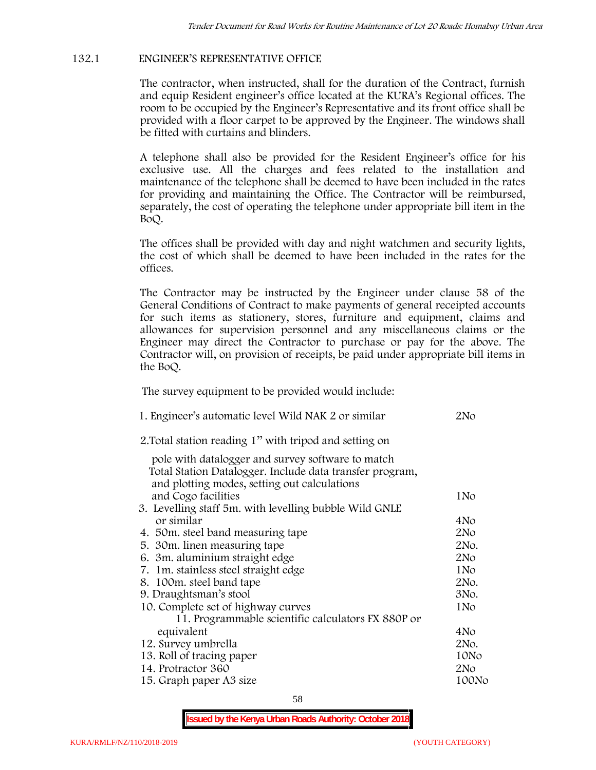## **132.1 ENGINEER'S REPRESENTATIVE OFFICE**

The contractor, when instructed, shall for the duration of the Contract, furnish and equip Resident engineer's office located at the KURA's Regional offices. The room to be occupied by the Engineer's Representative and its front office shall be provided with a floor carpet to be approved by the Engineer. The windows shall be fitted with curtains and blinders.

A telephone shall also be provided for the Resident Engineer's office for his exclusive use. All the charges and fees related to the installation and maintenance of the telephone shall be deemed to have been included in the rates for providing and maintaining the Office. The Contractor will be reimbursed, separately, the cost of operating the telephone under appropriate bill item in the BoQ.

The offices shall be provided with day and night watchmen and security lights, the cost of which shall be deemed to have been included in the rates for the offices.

The Contractor may be instructed by the Engineer under clause 58 of the General Conditions of Contract to make payments of general receipted accounts for such items as stationery, stores, furniture and equipment, claims and allowances for supervision personnel and any miscellaneous claims or the Engineer may direct the Contractor to purchase or pay for the above. The Contractor will, on provision of receipts, be paid under appropriate bill items in the BoQ.

**The survey equipment to be provided would include:**

| 1. Engineer's automatic level Wild NAK 2 or similar                                                      | 2N <sub>O</sub> |
|----------------------------------------------------------------------------------------------------------|-----------------|
| 2. Total station reading 1" with tripod and setting on                                                   |                 |
| pole with datalogger and survey software to match                                                        |                 |
| Total Station Datalogger. Include data transfer program,<br>and plotting modes, setting out calculations |                 |
| and Cogo facilities                                                                                      | 1No             |
| 3. Levelling staff 5m. with levelling bubble Wild GNLE                                                   |                 |
| or similar                                                                                               | 4No             |
| 4. 50 m. steel band measuring tape                                                                       | 2N <sub>O</sub> |
| 5. 30 m. linen measuring tape                                                                            | 2No.            |
| 6. 3m. aluminium straight edge                                                                           | 2N <sub>O</sub> |
| 7. 1m. stainless steel straight edge                                                                     | 1No             |
| 8. 100m. steel band tape                                                                                 | 2No.            |
| 9. Draughtsman's stool                                                                                   | 3No.            |
| 10. Complete set of highway curves                                                                       | 1No             |
| 11. Programmable scientific calculators FX 880P or                                                       |                 |
| equivalent                                                                                               | 4No             |
| 12. Survey umbrella                                                                                      | 2No.            |
| 13. Roll of tracing paper                                                                                | 10No            |
| 14. Protractor 360                                                                                       | 2No             |
| 15. Graph paper A3 size                                                                                  | 100No           |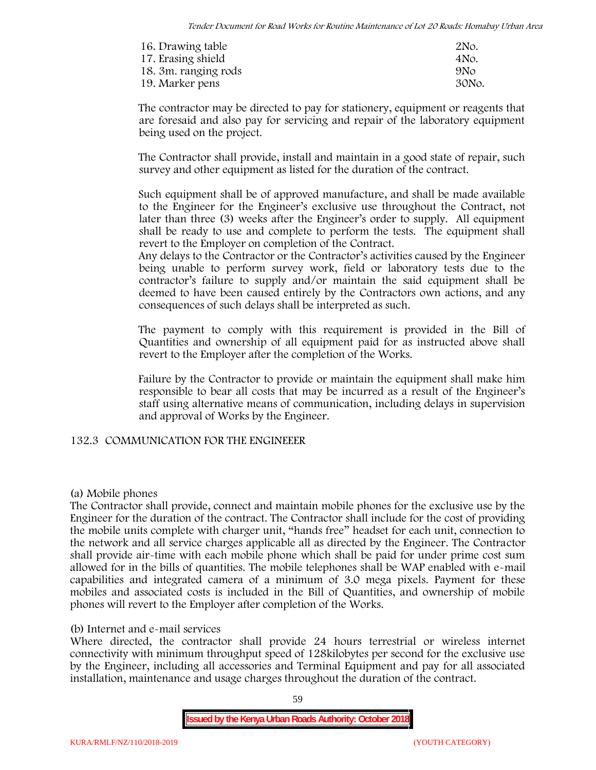| 16. Drawing table    | 2No.            |
|----------------------|-----------------|
| 17. Erasing shield   | 4No.            |
| 18. 3m. ranging rods | 9N <sub>O</sub> |
| 19. Marker pens      | 30No.           |

The contractor may be directed to pay for stationery, equipment or reagents that are foresaid and also pay for servicing and repair of the laboratory equipment being used on the project.

The Contractor shall provide, install and maintain in a good state of repair, such survey and other equipment as listed for the duration of the contract.

Such equipment shall be of approved manufacture, and shall be made available to the Engineer for the Engineer's exclusive use throughout the Contract, not later than three (3) weeks after the Engineer's order to supply. All equipment shall be ready to use and complete to perform the tests. The equipment shall revert to the Employer on completion of the Contract.

Any delays to the Contractor or the Contractor's activities caused by the Engineer being unable to perform survey work, field or laboratory tests due to the contractor's failure to supply and/or maintain the said equipment shall be deemed to have been caused entirely by the Contractors own actions, and any consequences of such delays shall be interpreted as such.

The payment to comply with this requirement is provided in the Bill of Quantities and ownership of all equipment paid for as instructed above shall revert to the Employer after the completion of the Works.

Failure by the Contractor to provide or maintain the equipment shall make him responsible to bear all costs that may be incurred as a result of the Engineer's staff using alternative means of communication, including delays in supervision and approval of Works by the Engineer.

## **132.3 COMMUNICATION FOR THE ENGINEEER**

## **(a) Mobile phones**

The Contractor shall provide, connect and maintain mobile phones for the exclusive use by the Engineer for the duration of the contract. The Contractor shall include for the cost of providing the mobile units complete with charger unit, "hands free" headset for each unit, connection to the network and all service charges applicable all as directed by the Engineer. The Contractor shall provide air-time with each mobile phone which shall be paid for under prime cost sum allowed for in the bills of quantities. The mobile telephones shall be WAP enabled with e-mail capabilities and integrated camera of a minimum of 3.0 mega pixels. Payment for these mobiles and associated costs is included in the Bill of Quantities, and ownership of mobile phones will revert to the Employer after completion of the Works.

## **(b) Internet and e-mail services**

Where directed, the contractor shall provide 24 hours terrestrial or wireless internet connectivity with minimum throughput speed of 128kilobytes per second for the exclusive use by the Engineer, including all accessories and Terminal Equipment and pay for all associated installation, maintenance and usage charges throughout the duration of the contract.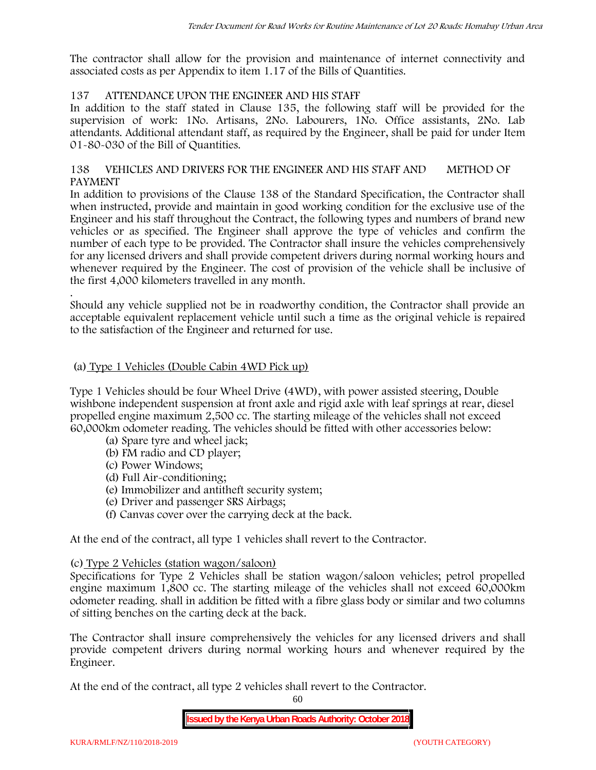The contractor shall allow for the provision and maintenance of internet connectivity and associated costs as per Appendix to item 1.17 of the Bills of Quantities.

## **137 ATTENDANCE UPON THE ENGINEER AND HIS STAFF**

In addition to the staff stated in Clause 135, the following staff will be provided for the supervision of work: 1No. Artisans, 2No. Labourers, 1No. Office assistants, 2No. Lab attendants. Additional attendant staff, as required by the Engineer, shall be paid for under Item 01-80-030 of the Bill of Quantities.

## **138 VEHICLES AND DRIVERS FOR THE ENGINEER AND HIS STAFF AND METHOD OF PAYMENT**

In addition to provisions of the Clause 138 of the Standard Specification, the Contractor shall when instructed, provide and maintain in good working condition for the exclusive use of the Engineer and his staff throughout the Contract, the following types and numbers of brand new vehicles or as specified. The Engineer shall approve the type of vehicles and confirm the number of each type to be provided. The Contractor shall insure the vehicles comprehensively for any licensed drivers and shall provide competent drivers during normal working hours and whenever required by the Engineer. The cost of provision of the vehicle shall be inclusive of the first 4,000 kilometers travelled in any month.

.Should any vehicle supplied not be in roadworthy condition, the Contractor shall provide an acceptable equivalent replacement vehicle until such a time as the original vehicle is repaired to the satisfaction of the Engineer and returned for use.

## **(a) Type 1 Vehicles (Double Cabin 4WD Pick up)**

Type 1 Vehicles should be four Wheel Drive (4WD), with power assisted steering, Double wishbone independent suspension at front axle and rigid axle with leaf springs at rear, diesel propelled engine maximum 2,500 cc. The starting mileage of the vehicles shall not exceed 60,000km odometer reading. The vehicles should be fitted with other accessories below:

- (a) Spare tyre and wheel jack;
- (b) FM radio and CD player;
- (c) Power Windows;
- (d) Full Air-conditioning;
- (e) Immobilizer and antitheft security system;
- (e) Driver and passenger SRS Airbags;
- (f) Canvas cover over the carrying deck at the back.

At the end of the contract, all type 1 vehicles shall revert to the Contractor.

## **(c) Type 2 Vehicles (station wagon/saloon)**

Specifications for Type 2 Vehicles shall be station wagon/saloon vehicles; petrol propelled engine maximum 1,800 cc. The starting mileage of the vehicles shall not exceed 60,000km odometer reading. shall in addition be fitted with a fibre glass body or similar and two columns of sitting benches on the carting deck at the back.

The Contractor shall insure comprehensively the vehicles for any licensed drivers and shall provide competent drivers during normal working hours and whenever required by the Engineer.

At the end of the contract, all type 2 vehicles shall revert to the Contractor.

60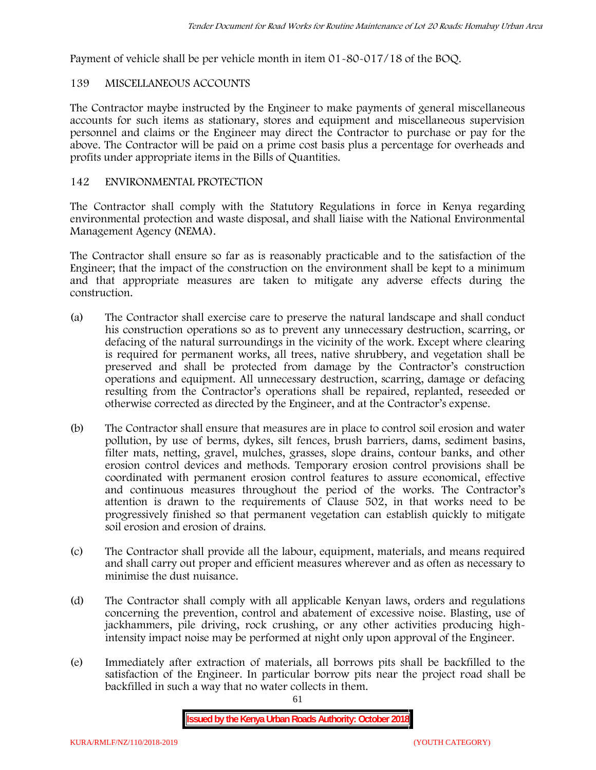Payment of vehicle shall be per vehicle month in item 01-80-017/18 of the BOQ.

## **139 MISCELLANEOUS ACCOUNTS**

The Contractor maybe instructed by the Engineer to make payments of general miscellaneous accounts for such items as stationary, stores and equipment and miscellaneous supervision personnel and claims or the Engineer may direct the Contractor to purchase or pay for the above. The Contractor will be paid on a prime cost basis plus a percentage for overheads and profits under appropriate items in the Bills of Quantities.

# **142 ENVIRONMENTAL PROTECTION**

The Contractor shall comply with the Statutory Regulations in force in Kenya regarding environmental protection and waste disposal, and shall liaise with the National Environmental Management Agency (NEMA).

The Contractor shall ensure so far as is reasonably practicable and to the satisfaction of the Engineer; that the impact of the construction on the environment shall be kept to a minimum and that appropriate measures are taken to mitigate any adverse effects during the construction.

- (a) The Contractor shall exercise care to preserve the natural landscape and shall conduct his construction operations so as to prevent any unnecessary destruction, scarring, or defacing of the natural surroundings in the vicinity of the work. Except where clearing is required for permanent works, all trees, native shrubbery, and vegetation shall be preserved and shall be protected from damage by the Contractor's construction operations and equipment. All unnecessary destruction, scarring, damage or defacing resulting from the Contractor's operations shall be repaired, replanted, reseeded or otherwise corrected as directed by the Engineer, and at the Contractor's expense.
- (b) The Contractor shall ensure that measures are in place to control soil erosion and water pollution, by use of berms, dykes, silt fences, brush barriers, dams, sediment basins, filter mats, netting, gravel, mulches, grasses, slope drains, contour banks, and other erosion control devices and methods. Temporary erosion control provisions shall be coordinated with permanent erosion control features to assure economical, effective and continuous measures throughout the period of the works. The Contractor's attention is drawn to the requirements of Clause 502, in that works need to be progressively finished so that permanent vegetation can establish quickly to mitigate soil erosion and erosion of drains.
- (c) The Contractor shall provide all the labour, equipment, materials, and means required and shall carry out proper and efficient measures wherever and as often as necessary to minimise the dust nuisance.
- (d) The Contractor shall comply with all applicable Kenyan laws, orders and regulations concerning the prevention, control and abatement of excessive noise. Blasting, use of jackhammers, pile driving, rock crushing, or any other activities producing highintensity impact noise may be performed at night only upon approval of the Engineer.
- (e) Immediately after extraction of materials, all borrows pits shall be backfilled to the satisfaction of the Engineer. In particular borrow pits near the project road shall be backfilled in such a way that no water collects in them.

61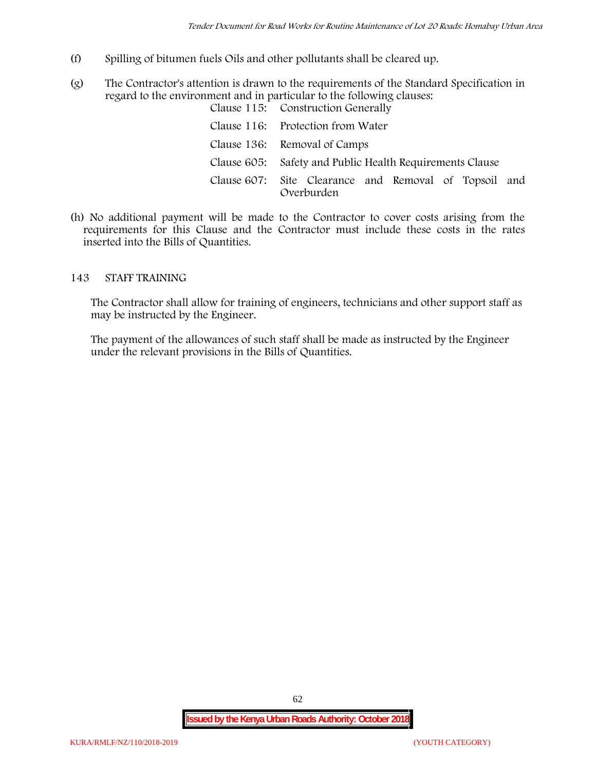- (f) Spilling of bitumen fuels Oils and other pollutants shall be cleared up.
- (g) The Contractor's attention is drawn to the requirements of the Standard Specification in regard to the environment and in particular to the following clauses: Clause 115: Construction Generally

| Clause 110. Construction dencrally                                  |
|---------------------------------------------------------------------|
| Clause 116: Protection from Water                                   |
| Clause 136: Removal of Camps                                        |
| Clause 605: Safety and Public Health Requirements Clause            |
| Clause 607: Site Clearance and Removal of Topsoil and<br>Overburden |

(h) No additional payment will be made to the Contractor to cover costs arising from the requirements for this Clause and the Contractor must include these costs in the rates inserted into the Bills of Quantities.

## **143 STAFF TRAINING**

The Contractor shall allow for training of engineers, technicians and other support staff as may be instructed by the Engineer.

The payment of the allowances of such staff shall be made as instructed by the Engineer under the relevant provisions in the Bills of Quantities.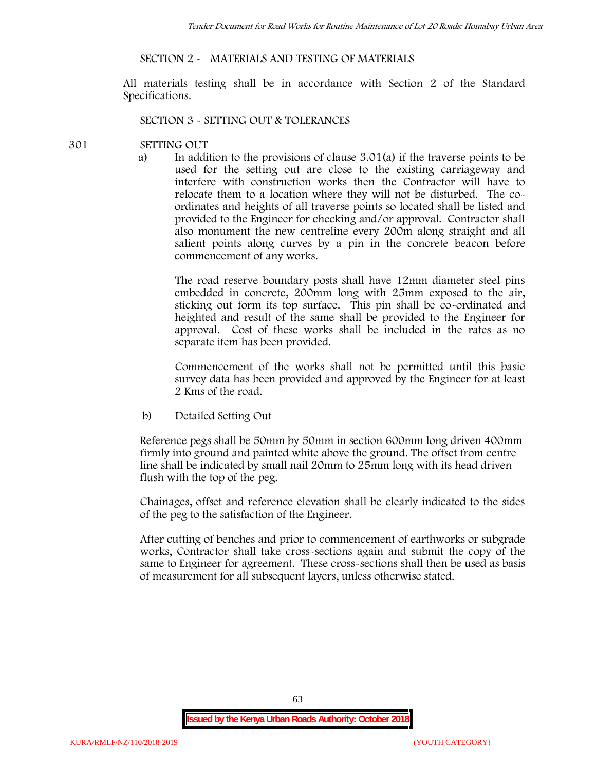## **SECTION 2 - MATERIALS AND TESTING OF MATERIALS**

All materials testing shall be in accordance with Section 2 of the Standard Specifications.

#### **SECTION 3 - SETTING OUT & TOLERANCES**

#### **301 SETTING OUT**

a) In addition to the provisions of clause 3.01(a) if the traverse points to be used for the setting out are close to the existing carriageway and interfere with construction works then the Contractor will have to relocate them to a location where they will not be disturbed. The co ordinates and heights of all traverse points so located shall be listed and provided to the Engineer for checking and/or approval. Contractor shall also monument the new centreline every 200m along straight and all salient points along curves by a pin in the concrete beacon before commencement of any works.

The road reserve boundary posts shall have 12mm diameter steel pins embedded in concrete, 200mm long with 25mm exposed to the air, sticking out form its top surface. This pin shall be co-ordinated and heighted and result of the same shall be provided to the Engineer for approval. Cost of these works shall be included in the rates as no separate item has been provided.

Commencement of the works shall not be permitted until this basic survey data has been provided and approved by the Engineer for at least 2 Kms of the road.

b) Detailed Setting Out

Reference pegs shall be 50mm by 50mm in section 600mm long driven 400mm firmly into ground and painted white above the ground. The offset from centre line shall be indicated by small nail 20mm to 25mm long with its head driven flush with the top of the peg.

Chainages, offset and reference elevation shall be clearly indicated to the sides of the peg to the satisfaction of the Engineer.

After cutting of benches and prior to commencement of earthworks or subgrade works, Contractor shall take cross-sections again and submit the copy of the same to Engineer for agreement. These cross-sections shall then be used as basis of measurement for all subsequent layers, unless otherwise stated.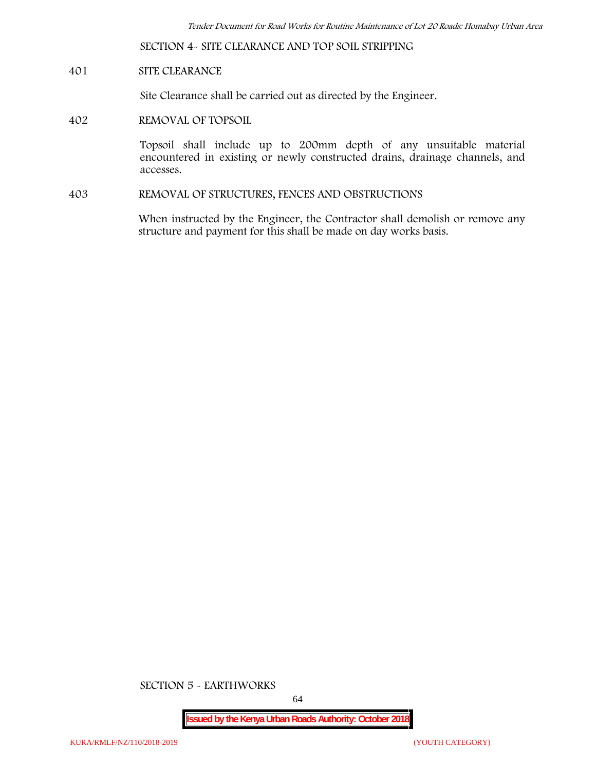**SECTION 4- SITE CLEARANCE AND TOP SOIL STRIPPING**

## **401 SITE CLEARANCE**

Site Clearance shall be carried out as directed by the Engineer.

**402 REMOVAL OF TOPSOIL**

Topsoil shall include up to 200mm depth of any unsuitable material encountered in existing or newly constructed drains, drainage channels, and accesses.

**403 REMOVAL OF STRUCTURES, FENCES AND OBSTRUCTIONS**

When instructed by the Engineer, the Contractor shall demolish or remove any structure and payment for this shall be made on day works basis.

**SECTION 5 - EARTHWORKS**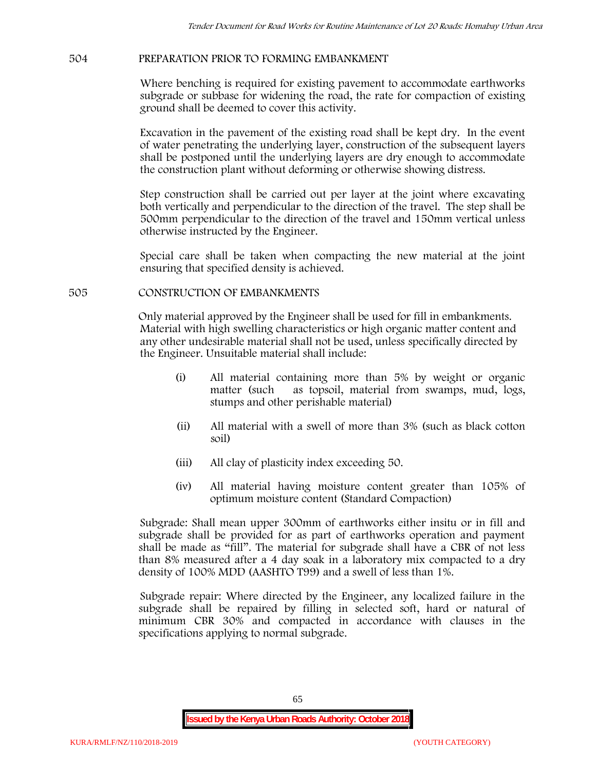## **504 PREPARATION PRIOR TO FORMING EMBANKMENT**

Where benching is required for existing pavement to accommodate earthworks subgrade or subbase for widening the road, the rate for compaction of existing ground shall be deemed to cover this activity.

Excavation in the pavement of the existing road shall be kept dry. In the event of water penetrating the underlying layer, construction of the subsequent layers shall be postponed until the underlying layers are dry enough to accommodate the construction plant without deforming or otherwise showing distress.

Step construction shall be carried out per layer at the joint where excavating both vertically and perpendicular to the direction of the travel. The step shall be 500mm perpendicular to the direction of the travel and 150mm vertical unless otherwise instructed by the Engineer.

Special care shall be taken when compacting the new material at the joint ensuring that specified density is achieved.

## **505 CONSTRUCTION OF EMBANKMENTS**

Only material approved by the Engineer shall be used for fill in embankments. Material with high swelling characteristics or high organic matter content and any other undesirable material shall not be used, unless specifically directed by the Engineer. Unsuitable material shall include:

- (i) All material containing more than 5% by weight or organic matter (such as topsoil, material from swamps, mud, logs, stumps and other perishable material)
- (ii) All material with a swell of more than 3% (such as black cotton soil)
- (iii) All clay of plasticity index exceeding 50.
- (iv) All material having moisture content greater than 105% of optimum moisture content (Standard Compaction)

Subgrade: Shall mean upper 300mm of earthworks either insitu or in fill and subgrade shall be provided for as part of earthworks operation and payment shall be made as "fill". The material for subgrade shall have a CBR of not less than 8% measured after a 4 day soak in a laboratory mix compacted to a dry density of 100% MDD (AASHTO T99) and a swell of less than 1%.

Subgrade repair: Where directed by the Engineer, any localized failure in the subgrade shall be repaired by filling in selected soft, hard or natural of minimum CBR 30% and compacted in accordance with clauses in the specifications applying to normal subgrade.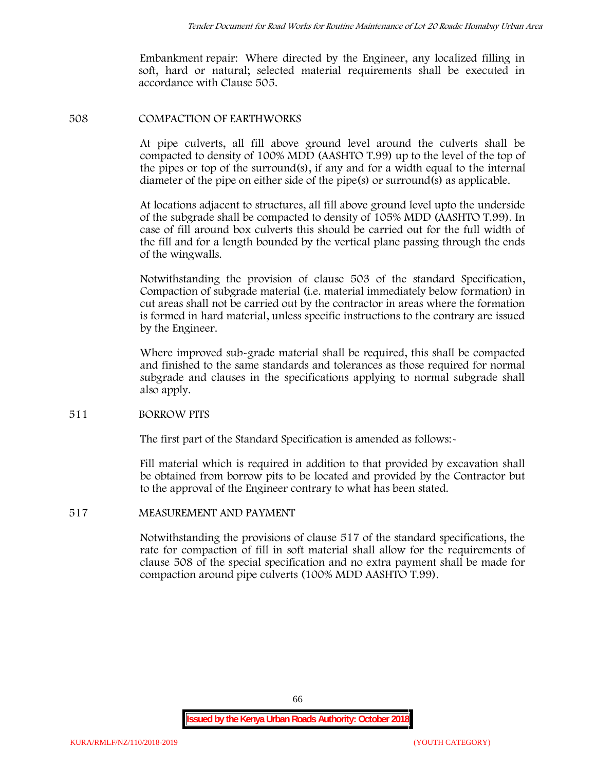Embankment repair: Where directed by the Engineer, any localized filling in soft, hard or natural; selected material requirements shall be executed in accordance with Clause 505.

#### **508 COMPACTION OF EARTHWORKS**

At pipe culverts, all fill above ground level around the culverts shall be compacted to density of 100% MDD (AASHTO T.99) up to the level of the top of the pipes or top of the surround(s), if any and for a width equal to the internal diameter of the pipe on either side of the pipe(s) or surround(s) as applicable.

At locations adjacent to structures, all fill above ground level upto the underside of the subgrade shall be compacted to density of 105% MDD (AASHTO T.99). In case of fill around box culverts this should be carried out for the full width of the fill and for a length bounded by the vertical plane passing through the ends of the wingwalls.

Notwithstanding the provision of clause 503 of the standard Specification, Compaction of subgrade material (i.e. material immediately below formation) in cut areas shall not be carried out by the contractor in areas where the formation is formed in hard material, unless specific instructions to the contrary are issued by the Engineer.

Where improved sub-grade material shall be required, this shall be compacted and finished to the same standards and tolerances as those required for normal subgrade and clauses in the specifications applying to normal subgrade shall also apply.

## **511 BORROW PITS**

The first part of the Standard Specification is amended as follows:

Fill material which is required in addition to that provided by excavation shall be obtained from borrow pits to be located and provided by the Contractor but to the approval of the Engineer contrary to what has been stated.

## **517 MEASUREMENT AND PAYMENT**

Notwithstanding the provisions of clause 517 of the standard specifications, the rate for compaction of fill in soft material shall allow for the requirements of clause 508 of the special specification and no extra payment shall be made for compaction around pipe culverts (100% MDD AASHTO T.99).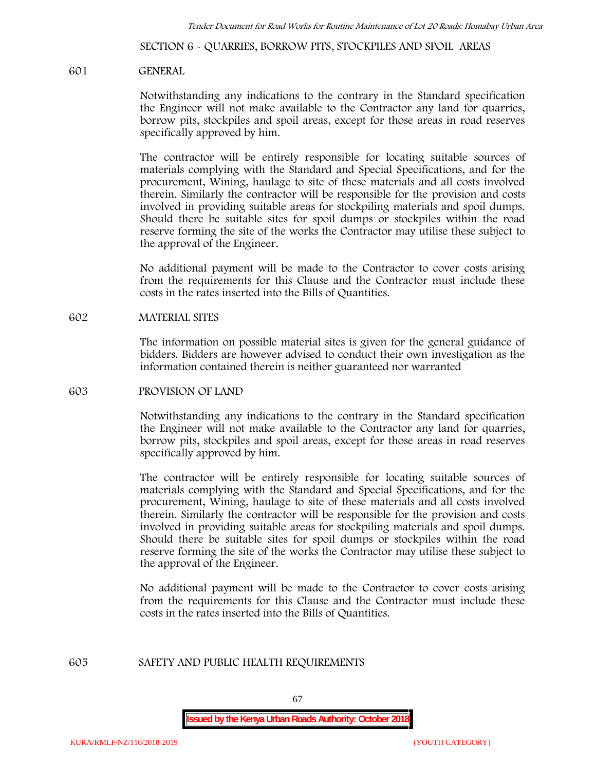**SECTION 6 - QUARRIES, BORROW PITS, STOCKPILES AND SPOIL AREAS**

#### **601 GENERAL**

Notwithstanding any indications to the contrary in the Standard specification the Engineer will not make available to the Contractor any land for quarries, borrow pits, stockpiles and spoil areas, except for those areas in road reserves specifically approved by him.

The contractor will be entirely responsible for locating suitable sources of materials complying with the Standard and Special Specifications, and for the procurement, Wining, haulage to site of these materials and all costs involved therein. Similarly the contractor will be responsible for the provision and costs involved in providing suitable areas for stockpiling materials and spoil dumps. Should there be suitable sites for spoil dumps or stockpiles within the road reserve forming the site of the works the Contractor may utilise these subject to the approval of the Engineer.

No additional payment will be made to the Contractor to cover costs arising from the requirements for this Clause and the Contractor must include these costs in the rates inserted into the Bills of Quantities.

#### **602 MATERIAL SITES**

The information on possible material sites is given for the general guidance of bidders. Bidders are however advised to conduct their own investigation as the information contained therein is neither guaranteed nor warranted

#### **603 PROVISION OF LAND**

Notwithstanding any indications to the contrary in the Standard specification the Engineer will not make available to the Contractor any land for quarries, borrow pits, stockpiles and spoil areas, except for those areas in road reserves specifically approved by him.

The contractor will be entirely responsible for locating suitable sources of materials complying with the Standard and Special Specifications, and for the procurement, Wining, haulage to site of these materials and all costs involved therein. Similarly the contractor will be responsible for the provision and costs involved in providing suitable areas for stockpiling materials and spoil dumps. Should there be suitable sites for spoil dumps or stockpiles within the road reserve forming the site of the works the Contractor may utilise these subject to the approval of the Engineer.

No additional payment will be made to the Contractor to cover costs arising from the requirements for this Clause and the Contractor must include these costs in the rates inserted into the Bills of Quantities.

## **605 SAFETY AND PUBLIC HEALTH REQUIREMENTS**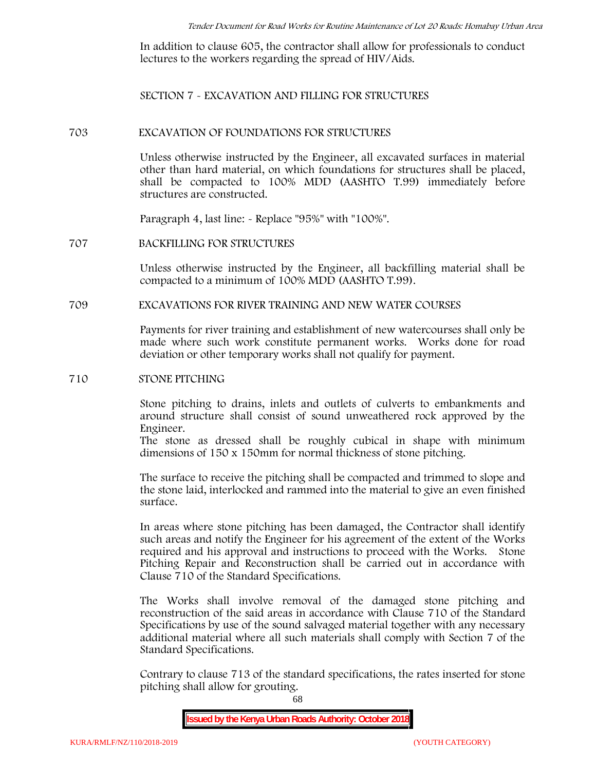In addition to clause 605, the contractor shall allow for professionals to conduct lectures to the workers regarding the spread of HIV/Aids.

**SECTION 7 - EXCAVATION AND FILLING FOR STRUCTURES**

#### **703 EXCAVATION OF FOUNDATIONS FOR STRUCTURES**

Unless otherwise instructed by the Engineer, all excavated surfaces in material other than hard material, on which foundations for structures shall be placed, shall be compacted to 100% MDD (AASHTO T.99) immediately before structures are constructed.

Paragraph 4, last line: - Replace "95%" with "100%".

#### **707 BACKFILLING FOR STRUCTURES**

Unless otherwise instructed by the Engineer, all backfilling material shall be compacted to a minimum of 100% MDD (AASHTO T.99).

## **709 EXCAVATIONS FOR RIVER TRAINING AND NEW WATER COURSES**

Payments for river training and establishment of new watercourses shall only be made where such work constitute permanent works. Works done for road deviation or other temporary works shall not qualify for payment.

#### **710 STONE PITCHING**

Stone pitching to drains, inlets and outlets of culverts to embankments and around structure shall consist of sound unweathered rock approved by the Engineer.

The stone as dressed shall be roughly cubical in shape with minimum dimensions of 150 x 150mm for normal thickness of stone pitching.

The surface to receive the pitching shall be compacted and trimmed to slope and the stone laid, interlocked and rammed into the material to give an even finished surface.

In areas where stone pitching has been damaged, the Contractor shall identify such areas and notify the Engineer for his agreement of the extent of the Works required and his approval and instructions to proceed with the Works. Stone Pitching Repair and Reconstruction shall be carried out in accordance with Clause 710 of the Standard Specifications.

The Works shall involve removal of the damaged stone pitching and reconstruction of the said areas in accordance with Clause 710 of the Standard Specifications by use of the sound salvaged material together with any necessary additional material where all such materials shall comply with Section 7 of the Standard Specifications.

Contrary to clause 713 of the standard specifications, the rates inserted for stone pitching shall allow for grouting.

68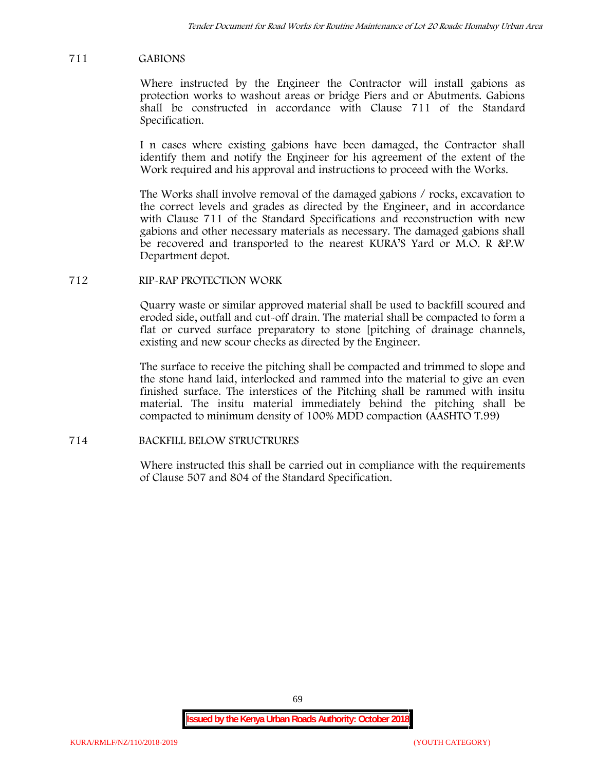## **711 GABIONS**

Where instructed by the Engineer the Contractor will install gabions as protection works to washout areas or bridge Piers and or Abutments. Gabions shall be constructed in accordance with Clause 711 of the Standard Specification.

I n cases where existing gabions have been damaged, the Contractor shall identify them and notify the Engineer for his agreement of the extent of the Work required and his approval and instructions to proceed with the Works.

The Works shall involve removal of the damaged gabions / rocks, excavation to the correct levels and grades as directed by the Engineer, and in accordance with Clause 711 of the Standard Specifications and reconstruction with new gabions and other necessary materials as necessary. The damaged gabions shall be recovered and transported to the nearest KURA'S Yard or M.O. R &P.W Department depot.

## **712 RIP-RAP PROTECTION WORK**

Quarry waste or similar approved material shall be used to backfill scoured and eroded side, outfall and cut-off drain. The material shall be compacted to form a flat or curved surface preparatory to stone [pitching of drainage channels, existing and new scour checks as directed by the Engineer.

The surface to receive the pitching shall be compacted and trimmed to slope and the stone hand laid, interlocked and rammed into the material to give an even finished surface. The interstices of the Pitching shall be rammed with insitu material. The insitu material immediately behind the pitching shall be compacted to minimum density of 100% MDD compaction (AASHTO T.99)

# **714 BACKFILL BELOW STRUCTRURES**

Where instructed this shall be carried out in compliance with the requirements of Clause 507 and 804 of the Standard Specification.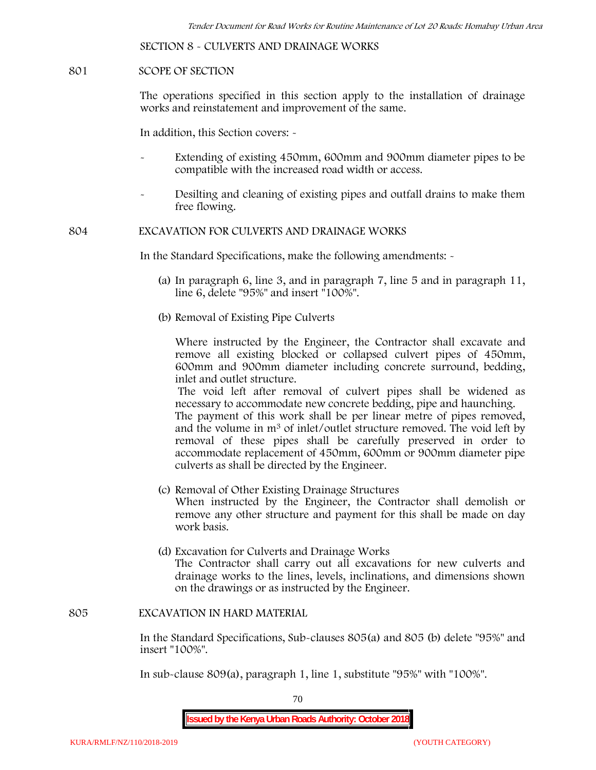**SECTION 8 - CULVERTS AND DRAINAGE WORKS**

#### **801 SCOPE OF SECTION**

The operations specified in this section apply to the installation of drainage works and reinstatement and improvement of the same.

In addition, this Section covers: -

- Extending of existing 450mm, 600mm and 900mm diameter pipes to be compatible with the increased road width or access.
- Desilting and cleaning of existing pipes and outfall drains to make them free flowing.

**804 EXCAVATION FOR CULVERTS AND DRAINAGE WORKS**

In the Standard Specifications, make the following amendments: -

- (a) In paragraph 6, line 3, and in paragraph 7, line 5 and in paragraph 11, line 6, delete "95%" and insert "100%".
- (b) Removal of Existing Pipe Culverts

Where instructed by the Engineer, the Contractor shall excavate and remove all existing blocked or collapsed culvert pipes of 450mm, 600mm and 900mm diameter including concrete surround, bedding, inlet and outlet structure.

The void left after removal of culvert pipes shall be widened as necessary to accommodate new concrete bedding, pipe and haunching. The payment of this work shall be per linear metre of pipes removed, and the volume in m<sup>3</sup> of inlet/outlet structure removed. The void left by

removal of these pipes shall be carefully preserved in order to accommodate replacement of 450mm, 600mm or 900mm diameter pipe culverts as shall be directed by the Engineer.

- (c) Removal of Other Existing Drainage Structures When instructed by the Engineer, the Contractor shall demolish or remove any other structure and payment for this shall be made on day work basis.
- (d) Excavation for Culverts and Drainage Works The Contractor shall carry out all excavations for new culverts and drainage works to the lines, levels, inclinations, and dimensions shown on the drawings or as instructed by the Engineer.

#### **805 EXCAVATION IN HARD MATERIAL**

In the Standard Specifications, Sub-clauses 805(a) and 805 (b) delete "95%" and insert "100%".

In sub-clause 809(a), paragraph 1, line 1, substitute "95%" with "100%".

70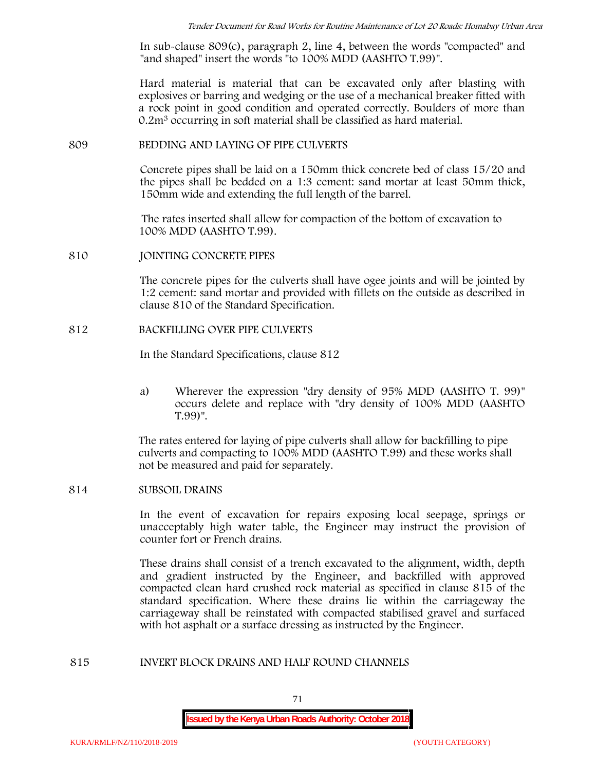In sub-clause 809(c), paragraph 2, line 4, between the words "compacted" and "and shaped" insert the words "to 100% MDD (AASHTO T.99)".

Hard material is material that can be excavated only after blasting with explosives or barring and wedging or the use of a mechanical breaker fitted with a rock point in good condition and operated correctly. Boulders of more than 0.2m<sup>3</sup> occurring in soft material shall be classified as hard material.

#### **809 BEDDING AND LAYING OF PIPE CULVERTS**

Concrete pipes shall be laid on a 150mm thick concrete bed of class 15/20 and the pipes shall be bedded on a 1:3 cement: sand mortar at least 50mm thick, 150mm wide and extending the full length of the barrel.

The rates inserted shall allow for compaction of the bottom of excavation to 100% MDD (AASHTO T.99).

#### **810 JOINTING CONCRETE PIPES**

The concrete pipes for the culverts shall have ogee joints and will be jointed by 1:2 cement: sand mortar and provided with fillets on the outside as described in clause 810 of the Standard Specification.

#### **812 BACKFILLING OVER PIPE CULVERTS**

In the Standard Specifications, clause 812

a) Wherever the expression "dry density of 95% MDD (AASHTO T. 99)" occurs delete and replace with "dry density of 100% MDD (AASHTO T.99)".

The rates entered for laying of pipe culverts shall allow for backfilling to pipe culverts and compacting to 100% MDD (AASHTO T.99) and these works shall not be measured and paid for separately.

## **814 SUBSOIL DRAINS**

In the event of excavation for repairs exposing local seepage, springs or unacceptably high water table, the Engineer may instruct the provision of counter fort or French drains.

These drains shall consist of a trench excavated to the alignment, width, depth and gradient instructed by the Engineer, and backfilled with approved compacted clean hard crushed rock material as specified in clause 815 of the standard specification. Where these drains lie within the carriageway the carriageway shall be reinstated with compacted stabilised gravel and surfaced with hot asphalt or a surface dressing as instructed by the Engineer.

#### **815 INVERT BLOCK DRAINS AND HALF ROUND CHANNELS**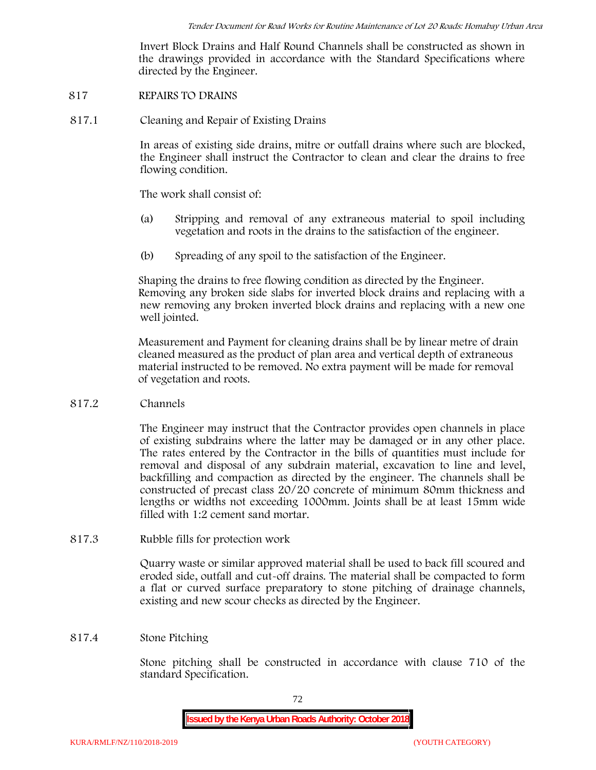Invert Block Drains and Half Round Channels shall be constructed as shown in the drawings provided in accordance with the Standard Specifications where directed by the Engineer.

- **817 REPAIRS TO DRAINS**
- **817.1 Cleaning and Repair of Existing Drains**

In areas of existing side drains, mitre or outfall drains where such are blocked, the Engineer shall instruct the Contractor to clean and clear the drains to free flowing condition.

The work shall consist of:

- (a) Stripping and removal of any extraneous material to spoil including vegetation and roots in the drains to the satisfaction of the engineer.
- (b) Spreading of any spoil to the satisfaction of the Engineer.

Shaping the drains to free flowing condition as directed by the Engineer. Removing any broken side slabs for inverted block drains and replacing with a new removing any broken inverted block drains and replacing with a new one well jointed.

Measurement and Payment for cleaning drains shall be by linear metre of drain cleaned measured as the product of plan area and vertical depth of extraneous material instructed to be removed. No extra payment will be made for removal of vegetation and roots.

**817.2 Channels**

The Engineer may instruct that the Contractor provides open channels in place of existing subdrains where the latter may be damaged or in any other place. The rates entered by the Contractor in the bills of quantities must include for removal and disposal of any subdrain material, excavation to line and level, backfilling and compaction as directed by the engineer. The channels shall be constructed of precast class 20/20 concrete of minimum 80mm thickness and lengths or widths not exceeding 1000mm. Joints shall be at least 15mm wide filled with 1:2 cement sand mortar.

**817.3 Rubble fills for protection work**

Quarry waste or similar approved material shall be used to back fill scoured and eroded side, outfall and cut-off drains. The material shall be compacted to form a flat or curved surface preparatory to stone pitching of drainage channels, existing and new scour checks as directed by the Engineer.

# **817.4 Stone Pitching**

Stone pitching shall be constructed in accordance with clause 710 of the standard Specification.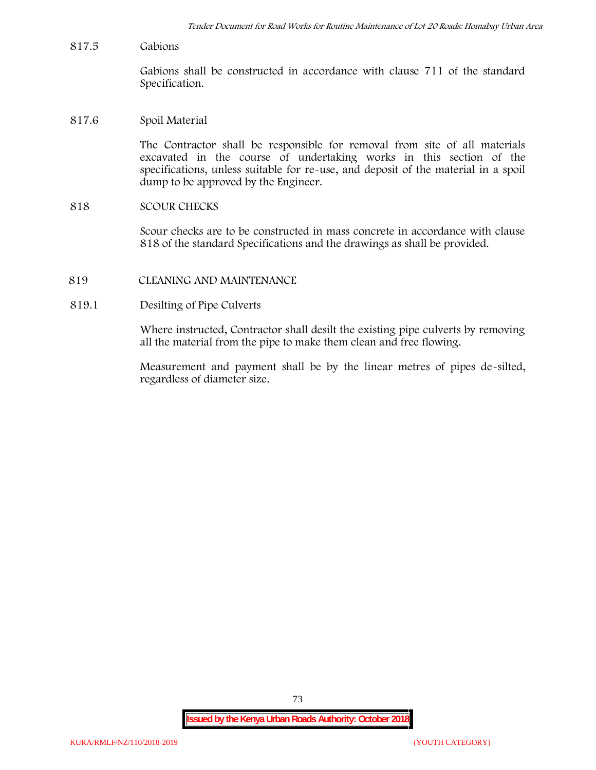**817.5 Gabions**

Gabions shall be constructed in accordance with clause 711 of the standard Specification.

**817.6 Spoil Material**

The Contractor shall be responsible for removal from site of all materials excavated in the course of undertaking works in this section of the specifications, unless suitable for re-use, and deposit of the material in a spoil dump to be approved by the Engineer.

**818 SCOUR CHECKS**

Scour checks are to be constructed in mass concrete in accordance with clause 818 of the standard Specifications and the drawings as shall be provided.

- **819 CLEANING AND MAINTENANCE**
- **819.1 Desilting of Pipe Culverts**

Where instructed, Contractor shall desilt the existing pipe culverts by removing all the material from the pipe to make them clean and free flowing.

Measurement and payment shall be by the linear metres of pipes de-silted, regardless of diameter size.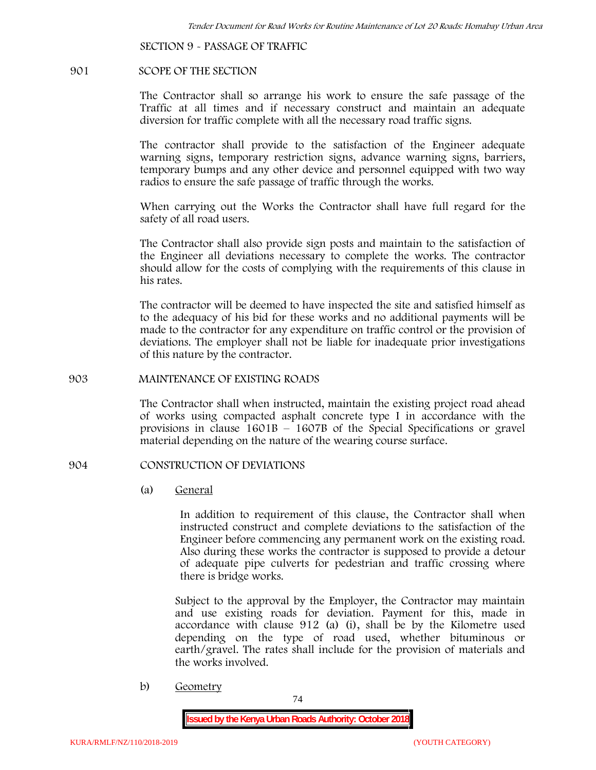**SECTION 9 - PASSAGE OF TRAFFIC**

#### **901 SCOPE OF THE SECTION**

The Contractor shall so arrange his work to ensure the safe passage of the Traffic at all times and if necessary construct and maintain an adequate diversion for traffic complete with all the necessary road traffic signs.

The contractor shall provide to the satisfaction of the Engineer adequate warning signs, temporary restriction signs, advance warning signs, barriers, temporary bumps and any other device and personnel equipped with two way radios to ensure the safe passage of traffic through the works.

When carrying out the Works the Contractor shall have full regard for the safety of all road users.

The Contractor shall also provide sign posts and maintain to the satisfaction of the Engineer all deviations necessary to complete the works. The contractor should allow for the costs of complying with the requirements of this clause in his rates.

The contractor will be deemed to have inspected the site and satisfied himself as to the adequacy of his bid for these works and no additional payments will be made to the contractor for any expenditure on traffic control or the provision of deviations. The employer shall not be liable for inadequate prior investigations of this nature by the contractor.

### **903 MAINTENANCE OF EXISTING ROADS**

The Contractor shall when instructed, maintain the existing project road ahead of works using compacted asphalt concrete type I in accordance with the provisions in clause 1601B – 1607B of the Special Specifications or gravel material depending on the nature of the wearing course surface.

### **904 CONSTRUCTION OF DEVIATIONS**

(a) **General**

In addition to requirement of this clause, the Contractor shall when instructed construct and complete deviations to the satisfaction of the Engineer before commencing any permanent work on the existing road. Also during these works the contractor is supposed to provide a detour of adequate pipe culverts for pedestrian and traffic crossing where there is bridge works.

Subject to the approval by the Employer, the Contractor may maintain and use existing roads for deviation. Payment for this, made in accordance with clause 912 (a) (i), shall be by the Kilometre used depending on the type of road used, whether bituminous or earth/gravel. The rates shall include for the provision of materials and the works involved.

b) **Geometry**

74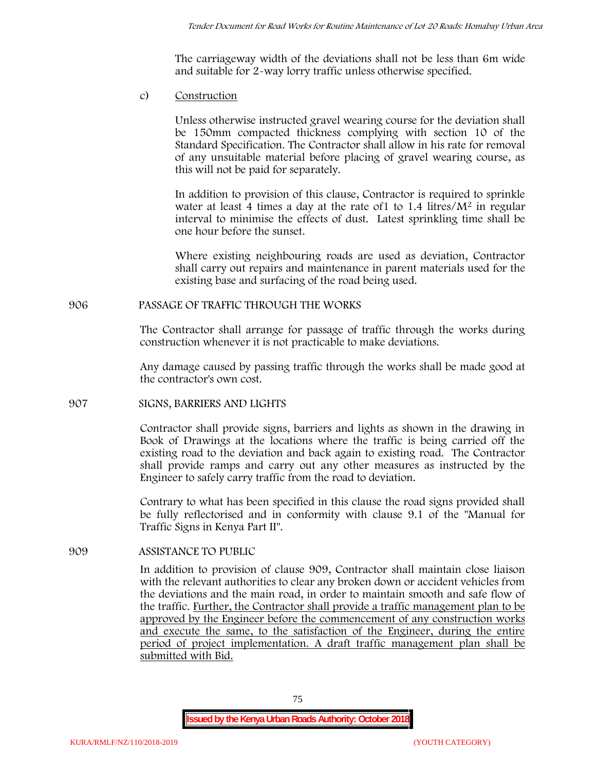The carriageway width of the deviations shall not be less than 6m wide and suitable for 2-way lorry traffic unless otherwise specified.

c) **Construction**

Unless otherwise instructed gravel wearing course for the deviation shall be 150mm compacted thickness complying with section 10 of the Standard Specification. The Contractor shall allow in his rate for removal of any unsuitable material before placing of gravel wearing course, as this will not be paid for separately.

In addition to provision of this clause, Contractor is required to sprinkle water at least 4 times a day at the rate of  $1$  to  $1.4$  litres/ $M<sup>2</sup>$  in regular interval to minimise the effects of dust. Latest sprinkling time shall be one hour before the sunset.

Where existing neighbouring roads are used as deviation, Contractor shall carry out repairs and maintenance in parent materials used for the existing base and surfacing of the road being used.

# **906 PASSAGE OF TRAFFIC THROUGH THE WORKS**

The Contractor shall arrange for passage of traffic through the works during construction whenever it is not practicable to make deviations.

Any damage caused by passing traffic through the works shall be made good at the contractor's own cost.

# **907 SIGNS, BARRIERS AND LIGHTS**

Contractor shall provide signs, barriers and lights as shown in the drawing in Book of Drawings at the locations where the traffic is being carried off the existing road to the deviation and back again to existing road. The Contractor shall provide ramps and carry out any other measures as instructed by the Engineer to safely carry traffic from the road to deviation.

Contrary to what has been specified in this clause the road signs provided shall be fully reflectorised and in conformity with clause 9.1 of the "Manual for Traffic Signs in Kenya Part II".

# **909 ASSISTANCE TO PUBLIC**

In addition to provision of clause 909, Contractor shall maintain close liaison with the relevant authorities to clear any broken down or accident vehicles from the deviations and the main road, in order to maintain smooth and safe flow of the traffic. Further, the Contractor shall provide a traffic management plan to be approved by the Engineer before the commencement of any construction works and execute the same, to the satisfaction of the Engineer, during the entire period of project implementation. A draft traffic management plan shall be submitted with Bid.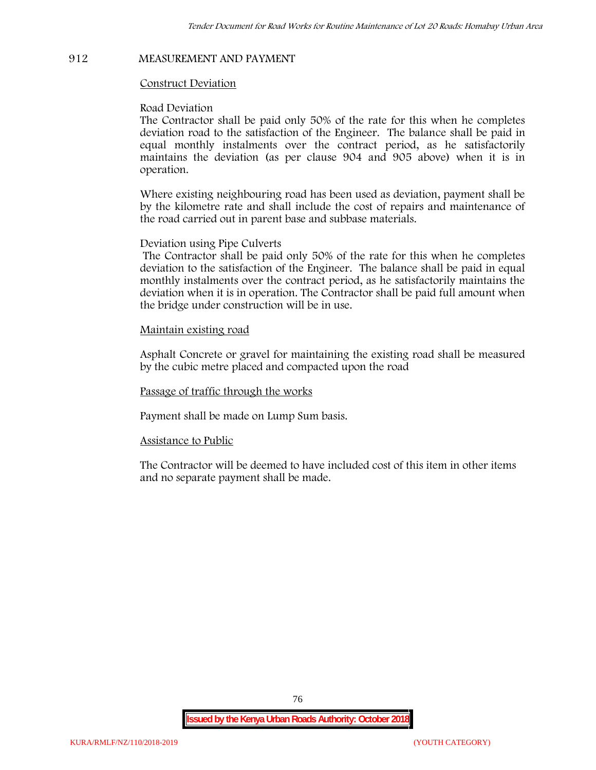# **912 MEASUREMENT AND PAYMENT**

### **Construct Deviation**

#### **Road Deviation**

The Contractor shall be paid only 50% of the rate for this when he completes deviation road to the satisfaction of the Engineer. The balance shall be paid in equal monthly instalments over the contract period, as he satisfactorily maintains the deviation (as per clause 904 and 905 above) when it is in operation.

Where existing neighbouring road has been used as deviation, payment shall be by the kilometre rate and shall include the cost of repairs and maintenance of the road carried out in parent base and subbase materials.

### **Deviation using Pipe Culverts**

The Contractor shall be paid only 50% of the rate for this when he completes deviation to the satisfaction of the Engineer. The balance shall be paid in equal monthly instalments over the contract period, as he satisfactorily maintains the deviation when it is in operation. The Contractor shall be paid full amount when the bridge under construction will be in use.

### **Maintain existing road**

Asphalt Concrete or gravel for maintaining the existing road shall be measured by the cubic metre placed and compacted upon the road

**Passage of traffic through the works**

Payment shall be made on Lump Sum basis.

#### **Assistance to Public**

The Contractor will be deemed to have included cost of this item in other items and no separate payment shall be made.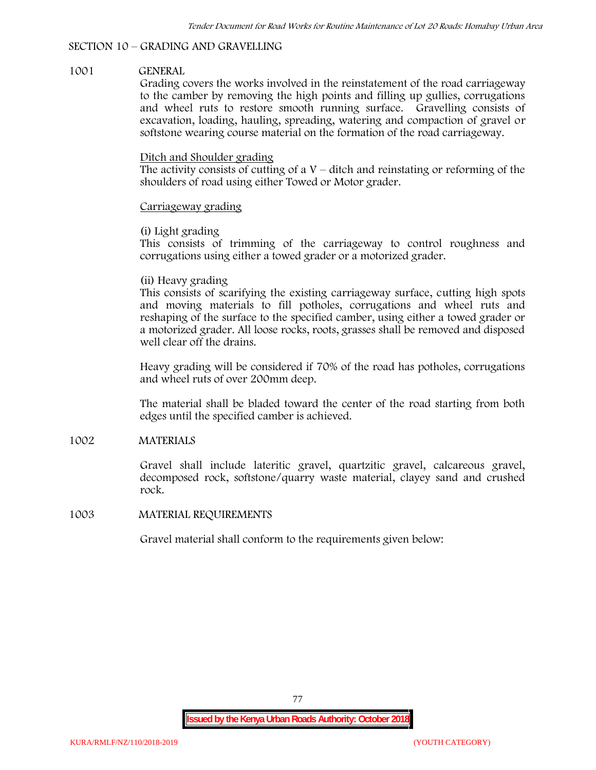# **SECTION 10 – GRADING AND GRAVELLING**

# **1001 GENERAL**

Grading covers the works involved in the reinstatement of the road carriageway to the camber by removing the high points and filling up gullies, corrugations and wheel ruts to restore smooth running surface. Gravelling consists of excavation, loading, hauling, spreading, watering and compaction of gravel or softstone wearing course material on the formation of the road carriageway.

# Ditch and Shoulder grading

The activity consists of cutting of a  $V$  – ditch and reinstating or reforming of the shoulders of road using either Towed or Motor grader.

# Carriageway grading

# **(i) Light grading**

This consists of trimming of the carriageway to control roughness and corrugations using either a towed grader or a motorized grader.

# **(ii) Heavy grading**

This consists of scarifying the existing carriageway surface, cutting high spots and moving materials to fill potholes, corrugations and wheel ruts and reshaping of the surface to the specified camber, using either a towed grader or a motorized grader. All loose rocks, roots, grasses shall be removed and disposed well clear off the drains.

Heavy grading will be considered if 70% of the road has potholes, corrugations and wheel ruts of over 200mm deep.

The material shall be bladed toward the center of the road starting from both edges until the specified camber is achieved.

# **1002 MATERIALS**

Gravel shall include lateritic gravel, quartzitic gravel, calcareous gravel, decomposed rock, softstone/quarry waste material, clayey sand and crushed rock.

# **1003 MATERIAL REQUIREMENTS**

Gravel material shall conform to the requirements given below: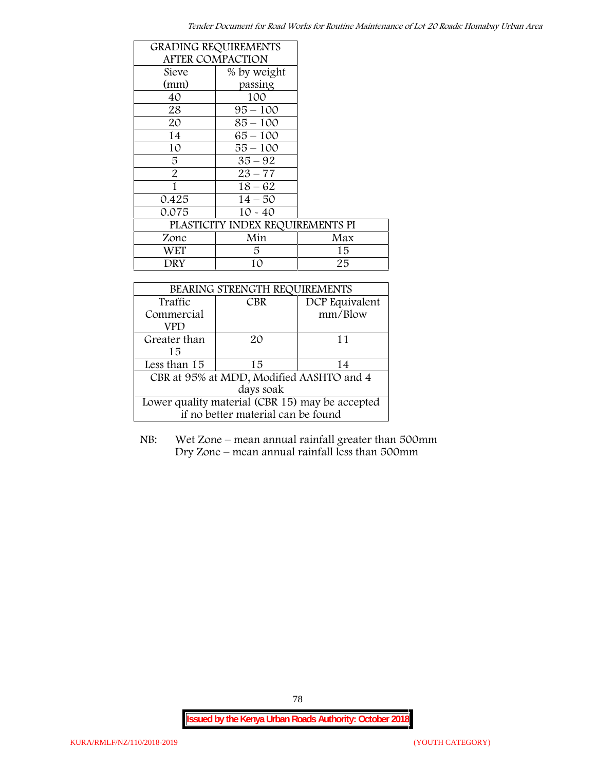| <b>GRADING REQUIREMENTS</b> |                                  |     |
|-----------------------------|----------------------------------|-----|
| <b>AFTER COMPACTION</b>     |                                  |     |
| Sieve                       | % by weight                      |     |
| (mm)                        | passing                          |     |
| 40                          | 100                              |     |
| 28                          | $95 - 100$                       |     |
| 20                          | $85 - 100$                       |     |
| 14                          | $65 - 100$                       |     |
| 10                          | $55 - 100$                       |     |
| 5                           | $35 - 92$                        |     |
| $\overline{2}$              | $23 - 77$                        |     |
| 1                           | $18 - 62$                        |     |
| 0.425                       | $14 - 50$                        |     |
| 0.075                       | $10 - 40$                        |     |
|                             | PLASTICITY INDEX REQUIREMENTS PI |     |
| Zone                        | Min                              | Max |
| WET                         | 5.                               | 15  |
| DRY                         | 10                               | 25  |

| BEARING STRENGTH REQUIREMENTS                   |            |                |  |  |
|-------------------------------------------------|------------|----------------|--|--|
| Traffic                                         | <b>CBR</b> | DCP Equivalent |  |  |
| Commercial                                      |            | mm/Blow        |  |  |
| VPD                                             |            |                |  |  |
| Greater than                                    | 20         | 11             |  |  |
| 15                                              |            |                |  |  |
| Less than 15                                    | 15         | 14             |  |  |
| CBR at 95% at MDD, Modified AASHTO and 4        |            |                |  |  |
| days soak                                       |            |                |  |  |
| Lower quality material (CBR 15) may be accepted |            |                |  |  |
| if no better material can be found              |            |                |  |  |

NB: Wet Zone – mean annual rainfall greater than 500mm Dry Zone – mean annual rainfall less than 500mm

78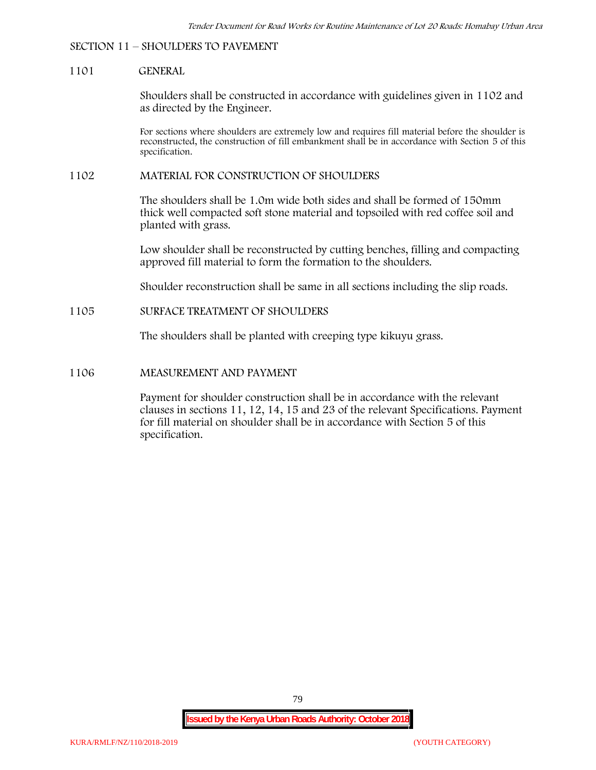### **SECTION 11 – SHOULDERS TO PAVEMENT**

#### **1101 GENERAL**

Shoulders shall be constructed in accordance with guidelines given in 1102 and as directed by the Engineer.

For sections where shoulders are extremely low and requires fill material before the shoulder is reconstructed, the construction of fill embankment shall be in accordance with Section 5 of this specification.

### **1102 MATERIAL FOR CONSTRUCTION OF SHOULDERS**

The shoulders shall be 1.0m wide both sides and shall be formed of 150mm thick well compacted soft stone material and topsoiled with red coffee soil and planted with grass.

Low shoulder shall be reconstructed by cutting benches, filling and compacting approved fill material to form the formation to the shoulders.

Shoulder reconstruction shall be same in all sections including the slip roads.

### **1105 SURFACE TREATMENT OF SHOULDERS**

The shoulders shall be planted with creeping type kikuyu grass.

#### **1106 MEASUREMENT AND PAYMENT**

Payment for shoulder construction shall be in accordance with the relevant clauses in sections 11, 12, 14, 15 and 23 of the relevant Specifications. Payment for fill material on shoulder shall be in accordance with Section 5 of this specification.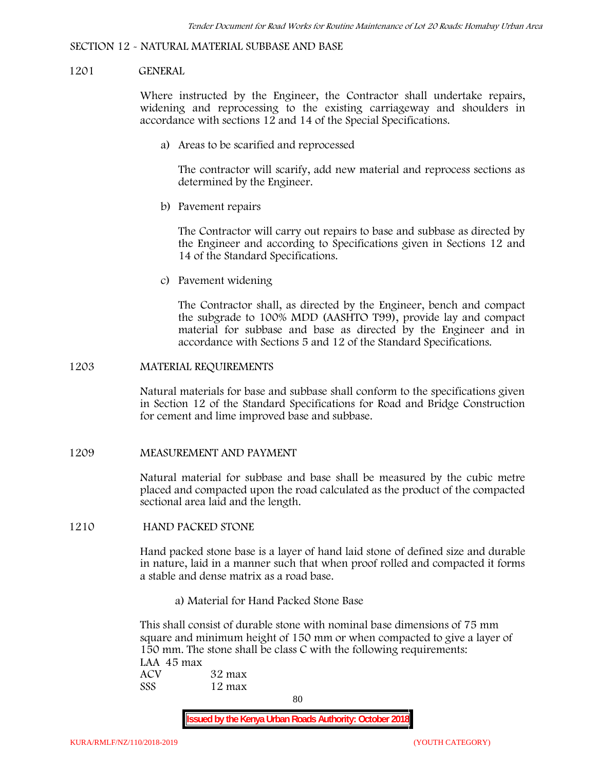#### **SECTION 12 - NATURAL MATERIAL SUBBASE AND BASE**

#### **1201 GENERAL**

Where instructed by the Engineer, the Contractor shall undertake repairs, widening and reprocessing to the existing carriageway and shoulders in accordance with sections 12 and 14 of the Special Specifications.

**a) Areas to be scarified and reprocessed**

The contractor will scarify, add new material and reprocess sections as determined by the Engineer.

**b) Pavement repairs**

The Contractor will carry out repairs to base and subbase as directed by the Engineer and according to Specifications given in Sections 12 and 14 of the Standard Specifications.

**c) Pavement widening**

The Contractor shall, as directed by the Engineer, bench and compact the subgrade to 100% MDD (AASHTO T99), provide lay and compact material for subbase and base as directed by the Engineer and in accordance with Sections 5 and 12 of the Standard Specifications.

#### **1203 MATERIAL REQUIREMENTS**

Natural materials for base and subbase shall conform to the specifications given in Section 12 of the Standard Specifications for Road and Bridge Construction for cement and lime improved base and subbase.

**1209 MEASUREMENT AND PAYMENT**

Natural material for subbase and base shall be measured by the cubic metre placed and compacted upon the road calculated as the product of the compacted sectional area laid and the length.

**1210 HAND PACKED STONE**

Hand packed stone base is a layer of hand laid stone of defined size and durable in nature, laid in a manner such that when proof rolled and compacted it forms a stable and dense matrix as a road base.

**a) Material for Hand Packed Stone Base**

This shall consist of durable stone with nominal base dimensions of 75 mm square and minimum height of 150 mm or when compacted to give a layer of 150 mm. The stone shall be class C with the following requirements: **LAA 45 max ACV 32 max SSS 12 max**

80

**Issued by the Kenya Urban Roads Authority: October 2018**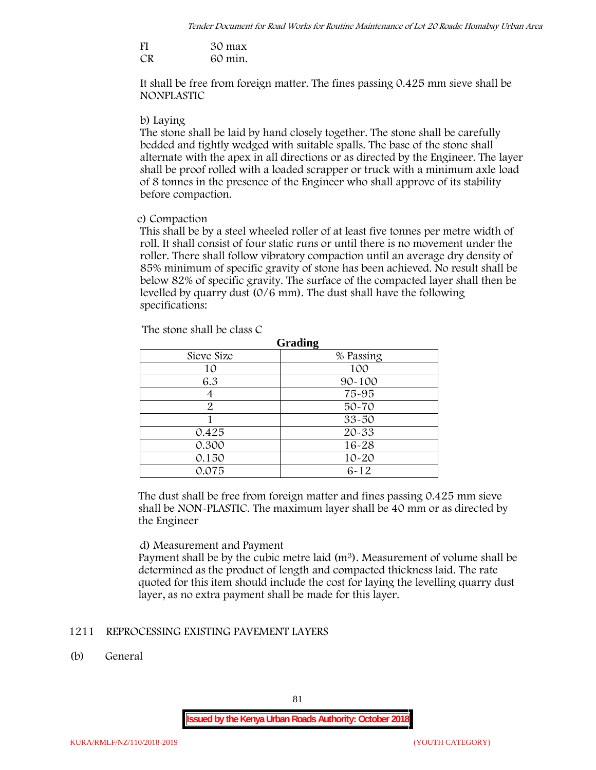| FI | 30 max  |
|----|---------|
| CR | 60 min. |

It shall be free from foreign matter. The fines passing 0.425 mm sieve shall be **NONPLASTIC**

### **b) Laying**

The stone shall be laid by hand closely together. The stone shall be carefully bedded and tightly wedged with suitable spalls. The base of the stone shall alternate with the apex in all directions or as directed by the Engineer. The layer shall be proof rolled with a loaded scrapper or truck with a minimum axle load of 8 tonnes in the presence of the Engineer who shall approve of its stability before compaction.

# **c) Compaction**

This shall be by a steel wheeled roller of at least five tonnes per metre width of roll. It shall consist of four static runs or until there is no movement under the roller. There shall follow vibratory compaction until an average dry density of 85% minimum of specific gravity of stone has been achieved. No result shall be below 82% of specific gravity. The surface of the compacted layer shall then be levelled by quarry dust (0/6 mm). The dust shall have the following specifications:

| Grading    |            |  |  |  |
|------------|------------|--|--|--|
| Sieve Size | % Passing  |  |  |  |
| 10         | 100        |  |  |  |
| 6.3        | $90 - 100$ |  |  |  |
|            | 75-95      |  |  |  |
| 2          | $50 - 70$  |  |  |  |
|            | $33 - 50$  |  |  |  |
| 0.425      | 20-33      |  |  |  |
| 0.300      | 16-28      |  |  |  |
| 0.150      | $10 - 20$  |  |  |  |
| 0.075      | $6 - 12$   |  |  |  |

The stone shall be class C

The dust shall be free from foreign matter and fines passing 0.425 mm sieve shall be **NON-PLASTIC**. The maximum layer shall be 40 mm or as directed by the Engineer

# **d) Measurement and Payment**

Payment shall be by the cubic metre laid  $(m<sup>3</sup>)$ . Measurement of volume shall be determined as the product of length and compacted thickness laid. The rate quoted for this item should include the cost for laying the levelling quarry dust layer, as no extra payment shall be made for this layer.

# **1211 REPROCESSING EXISTING PAVEMENT LAYERS**

**(b) General**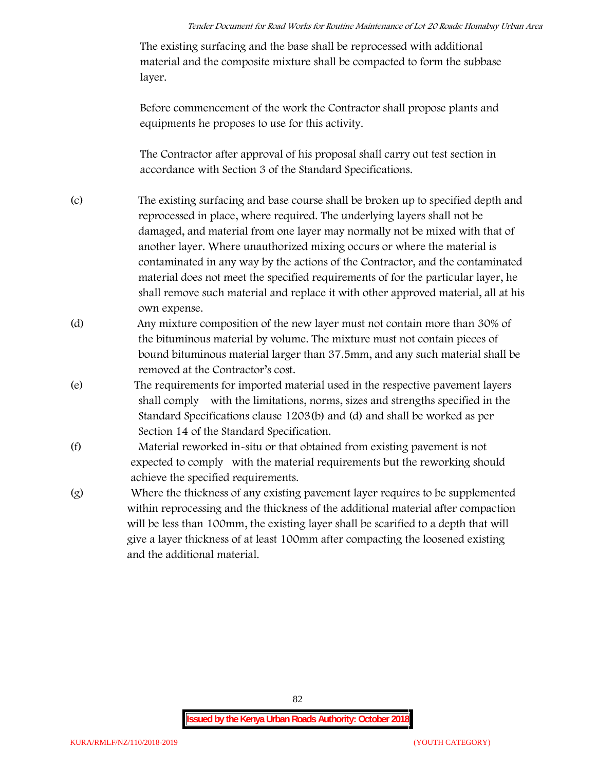The existing surfacing and the base shall be reprocessed with additional material and the composite mixture shall be compacted to form the subbase layer.

Before commencement of the work the Contractor shall propose plants and equipments he proposes to use for this activity.

The Contractor after approval of his proposal shall carry out test section in accordance with Section 3 of the Standard Specifications.

- (c) The existing surfacing and base course shall be broken up to specified depth and reprocessed in place, where required. The underlying layers shall not be damaged, and material from one layer may normally not be mixed with that of another layer. Where unauthorized mixing occurs or where the material is contaminated in any way by the actions of the Contractor, and the contaminated material does not meet the specified requirements of for the particular layer, he shall remove such material and replace it with other approved material, all at his own expense.
- (d) Any mixture composition of the new layer must not contain more than 30% of the bituminous material by volume. The mixture must not contain pieces of bound bituminous material larger than 37.5mm, and any such material shall be removed at the Contractor's cost.
- (e) The requirements for imported material used in the respective pavement layers shall comply with the limitations, norms, sizes and strengths specified in the Standard Specifications clause 1203(b) and (d) and shall be worked as per Section 14 of the Standard Specification.
- (f) Material reworked in-situ or that obtained from existing pavement is not expected to comply with the material requirements but the reworking should achieve the specified requirements.
- (g) Where the thickness of any existing pavement layer requires to be supplemented within reprocessing and the thickness of the additional material after compaction will be less than 100mm, the existing layer shall be scarified to a depth that will give a layer thickness of at least 100mm after compacting the loosened existing and the additional material.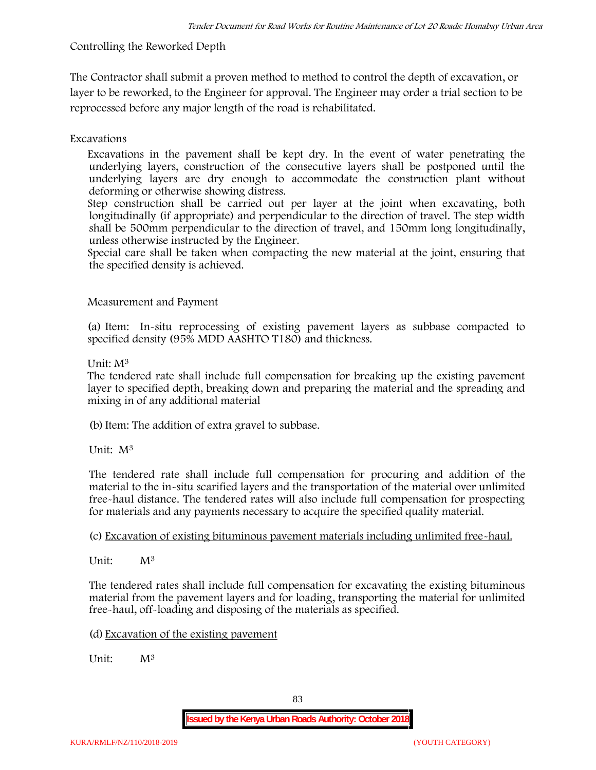# **Controlling the Reworked Depth**

The Contractor shall submit a proven method to method to control the depth of excavation, or layer to be reworked, to the Engineer for approval. The Engineer may order a trial section to be reprocessed before any major length of the road is rehabilitated.

# **Excavations**

Excavations in the pavement shall be kept dry. In the event of water penetrating the underlying layers, construction of the consecutive layers shall be postponed until the underlying layers are dry enough to accommodate the construction plant without deforming or otherwise showing distress.

Step construction shall be carried out per layer at the joint when excavating, both longitudinally (if appropriate) and perpendicular to the direction of travel. The step width shall be 500mm perpendicular to the direction of travel, and 150mm long longitudinally, unless otherwise instructed by the Engineer.

Special care shall be taken when compacting the new material at the joint, ensuring that the specified density is achieved.

# **Measurement and Payment**

(a) Item: In-situ reprocessing of existing pavement layers as subbase compacted to specified density (95% MDD AASHTO T180) and thickness.

# Unit: M<sup>3</sup>

The tendered rate shall include full compensation for breaking up the existing pavement layer to specified depth, breaking down and preparing the material and the spreading and mixing in of any additional material

(b)Item: The addition of extra gravel to subbase.

Unit: M<sup>3</sup>

The tendered rate shall include full compensation for procuring and addition of the material to the in-situ scarified layers and the transportation of the material over unlimited free-haul distance. The tendered rates will also include full compensation for prospecting for materials and any payments necessary to acquire the specified quality material.

(c) Excavation of existing bituminous pavement materials including unlimited free-haul.

Unit: M<sup>3</sup>

The tendered rates shall include full compensation for excavating the existing bituminous material from the pavement layers and for loading, transporting the material for unlimited free-haul, off-loading and disposing of the materials as specified.

(d) Excavation of the existing pavement

Unit:  $M^3$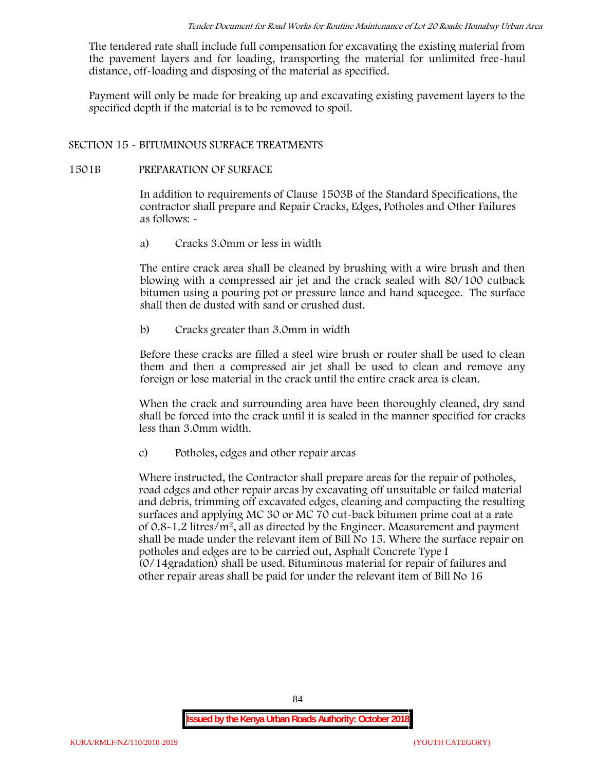The tendered rate shall include full compensation for excavating the existing material from the pavement layers and for loading, transporting the material for unlimited free-haul distance, off-loading and disposing of the material as specified.

Payment will only be made for breaking up and excavating existing pavement layers to the specified depth if the material is to be removed to spoil.

# **SECTION 15 - BITUMINOUS SURFACE TREATMENTS**

### **1501B PREPARATION OF SURFACE**

In addition to requirements of Clause 1503B of the Standard Specifications, the contractor shall prepare and Repair Cracks, Edges, Potholes and Other Failures as follows: **-**

a) **Cracks 3.0mm or less in width**

The entire crack area shall be cleaned by brushing with a wire brush and then blowing with a compressed air jet and the crack sealed with 80/100 cutback bitumen using a pouring pot or pressure lance and hand squeegee. The surface shall then de dusted with sand or crushed dust.

b) **Cracks greater than 3.0mm in width**

Before these cracks are filled a steel wire brush or router shall be used to clean them and then a compressed air jet shall be used to clean and remove any foreign or lose material in the crack until the entire crack area is clean.

When the crack and surrounding area have been thoroughly cleaned, dry sand shall be forced into the crack until it is sealed in the manner specified for cracks less than 3.0mm width.

c) **Potholes, edges and other repair areas**

Where instructed, the Contractor shall prepare areas for the repair of potholes, road edges and other repair areas by excavating off unsuitable or failed material and debris, trimming off excavated edges, cleaning and compacting the resulting surfaces and applying MC 30 or MC 70 cut-back bitumen prime coat at a rate of  $0.8-1.2$  litres/m<sup>2</sup>, all as directed by the Engineer. Measurement and payment shall be made under the relevant item of Bill No 15. Where the surface repair on potholes and edges are to be carried out, Asphalt Concrete Type I (0/14gradation) shall be used. Bituminous material for repair of failures and other repair areas shall be paid for under the relevant item of Bill No 16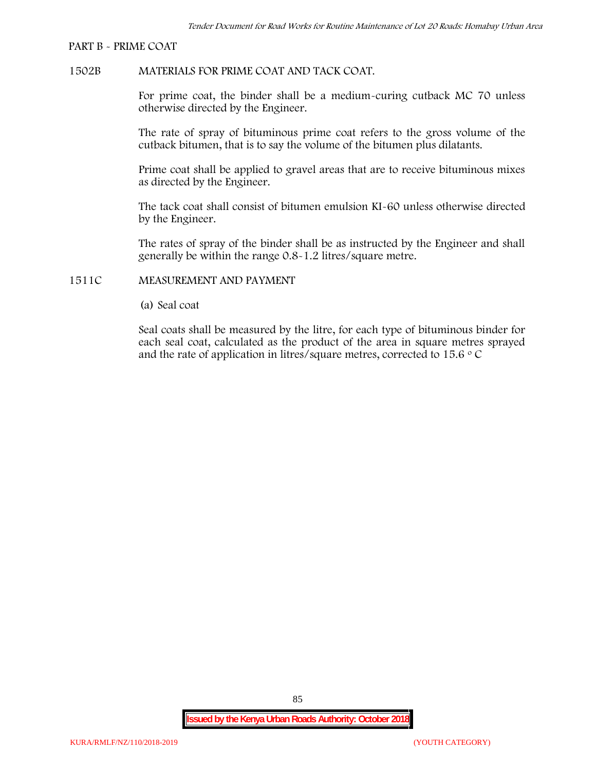#### **PART B - PRIME COAT**

### **1502B MATERIALS FOR PRIME COAT AND TACK COAT.**

For prime coat, the binder shall be a medium-curing cutback MC 70 unless otherwise directed by the Engineer.

The rate of spray of bituminous prime coat refers to the gross volume of the cutback bitumen, that is to say the volume of the bitumen plus dilatants.

Prime coat shall be applied to gravel areas that are to receive bituminous mixes as directed by the Engineer.

The tack coat shall consist of bitumen emulsion KI-60 unless otherwise directed by the Engineer.

The rates of spray of the binder shall be as instructed by the Engineer and shall generally be within the range 0.8-1.2 litres/square metre.

### **1511C MEASUREMENT AND PAYMENT**

(a) Seal coat

Seal coats shall be measured by the litre, for each type of bituminous binder for each seal coat, calculated as the product of the area in square metres sprayed and the rate of application in litres/square metres, corrected to 15.6  $\circ$  C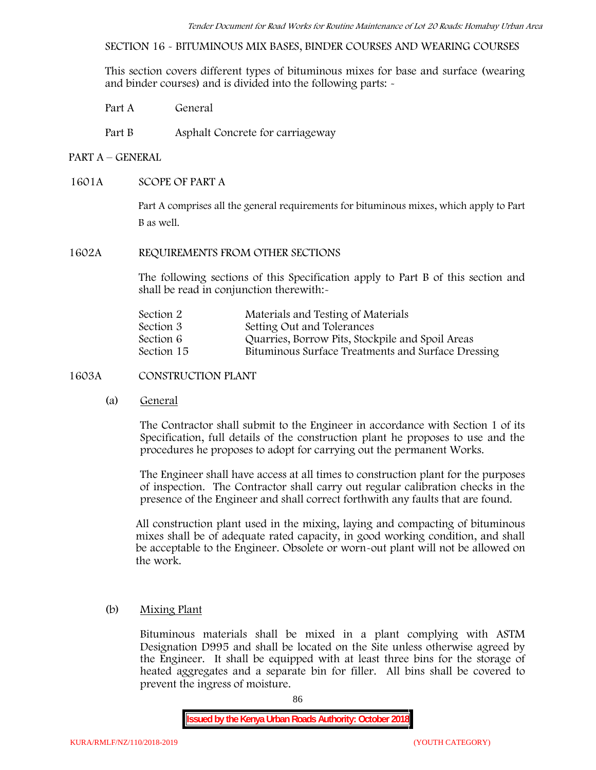**SECTION 16 - BITUMINOUS MIX BASES, BINDER COURSES AND WEARING COURSES**

This section covers different types of bituminous mixes for base and surface (wearing and binder courses) and is divided into the following parts: -

- Part A General
- Part B Asphalt Concrete for carriageway

# **PART A –GENERAL**

# **1601A SCOPE OF PART A**

Part A comprises all the general requirements for bituminous mixes, which apply to Part B as well.

### **1602A REQUIREMENTS FROM OTHER SECTIONS**

The following sections of this Specification apply to Part B of this section and shall be read in conjunction therewith:-

| Section 2  | Materials and Testing of Materials                 |
|------------|----------------------------------------------------|
| Section 3  | Setting Out and Tolerances                         |
| Section 6  | Quarries, Borrow Pits, Stockpile and Spoil Areas   |
| Section 15 | Bituminous Surface Treatments and Surface Dressing |

# **1603A CONSTRUCTION PLANT**

(a) **General**

The Contractor shall submit to the Engineer in accordance with Section 1 of its Specification, full details of the construction plant he proposes to use and the procedures he proposes to adopt for carrying out the permanent Works.

The Engineer shall have access at all times to construction plant for the purposes of inspection. The Contractor shall carry out regular calibration checks in the presence of the Engineer and shall correct forthwith any faults that are found.

All construction plant used in the mixing, laying and compacting of bituminous mixes shall be of adequate rated capacity, in good working condition, and shall be acceptable to the Engineer. Obsolete or worn-out plant will not be allowed on the work.

# (b) **Mixing Plant**

Bituminous materials shall be mixed in a plant complying with ASTM Designation D995 and shall be located on the Site unless otherwise agreed by the Engineer. It shall be equipped with at least three bins for the storage of heated aggregates and a separate bin for filler. All bins shall be covered to prevent the ingress of moisture.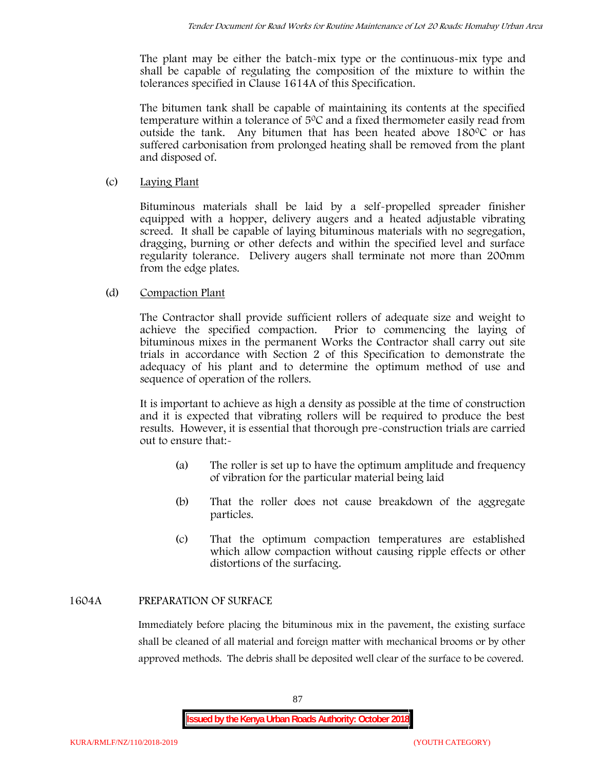The plant may be either the batch-mix type or the continuous-mix type and shall be capable of regulating the composition of the mixture to within the tolerances specified in Clause 1614A of this Specification.

The bitumen tank shall be capable of maintaining its contents at the specified temperature within a tolerance of  $5^{\circ}$ C and a fixed thermometer easily read from outside the tank. Any bitumen that has been heated above  $180^{\circ}$ C or has suffered carbonisation from prolonged heating shall be removed from the plant and disposed of.

# (c) **Laying Plant**

Bituminous materials shall be laid by a self-propelled spreader finisher equipped with a hopper, delivery augers and a heated adjustable vibrating screed. It shall be capable of laying bituminous materials with no segregation, dragging, burning or other defects and within the specified level and surface regularity tolerance. Delivery augers shall terminate not more than 200mm from the edge plates.

# (d) **Compaction Plant**

The Contractor shall provide sufficient rollers of adequate size and weight to achieve the specified compaction. Prior to commencing the laying of bituminous mixes in the permanent Works the Contractor shall carry out site trials in accordance with Section 2 of this Specification to demonstrate the adequacy of his plant and to determine the optimum method of use and sequence of operation of the rollers.

It is important to achieve as high a density as possible at the time of construction and it is expected that vibrating rollers will be required to produce the best results. However, it is essential that thorough pre-construction trials are carried out to ensure that:-

- (a) The roller is set up to have the optimum amplitude and frequency of vibration for the particular material being laid
- (b) That the roller does not cause breakdown of the aggregate particles.
- (c) That the optimum compaction temperatures are established which allow compaction without causing ripple effects or other distortions of the surfacing.

# **1604A PREPARATION OF SURFACE**

Immediately before placing the bituminous mix in the pavement, the existing surface shall be cleaned of all material and foreign matter with mechanical brooms or by other approved methods. The debris shall be deposited well clear of the surface to be covered.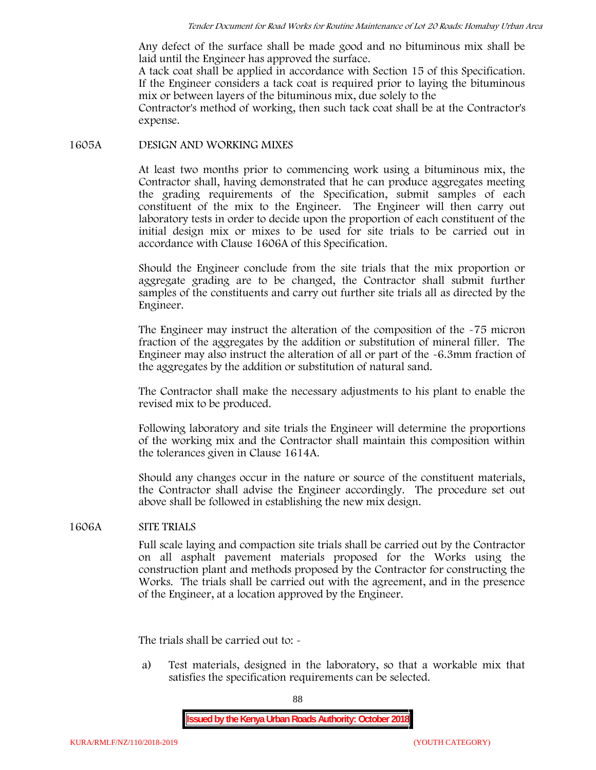Any defect of the surface shall be made good and no bituminous mix shall be laid until the Engineer has approved the surface.

A tack coat shall be applied in accordance with Section 15 of this Specification. If the Engineer considers a tack coat is required prior to laying the bituminous mix or between layers of the bituminous mix, due solely to the

Contractor's method of working, then such tack coat shall be at the Contractor's expense.

### **1605A DESIGN AND WORKING MIXES**

At least two months prior to commencing work using a bituminous mix, the Contractor shall, having demonstrated that he can produce aggregates meeting the grading requirements of the Specification, submit samples of each constituent of the mix to the Engineer. The Engineer will then carry out laboratory tests in order to decide upon the proportion of each constituent of the initial design mix or mixes to be used for site trials to be carried out in accordance with Clause 1606A of this Specification.

Should the Engineer conclude from the site trials that the mix proportion or aggregate grading are to be changed, the Contractor shall submit further samples of the constituents and carry out further site trials all as directed by the Engineer.

The Engineer may instruct the alteration of the composition of the -75 micron fraction of the aggregates by the addition or substitution of mineral filler. The Engineer may also instruct the alteration of all or part of the -6.3mm fraction of the aggregates by the addition or substitution of natural sand.

The Contractor shall make the necessary adjustments to his plant to enable the revised mix to be produced.

Following laboratory and site trials the Engineer will determine the proportions of the working mix and the Contractor shall maintain this composition within the tolerances given in Clause 1614A.

Should any changes occur in the nature or source of the constituent materials, the Contractor shall advise the Engineer accordingly. The procedure set out above shall be followed in establishing the new mix design.

# **1606A SITE TRIALS**

Full scale laying and compaction site trials shall be carried out by the Contractor on all asphalt pavement materials proposed for the Works using the construction plant and methods proposed by the Contractor for constructing the Works. The trials shall be carried out with the agreement, and in the presence of the Engineer, at a location approved by the Engineer.

The trials shall be carried out to: -

a) Test materials, designed in the laboratory, so that a workable mix that satisfies the specification requirements can be selected.

88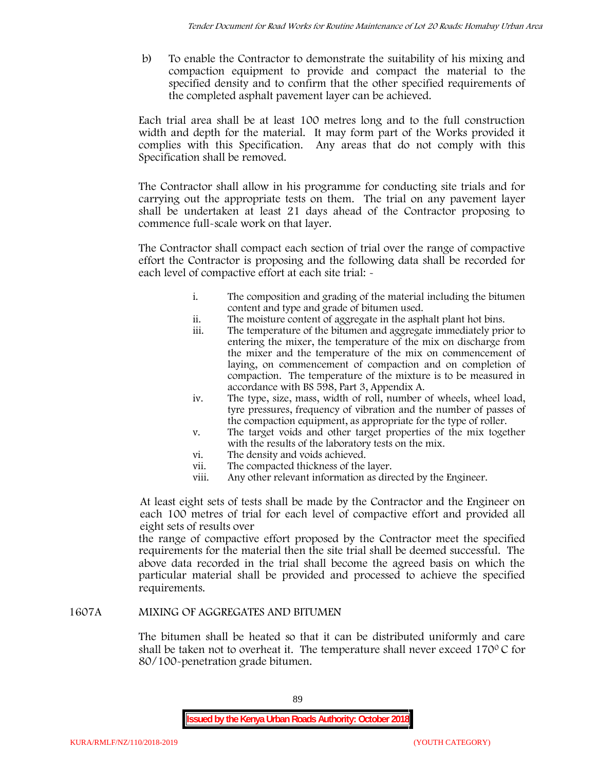b) To enable the Contractor to demonstrate the suitability of his mixing and compaction equipment to provide and compact the material to the specified density and to confirm that the other specified requirements of the completed asphalt pavement layer can be achieved.

Each trial area shall be at least 100 metres long and to the full construction width and depth for the material. It may form part of the Works provided it complies with this Specification. Any areas that do not comply with this Specification shall be removed.

The Contractor shall allow in his programme for conducting site trials and for carrying out the appropriate tests on them. The trial on any pavement layer shall be undertaken at least 21 days ahead of the Contractor proposing to commence full-scale work on that layer.

The Contractor shall compact each section of trial over the range of compactive effort the Contractor is proposing and the following data shall be recorded for each level of compactive effort at each site trial:  $\sim$ 

- i. The composition and grading of the material including the bitumen content and type and grade of bitumen used.
- ii. The moisture content of aggregate in the asphalt plant hot bins.
- iii. The temperature of the bitumen and aggregate immediately prior to entering the mixer, the temperature of the mix on discharge from the mixer and the temperature of the mix on commencement of laying, on commencement of compaction and on completion of compaction. The temperature of the mixture is to be measured in accordance with BS 598, Part 3, Appendix A.
- iv. The type, size, mass, width of roll, number of wheels, wheel load, tyre pressures, frequency of vibration and the number of passes of the compaction equipment, as appropriate for the type of roller.
- v. The target voids and other target properties of the mix together with the results of the laboratory tests on the mix.
- vi. The density and voids achieved.
- vii. The compacted thickness of the layer.
- viii. Any other relevant information as directed by the Engineer.

At least eight sets of tests shall be made by the Contractor and the Engineer on each 100 metres of trial for each level of compactive effort and provided all eight sets of results over

the range of compactive effort proposed by the Contractor meet the specified requirements for the material then the site trial shall be deemed successful. The above data recorded in the trial shall become the agreed basis on which the particular material shall be provided and processed to achieve the specified requirements.

# **1607A MIXING OF AGGREGATES AND BITUMEN**

The bitumen shall be heated so that it can be distributed uniformly and care shall be taken not to overheat it. The temperature shall never exceed 170 $\degree$ C for 80/100-penetration grade bitumen.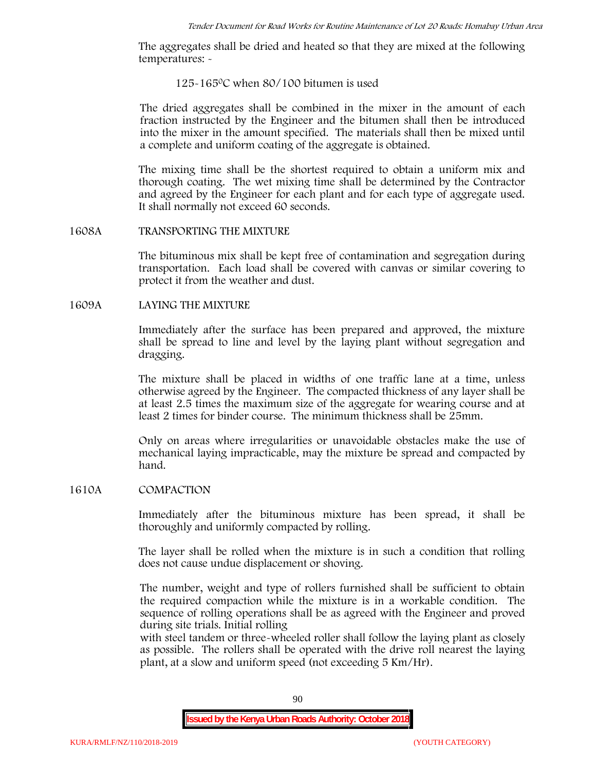The aggregates shall be dried and heated so that they are mixed at the following temperatures: -

### 125-1650C when 80/100 bitumen is used

The dried aggregates shall be combined in the mixer in the amount of each fraction instructed by the Engineer and the bitumen shall then be introduced into the mixer in the amount specified. The materials shall then be mixed until a complete and uniform coating of the aggregate is obtained.

The mixing time shall be the shortest required to obtain a uniform mix and thorough coating. The wet mixing time shall be determined by the Contractor and agreed by the Engineer for each plant and for each type of aggregate used. It shall normally not exceed 60 seconds.

### **1608A TRANSPORTING THE MIXTURE**

The bituminous mix shall be kept free of contamination and segregation during transportation. Each load shall be covered with canvas or similar covering to protect it from the weather and dust.

# **1609A LAYING THE MIXTURE**

Immediately after the surface has been prepared and approved, the mixture shall be spread to line and level by the laying plant without segregation and dragging.

The mixture shall be placed in widths of one traffic lane at a time, unless otherwise agreed by the Engineer. The compacted thickness of any layer shall be at least 2.5 times the maximum size of the aggregate for wearing course and at least 2 times for binder course. The minimum thickness shall be 25mm.

Only on areas where irregularities or unavoidable obstacles make the use of mechanical laying impracticable, may the mixture be spread and compacted by hand.

# **1610A COMPACTION**

Immediately after the bituminous mixture has been spread, it shall be thoroughly and uniformly compacted by rolling.

The layer shall be rolled when the mixture is in such a condition that rolling does not cause undue displacement or shoving.

The number, weight and type of rollers furnished shall be sufficient to obtain the required compaction while the mixture is in a workable condition. The sequence of rolling operations shall be as agreed with the Engineer and proved during site trials. Initial rolling

with steel tandem or three-wheeled roller shall follow the laying plant as closely as possible. The rollers shall be operated with the drive roll nearest the laying plant, at a slow and uniform speed (not exceeding 5 Km/Hr).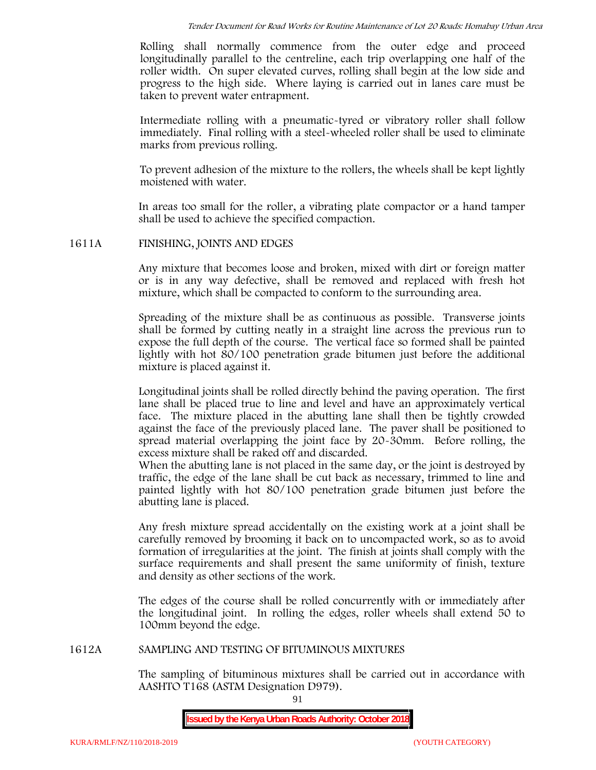Rolling shall normally commence from the outer edge and proceed longitudinally parallel to the centreline, each trip overlapping one half of the roller width. On super elevated curves, rolling shall begin at the low side and progress to the high side. Where laying is carried out in lanes care must be taken to prevent water entrapment.

Intermediate rolling with a pneumatic-tyred or vibratory roller shall follow immediately. Final rolling with a steel-wheeled roller shall be used to eliminate marks from previous rolling.

To prevent adhesion of the mixture to the rollers, the wheels shall be kept lightly moistened with water.

In areas too small for the roller, a vibrating plate compactor or a hand tamper shall be used to achieve the specified compaction.

# **1611A FINISHING, JOINTS AND EDGES**

Any mixture that becomes loose and broken, mixed with dirt or foreign matter or is in any way defective, shall be removed and replaced with fresh hot mixture, which shall be compacted to conform to the surrounding area.

Spreading of the mixture shall be as continuous as possible. Transverse joints shall be formed by cutting neatly in a straight line across the previous run to expose the full depth of the course. The vertical face so formed shall be painted lightly with hot 80/100 penetration grade bitumen just before the additional mixture is placed against it.

Longitudinal joints shall be rolled directly behind the paving operation. The first lane shall be placed true to line and level and have an approximately vertical face. The mixture placed in the abutting lane shall then be tightly crowded against the face of the previously placed lane. The paver shall be positioned to spread material overlapping the joint face by 20-30mm. Before rolling, the excess mixture shall be raked off and discarded.

When the abutting lane is not placed in the same day, or the joint is destroyed by traffic, the edge of the lane shall be cut back as necessary, trimmed to line and painted lightly with hot 80/100 penetration grade bitumen just before the abutting lane is placed.

Any fresh mixture spread accidentally on the existing work at a joint shall be carefully removed by brooming it back on to uncompacted work, so as to avoid formation of irregularities at the joint. The finish at joints shall comply with the surface requirements and shall present the same uniformity of finish, texture and density as other sections of the work.

The edges of the course shall be rolled concurrently with or immediately after the longitudinal joint. In rolling the edges, roller wheels shall extend 50 to 100mm beyond the edge.

# **1612A SAMPLING AND TESTING OF BITUMINOUS MIXTURES**

The sampling of bituminous mixtures shall be carried out in accordance with AASHTO T168 (ASTM Designation D979).

91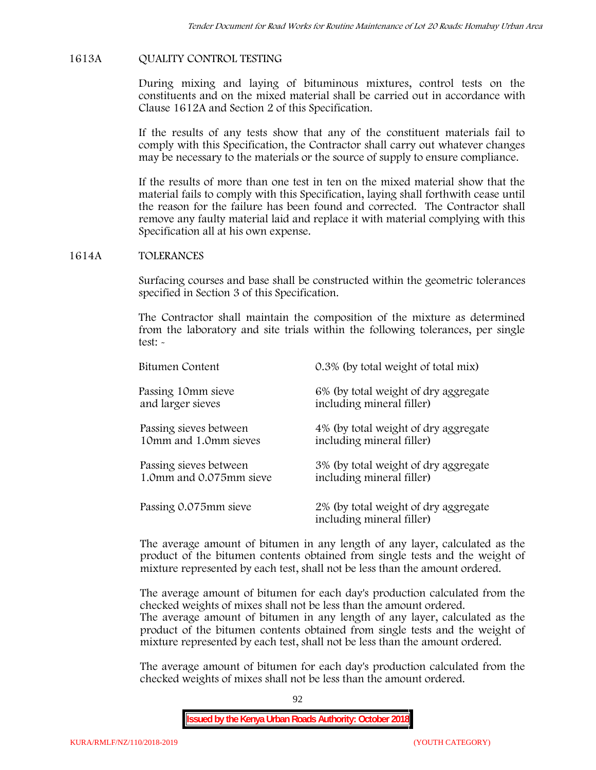# **1613A QUALITY CONTROL TESTING**

During mixing and laying of bituminous mixtures, control tests on the constituents and on the mixed material shall be carried out in accordance with Clause 1612A and Section 2 of this Specification.

If the results of any tests show that any of the constituent materials fail to comply with this Specification, the Contractor shall carry out whatever changes may be necessary to the materials or the source of supply to ensure compliance.

If the results of more than one test in ten on the mixed material show that the material fails to comply with this Specification, laying shall forthwith cease until the reason for the failure has been found and corrected. The Contractor shall remove any faulty material laid and replace it with material complying with this Specification all at his own expense.

# **1614A TOLERANCES**

Surfacing courses and base shall be constructed within the geometric tolerances specified in Section 3 of this Specification.

The Contractor shall maintain the composition of the mixture as determined from the laboratory and site trials within the following tolerances, per single test: -

| Bitumen Content         | 0.3% (by total weight of total mix)                               |
|-------------------------|-------------------------------------------------------------------|
| Passing 10mm sieve      | 6% (by total weight of dry aggregate                              |
| and larger sieves       | including mineral filler)                                         |
| Passing sieves between  | 4% (by total weight of dry aggregate                              |
| 10mm and 1.0mm sieves   | including mineral filler)                                         |
| Passing sieves between  | 3% (by total weight of dry aggregate                              |
| 1.0mm and 0.075mm sieve | including mineral filler)                                         |
| Passing 0.075mm sieve   | 2% (by total weight of dry aggregate<br>including mineral filler) |

The average amount of bitumen in any length of any layer, calculated as the product of the bitumen contents obtained from single tests and the weight of mixture represented by each test, shall not be less than the amount ordered.

The average amount of bitumen for each day's production calculated from the checked weights of mixes shall not be less than the amount ordered.

The average amount of bitumen in any length of any layer, calculated as the product of the bitumen contents obtained from single tests and the weight of mixture represented by each test, shall not be less than the amount ordered.

The average amount of bitumen for each day's production calculated from the checked weights of mixes shall not be less than the amount ordered.

92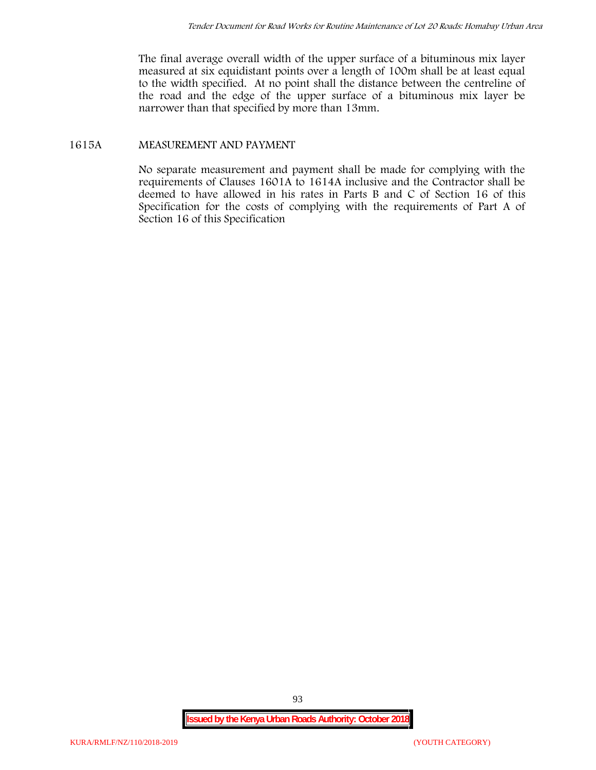The final average overall width of the upper surface of a bituminous mix layer measured at six equidistant points over a length of 100m shall be at least equal to the width specified. At no point shall the distance between the centreline of the road and the edge of the upper surface of a bituminous mix layer be narrower than that specified by more than 13mm.

# **1615A MEASUREMENT AND PAYMENT**

No separate measurement and payment shall be made for complying with the requirements of Clauses 1601A to 1614A inclusive and the Contractor shall be deemed to have allowed in his rates in Parts B and C of Section 16 of this Specification for the costs of complying with the requirements of Part A of Section 16 of this Specification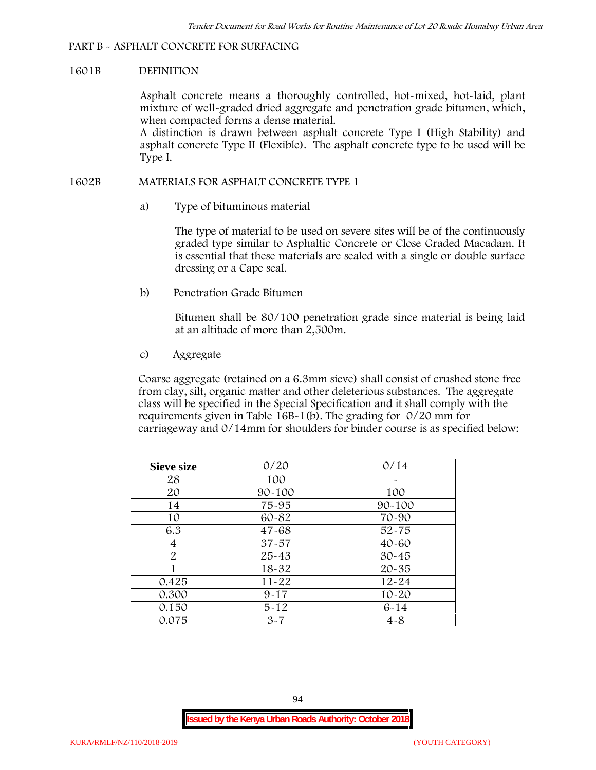# **PART B - ASPHALT CONCRETE FOR SURFACING**

### **1601B DEFINITION**

Asphalt concrete means a thoroughly controlled, hot-mixed, hot-laid, plant mixture of well-graded dried aggregate and penetration grade bitumen, which, when compacted forms a dense material.

A distinction is drawn between asphalt concrete Type I (High Stability) and asphalt concrete Type II (Flexible). The asphalt concrete type to be used will be Type I.

# **1602B MATERIALS FOR ASPHALT CONCRETE TYPE 1**

a) **Type of bituminous material**

The type of material to be used on severe sites will be of the continuously graded type similar to Asphaltic Concrete or Close Graded Macadam. It is essential that these materials are sealed with a single or double surface dressing or a Cape seal.

b) **Penetration Grade Bitumen**

Bitumen shall be 80/100 penetration grade since material is being laid at an altitude of more than 2,500m.

c) **Aggregate**

Coarse aggregate (retained on a 6.3mm sieve) shall consist of crushed stone free from clay, silt, organic matter and other deleterious substances. The aggregate class will be specified in the Special Specification and it shall comply with the requirements given in Table 16B-1(b). The grading for 0/20 mm for carriageway and 0/14mm for shoulders for binder course is as specified below:

| <b>Sieve size</b> | 0/20       | 0/14       |  |  |  |
|-------------------|------------|------------|--|--|--|
| 28                | 100        |            |  |  |  |
| 20                | $90 - 100$ | 100        |  |  |  |
| 14                | 75-95      | $90 - 100$ |  |  |  |
| 10                | 60-82      | 70-90      |  |  |  |
| 6.3               | $47 - 68$  | $52 - 75$  |  |  |  |
| 4                 | $37 - 57$  | $40 - 60$  |  |  |  |
| $\overline{2}$    | 25-43      | $30 - 45$  |  |  |  |
|                   | 18-32      | $20 - 35$  |  |  |  |
| 0.425             | $11 - 22$  | $12 - 24$  |  |  |  |
| 0.300             | $9 - 17$   | $10 - 20$  |  |  |  |
| 0.150             | $5 - 12$   | $6 - 14$   |  |  |  |
| 0.075             | $3 - 7$    | $4 - 8$    |  |  |  |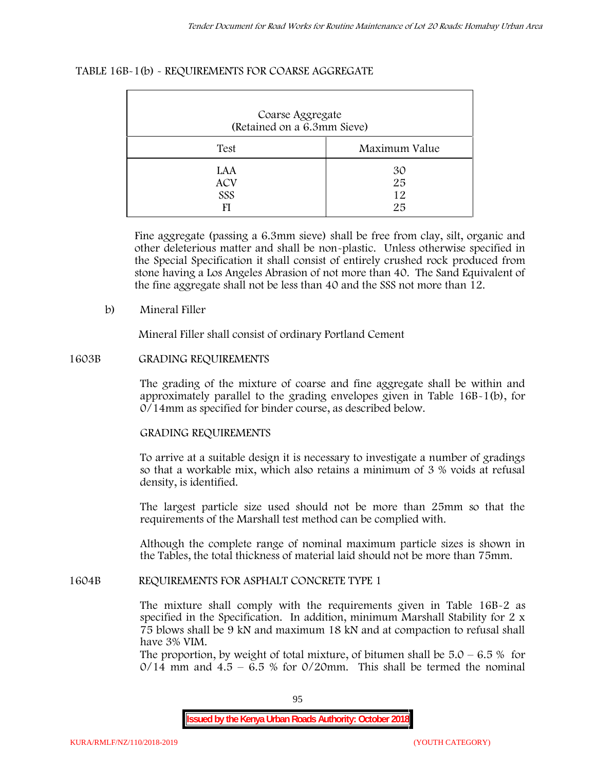### **TABLE 16B-1(b) - REQUIREMENTS FOR COARSE AGGREGATE**

| Coarse Aggregate<br>(Retained on a 6.3mm Sieve) |                      |  |  |  |
|-------------------------------------------------|----------------------|--|--|--|
| Test                                            | Maximum Value        |  |  |  |
| LAA<br><b>ACV</b><br>SSS<br>FI                  | 30<br>25<br>12<br>25 |  |  |  |

Fine aggregate (passing a 6.3mm sieve) shall be free from clay, silt, organic and other deleterious matter and shall be non-plastic. Unless otherwise specified in the Special Specification it shall consist of entirely crushed rock produced from stone having a Los Angeles Abrasion of not more than 40. The Sand Equivalent of the fine aggregate shall not be less than 40 and the SSS not more than 12.

### **b) Mineral Filler**

Mineral Filler shall consist of ordinary Portland Cement

### **1603B GRADING REQUIREMENTS**

The grading of the mixture of coarse and fine aggregate shall be within and approximately parallel to the grading envelopes given in Table 16B-1(b), for 0/14mm as specified for binder course, as described below.

# **GRADING REQUIREMENTS**

To arrive at a suitable design it is necessary to investigate a number of gradings so that a workable mix, which also retains a minimum of 3 % voids at refusal density, is identified.

The largest particle size used should not be more than 25mm so that the requirements of the Marshall test method can be complied with.

Although the complete range of nominal maximum particle sizes is shown in the Tables, the total thickness of material laid should not be more than 75mm.

#### **1604B REQUIREMENTS FOR ASPHALT CONCRETE TYPE 1**

The mixture shall comply with the requirements given in Table 16B-2 as specified in the Specification. In addition, minimum Marshall Stability for 2 x 75 blows shall be 9 kN and maximum 18 kN and at compaction to refusal shall have 3% VIM.

The proportion, by weight of total mixture, of bitumen shall be  $5.0 - 6.5 %$  for  $0/14$  mm and  $4.5 - 6.5$  % for  $0/20$ mm. This shall be termed the nominal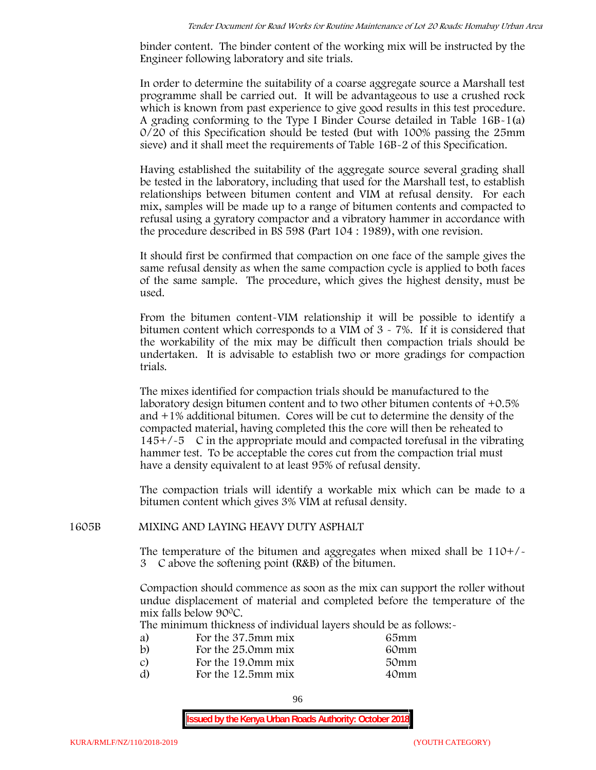binder content. The binder content of the working mix will be instructed by the Engineer following laboratory and site trials.

In order to determine the suitability of a coarse aggregate source a Marshall test programme shall be carried out. It will be advantageous to use a crushed rock which is known from past experience to give good results in this test procedure. A grading conforming to the Type I Binder Course detailed in Table 16B-1(a) 0/20 of this Specification should be tested (but with 100% passing the 25mm sieve) and it shall meet the requirements of Table 16B-2 of this Specification.

Having established the suitability of the aggregate source several grading shall be tested in the laboratory, including that used for the Marshall test, to establish relationships between bitumen content and VIM at refusal density. For each mix, samples will be made up to a range of bitumen contents and compacted to refusal using a gyratory compactor and a vibratory hammer in accordance with the procedure described in BS 598 (Part 104 : 1989), with one revision.

It should first be confirmed that compaction on one face of the sample gives the same refusal density as when the same compaction cycle is applied to both faces of the same sample. The procedure, which gives the highest density, must be used.

From the bitumen content-VIM relationship it will be possible to identify a bitumen content which corresponds to a VIM of 3 - 7%. If it is considered that the workability of the mix may be difficult then compaction trials should be undertaken. It is advisable to establish two or more gradings for compaction trials.

The mixes identified for compaction trials should be manufactured to the laboratory design bitumen content and to two other bitumen contents of +0.5% and +1% additional bitumen. Cores will be cut to determine the density of the compacted material, having completed this the core will then be reheated to  $145+/5$  C in the appropriate mould and compacted torefusal in the vibrating hammer test. To be acceptable the cores cut from the compaction trial must have a density equivalent to at least 95% of refusal density.

The compaction trials will identify a workable mix which can be made to a bitumen content which gives 3% VIM at refusal density.

# **1605B MIXING AND LAYING HEAVY DUTY ASPHALT**

The temperature of the bitumen and aggregates when mixed shall be  $110+/$ 3C above the softening point (R&B) of the bitumen.

Compaction should commence as soon as the mix can support the roller without undue displacement of material and completed before the temperature of the mix falls below 900C.

The minimum thickness of individual layers should be as follows:-

| a) | For the 37.5mm mix | 65mm |  |
|----|--------------------|------|--|
| b) | For the 25.0mm mix | 60mm |  |
| C) | For the 19.0mm mix | 50mm |  |
| d) | For the 12.5mm mix | 40mm |  |
|    |                    |      |  |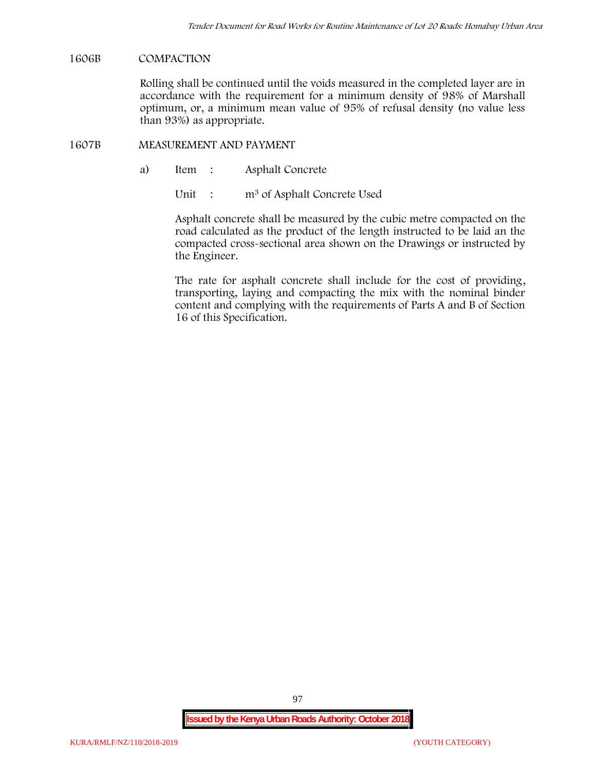### **1606B COMPACTION**

Rolling shall be continued until the voids measured in the completed layer are in accordance with the requirement for a minimum density of 98% of Marshall optimum, or, a minimum mean value of 95% of refusal density (no value less than 93%) as appropriate.

#### **1607B MEASUREMENT AND PAYMENT**

a) Item : Asphalt Concrete

Unit : m<sup>3</sup> of Asphalt Concrete Used

Asphalt concrete shall be measured by the cubic metre compacted on the road calculated as the product of the length instructed to be laid an the compacted cross-sectional area shown on the Drawings or instructed by the Engineer.

The rate for asphalt concrete shall include for the cost of providing, transporting, laying and compacting the mix with the nominal binder content and complying with the requirements of Parts A and B of Section 16 of this Specification.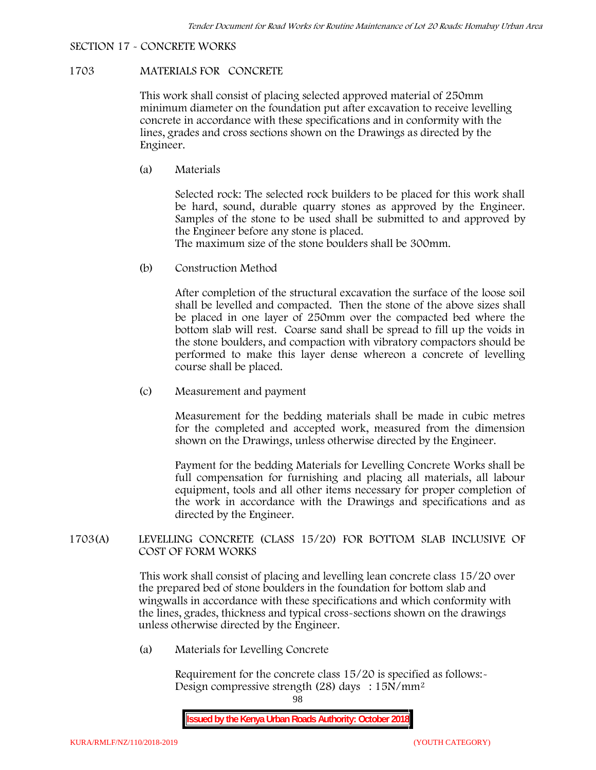### **SECTION 17 - CONCRETE WORKS**

# **1703 MATERIALS FOR CONCRETE**

This work shall consist of placing selected approved material of 250mm minimum diameter on the foundation put after excavation to receive levelling concrete in accordance with these specifications and in conformity with the lines, grades and cross sections shown on the Drawings as directed by the Engineer.

(a) **Materials**

Selected rock: The selected rock builders to be placed for this work shall be hard, sound, durable quarry stones as approved by the Engineer. Samples of the stone to be used shall be submitted to and approved by the Engineer before any stone is placed.

The maximum size of the stone boulders shall be 300mm.

(b) **Construction Method**

After completion of the structural excavation the surface of the loose soil shall be levelled and compacted. Then the stone of the above sizes shall be placed in one layer of 250mm over the compacted bed where the bottom slab will rest. Coarse sand shall be spread to fill up the voids in the stone boulders, and compaction with vibratory compactors should be performed to make this layer dense whereon a concrete of levelling course shall be placed.

(c) **Measurement and payment**

Measurement for the bedding materials shall be made in cubic metres for the completed and accepted work, measured from the dimension shown on the Drawings, unless otherwise directed by the Engineer.

Payment for the bedding Materials for Levelling Concrete Works shall be full compensation for furnishing and placing all materials, all labour equipment, tools and all other items necessary for proper completion of the work in accordance with the Drawings and specifications and as directed by the Engineer.

# **1703(A) LEVELLING CONCRETE (CLASS 15/20) FOR BOTTOM SLAB INCLUSIVE OF COST OF FORM WORKS**

This work shall consist of placing and levelling lean concrete class 15/20 over the prepared bed of stone boulders in the foundation for bottom slab and wingwalls in accordance with these specifications and which conformity with the lines, grades, thickness and typical cross-sections shown on the drawings unless otherwise directed by the Engineer.

(a) **Materials for Levelling Concrete**

Requirement for the concrete class  $15/20$  is specified as follows:-Design compressive strength (28) days : 15N/mm2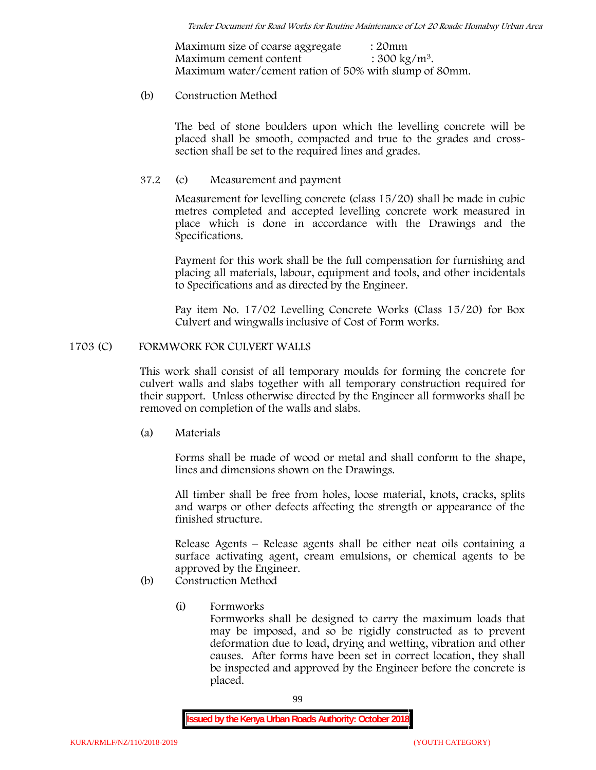Maximum size of coarse aggregate : 20mm Maximum cement content  $: 300 \text{ kg/m}^3$ . Maximum water/cement ration of 50% with slump of 80mm.

# (b) **Construction Method**

The bed of stone boulders upon which the levelling concrete will be placed shall be smooth, compacted and true to the grades and crosssection shall be set to the required lines and grades.

# **37.2** (c) **Measurement and payment**

Measurement for levelling concrete (class 15/20) shall be made in cubic metres completed and accepted levelling concrete work measured in place which is done in accordance with the Drawings and the Specifications.

Payment for this work shall be the full compensation for furnishing and placing all materials, labour, equipment and tools, and other incidentals to Specifications and as directed by the Engineer.

Pay item No. 17/02 Levelling Concrete Works (Class 15/20) for Box Culvert and wingwalls inclusive of Cost of Form works.

# **1703 (C) FORMWORK FOR CULVERT WALLS**

This work shall consist of all temporary moulds for forming the concrete for culvert walls and slabs together with all temporary construction required for their support. Unless otherwise directed by the Engineer all formworks shall be removed on completion of the walls and slabs.

(a) **Materials**

Forms shall be made of wood or metal and shall conform to the shape, lines and dimensions shown on the Drawings.

All timber shall be free from holes, loose material, knots, cracks, splits and warps or other defects affecting the strength or appearance of the finished structure.

Release Agents – Release agents shall be either neat oils containing a surface activating agent, cream emulsions, or chemical agents to be approved by the Engineer.

# (b) **Construction Method**

(i) **Formworks**

Formworks shall be designed to carry the maximum loads that may be imposed, and so be rigidly constructed as to prevent deformation due to load, drying and wetting, vibration and other causes. After forms have been set in correct location, they shall be inspected and approved by the Engineer before the concrete is placed.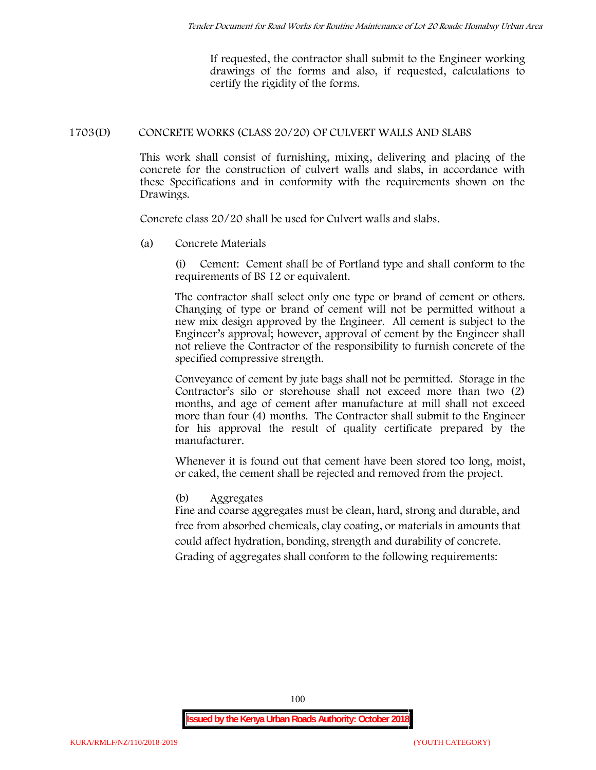If requested, the contractor shall submit to the Engineer working drawings of the forms and also, if requested, calculations to certify the rigidity of the forms.

# **1703(D) CONCRETE WORKS (CLASS 20/20) OF CULVERT WALLS AND SLABS**

This work shall consist of furnishing, mixing, delivering and placing of the concrete for the construction of culvert walls and slabs, in accordance with these Specifications and in conformity with the requirements shown on the Drawings.

Concrete class 20/20 shall be used for Culvert walls and slabs.

**(a) Concrete Materials**

(i) Cement: Cement shall be of Portland type and shall conform to the requirements of BS 12 or equivalent.

The contractor shall select only one type or brand of cement or others. Changing of type or brand of cement will not be permitted without a new mix design approved by the Engineer. All cement is subject to the Engineer's approval; however, approval of cement by the Engineer shall not relieve the Contractor of the responsibility to furnish concrete of the specified compressive strength.

Conveyance of cement by jute bags shall not be permitted. Storage in the Contractor's silo or storehouse shall not exceed more than two (2) months, and age of cement after manufacture at mill shall not exceed more than four (4) months. The Contractor shall submit to the Engineer for his approval the result of quality certificate prepared by the manufacturer.

Whenever it is found out that cement have been stored too long, moist, or caked, the cement shall be rejected and removed from the project.

# **(b) Aggregates**

Fine and coarse aggregates must be clean, hard, strong and durable, and free from absorbed chemicals, clay coating, or materials in amounts that could affect hydration, bonding, strength and durability of concrete. Grading of aggregates shall conform to the following requirements: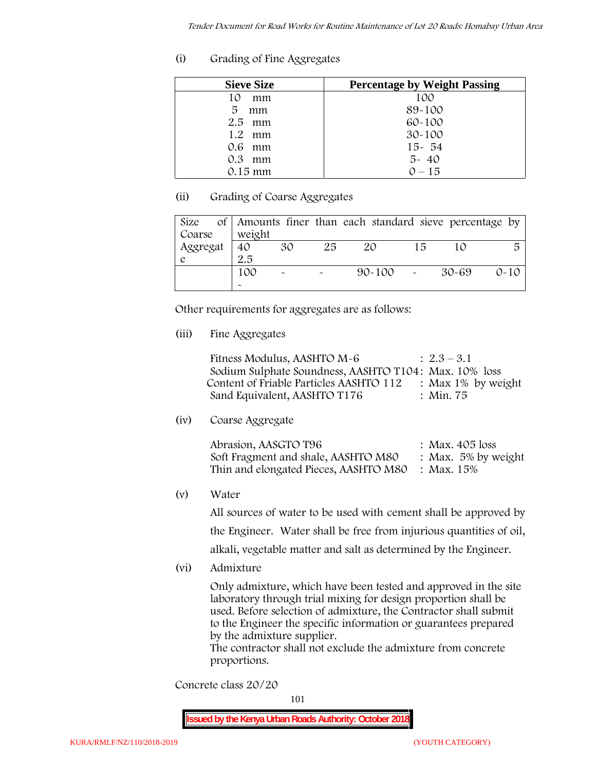# **(i) Grading of Fine Aggregates**

| <b>Sieve Size</b> | <b>Percentage by Weight Passing</b> |
|-------------------|-------------------------------------|
| 10<br>mm          | 100                                 |
| 5.<br>mm          | 89-100                              |
| $2.5$ mm          | $60 - 100$                          |
| $1.2$ mm          | $30 - 100$                          |
| $0.6$ mm          | $15 - 54$                           |
| $0.3$ mm          | $5 - 40$                            |
| $0.15 \text{ mm}$ | $0 - 15$                            |

# **(ii) Grading of Coarse Aggregates**

| Size     |                       |                           |    | of Amounts finer than each standard sieve percentage by |    |       |          |
|----------|-----------------------|---------------------------|----|---------------------------------------------------------|----|-------|----------|
| Coarse   | weight                |                           |    |                                                         |    |       |          |
| Aggregat | 40                    | 30                        | 25 | 20                                                      | 15 |       | 5        |
|          | 2.5                   |                           |    |                                                         |    |       |          |
|          | 100                   | $\widetilde{\phantom{m}}$ |    | $90 - 100$ -                                            |    | 30-69 | $0 - 10$ |
|          | $\tilde{\phantom{a}}$ |                           |    |                                                         |    |       |          |

Other requirements for aggregates are as follows:

# **(iii) Fine Aggregates**

| Fitness Modulus, AASHTO M-6                           | $: 2.3 - 3.1$         |
|-------------------------------------------------------|-----------------------|
| Sodium Sulphate Soundness, AASHTO T104: Max. 10% loss |                       |
| Content of Friable Particles AASHTO 112               | : Max $1\%$ by weight |
| Sand Equivalent, AASHTO T176                          | : Min. 75             |

**(iv) Coarse Aggregate**

| Abrasion, AASGTO T96                             | : Max. $405$ loss      |
|--------------------------------------------------|------------------------|
| Soft Fragment and shale, AASHTO M80              | : Max. $5\%$ by weight |
| Thin and elongated Pieces, AASHTO M80 : Max. 15% |                        |

**(v) Water**

All sources of water to be used with cement shall be approved by the Engineer. Water shall be free from injurious quantities of oil,

- alkali, vegetable matter and salt as determined by the Engineer.
- **(vi) Admixture**

Only admixture, which have been tested and approved in the site laboratory through trial mixing for design proportion shall be used. Before selection of admixture, the Contractor shall submit to the Engineer the specific information or guarantees prepared by the admixture supplier.

The contractor shall not exclude the admixture from concrete proportions.

**Concrete class 20/20**

101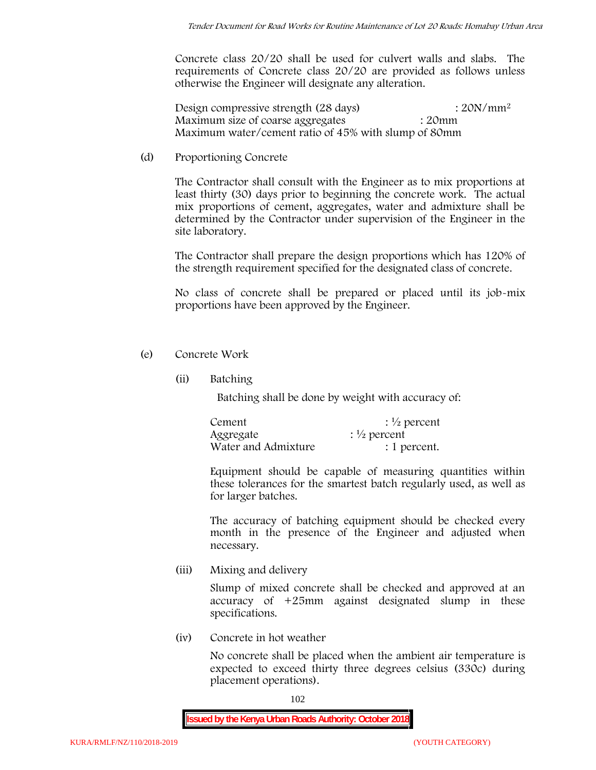Concrete class 20/20 shall be used for culvert walls and slabs. The requirements of Concrete class 20/20 are provided as follows unless otherwise the Engineer will designate any alteration.

Design compressive strength (28 days) : 20N/mm<sup>2</sup> Maximum size of coarse aggregates : 20mm Maximum water/cement ratio of 45% with slump of 80mm

(d) **Proportioning Concrete**

The Contractor shall consult with the Engineer as to mix proportions at least thirty (30) days prior to beginning the concrete work. The actual mix proportions of cement, aggregates, water and admixture shall be determined by the Contractor under supervision of the Engineer in the site laboratory.

The Contractor shall prepare the design proportions which has 120% of the strength requirement specified for the designated class of concrete.

No class of concrete shall be prepared or placed until its job-mix proportions have been approved by the Engineer.

- (e) **Concrete Work**
	- **(ii) Batching**

Batching shall be done by weight with accuracy of:

| Cement              | $\frac{1}{2}$ percent |
|---------------------|-----------------------|
| Aggregate           | $\frac{1}{2}$ percent |
| Water and Admixture | : 1 percent.          |

Equipment should be capable of measuring quantities within these tolerances for the smartest batch regularly used, as well as for larger batches.

The accuracy of batching equipment should be checked every month in the presence of the Engineer and adjusted when necessary.

**(iii) Mixing and delivery**

Slump of mixed concrete shall be checked and approved at an accuracy of +25mm against designated slump in these specifications.

**(iv) Concrete in hot weather**

No concrete shall be placed when the ambient air temperature is expected to exceed thirty three degrees celsius (330c) during placement operations).

102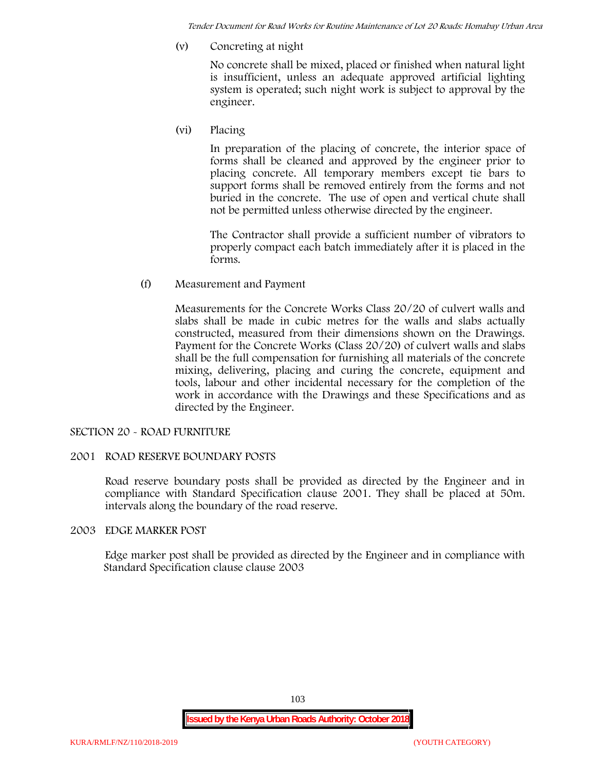*Tender Document for Road Works for Routine Maintenance of Lot 20 Roads: Homabay Urban Area*

**(v) Concreting at night**

No concrete shall be mixed, placed or finished when natural light is insufficient, unless an adequate approved artificial lighting system is operated; such night work is subject to approval by the engineer.

**(vi) Placing**

In preparation of the placing of concrete, the interior space of forms shall be cleaned and approved by the engineer prior to placing concrete. All temporary members except tie bars to support forms shall be removed entirely from the forms and not buried in the concrete. The use of open and vertical chute shall not be permitted unless otherwise directed by the engineer.

The Contractor shall provide a sufficient number of vibrators to properly compact each batch immediately after it is placed in the forms.

(f) **Measurement and Payment**

Measurements for the Concrete Works Class 20/20 of culvert walls and slabs shall be made in cubic metres for the walls and slabs actually constructed, measured from their dimensions shown on the Drawings. Payment for the Concrete Works (Class 20/20) of culvert walls and slabs shall be the full compensation for furnishing all materials of the concrete mixing, delivering, placing and curing the concrete, equipment and tools, labour and other incidental necessary for the completion of the work in accordance with the Drawings and these Specifications and as directed by the Engineer.

# **SECTION 20 - ROAD FURNITURE**

# **2001 ROAD RESERVE BOUNDARY POSTS**

Road reserve boundary posts shall be provided as directed by the Engineer and in compliance with Standard Specification clause 2001. They shall be placed at 50m. intervals along the boundary of the road reserve.

# **2003 EDGE MARKER POST**

Edge marker post shall be provided as directed by the Engineer and in compliance with Standard Specification clause clause 2003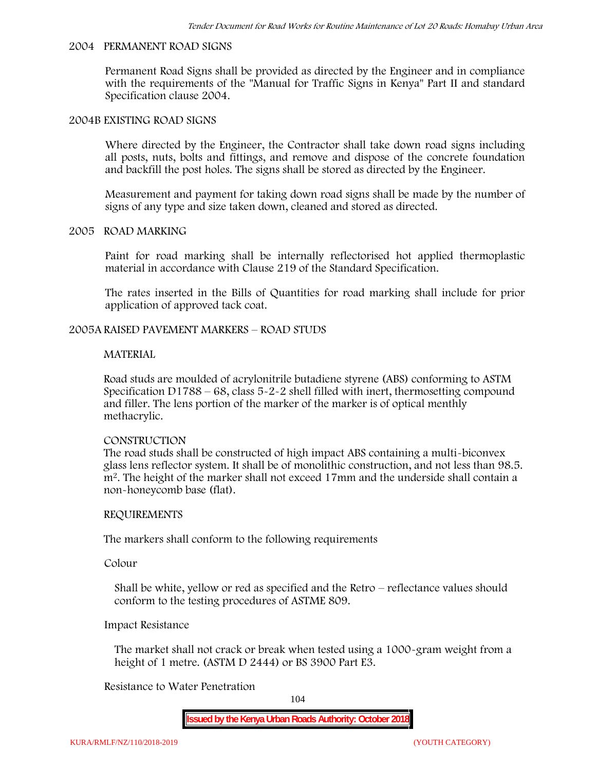#### **2004 PERMANENT ROAD SIGNS**

Permanent Road Signs shall be provided as directed by the Engineer and in compliance with the requirements of the "Manual for Traffic Signs in Kenya" Part II and standard Specification clause 2004.

#### **2004B EXISTING ROAD SIGNS**

Where directed by the Engineer, the Contractor shall take down road signs including all posts, nuts, bolts and fittings, and remove and dispose of the concrete foundation and backfill the post holes. The signs shall be stored as directed by the Engineer.

Measurement and payment for taking down road signs shall be made by the number of signs of any type and size taken down, cleaned and stored as directed.

#### **2005 ROAD MARKING**

Paint for road marking shall be internally reflectorised hot applied thermoplastic material in accordance with Clause 219 of the Standard Specification.

The rates inserted in the Bills of Quantities for road marking shall include for prior application of approved tack coat.

### **2005A RAISED PAVEMENT MARKERS – ROAD STUDS**

#### **MATERIAL**

Road studs are moulded of acrylonitrile butadiene styrene (ABS) conforming to ASTM Specification D1788 – 68, class  $5 - 2 - 2$  shell filled with inert, thermosetting compound and filler. The lens portion of the marker of the marker is of optical menthly methacrylic.

#### **CONSTRUCTION**

The road studs shall be constructed of high impact ABS containing a multi-biconvex glass lens reflector system. It shall be of monolithic construction, and not less than 98.5. m2. The height of the marker shall not exceed 17mm and the underside shall contain a non-honeycomb base (flat).

#### **REQUIREMENTS**

The markers shall conform to the following requirements

**Colour**

Shall be white, yellow or red as specified and the Retro – reflectance values should conform to the testing procedures of ASTME 809.

# **Impact Resistance**

The market shall not crack or break when tested using a 1000**-**gram weight from a height of 1 metre. (ASTM D 2444) or BS 3900 Part E3.

### **Resistance to Water Penetration**

104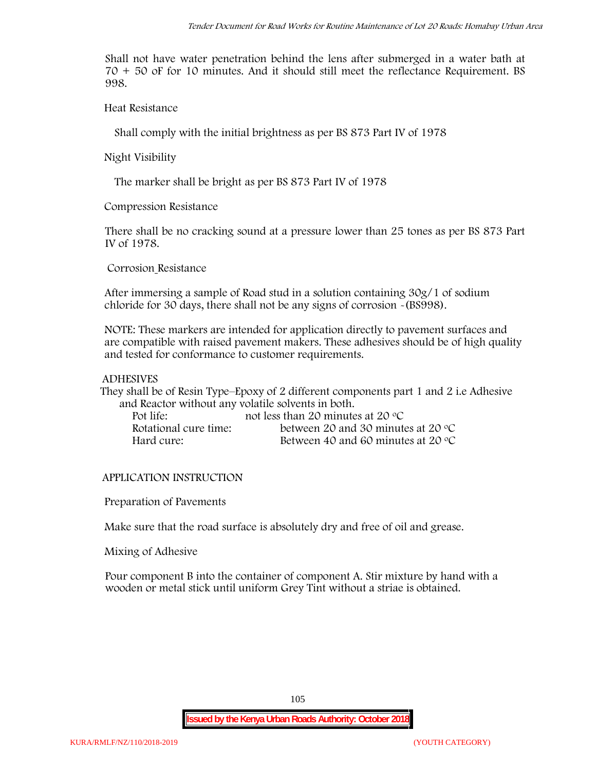Shall not have water penetration behind the lens after submerged in a water bath at 70 + 50 oF for 10 minutes. And it should still meet the reflectance Requirement. BS 998.

**Heat Resistance**

Shall comply with the initial brightness as per BS 873 Part IV of 1978

**Night Visibility**

The marker shall be bright as per BS 873 Part IV of 1978

**Compression Resistance**

There shall be no cracking sound at a pressure lower than 25 tones as per BS 873 Part IV of 1978.

**Corrosion Resistance**

After immersing a sample of Road stud in a solution containing 30g/1 of sodium chloride for 30 days, there shall not be any signs of corrosion **-**(BS998).

**NOTE**: These markers are intended for application directly to pavement surfaces and are compatible with raised pavement makers. These adhesives should be of high quality and tested for conformance to customer requirements.

# **ADHESIVES**

They shall be of Resin Type–Epoxy of 2 different components part 1 and 2 i.e Adhesive and Reactor without any volatile solvents in both.

| Pot life:             | not less than 20 minutes at 20 $\degree$ C  |
|-----------------------|---------------------------------------------|
| Rotational cure time: | between 20 and 30 minutes at 20 $\degree$ C |
| Hard cure:            | Between 40 and 60 minutes at 20 $\degree$ C |

# **APPLICATION INSTRUCTION**

**Preparation of Pavements**

Make sure that the road surface is absolutely dry and free of oil and grease**.**

**Mixing of Adhesive**

Pour component B into the container of component A. Stir mixture by hand with a wooden or metal stick until uniform Grey Tint without a striae is obtained.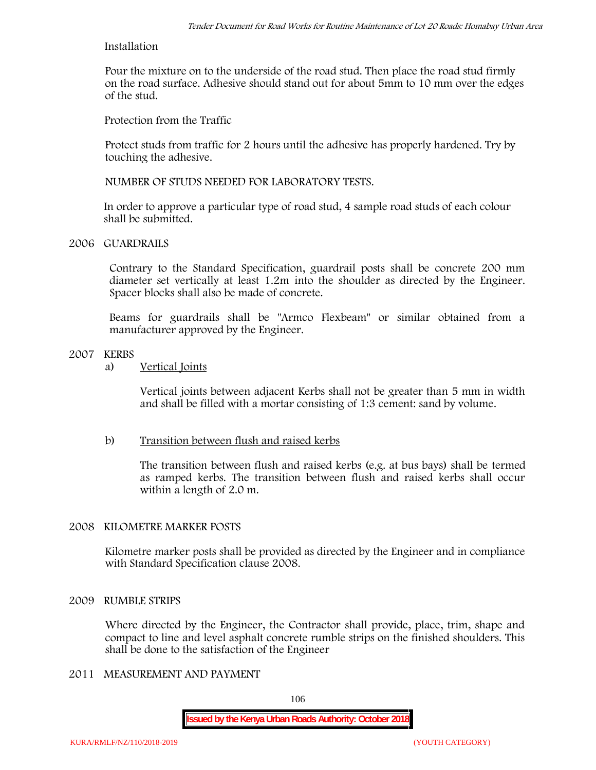### **Installation**

Pour the mixture on to the underside of the road stud. Then place the road stud firmly on the road surface. Adhesive should stand out for about 5mm to 10 mm over the edges of the stud.

**Protection from the Traffic**

Protect studs from traffic for 2 hours until the adhesive has properly hardened. Try by touching the adhesive.

**NUMBER OF STUDS NEEDED FOR LABORATORY TESTS.**

In order to approve a particular type of road stud, 4 sample road studs of each colour shall be submitted.

# **2006 GUARDRAILS**

Contrary to the Standard Specification, guardrail posts shall be concrete 200 mm diameter set vertically at least 1.2m into the shoulder as directed by the Engineer. Spacer blocks shall also be made of concrete.

Beams for guardrails shall be "Armco Flexbeam" or similar obtained from a manufacturer approved by the Engineer.

# **2007 KERBS**

a) **Vertical Joints**

Vertical joints between adjacent Kerbs shall not be greater than 5 mm in width and shall be filled with a mortar consisting of 1:3 cement: sand by volume.

# b) **Transition between flush and raised kerbs**

The transition between flush and raised kerbs (e.g. at bus bays) shall be termed as ramped kerbs. The transition between flush and raised kerbs shall occur within a length of 2.0 m.

# **2008 KILOMETRE MARKER POSTS**

Kilometre marker posts shall be provided as directed by the Engineer and in compliance with Standard Specification clause 2008.

# **2009 RUMBLE STRIPS**

Where directed by the Engineer, the Contractor shall provide, place, trim, shape and compact to line and level asphalt concrete rumble strips on the finished shoulders. This shall be done to the satisfaction of the Engineer

# **2011 MEASUREMENT AND PAYMENT**

106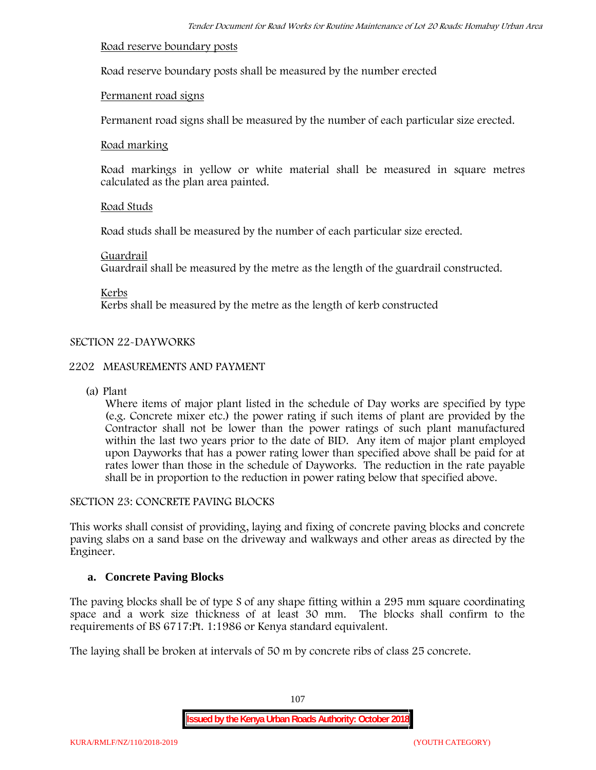### **Road reserve boundary posts**

Road reserve boundary posts shall be measured by the number erected

# **Permanent road signs**

Permanent road signs shall be measured by the number of each particular size erected.

### **Road marking**

Road markings in yellow or white material shall be measured in square metres calculated as the plan area painted.

# **Road Studs**

Road studs shall be measured by the number of each particular size erected.

### **Guardrail**

Guardrail shall be measured by the metre as the length of the guardrail constructed.

**Kerbs**

Kerbs shall be measured by the metre as the length of kerb constructed

# **SECTION 22-DAYWORKS**

# **2202 MEASUREMENTS AND PAYMENT**

(a) Plant

Where items of major plant listed in the schedule of Day works are specified by type (e.g. Concrete mixer etc.) the power rating if such items of plant are provided by the Contractor shall not be lower than the power ratings of such plant manufactured within the last two years prior to the date of BID. Any item of major plant employed upon Dayworks that has a power rating lower than specified above shall be paid for at rates lower than those in the schedule of Dayworks. The reduction in the rate payable shall be in proportion to the reduction in power rating below that specified above.

# **SECTION 23: CONCRETE PAVING BLOCKS**

This works shall consist of providing, laying and fixing of concrete paving blocks and concrete paving slabs on a sand base on the driveway and walkways and other areas as directed by the Engineer.

# **a. Concrete Paving Blocks**

The paving blocks shall be of type S of any shape fitting within a 295 mm square coordinating space and a work size thickness of at least 30 mm. The blocks shall confirm to the requirements of BS 6717:Pt. 1:1986 or Kenya standard equivalent.

The laying shall be broken at intervals of 50 m by concrete ribs of class 25 concrete.

107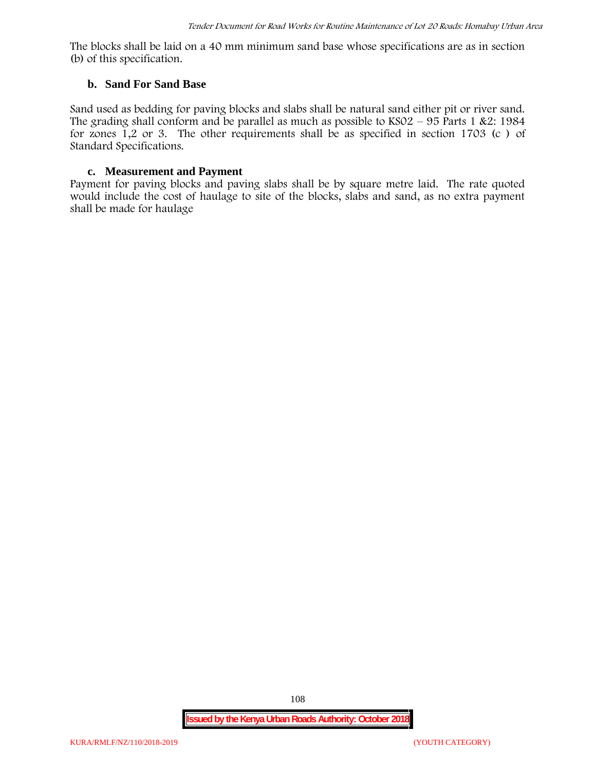The blocks shall be laid on a 40 mm minimum sand base whose specifications are as in section (b) of this specification.

#### **b. Sand For Sand Base**

Sand used as bedding for paving blocks and slabs shall be natural sand either pit or river sand. The grading shall conform and be parallel as much as possible to  $KSO2 - 95$  Parts 1 &2: 1984 for zones 1,2 or 3. The other requirements shall be as specified in section 1703 (c ) of Standard Specifications.

#### **c. Measurement and Payment**

Payment for paving blocks and paving slabs shall be by square metre laid. The rate quoted would include the cost of haulage to site of the blocks, slabs and sand, as no extra payment shall be made for haulage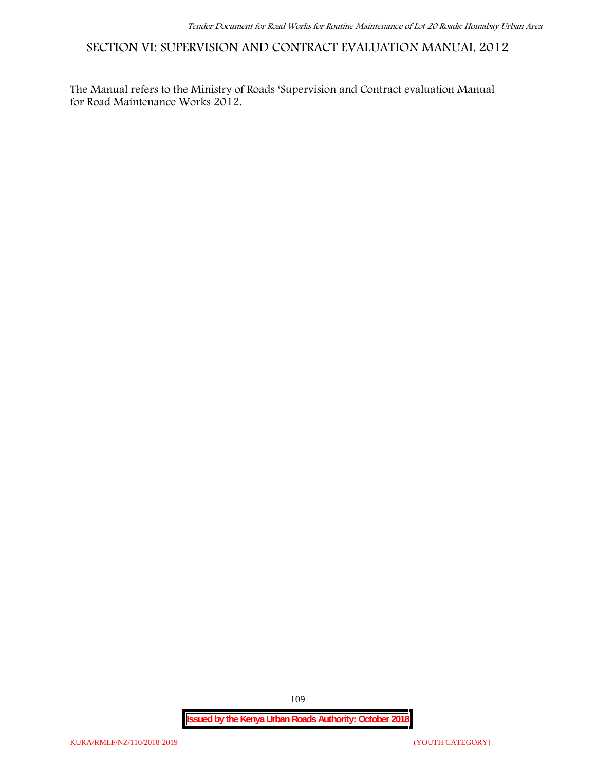**SECTION VI: SUPERVISION AND CONTRACT EVALUATION MANUAL 2012**

The Manual refers to the Ministry of Roads 'Supervision and Contract evaluation Manual for Road Maintenance Works 2012.

**Issued by the Kenya Urban Roads Authority: October 2018**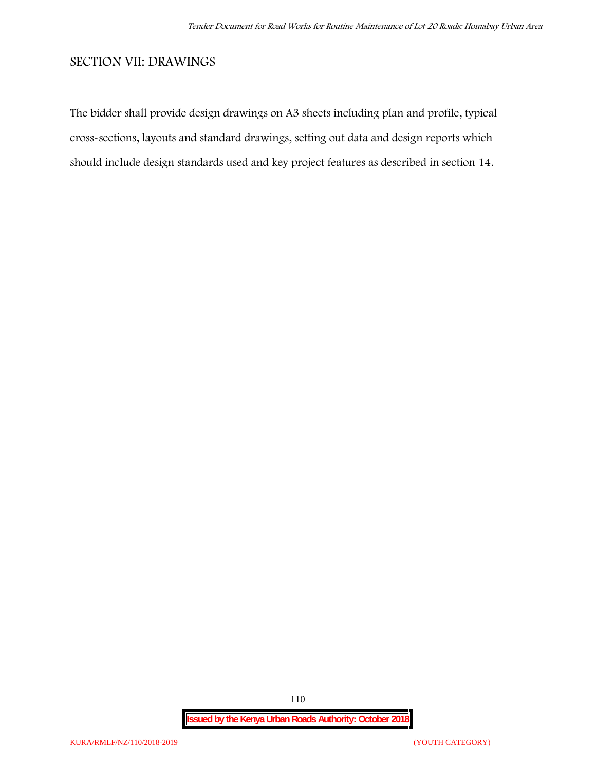## **SECTION VII: DRAWINGS**

The bidder shall provide design drawings on A3 sheets including plan and profile, typical cross-sections, layouts and standard drawings, setting out data and design reports which should include design standards used and key project features as described in section 14.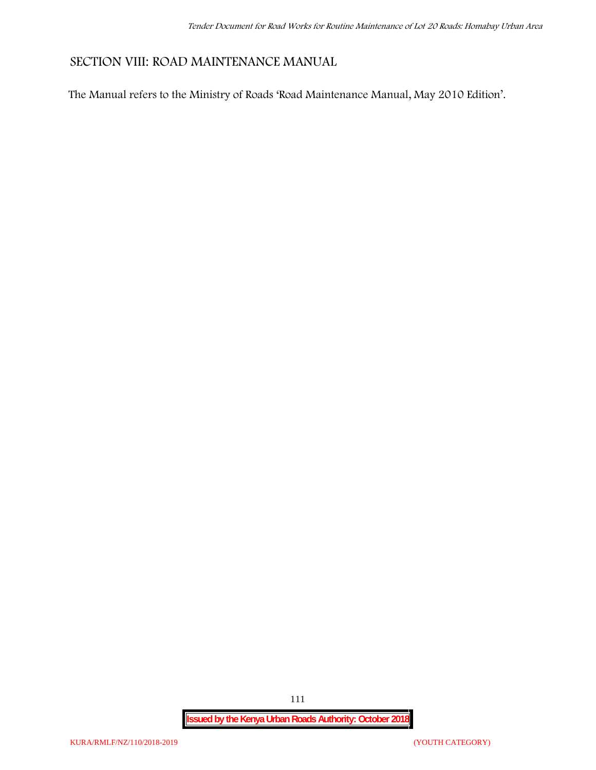# **SECTION VIII: ROAD MAINTENANCE MANUAL**

The Manual refers to the Ministry of Roads 'Road Maintenance Manual, May 2010 Edition'.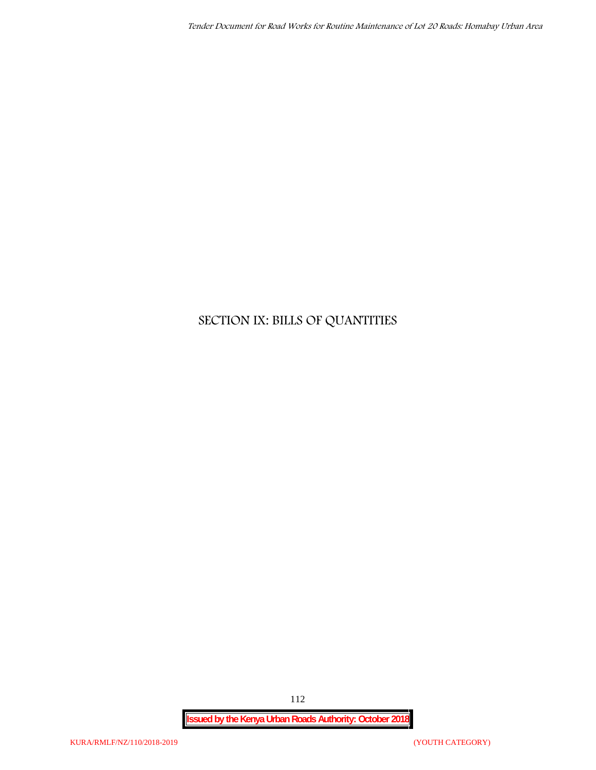# **SECTION IX: BILLS OF QUANTITIES**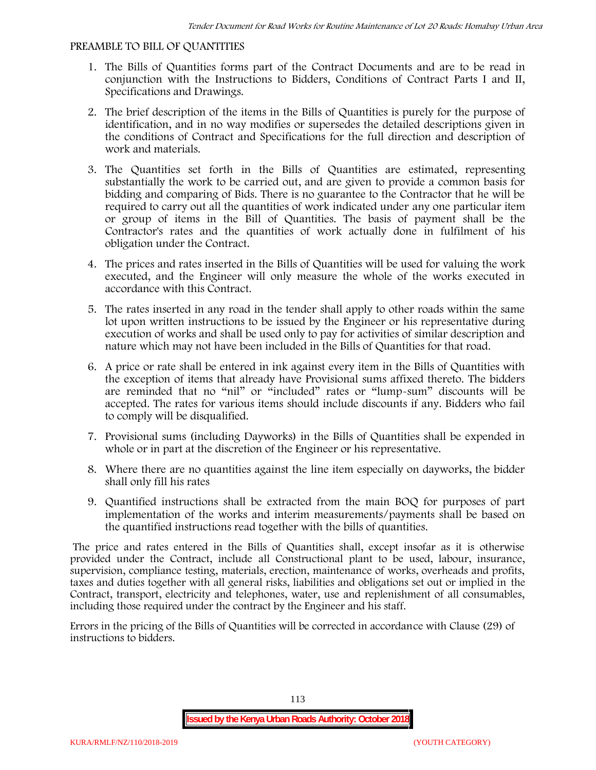#### **PREAMBLE TO BILL OF QUANTITIES**

- 1. The Bills of Quantities forms part of the Contract Documents and are to be read in conjunction with the Instructions to Bidders, Conditions of Contract Parts I and II, Specifications and Drawings.
- 2. The brief description of the items in the Bills of Quantities is purely for the purpose of identification, and in no way modifies or supersedes the detailed descriptions given in the conditions of Contract and Specifications for the full direction and description of work and materials.
- 3. The Quantities set forth in the Bills of Quantities are estimated, representing substantially the work to be carried out, and are given to provide a common basis for bidding and comparing of Bids. There is no guarantee to the Contractor that he will be required to carry out all the quantities of work indicated under any one particular item or group of items in the Bill of Quantities. The basis of payment shall be the Contractor's rates and the quantities of work actually done in fulfilment of his obligation under the Contract.
- 4. The prices and rates inserted in the Bills of Quantities will be used for valuing the work executed, and the Engineer will only measure the whole of the works executed in accordance with this Contract.
- 5. The rates inserted in any road in the tender shall apply to other roads within the same lot upon written instructions to be issued by the Engineer or his representative during execution of works and shall be used only to pay for activities of similar description and nature which may not have been included in the Bills of Quantities for that road.
- 6. A price or rate shall be entered in ink against every item in the Bills of Quantities with the exception of items that already have Provisional sums affixed thereto. The bidders are reminded that no "nil" or "included" rates or "lump-sum" discounts will be accepted. The rates for various items should include discounts if any. Bidders who fail to comply will be disqualified.
- 7. Provisional sums (including Dayworks) in the Bills of Quantities shall be expended in whole or in part at the discretion of the Engineer or his representative.
- 8. Where there are no quantities against the line item especially on dayworks, the bidder shall only fill his rates
- 9. Quantified instructions shall be extracted from the main BOQ for purposes of part implementation of the works and interim measurements/payments shall be based on the quantified instructions read together with the bills of quantities.

The price and rates entered in the Bills of Quantities shall, except insofar as it is otherwise provided under the Contract, include all Constructional plant to be used, labour, insurance, supervision, compliance testing, materials, erection, maintenance of works, overheads and profits, taxes and duties together with all general risks, liabilities and obligations set out or implied in the Contract, transport, electricity and telephones, water, use and replenishment of all consumables, including those required under the contract by the Engineer and his staff.

Errors in the pricing of the Bills of Quantities will be corrected in accordance with Clause (29) of instructions to bidders.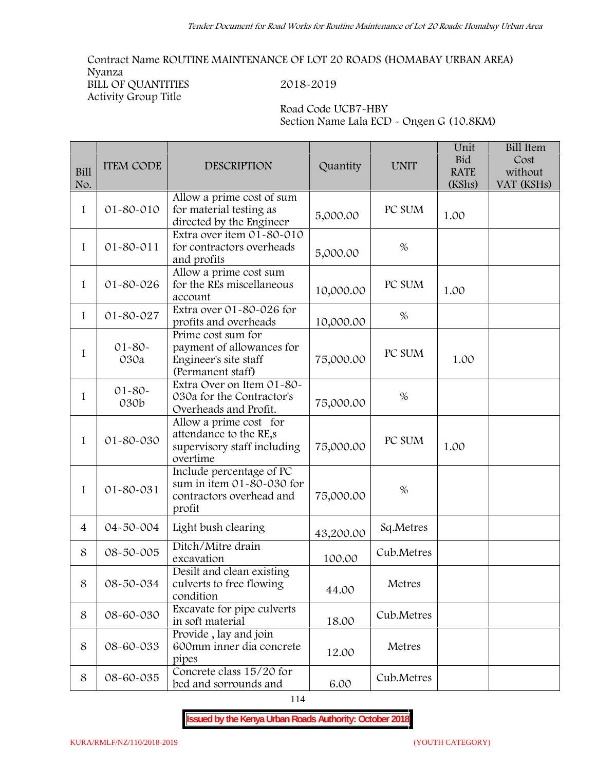**Contract Name ROUTINE MAINTENANCE OF LOT 20 ROADS (HOMABAY URBAN AREA) Nyanza BILL OF QUANTITIES 2018-2019 Activity Group Title**

**Road Code UCB7-HBY Section Name Lala ECD - Ongen G (10.8KM)**

| <b>Bill</b><br>No. | <b>ITEM CODE</b>    | <b>DESCRIPTION</b>                                                                            | Quantity  | <b>UNIT</b> | Unit<br><b>Bid</b><br><b>RATE</b><br>(KShs) | <b>Bill Item</b><br>Cost<br>without<br>VAT (KSHs) |
|--------------------|---------------------|-----------------------------------------------------------------------------------------------|-----------|-------------|---------------------------------------------|---------------------------------------------------|
| $\mathbf{1}$       | $01 - 80 - 010$     | Allow a prime cost of sum<br>for material testing as<br>directed by the Engineer              | 5,000.00  | PC SUM      | 1.00                                        |                                                   |
| $\mathbf{1}$       | $01 - 80 - 011$     | Extra over item 01-80-010<br>for contractors overheads<br>and profits                         | 5,000.00  | $\%$        |                                             |                                                   |
| 1                  | $01 - 80 - 026$     | Allow a prime cost sum<br>for the REs miscellaneous<br>account                                | 10,000.00 | PC SUM      | 1.00                                        |                                                   |
| $\mathbf{1}$       | 01-80-027           | Extra over 01-80-026 for<br>profits and overheads                                             | 10,000.00 | $\%$        |                                             |                                                   |
| 1                  | $01 - 80 -$<br>030a | Prime cost sum for<br>payment of allowances for<br>Engineer's site staff<br>(Permanent staff) | 75,000.00 | PC SUM      | 1.00                                        |                                                   |
| $\mathbf{1}$       | $01 - 80 -$<br>030b | Extra Over on Item 01-80-<br>030a for the Contractor's<br>Overheads and Profit.               | 75,000.00 | $\%$        |                                             |                                                   |
| $\mathbf{1}$       | 01-80-030           | Allow a prime cost for<br>attendance to the RE,s<br>supervisory staff including<br>overtime   | 75,000.00 | PC SUM      | 1.00                                        |                                                   |
| $\mathbf{1}$       | $01 - 80 - 031$     | Include percentage of PC<br>sum in item 01-80-030 for<br>contractors overhead and<br>profit   | 75,000.00 | $\%$        |                                             |                                                   |
| $\overline{4}$     | 04-50-004           | Light bush clearing                                                                           | 43,200.00 | Sq.Metres   |                                             |                                                   |
| 8                  | 08-50-005           | Ditch/Mitre drain<br>excavation                                                               | 100.00    | Cub.Metres  |                                             |                                                   |
| 8                  | 08-50-034           | Desilt and clean existing<br>culverts to free flowing<br>condition                            | 44.00     | Metres      |                                             |                                                   |
| 8                  | 08-60-030           | Excavate for pipe culverts<br>in soft material                                                | 18.00     | Cub.Metres  |                                             |                                                   |
| 8                  | 08-60-033           | Provide, lay and join<br>600mm inner dia concrete<br>pipes                                    | 12.00     | Metres      |                                             |                                                   |
| 8                  | 08-60-035           | Concrete class 15/20 for<br>bed and sorrounds and                                             | 6.00      | Cub.Metres  |                                             |                                                   |

114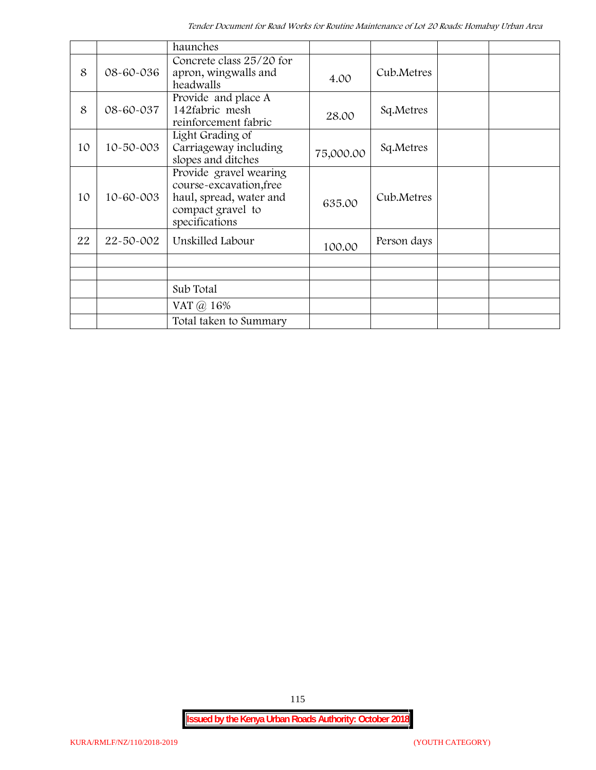|    |                 | haunches                                                                                                            |           |             |  |
|----|-----------------|---------------------------------------------------------------------------------------------------------------------|-----------|-------------|--|
| 8  | 08-60-036       | Concrete class 25/20 for<br>apron, wingwalls and<br>headwalls                                                       | 4.00      | Cub.Metres  |  |
| 8  | 08-60-037       | Provide and place A<br>142fabric mesh<br>reinforcement fabric                                                       | 28.00     | Sq.Metres   |  |
| 10 | $10 - 50 - 003$ | Light Grading of<br>Carriageway including<br>slopes and ditches                                                     | 75,000.00 | Sq.Metres   |  |
| 10 | 10-60-003       | Provide gravel wearing<br>course-excavation, free<br>haul, spread, water and<br>compact gravel to<br>specifications | 635.00    | Cub.Metres  |  |
| 22 | 22-50-002       | Unskilled Labour                                                                                                    | 100.00    | Person days |  |
|    |                 |                                                                                                                     |           |             |  |
|    |                 | Sub Total                                                                                                           |           |             |  |
|    |                 | VAT @ 16%                                                                                                           |           |             |  |
|    |                 | Total taken to Summary                                                                                              |           |             |  |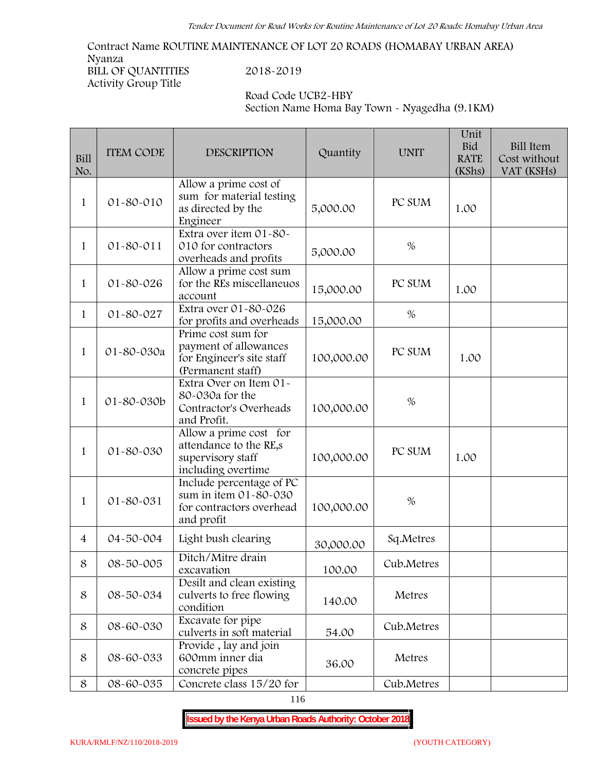**Contract Name ROUTINE MAINTENANCE OF LOT 20 ROADS (HOMABAY URBAN AREA) Nyanza BILL OF QUANTITIES 2018-2019 Activity Group Title**

**Road Code UCB2-HBY Section Name Homa Bay Town - Nyagedha (9.1KM)**

| Bill<br>No.    | <b>ITEM CODE</b> | <b>DESCRIPTION</b>                                                                            | Quantity   | <b>UNIT</b> | Unit<br><b>Bid</b><br><b>RATE</b><br>(KShs) | Bill Item<br>Cost without<br>VAT (KSHs) |
|----------------|------------------|-----------------------------------------------------------------------------------------------|------------|-------------|---------------------------------------------|-----------------------------------------|
| $\mathbf{1}$   | 01-80-010        | Allow a prime cost of<br>sum for material testing<br>as directed by the<br>Engineer           | 5,000.00   | PC SUM      | 1.00                                        |                                         |
| $\mathbf{1}$   | 01-80-011        | Extra over item 01-80-<br>010 for contractors<br>overheads and profits                        | 5,000.00   | $\%$        |                                             |                                         |
| $\mathbf{1}$   | 01-80-026        | Allow a prime cost sum<br>for the REs miscellaneuos<br>account                                | 15,000.00  | PC SUM      | 1.00                                        |                                         |
| $\mathbf{1}$   | 01-80-027        | Extra over 01-80-026<br>for profits and overheads                                             | 15,000.00  | %           |                                             |                                         |
| $\mathbf{1}$   | 01-80-030a       | Prime cost sum for<br>payment of allowances<br>for Engineer's site staff<br>(Permanent staff) | 100,000.00 | PC SUM      | 1.00                                        |                                         |
| $\mathbf{1}$   | 01-80-030b       | Extra Over on Item 01-<br>80-030a for the<br>Contractor's Overheads<br>and Profit.            | 100,000.00 | $\%$        |                                             |                                         |
| $\mathbf{1}$   | 01-80-030        | Allow a prime cost for<br>attendance to the RE,s<br>supervisory staff<br>including overtime   | 100,000.00 | PC SUM      | 1.00                                        |                                         |
| $\mathbf{1}$   | 01-80-031        | Include percentage of PC<br>sum in item 01-80-030<br>for contractors overhead<br>and profit   | 100,000.00 | $\%$        |                                             |                                         |
| $\overline{4}$ | 04-50-004        | Light bush clearing                                                                           | 30,000.00  | Sq.Metres   |                                             |                                         |
| 8              | 08-50-005        | Ditch/Mitre drain<br>excavation                                                               | 100.00     | Cub.Metres  |                                             |                                         |
| $\,8\,$        | 08-50-034        | Desilt and clean existing<br>culverts to free flowing<br>condition                            | 140.00     | Metres      |                                             |                                         |
| 8              | 08-60-030        | Excavate for pipe<br>culverts in soft material                                                | 54.00      | Cub.Metres  |                                             |                                         |
| 8              | 08-60-033        | Provide, lay and join<br>600mm inner dia<br>concrete pipes                                    | 36.00      | Metres      |                                             |                                         |
| 8              | 08-60-035        | Concrete class 15/20 for                                                                      |            | Cub.Metres  |                                             |                                         |

116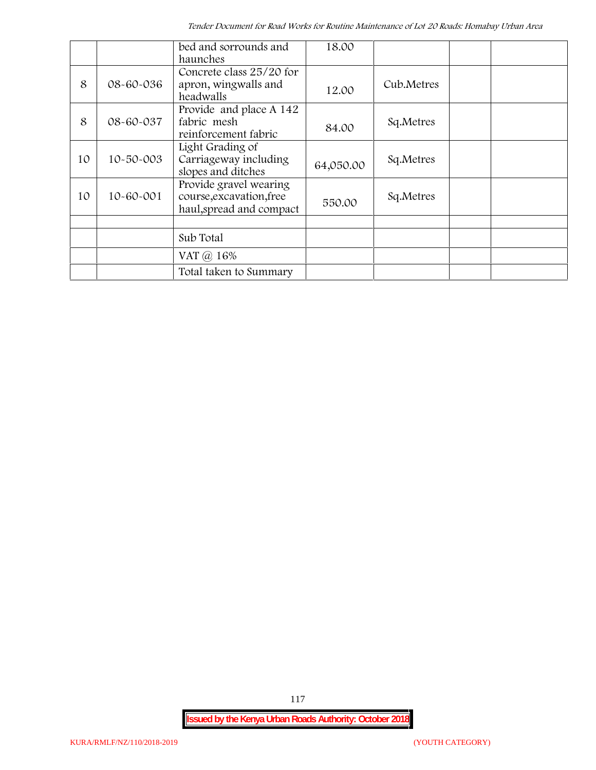|    |                 | bed and sorrounds and<br>haunches                                              | 18.00     |            |  |
|----|-----------------|--------------------------------------------------------------------------------|-----------|------------|--|
| 8  | 08-60-036       | Concrete class 25/20 for<br>apron, wingwalls and<br>headwalls                  | 12.00     | Cub.Metres |  |
| 8  | 08-60-037       | Provide and place A 142<br>fabric mesh<br>reinforcement fabric                 | 84.00     | Sq.Metres  |  |
| 10 | $10 - 50 - 003$ | Light Grading of<br>Carriageway including<br>slopes and ditches                | 64,050.00 | Sq.Metres  |  |
| 10 | $10 - 60 - 001$ | Provide gravel wearing<br>course, excavation, free<br>haul, spread and compact | 550.00    | Sq.Metres  |  |
|    |                 |                                                                                |           |            |  |
|    |                 | Sub Total                                                                      |           |            |  |
|    |                 | VAT @ 16%                                                                      |           |            |  |
|    |                 | Total taken to Summary                                                         |           |            |  |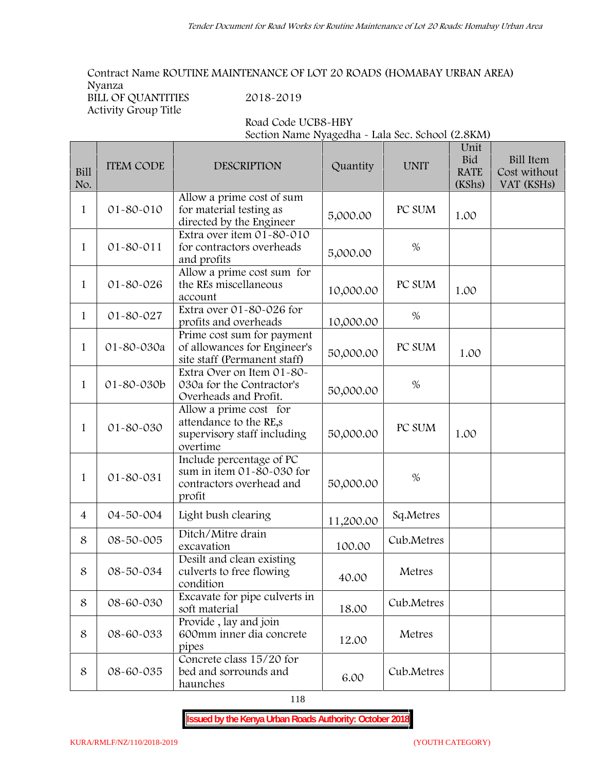**Contract Name ROUTINE MAINTENANCE OF LOT 20 ROADS (HOMABAY URBAN AREA) Nyanza**<br>**PHILOFOHANTITIES** 

| BILL OF QUANTITIES   |  |  |
|----------------------|--|--|
| Activity Group Title |  |  |

**BILL OF QUANTITIES 2018-2019**

**Road Code UCB8-HBY**

**Section Name Nyagedha - Lala Sec. School (2.8KM)**

| Bill<br>No.    | <b>ITEM CODE</b> | DESCRIPTION                                                                                 | Quantity  | <b>UNIT</b> | Unit<br><b>Bid</b><br><b>RATE</b><br>(KShs) | <b>Bill Item</b><br>Cost without<br>VAT (KSHs) |
|----------------|------------------|---------------------------------------------------------------------------------------------|-----------|-------------|---------------------------------------------|------------------------------------------------|
| 1              | 01-80-010        | Allow a prime cost of sum<br>for material testing as<br>directed by the Engineer            | 5,000.00  | PC SUM      | 1.00                                        |                                                |
| $\mathbf{1}$   | 01-80-011        | Extra over item 01-80-010<br>for contractors overheads<br>and profits                       | 5,000.00  | $\%$        |                                             |                                                |
| $\mathbf{1}$   | 01-80-026        | Allow a prime cost sum for<br>the REs miscellaneous<br>account                              | 10,000.00 | PC SUM      | 1.00                                        |                                                |
| 1              | 01-80-027        | Extra over 01-80-026 for<br>profits and overheads                                           | 10,000.00 | $\%$        |                                             |                                                |
| $\mathbf{1}$   | 01-80-030a       | Prime cost sum for payment<br>of allowances for Engineer's<br>site staff (Permanent staff)  | 50,000.00 | PC SUM      | 1.00                                        |                                                |
| $\mathbf{1}$   | 01-80-030b       | Extra Over on Item 01-80-<br>030a for the Contractor's<br>Overheads and Profit.             | 50,000.00 | $\%$        |                                             |                                                |
| 1              | 01-80-030        | Allow a prime cost for<br>attendance to the RE,s<br>supervisory staff including<br>overtime | 50,000.00 | PC SUM      | 1.00                                        |                                                |
| 1              | 01-80-031        | Include percentage of PC<br>sum in item 01-80-030 for<br>contractors overhead and<br>profit | 50,000.00 | $\%$        |                                             |                                                |
| $\overline{4}$ | 04-50-004        | Light bush clearing                                                                         | 11,200.00 | Sq.Metres   |                                             |                                                |
| 8              | 08-50-005        | Ditch/Mitre drain<br>excavation                                                             | 100.00    | Cub.Metres  |                                             |                                                |
| 8              | 08-50-034        | Desilt and clean existing<br>culverts to free flowing<br>condition                          | 40.00     | Metres      |                                             |                                                |
| 8              | 08-60-030        | Excavate for pipe culverts in<br>soft material                                              | 18.00     | Cub.Metres  |                                             |                                                |
| 8              | 08-60-033        | Provide, lay and join<br>600mm inner dia concrete<br>pipes                                  | 12.00     | Metres      |                                             |                                                |
| 8              | 08-60-035        | Concrete class 15/20 for<br>bed and sorrounds and<br>haunches                               | 6.00      | Cub.Metres  |                                             |                                                |

118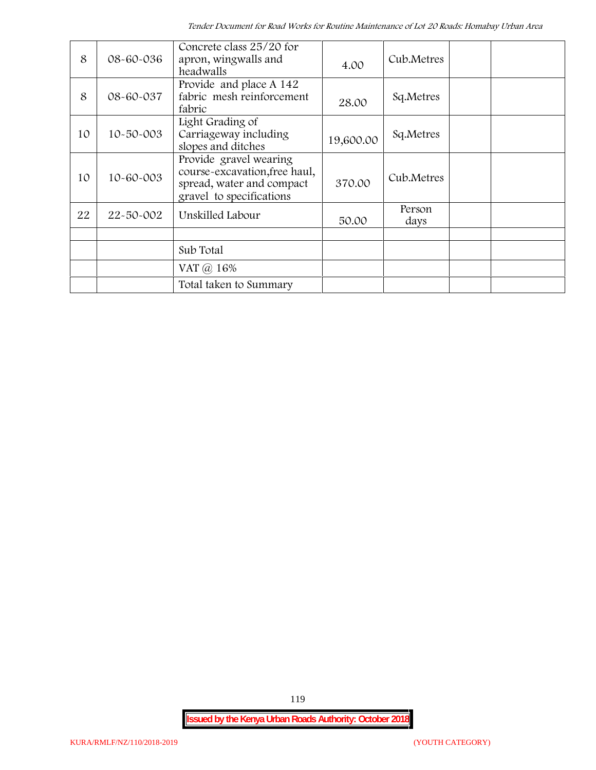| 8  | 08-60-036       | Concrete class 25/20 for<br>apron, wingwalls and<br>headwalls                                                    | 4.00      | Cub.Metres     |  |
|----|-----------------|------------------------------------------------------------------------------------------------------------------|-----------|----------------|--|
| 8  | 08-60-037       | Provide and place A 142<br>fabric mesh reinforcement<br>fabric                                                   | 28.00     | Sq.Metres      |  |
| 10 | $10 - 50 - 003$ | Light Grading of<br>Carriageway including<br>slopes and ditches                                                  | 19,600.00 | Sq.Metres      |  |
| 10 | 10-60-003       | Provide gravel wearing<br>course-excavation, free haul,<br>spread, water and compact<br>gravel to specifications | 370.00    | Cub.Metres     |  |
| 22 | 22-50-002       | Unskilled Labour                                                                                                 | 50.00     | Person<br>days |  |
|    |                 | Sub Total                                                                                                        |           |                |  |
|    |                 | VAT @ 16%                                                                                                        |           |                |  |
|    |                 | Total taken to Summary                                                                                           |           |                |  |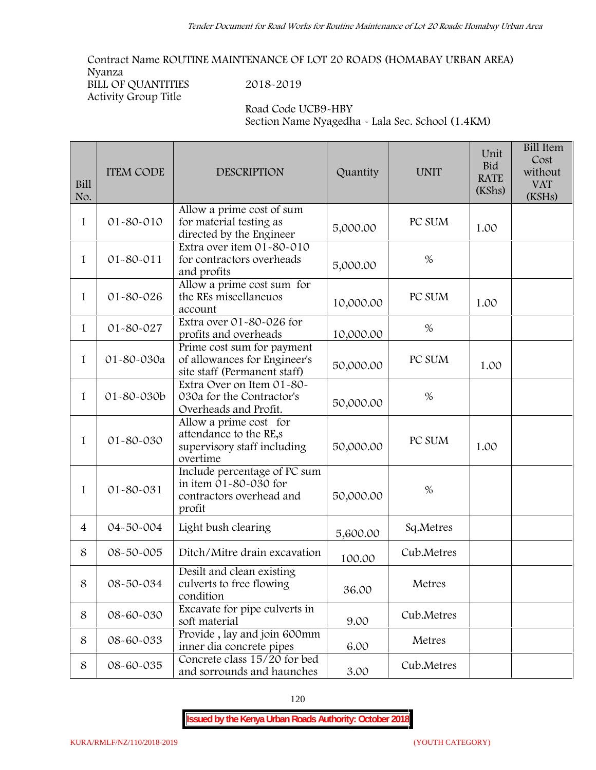**Contract Name ROUTINE MAINTENANCE OF LOT 20 ROADS (HOMABAY URBAN AREA) Nyanza BILL OF QUANTITIES 2018-2019**

**Activity Group Title**

**Road Code UCB9-HBY Section Name Nyagedha - Lala Sec. School (1.4KM)**

| <b>Bill</b><br>No. | <b>ITEM CODE</b> | <b>DESCRIPTION</b>                                                                          | Quantity  | <b>UNIT</b> | Unit<br>Bid<br><b>RATE</b><br>(KShs) | <b>Bill Item</b><br>Cost<br>without<br><b>VAT</b><br>(KSHs) |  |
|--------------------|------------------|---------------------------------------------------------------------------------------------|-----------|-------------|--------------------------------------|-------------------------------------------------------------|--|
| 1                  | 01-80-010        | Allow a prime cost of sum<br>for material testing as<br>directed by the Engineer            | 5,000.00  | PC SUM      | 1.00                                 |                                                             |  |
| 1                  | 01-80-011        | Extra over item 01-80-010<br>for contractors overheads<br>and profits                       | 5,000.00  | $\%$        |                                      |                                                             |  |
| 1                  | 01-80-026        | Allow a prime cost sum for<br>the REs miscellaneuos<br>account                              | 10,000.00 | PC SUM      | 1.00                                 |                                                             |  |
| $\mathbf{1}$       | 01-80-027        | Extra over 01-80-026 for<br>profits and overheads                                           | 10,000.00 | %           |                                      |                                                             |  |
| $\mathbf{1}$       | 01-80-030a       | Prime cost sum for payment<br>of allowances for Engineer's<br>site staff (Permanent staff)  | 50,000.00 | PC SUM      | 1.00                                 |                                                             |  |
| 1                  | 01-80-030b       | Extra Over on Item 01-80-<br>030a for the Contractor's<br>Overheads and Profit.             | 50,000.00 | $\%$        |                                      |                                                             |  |
| 1                  | 01-80-030        | Allow a prime cost for<br>attendance to the RE,s<br>supervisory staff including<br>overtime | 50,000.00 | PC SUM      | 1.00                                 |                                                             |  |
| 1                  | 01-80-031        | Include percentage of PC sum<br>in item 01-80-030 for<br>contractors overhead and<br>profit | 50,000.00 | $\%$        |                                      |                                                             |  |
| $\overline{4}$     | 04-50-004        | Light bush clearing                                                                         | 5,600.00  | Sq.Metres   |                                      |                                                             |  |
| 8                  | 08-50-005        | Ditch/Mitre drain excavation                                                                | 100.00    | Cub.Metres  |                                      |                                                             |  |
| 8                  | 08-50-034        | Desilt and clean existing<br>culverts to free flowing<br>condition                          | 36.00     | Metres      |                                      |                                                             |  |
| 8                  | 08-60-030        | Excavate for pipe culverts in<br>soft material                                              | 9.00      | Cub.Metres  |                                      |                                                             |  |
| 8                  | 08-60-033        | Provide, lay and join 600mm<br>inner dia concrete pipes                                     | 6.00      | Metres      |                                      |                                                             |  |
| 8                  | 08-60-035        | Concrete class 15/20 for bed<br>and sorrounds and haunches                                  | 3.00      | Cub.Metres  |                                      |                                                             |  |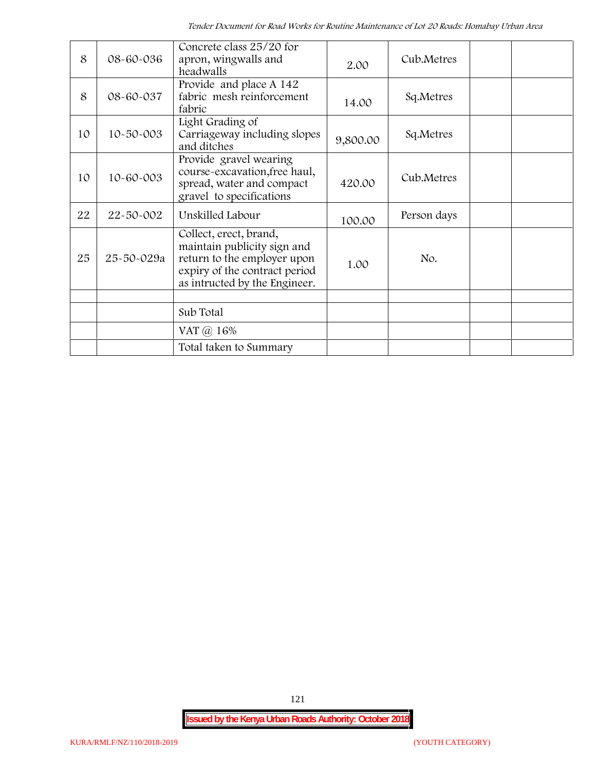| 8  | 08-60-036       | Concrete class 25/20 for<br>apron, wingwalls and<br>headwalls                                                                                          | 2.00     | Cub.Metres  |  |
|----|-----------------|--------------------------------------------------------------------------------------------------------------------------------------------------------|----------|-------------|--|
| 8  | 08-60-037       | Provide and place A 142<br>fabric mesh reinforcement<br>fabric                                                                                         | 14.00    | Sq.Metres   |  |
| 10 | $10 - 50 - 003$ | Light Grading of<br>Carriageway including slopes<br>and ditches                                                                                        | 9,800.00 | Sq.Metres   |  |
| 10 | 10-60-003       | Provide gravel wearing<br>course-excavation, free haul,<br>spread, water and compact<br>gravel to specifications                                       | 420.00   | Cub.Metres  |  |
| 22 | 22-50-002       | Unskilled Labour                                                                                                                                       | 100.00   | Person days |  |
| 25 | 25-50-029a      | Collect, erect, brand,<br>maintain publicity sign and<br>return to the employer upon<br>expiry of the contract period<br>as intructed by the Engineer. | 1.00     | No.         |  |
|    |                 | Sub Total                                                                                                                                              |          |             |  |
|    |                 | VAT @ 16%                                                                                                                                              |          |             |  |
|    |                 | Total taken to Summary                                                                                                                                 |          |             |  |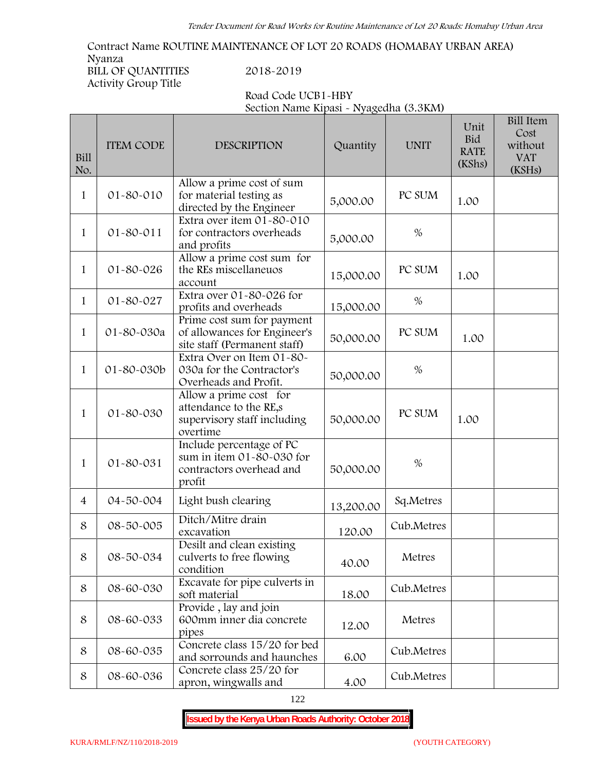**Contract Name ROUTINE MAINTENANCE OF LOT 20 ROADS (HOMABAY URBAN AREA) Nyanza BILL OF QUANTITIES 2018-2019 Activity Group Title**

| Road Code UCB1-HBY                     |  |
|----------------------------------------|--|
| Section Name Kipasi - Nyagedha (3.3KM) |  |

| Bill<br>No.    | <b>ITEM CODE</b> | <b>DESCRIPTION</b>                                                                          | Quantity  | <b>UNIT</b> | Unit<br><b>Bid</b><br><b>RATE</b><br>(KShs) | <b>Bill Item</b><br>Cost<br>without<br><b>VAT</b><br>(KSHs) |
|----------------|------------------|---------------------------------------------------------------------------------------------|-----------|-------------|---------------------------------------------|-------------------------------------------------------------|
| $\mathbf{1}$   | 01-80-010        | Allow a prime cost of sum<br>for material testing as<br>directed by the Engineer            | 5,000.00  | PC SUM      | 1.00                                        |                                                             |
| $\mathbf{1}$   | $01 - 80 - 011$  | Extra over item 01-80-010<br>for contractors overheads<br>and profits                       | 5,000.00  | $\%$        |                                             |                                                             |
| $\mathbf{1}$   | 01-80-026        | Allow a prime cost sum for<br>the REs miscellaneuos<br>account                              | 15,000.00 | PC SUM      | 1.00                                        |                                                             |
| $\mathbf{1}$   | 01-80-027        | Extra over 01-80-026 for<br>profits and overheads                                           | 15,000.00 | %           |                                             |                                                             |
| $\mathbf{1}$   | 01-80-030a       | Prime cost sum for payment<br>of allowances for Engineer's<br>site staff (Permanent staff)  | 50,000.00 | PC SUM      | 1.00                                        |                                                             |
| $\mathbf{1}$   | 01-80-030b       | Extra Over on Item 01-80-<br>030a for the Contractor's<br>Overheads and Profit.             | 50,000.00 | $\%$        |                                             |                                                             |
| $\mathbf{1}$   | 01-80-030        | Allow a prime cost for<br>attendance to the RE,s<br>supervisory staff including<br>overtime | 50,000.00 | PC SUM      | 1.00                                        |                                                             |
| $\mathbf{1}$   | 01-80-031        | Include percentage of PC<br>sum in item 01-80-030 for<br>contractors overhead and<br>profit | 50,000.00 | $\%$        |                                             |                                                             |
| $\overline{4}$ | 04-50-004        | Light bush clearing                                                                         | 13,200.00 | Sq.Metres   |                                             |                                                             |
| 8              | 08-50-005        | Ditch/Mitre drain<br>excavation                                                             | 120.00    | Cub.Metres  |                                             |                                                             |
| 8              | 08-50-034        | Desilt and clean existing<br>culverts to free flowing<br>condition                          | 40.00     | Metres      |                                             |                                                             |
| 8              | 08-60-030        | Excavate for pipe culverts in<br>soft material                                              | 18.00     | Cub.Metres  |                                             |                                                             |
| 8              | 08-60-033        | Provide, lay and join<br>600mm inner dia concrete<br>pipes                                  | 12.00     | Metres      |                                             |                                                             |
| 8              | 08-60-035        | Concrete class 15/20 for bed<br>and sorrounds and haunches                                  | 6.00      | Cub.Metres  |                                             |                                                             |
| 8              | 08-60-036        | Concrete class 25/20 for<br>apron, wingwalls and                                            | 4.00      | Cub.Metres  |                                             |                                                             |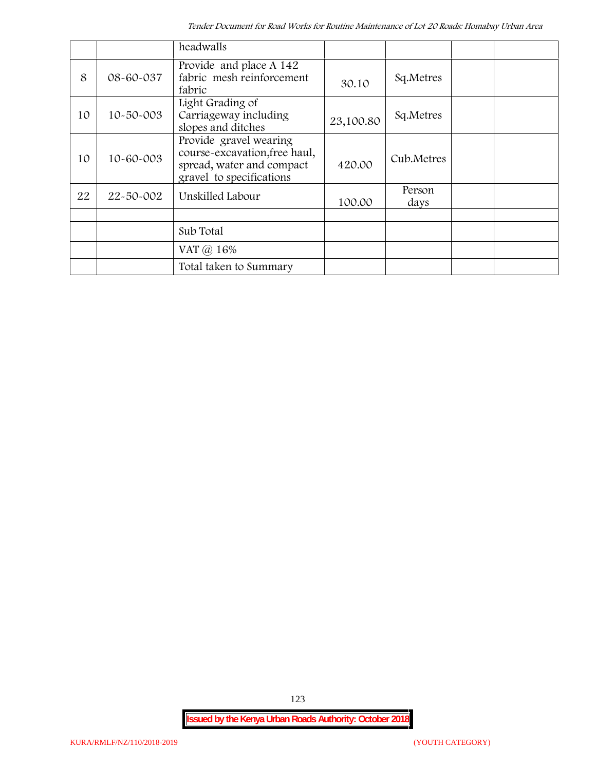|    |                 | headwalls                                                                                                        |           |                |  |
|----|-----------------|------------------------------------------------------------------------------------------------------------------|-----------|----------------|--|
| 8  | 08-60-037       | Provide and place A 142<br>fabric mesh reinforcement<br>fabric                                                   | 30.10     | Sq.Metres      |  |
| 10 | $10 - 50 - 003$ | Light Grading of<br>Carriageway including<br>slopes and ditches                                                  | 23,100.80 | Sq.Metres      |  |
| 10 | 10-60-003       | Provide gravel wearing<br>course-excavation, free haul,<br>spread, water and compact<br>gravel to specifications | 420.00    | Cub.Metres     |  |
| 22 | 22-50-002       | Unskilled Labour                                                                                                 | 100.00    | Person<br>days |  |
|    |                 |                                                                                                                  |           |                |  |
|    |                 | Sub Total                                                                                                        |           |                |  |
|    |                 | VAT $\omega$ 16%                                                                                                 |           |                |  |
|    |                 | Total taken to Summary                                                                                           |           |                |  |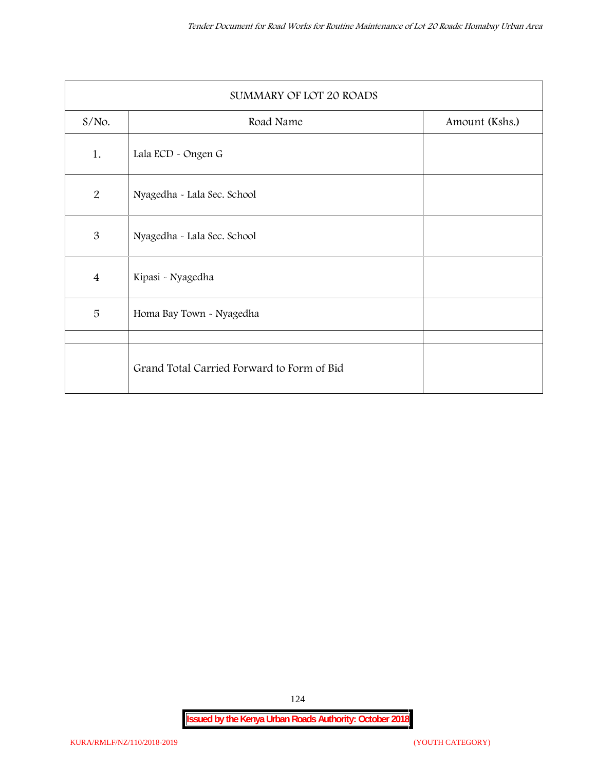| SUMMARY OF LOT 20 ROADS |                                            |                |  |  |
|-------------------------|--------------------------------------------|----------------|--|--|
| $S/NO$ .                | Road Name                                  | Amount (Kshs.) |  |  |
| 1.                      | Lala ECD - Ongen G                         |                |  |  |
| 2                       | Nyagedha - Lala Sec. School                |                |  |  |
| $\mathfrak{B}$          | Nyagedha - Lala Sec. School                |                |  |  |
| $\overline{4}$          | Kipasi - Nyagedha                          |                |  |  |
| 5                       | Homa Bay Town - Nyagedha                   |                |  |  |
|                         | Grand Total Carried Forward to Form of Bid |                |  |  |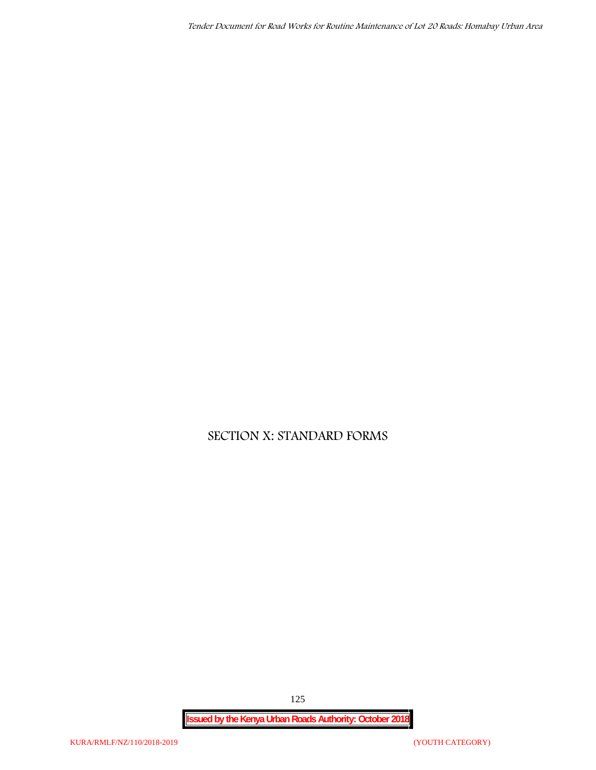# **SECTION X: STANDARD FORMS**

**Issued by the Kenya Urban Roads Authority: October 2018**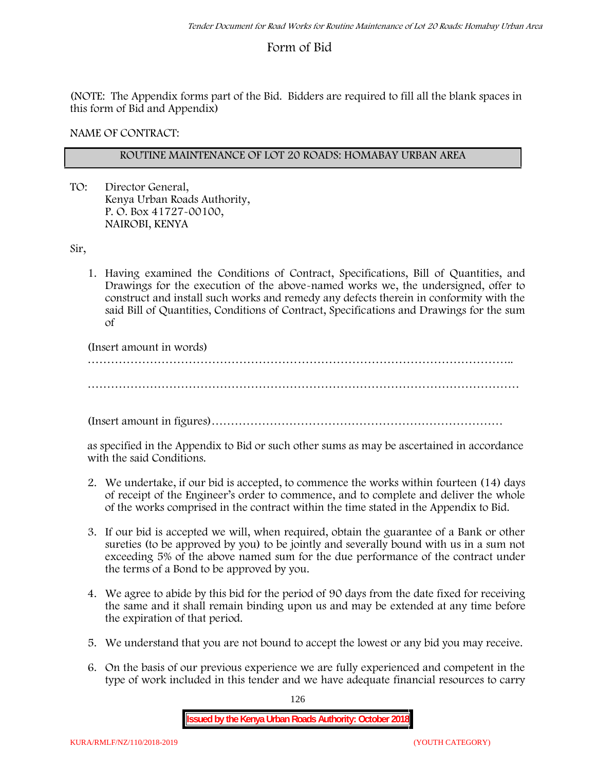## **Form of Bid**

(NOTE: The Appendix forms part of the Bid. Bidders are required to fill all the blank spaces in this form of Bid and Appendix)

**NAME OF CONTRACT:**

#### **ROUTINE MAINTENANCE OF LOT 20 ROADS: HOMABAY URBAN AREA**

TO: Director General, Kenya Urban Roads Authority, P. O. Box 41727-00100, **NAIROBI, KENYA**

Sir,

1. Having examined the Conditions of Contract, Specifications, Bill of Quantities, and Drawings for the execution of the above-named works we, the undersigned, offer to construct and install such works and remedy any defects therein in conformity with the said Bill of Quantities, Conditions of Contract, Specifications and Drawings for the sum of

(Insert amount in words)

………………………………………………………………………………………………..

…………………………………………………………………………………………………

(Insert amount in figures)…………………………………………………………………

as specified in the Appendix to Bid or such other sums as may be ascertained in accordance with the said Conditions.

- 2. We undertake, if our bid is accepted, to commence the works within fourteen (14) days of receipt of the Engineer's order to commence, and to complete and deliver the whole of the works comprised in the contract within the time stated in the Appendix to Bid.
- 3. If our bid is accepted we will, when required, obtain the guarantee of a Bank or other sureties (to be approved by you) to be jointly and severally bound with us in a sum not exceeding 5% of the above named sum for the due performance of the contract under the terms of a Bond to be approved by you.
- 4. We agree to abide by this bid for the period of 90 days from the date fixed for receiving the same and it shall remain binding upon us and may be extended at any time before the expiration of that period.
- 5. We understand that you are not bound to accept the lowest or any bid you may receive.
- 6. On the basis of our previous experience we are fully experienced and competent in the type of work included in this tender and we have adequate financial resources to carry

126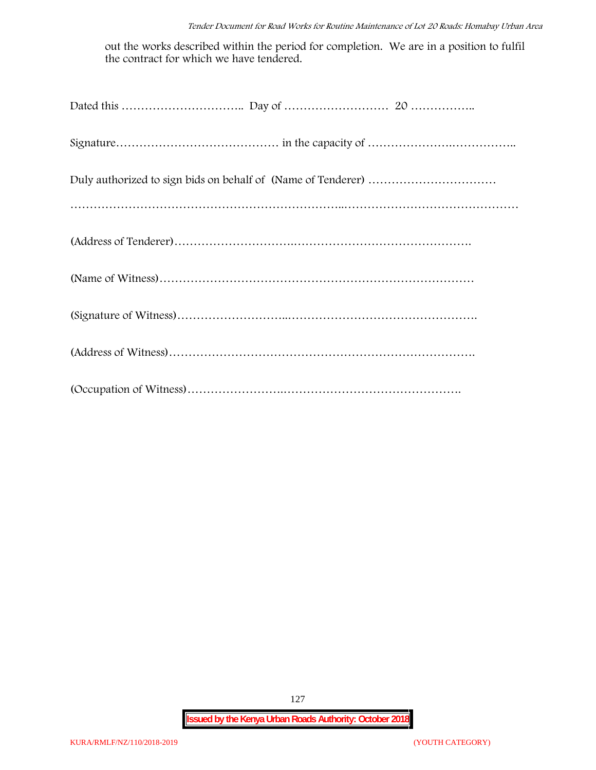out the works described within the period for completion. We are in a position to fulfil the contract for which we have tendered.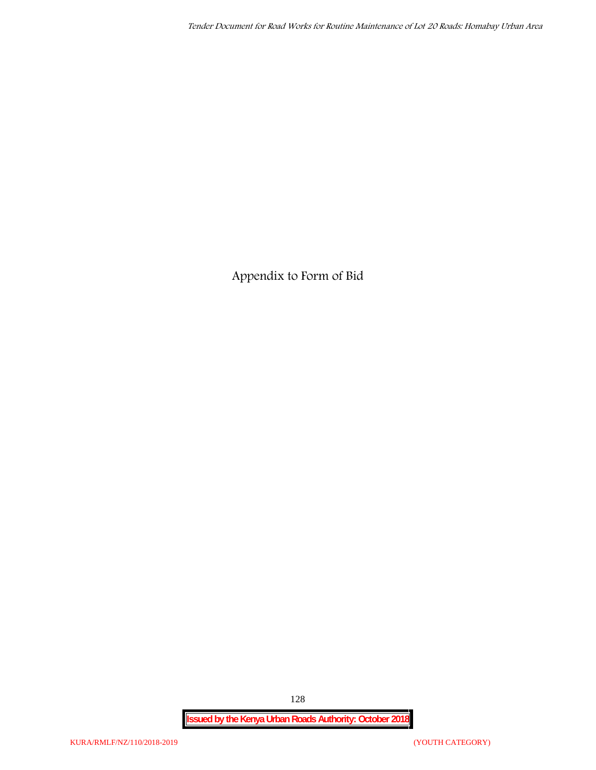**Appendix to Form of Bid**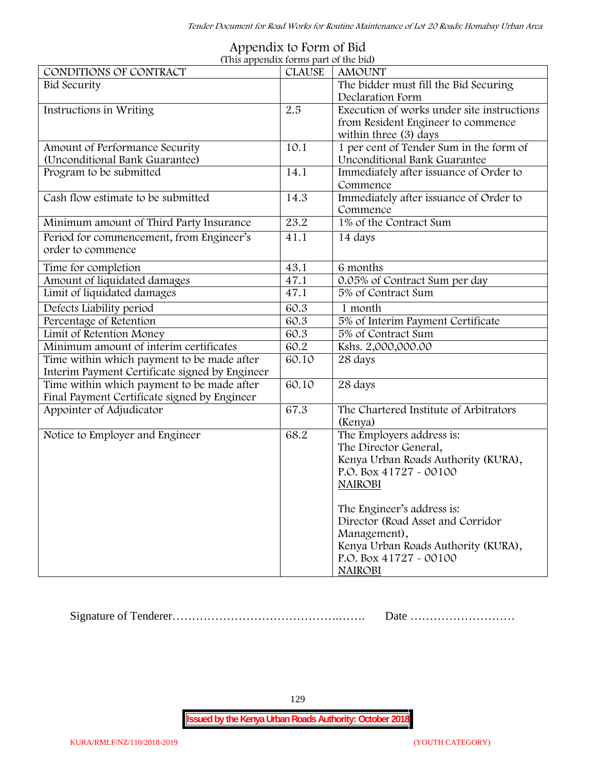| (This appendix forms part of the bid)          |               |                                            |  |  |  |
|------------------------------------------------|---------------|--------------------------------------------|--|--|--|
| CONDITIONS OF CONTRACT                         | <b>CLAUSE</b> | <b>AMOUNT</b>                              |  |  |  |
| <b>Bid Security</b>                            |               | The bidder must fill the Bid Securing      |  |  |  |
|                                                |               | Declaration Form                           |  |  |  |
| Instructions in Writing                        | 2.5           | Execution of works under site instructions |  |  |  |
|                                                |               | from Resident Engineer to commence         |  |  |  |
|                                                |               | within three (3) days                      |  |  |  |
| Amount of Performance Security                 | 10.1          | 1 per cent of Tender Sum in the form of    |  |  |  |
| (Unconditional Bank Guarantee)                 |               | Unconditional Bank Guarantee               |  |  |  |
| Program to be submitted                        | 14.1          | Immediately after issuance of Order to     |  |  |  |
|                                                |               | Commence                                   |  |  |  |
| Cash flow estimate to be submitted             | 14.3          | Immediately after issuance of Order to     |  |  |  |
|                                                |               | Commence                                   |  |  |  |
| Minimum amount of Third Party Insurance        | 23.2          | 1% of the Contract Sum                     |  |  |  |
| Period for commencement, from Engineer's       | 41.1          | 14 days                                    |  |  |  |
| order to commence                              |               |                                            |  |  |  |
| Time for completion                            | 43.1          | 6 months                                   |  |  |  |
| Amount of liquidated damages                   | 47.1          | 0.05% of Contract Sum per day              |  |  |  |
| Limit of liquidated damages                    | 47.1          | 5% of Contract Sum                         |  |  |  |
| Defects Liability period                       | 60.3          | 1 month                                    |  |  |  |
| Percentage of Retention                        | 60.3          | 5% of Interim Payment Certificate          |  |  |  |
| Limit of Retention Money                       | 60.3          | 5% of Contract Sum                         |  |  |  |
| Minimum amount of interim certificates         | 60.2          | Kshs. 2,000,000.00                         |  |  |  |
| Time within which payment to be made after     | 60.10         | 28 days                                    |  |  |  |
| Interim Payment Certificate signed by Engineer |               |                                            |  |  |  |
| Time within which payment to be made after     | 60.10         | 28 days                                    |  |  |  |
| Final Payment Certificate signed by Engineer   |               |                                            |  |  |  |
| Appointer of Adjudicator                       | 67.3          | The Chartered Institute of Arbitrators     |  |  |  |
|                                                |               | (Kenya)                                    |  |  |  |
| Notice to Employer and Engineer                | 68.2          | The Employers address is:                  |  |  |  |
|                                                |               | The Director General,                      |  |  |  |
|                                                |               | Kenya Urban Roads Authority (KURA),        |  |  |  |
|                                                |               | P.O. Box 41727 - 00100                     |  |  |  |
|                                                |               | <b>NAIROBI</b>                             |  |  |  |
|                                                |               |                                            |  |  |  |
|                                                |               | The Engineer's address is:                 |  |  |  |
|                                                |               | Director (Road Asset and Corridor          |  |  |  |
|                                                |               | Management),                               |  |  |  |
|                                                |               | Kenya Urban Roads Authority (KURA),        |  |  |  |
|                                                |               | P.O. Box 41727 - 00100                     |  |  |  |
|                                                |               | <b>NAIROBI</b>                             |  |  |  |

# **Appendix to Form of Bid**

Signature of Tenderer…………………………………….……. Date ………………………

129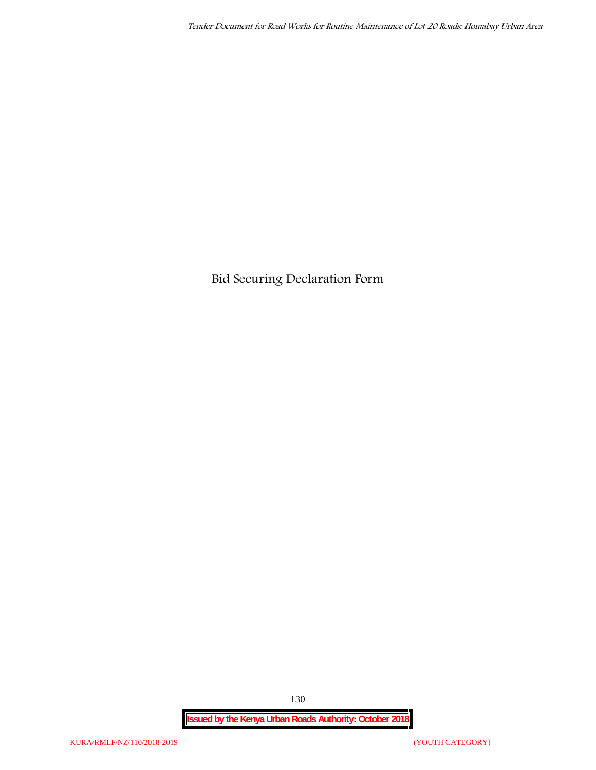**Bid Securing Declaration Form**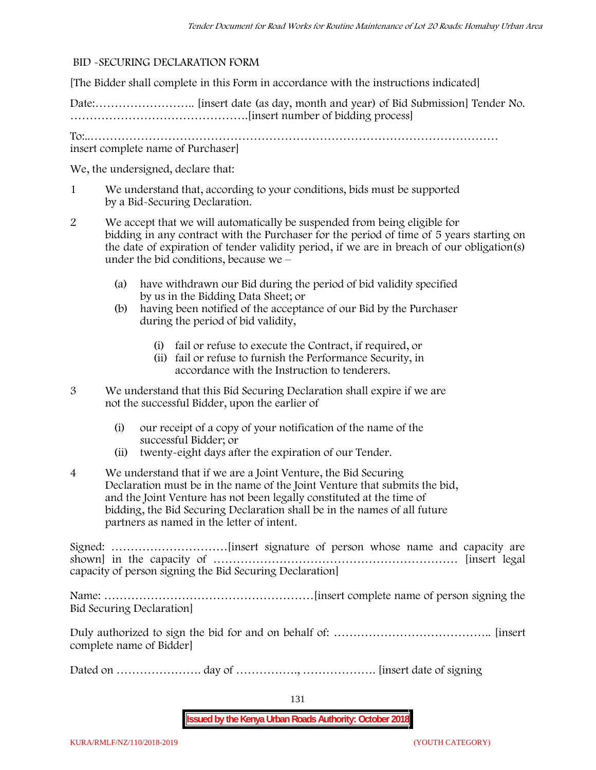#### **BID -SECURING DECLARATION FORM**

[The Bidder shall complete in this Form in accordance with the instructions indicated]

Date:…………………….. [insert date (as day, month and year) of Bid Submission] Tender No. ……………………………………….[insert number of bidding process]

To:..…………………………………………………………………………………………… insert complete name of Purchaser]

We, the undersigned, declare that:

- 1 We understand that, according to your conditions, bids must be supported by a Bid-Securing Declaration.
- 2 We accept that we will automatically be suspended from being eligible for bidding in any contract with the Purchaser for the period of time of **5 years** starting on the date of expiration of tender validity period, if we are in breach of our obligation(s) under the bid conditions, because we –
	- (a) have withdrawn our Bid during the period of bid validity specified by us in the Bidding Data Sheet; or
	- (b) having been notified of the acceptance of our Bid by the Purchaser during the period of bid validity,
		- (i) fail or refuse to execute the Contract, if required, or
		- (ii) fail or refuse to furnish the Performance Security, in accordance with the Instruction to tenderers.
- 3 We understand that this Bid Securing Declaration shall expire if we are not the successful Bidder, upon the earlier of
	- (i) our receipt of a copy of your notification of the name of the successful Bidder; or
	- (ii) twenty-eight days after the expiration of our Tender.
- 4 We understand that if we are a Joint Venture, the Bid Securing Declaration must be in the name of the Joint Venture that submits the bid, and the Joint Venture has not been legally constituted at the time of bidding, the Bid Securing Declaration shall be in the names of all future partners as named in the letter of intent.

Signed: …………………………[insert signature of person whose name and capacity are shown] in the capacity of ……………………………………………………… [insert legal capacity of person signing the Bid Securing Declaration]

Name: ………………………………………………[insert complete name of person signing the Bid Securing Declaration]

Duly authorized to sign the bid for and on behalf of: ………………………………….. [insert complete name of Bidder]

Dated on …………………. day of ……………., ………………. [insert date of signing

131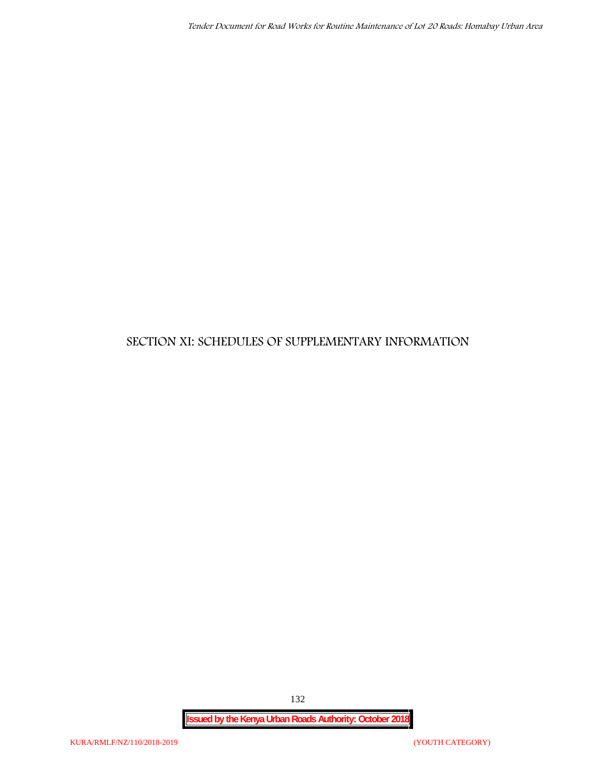## **SECTION XI: SCHEDULES OF SUPPLEMENTARY INFORMATION**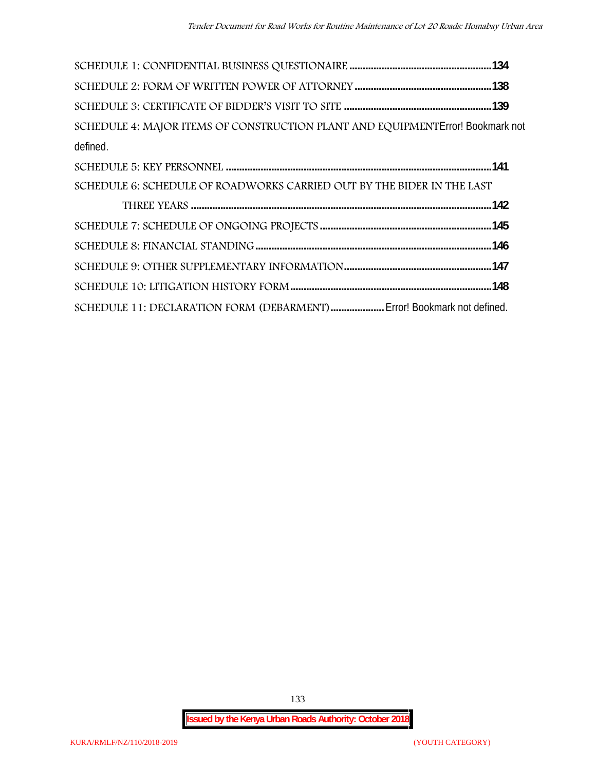| SCHEDULE 4: MAJOR ITEMS OF CONSTRUCTION PLANT AND EQUIPMENT Error! Bookmark not |  |
|---------------------------------------------------------------------------------|--|
| defined.                                                                        |  |
|                                                                                 |  |
| SCHEDULE 6: SCHEDULE OF ROADWORKS CARRIED OUT BY THE BIDER IN THE LAST          |  |
|                                                                                 |  |
|                                                                                 |  |
|                                                                                 |  |
|                                                                                 |  |
|                                                                                 |  |
| SCHEDULE 11: DECLARATION FORM (DEBARMENT) Error! Bookmark not defined.          |  |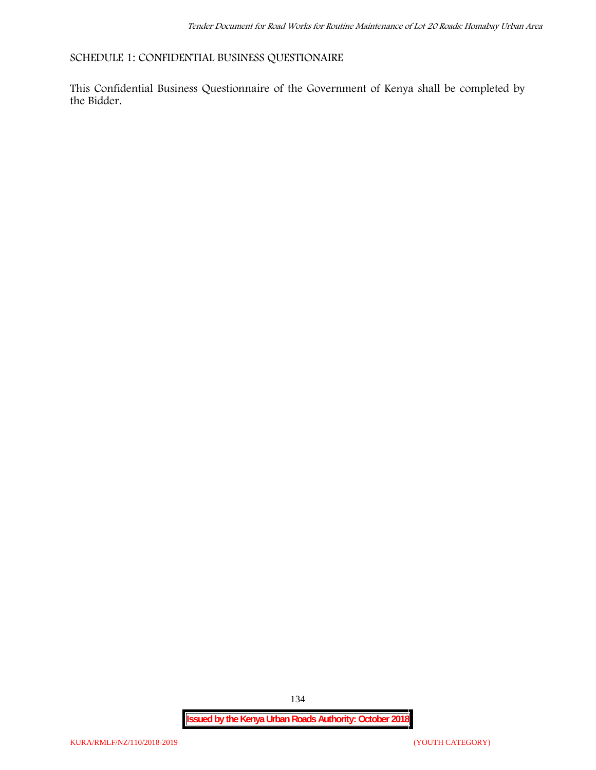**SCHEDULE 1: CONFIDENTIAL BUSINESS QUESTIONAIRE**

This Confidential Business Questionnaire of the Government of Kenya shall be completed by the Bidder.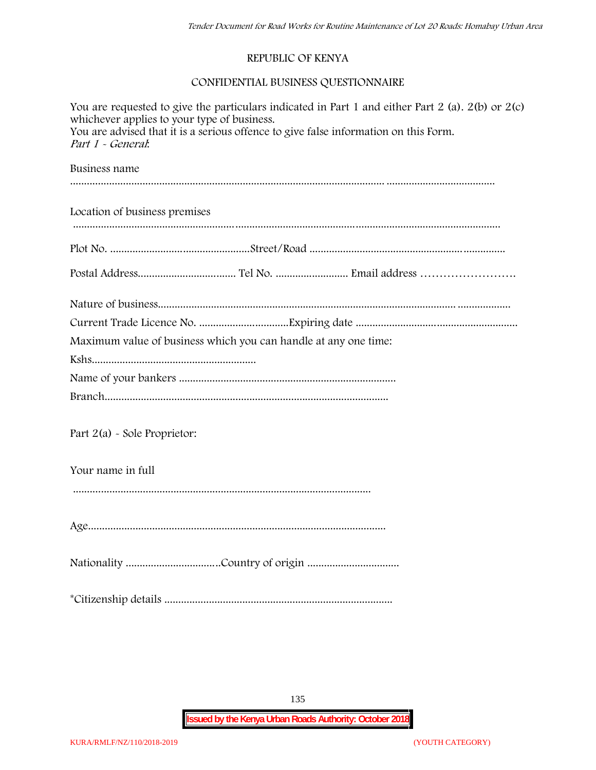#### **REPUBLIC OF KENYA**

#### **CONFIDENTIAL BUSINESS QUESTIONNAIRE**

| You are requested to give the particulars indicated in Part 1 and either Part 2 (a). $2(b)$ or $2(c)$<br>whichever applies to your type of business.<br>You are advised that it is a serious offence to give false information on this Form.<br>Part 1 - General: |  |  |  |  |
|-------------------------------------------------------------------------------------------------------------------------------------------------------------------------------------------------------------------------------------------------------------------|--|--|--|--|
| Business name                                                                                                                                                                                                                                                     |  |  |  |  |
| Location of business premises                                                                                                                                                                                                                                     |  |  |  |  |
|                                                                                                                                                                                                                                                                   |  |  |  |  |
|                                                                                                                                                                                                                                                                   |  |  |  |  |
|                                                                                                                                                                                                                                                                   |  |  |  |  |
|                                                                                                                                                                                                                                                                   |  |  |  |  |
| Maximum value of business which you can handle at any one time:                                                                                                                                                                                                   |  |  |  |  |
|                                                                                                                                                                                                                                                                   |  |  |  |  |
|                                                                                                                                                                                                                                                                   |  |  |  |  |
|                                                                                                                                                                                                                                                                   |  |  |  |  |
| Part 2(a) - Sole Proprietor:                                                                                                                                                                                                                                      |  |  |  |  |
| Your name in full                                                                                                                                                                                                                                                 |  |  |  |  |
|                                                                                                                                                                                                                                                                   |  |  |  |  |
|                                                                                                                                                                                                                                                                   |  |  |  |  |
|                                                                                                                                                                                                                                                                   |  |  |  |  |

135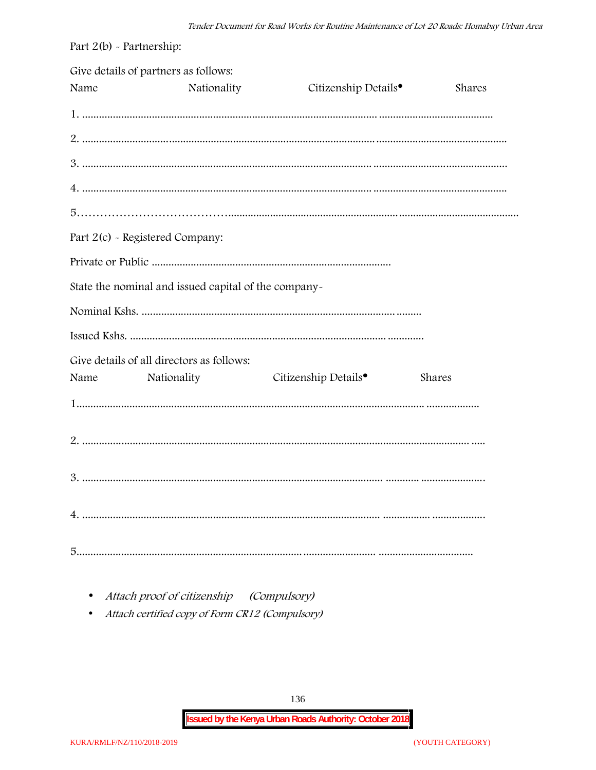| Part $2(b)$ - Partnership: |                                                      |                                  |        |
|----------------------------|------------------------------------------------------|----------------------------------|--------|
| Name                       | Give details of partners as follows:<br>Nationality  | Citizenship Details <sup>•</sup> | Shares |
|                            |                                                      |                                  |        |
|                            |                                                      |                                  |        |
|                            |                                                      |                                  |        |
|                            |                                                      |                                  |        |
|                            |                                                      |                                  |        |
|                            | Part 2(c) - Registered Company:                      |                                  |        |
|                            |                                                      |                                  |        |
|                            | State the nominal and issued capital of the company- |                                  |        |
|                            |                                                      |                                  |        |
|                            |                                                      |                                  |        |
|                            | Give details of all directors as follows:            |                                  |        |
| Name                       | Nationality                                          | Citizenship Details <sup>•</sup> | Shares |
|                            |                                                      |                                  |        |
|                            |                                                      |                                  |        |
|                            |                                                      |                                  |        |
|                            |                                                      |                                  |        |
|                            |                                                      |                                  |        |

• Attach proof of citizenship (Compulsory)

Attach certified copy of Form CR12 (Compulsory)  $\bullet$ 

136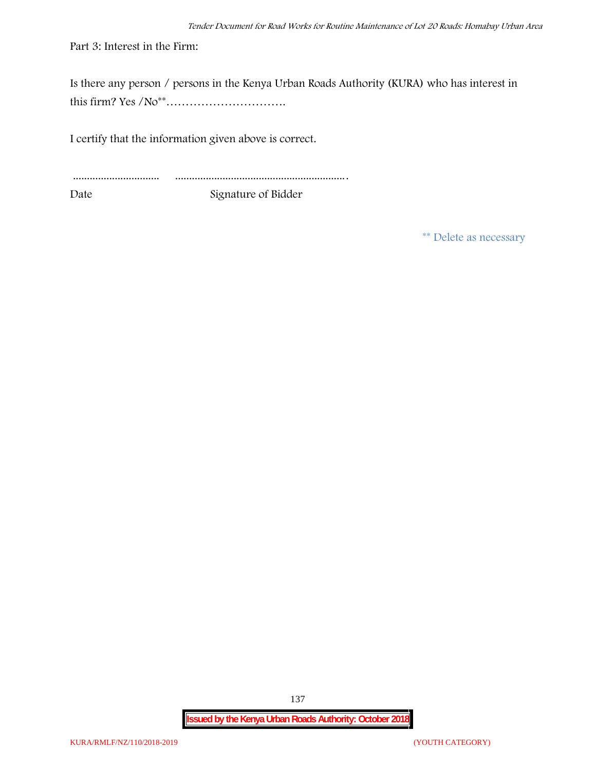Part 3: Interest in the Firm:

Is there any person / persons in the Kenya Urban Roads Authority (KURA) who has interest in this firm? Yes /No\*\*………………………….

I certify that the information given above is correct.

............................... .............................................................. Date Signature of Bidder

**\*\* Delete as necessary**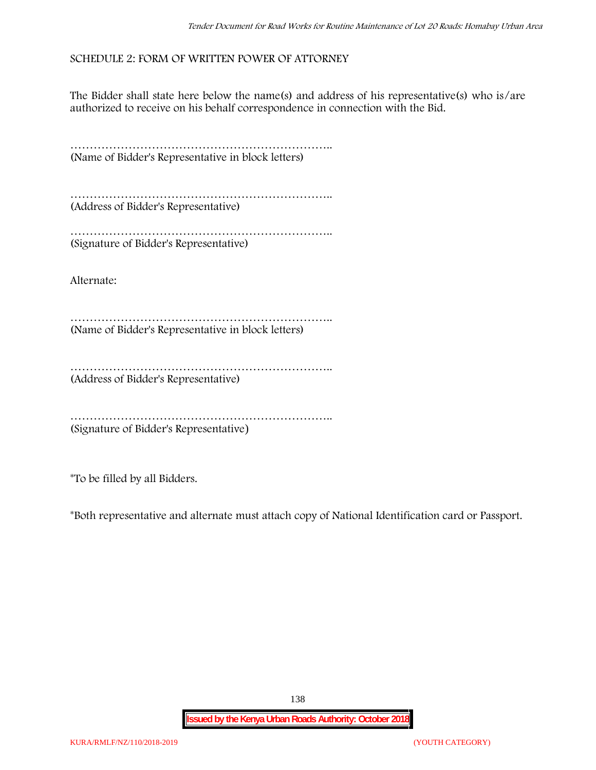#### **SCHEDULE 2: FORM OF WRITTEN POWER OF ATTORNEY**

The Bidder shall state here below the name(s) and address of his representative(s) who is/are authorized to receive on his behalf correspondence in connection with the Bid.

………………………………………………………….. (Name of Bidder's Representative in block letters)

………………………………………………………….. (Address of Bidder's Representative)

………………………………………………………….. (Signature of Bidder's Representative)

Alternate:

………………………………………………………….. (Name of Bidder's Representative in block letters)

……………………………………………………………………… (Address of Bidder's Representative)

………………………………………………………….. (Signature of Bidder's Representative)

\*To be filled by all Bidders.

\*Both representative and alternate **must** attach copy of National Identification card or Passport.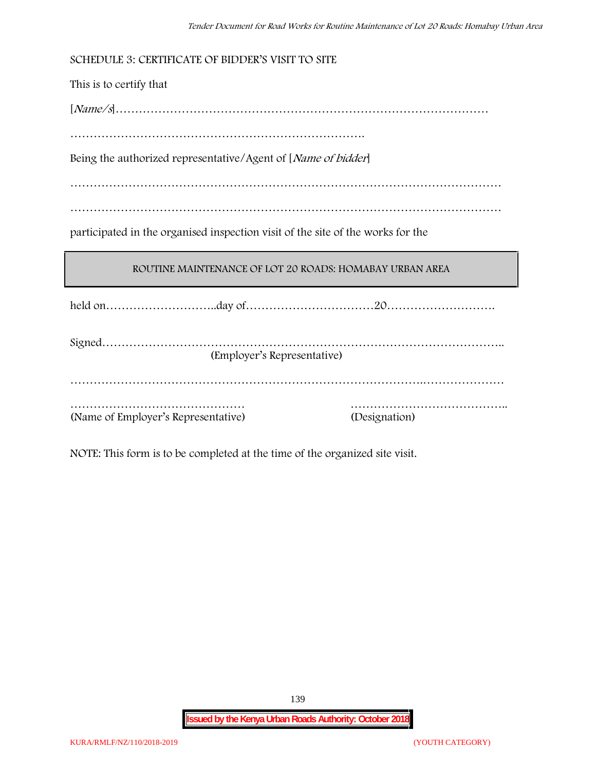**SCHEDULE 3: CERTIFICATE OF BIDDER'S VISIT TO SITE** This is to certify that [*Name/s*]…………………………………………………………………………………… …………………………………………………………………. Being the authorized representative/Agent of [*Name of bidder*] ………………………………………………………………………………………………… ………………………………………………………………………………………………… participated in the organised inspection visit of the site of the works for the **ROUTINE MAINTENANCE OF LOT 20 ROADS: HOMABAY URBAN AREA** held on………………………..day of……………………………20………………………. Signed………………………………………………………………………………………….. (Employer's Representative) ……………………………………………………………………………….………………… ……………………………………… ………………………………….. (Name of Employer's Representative) (Designation)

NOTE: This form is to be completed at the time of the organized site visit.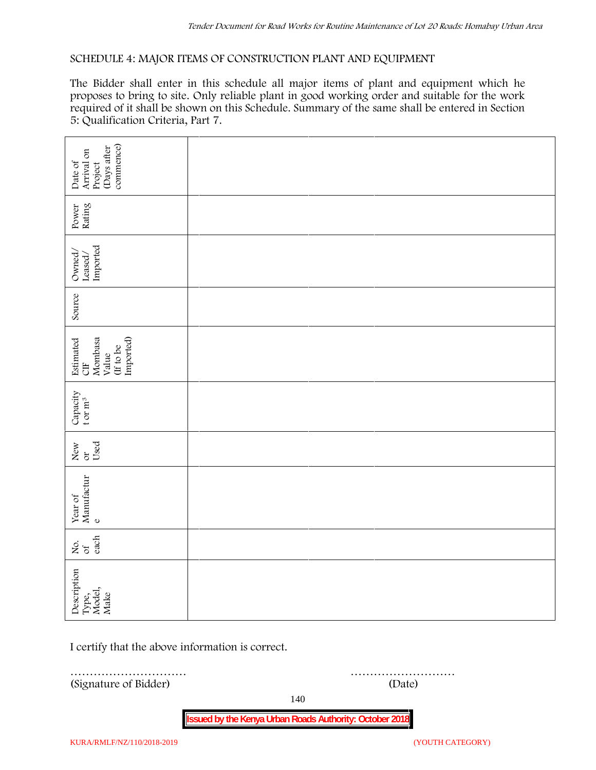#### **SCHEDULE 4: MAJOR ITEMS OF CONSTRUCTION PLANT AND EQUIPMENT**

The Bidder shall enter in this schedule all major items of plant and equipment which he proposes to bring to site. Only reliable plant in good working order and suitable for the work required of it shall be shown on this Schedule. Summary of the same shall be entered in Section 5: Qualification Criteria, Part 7.

| commence)<br>(Days after<br>Arrival on<br>Date of<br>Project   |        |  |  |
|----------------------------------------------------------------|--------|--|--|
| Power<br>Rating                                                |        |  |  |
| Leased/<br>Imported<br>Owned/                                  |        |  |  |
| Source                                                         |        |  |  |
| Imported)<br>Estimated<br>CIF<br>Mombasa<br>(If to be<br>Value |        |  |  |
| Capacity t or $\mathbf{m}^3$                                   |        |  |  |
| Used<br>New or                                                 |        |  |  |
| Year of Manufactur $_{\rm e}$                                  |        |  |  |
| each<br>Σό.                                                    |        |  |  |
| Description<br>Type,<br>Model,<br>Make                         |        |  |  |
| I certify that the above information is correct.               |        |  |  |
| .<br>(Signature of Bidder)                                     | (Date) |  |  |

140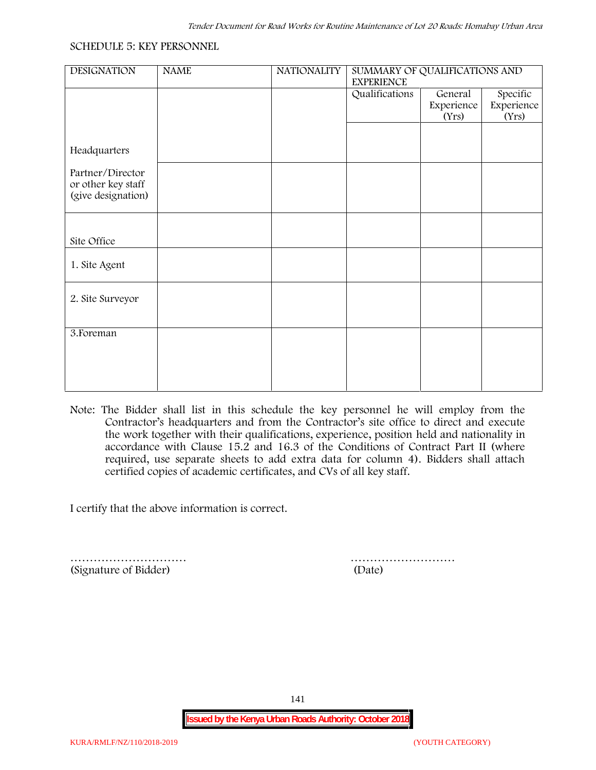#### **SCHEDULE 5: KEY PERSONNEL**

| <b>DESIGNATION</b> | <b>NAME</b> | <b>NATIONALITY</b> | SUMMARY OF QUALIFICATIONS AND<br><b>EXPERIENCE</b> |            |            |  |
|--------------------|-------------|--------------------|----------------------------------------------------|------------|------------|--|
|                    |             |                    | Qualifications                                     | General    | Specific   |  |
|                    |             |                    |                                                    | Experience | Experience |  |
|                    |             |                    |                                                    | (Yrs)      | (Yrs)      |  |
|                    |             |                    |                                                    |            |            |  |
| Headquarters       |             |                    |                                                    |            |            |  |
| Partner/Director   |             |                    |                                                    |            |            |  |
| or other key staff |             |                    |                                                    |            |            |  |
| (give designation) |             |                    |                                                    |            |            |  |
|                    |             |                    |                                                    |            |            |  |
|                    |             |                    |                                                    |            |            |  |
| Site Office        |             |                    |                                                    |            |            |  |
|                    |             |                    |                                                    |            |            |  |
| 1. Site Agent      |             |                    |                                                    |            |            |  |
|                    |             |                    |                                                    |            |            |  |
|                    |             |                    |                                                    |            |            |  |
| 2. Site Surveyor   |             |                    |                                                    |            |            |  |
|                    |             |                    |                                                    |            |            |  |
| 3. Foreman         |             |                    |                                                    |            |            |  |
|                    |             |                    |                                                    |            |            |  |
|                    |             |                    |                                                    |            |            |  |
|                    |             |                    |                                                    |            |            |  |
|                    |             |                    |                                                    |            |            |  |

**Note:** The Bidder shall list in this schedule the key personnel he will employ from the Contractor's headquarters and from the Contractor's site office to direct and execute the work together with their qualifications, experience, position held and nationality in accordance with Clause 15.2 and 16.3 of the Conditions of Contract Part II (where required, use separate sheets to add extra data for column 4). Bidders shall attach certified copies of academic certificates, and CVs of all key staff.

I certify that the above information is correct.

(Signature of Bidder) (Date)

………………………… ………………………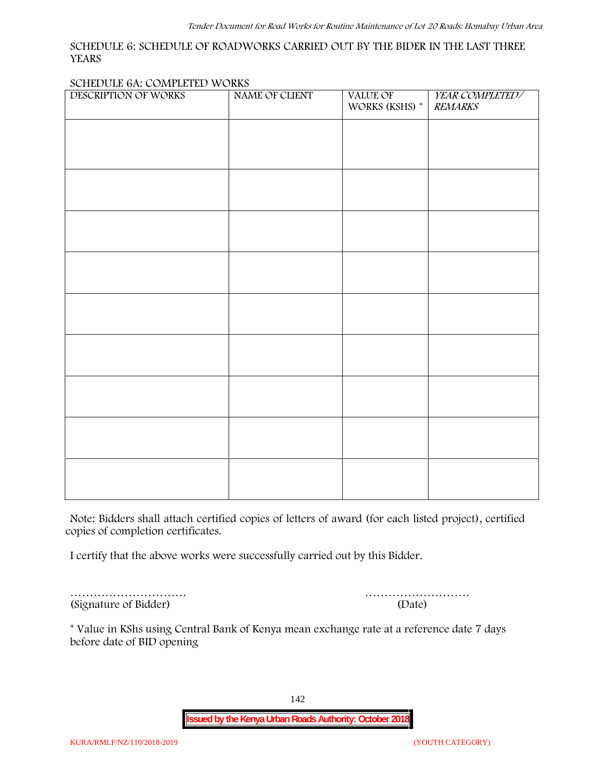#### **SCHEDULE 6: SCHEDULE OF ROADWORKS CARRIED OUT BY THE BIDER IN THE LAST THREE YEARS**

#### **SCHEDULE 6A: COMPLETED WORKS**

| WORKS (KSHS) $^\ast$ | <b>REMARKS</b> |
|----------------------|----------------|
|                      |                |
|                      |                |
|                      |                |
|                      |                |
|                      |                |
|                      |                |
|                      |                |
|                      |                |
|                      |                |
|                      |                |
|                      |                |
|                      |                |
|                      |                |
|                      |                |
|                      |                |

**Note:** Bidders shall attach certified copies of letters of award (for each listed project), certified copies of completion certificates.

I certify that the above works were successfully carried out by this Bidder.

(Signature of Bidder) (Date)

………………………… ………………………

\* **Value in KShs using Central Bank of Kenya mean exchange rate at a reference date 7 days before date of BID opening**

142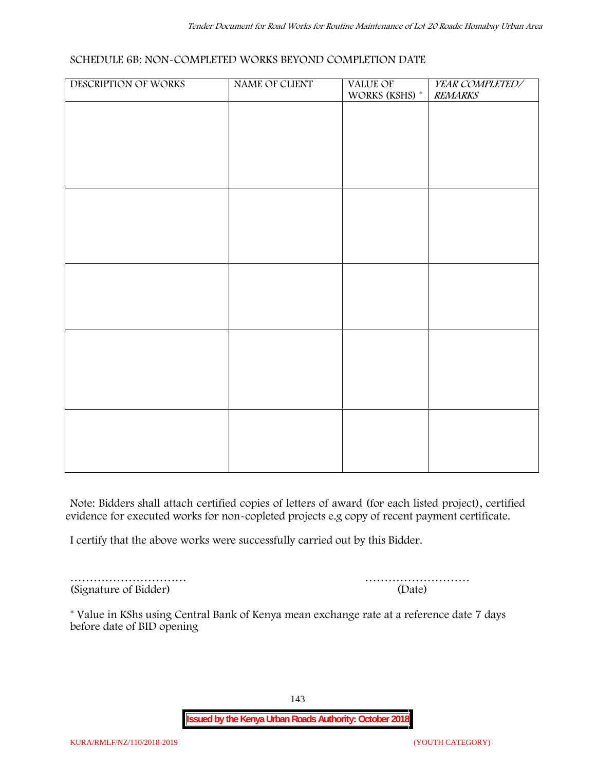#### **SCHEDULE 6B: NON-COMPLETED WORKS BEYOND COMPLETION DATE**

| DESCRIPTION OF WORKS | NAME OF CLIENT | VALUE OF<br>WORKS (KSHS) * | YEAR COMPLETED/<br><b>REMARKS</b> |
|----------------------|----------------|----------------------------|-----------------------------------|
|                      |                |                            |                                   |
|                      |                |                            |                                   |
|                      |                |                            |                                   |
|                      |                |                            |                                   |
|                      |                |                            |                                   |
|                      |                |                            |                                   |
|                      |                |                            |                                   |
|                      |                |                            |                                   |
|                      |                |                            |                                   |
|                      |                |                            |                                   |
|                      |                |                            |                                   |
|                      |                |                            |                                   |
|                      |                |                            |                                   |
|                      |                |                            |                                   |
|                      |                |                            |                                   |
|                      |                |                            |                                   |
|                      |                |                            |                                   |
|                      |                |                            |                                   |

**Note:** Bidders shall attach certified copies of letters of award (for each listed project), certified evidence for executed works for non-copleted projects e.g copy of recent payment certificate.

I certify that the above works were successfully carried out by this Bidder.

(Signature of Bidder) (Date)

………………………… ………………………

\* **Value in KShs using Central Bank of Kenya mean exchange rate at a reference date 7 days before date of BID opening**

143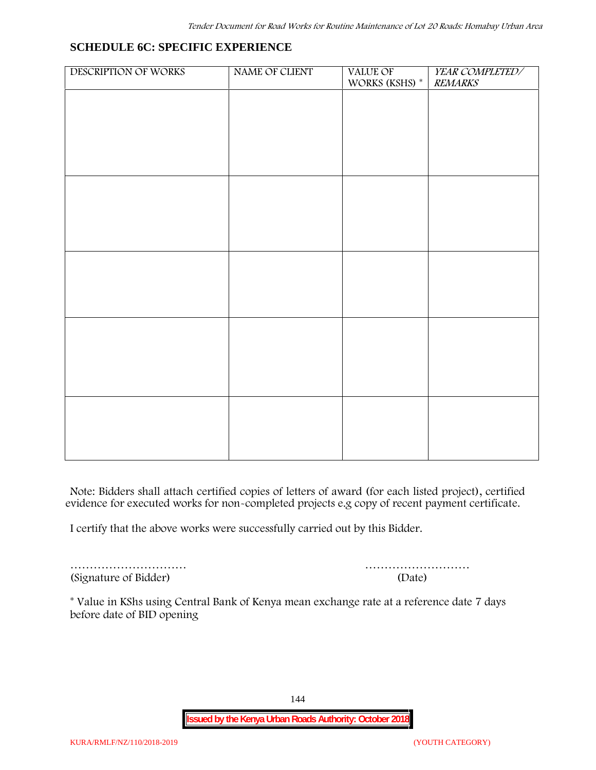## **SCHEDULE 6C: SPECIFIC EXPERIENCE**

| DESCRIPTION OF WORKS | NAME OF CLIENT | VALUE OF<br>WORKS (KSHS) $^\ast$ | YEAR COMPLETED/<br><b>REMARKS</b> |
|----------------------|----------------|----------------------------------|-----------------------------------|
|                      |                |                                  |                                   |
|                      |                |                                  |                                   |
|                      |                |                                  |                                   |
|                      |                |                                  |                                   |
|                      |                |                                  |                                   |
|                      |                |                                  |                                   |
|                      |                |                                  |                                   |
|                      |                |                                  |                                   |
|                      |                |                                  |                                   |
|                      |                |                                  |                                   |
|                      |                |                                  |                                   |
|                      |                |                                  |                                   |
|                      |                |                                  |                                   |
|                      |                |                                  |                                   |
|                      |                |                                  |                                   |
|                      |                |                                  |                                   |
|                      |                |                                  |                                   |
|                      |                |                                  |                                   |
|                      |                |                                  |                                   |
|                      |                |                                  |                                   |

**Note:** Bidders shall attach certified copies of letters of award (for each listed project), certified evidence for executed works for non-completed projects e.g copy of recent payment certificate.

I certify that the above works were successfully carried out by this Bidder.

(Signature of Bidder) (Date)

………………………… ………………………

\* **Value in KShs using Central Bank of Kenya mean exchange rate at a reference date 7 days before date of BID opening**

144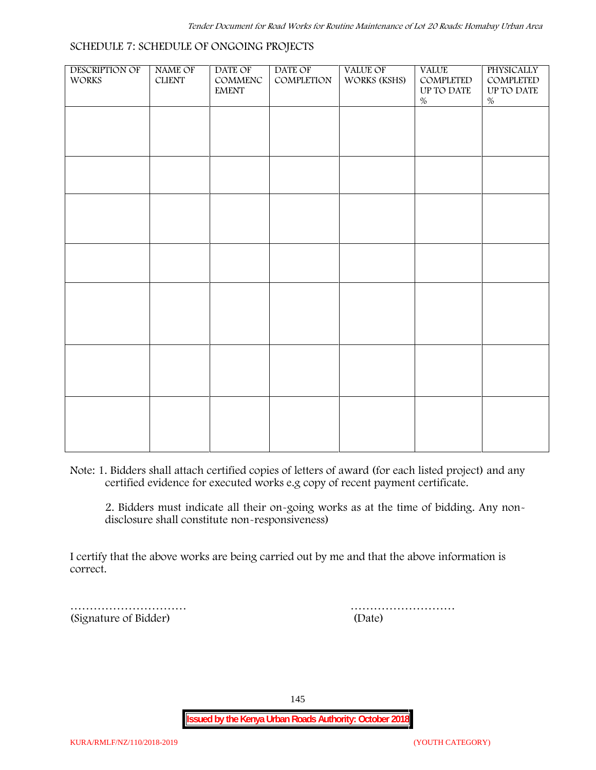| DESCRIPTION OF<br><b>WORKS</b> | NAME OF<br><b>CLIENT</b> | DATE OF<br>$\mathsf{COMMENC}$ | DATE OF<br>COMPLETION | VALUE OF<br>WORKS (KSHS) | <b>VALUE</b><br>COMPLETED | PHYSICALLY<br>COMPLETED |  |
|--------------------------------|--------------------------|-------------------------------|-----------------------|--------------------------|---------------------------|-------------------------|--|
|                                |                          | <b>EMENT</b>                  |                       |                          | UP TO DATE<br>$\%$        | UP TO DATE<br>$\%$      |  |
|                                |                          |                               |                       |                          |                           |                         |  |
|                                |                          |                               |                       |                          |                           |                         |  |
|                                |                          |                               |                       |                          |                           |                         |  |
|                                |                          |                               |                       |                          |                           |                         |  |
|                                |                          |                               |                       |                          |                           |                         |  |
|                                |                          |                               |                       |                          |                           |                         |  |
|                                |                          |                               |                       |                          |                           |                         |  |
|                                |                          |                               |                       |                          |                           |                         |  |
|                                |                          |                               |                       |                          |                           |                         |  |
|                                |                          |                               |                       |                          |                           |                         |  |
|                                |                          |                               |                       |                          |                           |                         |  |
|                                |                          |                               |                       |                          |                           |                         |  |
|                                |                          |                               |                       |                          |                           |                         |  |
|                                |                          |                               |                       |                          |                           |                         |  |
|                                |                          |                               |                       |                          |                           |                         |  |
|                                |                          |                               |                       |                          |                           |                         |  |
|                                |                          |                               |                       |                          |                           |                         |  |
|                                |                          |                               |                       |                          |                           |                         |  |
|                                |                          |                               |                       |                          |                           |                         |  |

**Note:** 1. Bidders shall attach certified copies of letters of award (for each listed project) and any certified evidence for executed works e.g copy of recent payment certificate.

2. Bidders must indicate all their on-going works as at the time of bidding. Any non disclosure shall constitute non-responsiveness)

I certify that the above works are being carried out by me and that the above information is correct.

(Signature of Bidder) (Date)

………………………… ………………………

145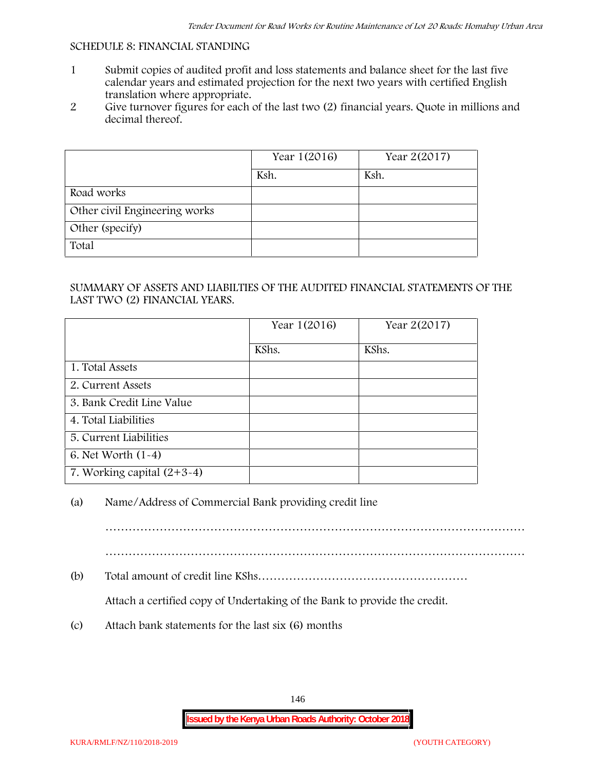#### **SCHEDULE 8: FINANCIAL STANDING**

- 1 Submit copies of audited profit and loss statements and balance sheet for the last five calendar years and estimated projection for the next two years with certified English translation where appropriate.
- 2 Give turnover figures for each of the last two (2) financial years. Quote in millions and decimal thereof.

|                               | Year 1(2016) | Year 2(2017) |
|-------------------------------|--------------|--------------|
|                               | Ksh.         | Ksh.         |
| Road works                    |              |              |
| Other civil Engineering works |              |              |
| Other (specify)               |              |              |
| Total                         |              |              |

### SUMMARY OF ASSETS AND LIABILTIES OF THE AUDITED FINANCIAL STATEMENTS OF THE LAST TWO (2) FINANCIAL YEARS.

|                              | Year 1(2016) | Year 2(2017) |
|------------------------------|--------------|--------------|
|                              | KShs.        | KShs.        |
| 1. Total Assets              |              |              |
| 2. Current Assets            |              |              |
| 3. Bank Credit Line Value    |              |              |
| 4. Total Liabilities         |              |              |
| 5. Current Liabilities       |              |              |
| 6. Net Worth $(1-4)$         |              |              |
| 7. Working capital $(2+3-4)$ |              |              |

## (a) Name/Address of Commercial Bank providing credit line

………………………………………………………………………………………………

………………………………………………………………………………………………

(b) Total amount of credit line KShs………………………………………………

Attach a certified copy of Undertaking of the Bank to provide the credit.

(c) Attach bank statements for the last six (6) months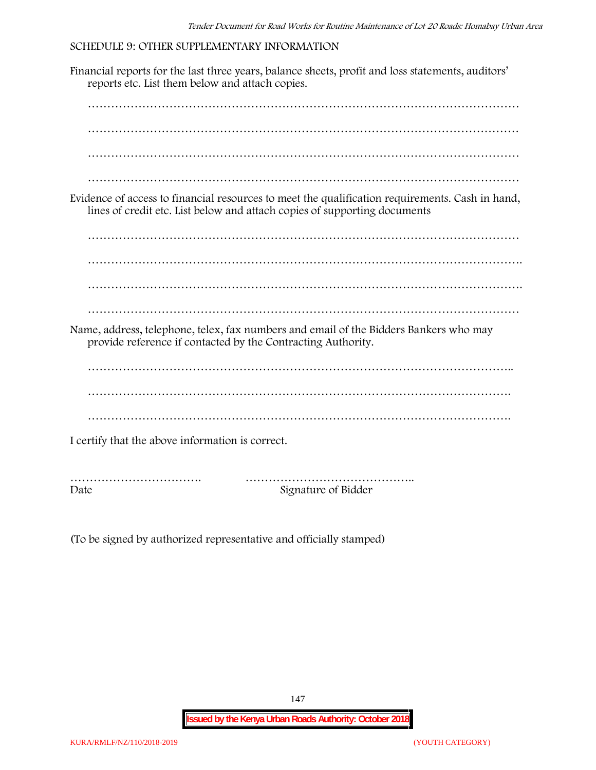#### **SCHEDULE 9: OTHER SUPPLEMENTARY INFORMATION**

Financial reports for the last three years, balance sheets, profit and loss statements, auditors' reports etc. List them below and attach copies. ………………………………………………………………………………………………… ………………………………………………………………………………………………… ………………………………………………………………………………………………… ………………………………………………………………………………………………… Evidence of access to financial resources to meet the qualification requirements. Cash in hand, lines of credit etc. List below and attach copies of supporting documents ………………………………………………………………………………………………… …………………………………………………………………………………………………. ………………………………………………………………………………………………… Name, address, telephone, telex, fax numbers and email of the Bidders Bankers who may provide reference if contacted by the Contracting Authority. ……………………………………………………………………………………………….. ………………………………………………………………………………………………. ………………………………………………………………………………………………. I certify that the above information is correct. ……………………………. …………………………………….. Date Signature of Bidder

(To be signed by authorized representative and officially stamped)

147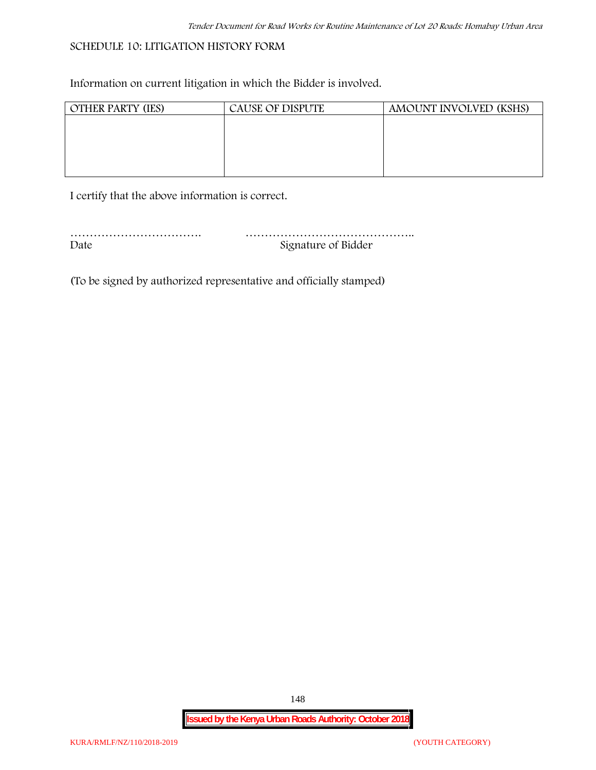## **SCHEDULE 10: LITIGATION HISTORY FORM**

Information on current litigation in which the Bidder is involved.

| <b>OTHER PARTY (IES)</b> | CAUSE OF DISPUTE | AMOUNT INVOLVED (KSHS) |
|--------------------------|------------------|------------------------|
|                          |                  |                        |
|                          |                  |                        |
|                          |                  |                        |
|                          |                  |                        |
|                          |                  |                        |

I certify that the above information is correct.

| Date | Signature of Bidder |
|------|---------------------|

(To be signed by authorized representative and officially stamped)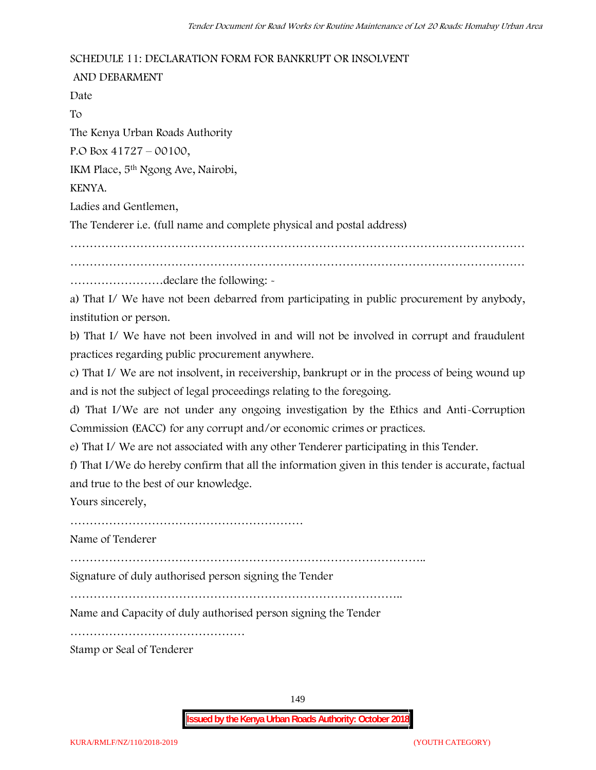### **SCHEDULE 11: DECLARATION FORM FOR BANKRUPT OR INSOLVENT**

**AND DEBARMENT** Date To The Kenya Urban Roads Authority P.O Box 41727 – 00100, IKM Place, 5th Ngong Ave, Nairobi, KENYA. Ladies and Gentlemen, The Tenderer i.e. (full name and complete physical and postal address) ……………………………………………………………………………………………………… ……………………declare the following: -

a) That I/ We have not been debarred from participating in public procurement by anybody, institution or person.

b) That I/ We have not been involved in and will not be involved in corrupt and fraudulent practices regarding public procurement anywhere.

c) That I/ We are not insolvent, in receivership, bankrupt or in the process of being wound up and is not the subject of legal proceedings relating to the foregoing.

d) That I/We are not under any ongoing investigation by the Ethics and Anti-Corruption Commission (EACC) for any corrupt and/or economic crimes or practices.

e) That I/ We are not associated with any other Tenderer participating in this Tender.

f) That I/We do hereby confirm that all the information given in this tender is accurate, factual and true to the best of our knowledge.

Yours sincerely,

……………………………………………………

Name of Tenderer

………………………………………………………………………………..

Signature of duly authorised person signing the Tender

…………………………………………………………………………..

Name and Capacity of duly authorised person signing the Tender

………………………………………

Stamp or Seal of Tenderer

149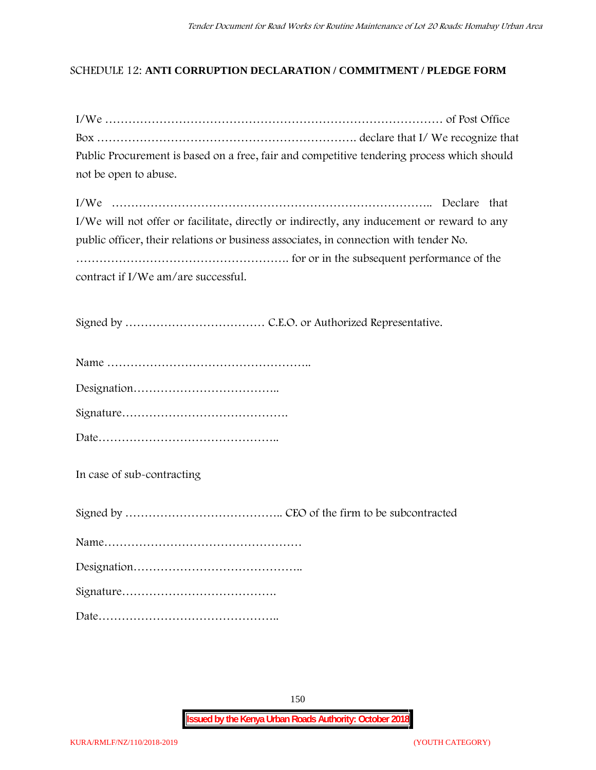## **SCHEDULE 12: ANTI CORRUPTION DECLARATION / COMMITMENT / PLEDGE FORM**

| Public Procurement is based on a free, fair and competitive tendering process which should |
|--------------------------------------------------------------------------------------------|
| not be open to abuse.                                                                      |
|                                                                                            |
| I/We will not offer or facilitate, directly or indirectly, any inducement or reward to any |
| public officer, their relations or business associates, in connection with tender No.      |
|                                                                                            |
| contract if I/We am/are successful.                                                        |
|                                                                                            |
|                                                                                            |
|                                                                                            |
|                                                                                            |
|                                                                                            |
|                                                                                            |
|                                                                                            |
| In case of sub-contracting                                                                 |
|                                                                                            |
|                                                                                            |
|                                                                                            |
|                                                                                            |
|                                                                                            |
|                                                                                            |
|                                                                                            |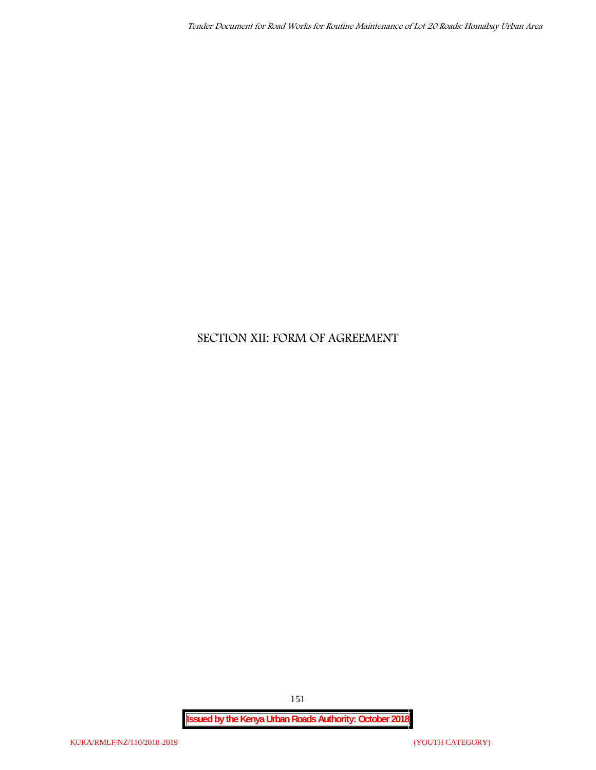# **SECTION XII: FORM OF AGREEMENT**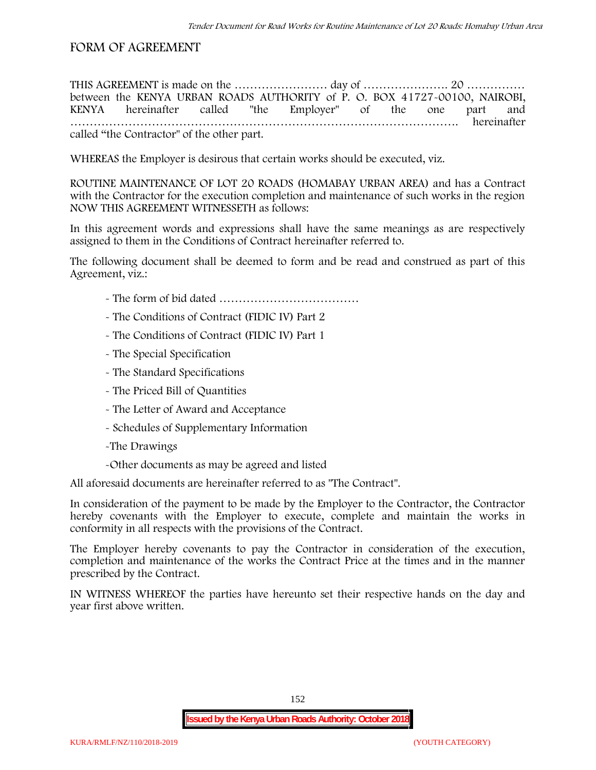## **FORM OF AGREEMENT**

THIS AGREEMENT is made on the ………………………… day of ……………………………………………………………………………………… between the **KENYA URBAN ROADS AUTHORITY** of **P. O. BOX 41727-00100, NAIROBI, KENYA** hereinafter called "the Employer" of the one part and **……………………………………………………………………………………….** hereinafter called "the Contractor" of the other part.

WHEREAS the Employer is desirous that certain works should be executed, viz.

**ROUTINE MAINTENANCE OF LOT 20 ROADS (HOMABAY URBAN AREA)** and has a Contract with the Contractor for the execution completion and maintenance of such works in the region NOW THIS AGREEMENT WITNESSETH as follows:

In this agreement words and expressions shall have the same meanings as are respectively assigned to them in the Conditions of Contract hereinafter referred to.

The following document shall be deemed to form and be read and construed as part of this Agreement, viz.:

- The form of bid dated **………………………………**
- The Conditions of Contract (FIDIC IV) Part 2
- The Conditions of Contract (FIDIC IV) Part 1
- The Special Specification
- The Standard Specifications
- The Priced Bill of Quantities
- The Letter of Award and Acceptance
- Schedules of Supplementary Information
- -The Drawings
- -Other documents as may be agreed and listed

All aforesaid documents are hereinafter referred to as "The Contract".

In consideration of the payment to be made by the Employer to the Contractor, the Contractor hereby covenants with the Employer to execute, complete and maintain the works in conformity in all respects with the provisions of the Contract.

The Employer hereby covenants to pay the Contractor in consideration of the execution, completion and maintenance of the works the Contract Price at the times and in the manner prescribed by the Contract.

IN WITNESS WHEREOF the parties have hereunto set their respective hands on the day and year first above written.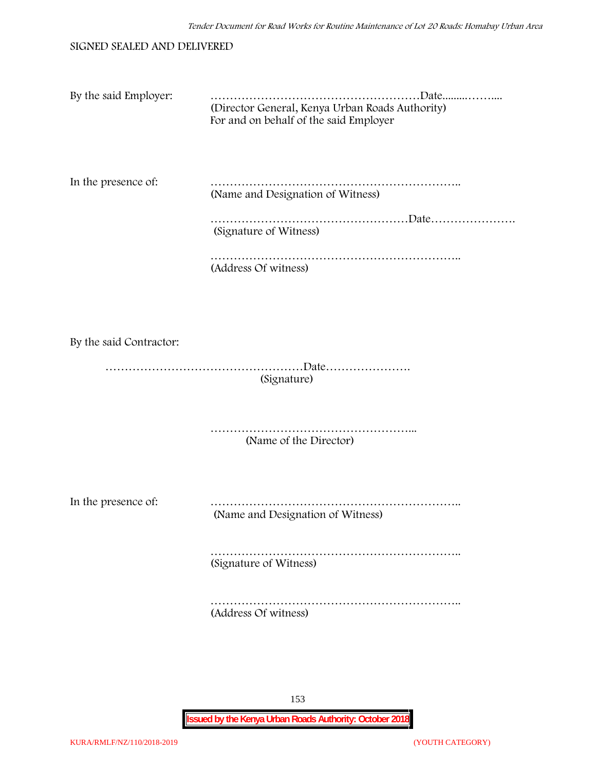|  | SIGNED SEALED AND DELIVERED |  |
|--|-----------------------------|--|
|  |                             |  |

| By the said Employer: | .Date<br>(Director General, Kenya Urban Roads Authority)<br>For and on behalf of the said Employer |
|-----------------------|----------------------------------------------------------------------------------------------------|
| In the presence of:   | (Name and Designation of Witness)                                                                  |
|                       | Date<br>(Signature of Witness)                                                                     |

…………………………………………………………………………… (Address Of witness)

By the said Contractor:

……………………………………………Date…………………. (Signature)

> ……………………………………………………… (Name of the Director)

In the presence of: ……………………………………………………….. (Name and Designation of Witness)

> ……………………………………………………….. (Signature of Witness)

> ……………………………………………………….. (Address Of witness)

> > 153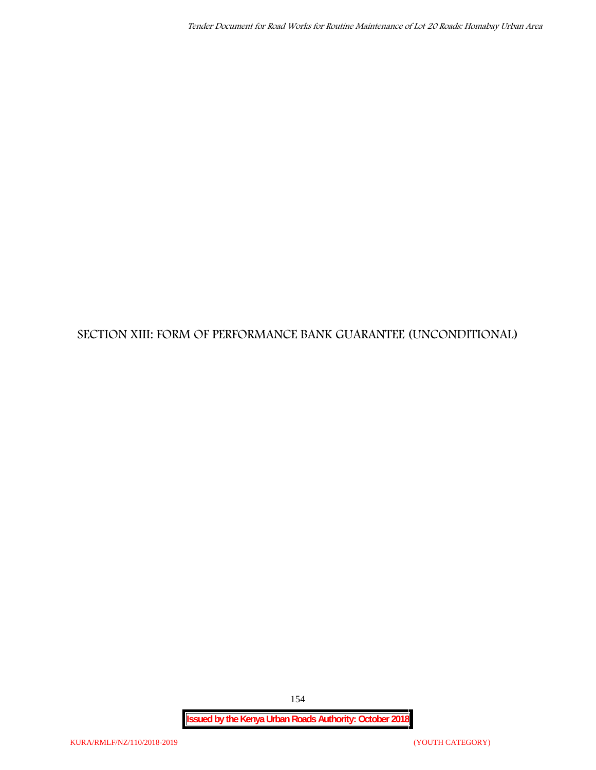# **SECTION XIII: FORM OF PERFORMANCE BANK GUARANTEE (UNCONDITIONAL)**